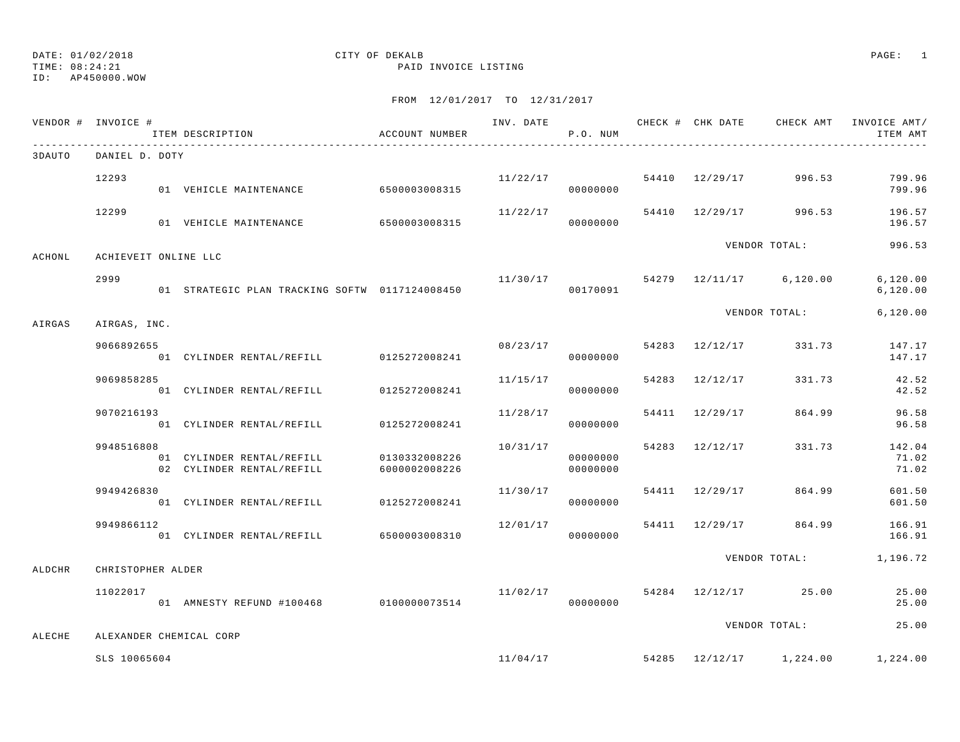# ID: AP450000.WOW

# DATE: 01/02/2018 CITY OF DEKALB PAGE: 1

TIME: 08:24:21 PAID INVOICE LISTING

|        | VENDOR # INVOICE #      | ITEM DESCRIPTION                                       | ACCOUNT NUMBER                 |                           | P.O. NUM             |                |                                      | INV. DATE 6 1999 CHECK # CHK DATE 6 CHECK AMT INVOICE AMT<br>ITEM AMT |
|--------|-------------------------|--------------------------------------------------------|--------------------------------|---------------------------|----------------------|----------------|--------------------------------------|-----------------------------------------------------------------------|
| 3DAUTO | DANIEL D. DOTY          |                                                        |                                |                           |                      |                |                                      |                                                                       |
|        | 12293                   | 01 VEHICLE MAINTENANCE                                 | 6500003008315                  | $11/22/17$ 54410 12/29/17 | 00000000             |                | 996.53                               | 799.96<br>799.96                                                      |
|        | 12299                   | 01 VEHICLE MAINTENANCE 6500003008315                   |                                | 11/22/17                  | 00000000             |                | 54410 12/29/17 996.53                | 196.57<br>196.57                                                      |
| ACHONL | ACHIEVEIT ONLINE LLC    |                                                        |                                |                           |                      |                | VENDOR TOTAL:                        | 996.53                                                                |
|        | 2999                    | 01 STRATEGIC PLAN TRACKING SOFTW 0117124008450         |                                |                           | 00170091             |                | $11/30/17$ 54279 $12/11/17$ 6,120.00 | 6, 120.00<br>6, 120.00                                                |
| AIRGAS | AIRGAS, INC.            |                                                        |                                |                           |                      |                | VENDOR TOTAL:                        | 6, 120.00                                                             |
|        | 9066892655              | 01 CYLINDER RENTAL/REFILL 0125272008241                |                                | 08/23/17                  | 00000000             | 54283 12/12/17 |                                      | 331.73 147.17<br>147.17                                               |
|        | 9069858285              | 01 CYLINDER RENTAL/REFILL                              | 0125272008241                  | 11/15/17                  | 00000000             | 54283 12/12/17 | 331.73                               | 42.52<br>42.52                                                        |
|        | 9070216193              | 01 CYLINDER RENTAL/REFILL                              | 0125272008241                  | 11/28/17                  | 00000000             | 54411 12/29/17 | 864.99                               | 96.58<br>96.58                                                        |
|        | 9948516808              | 01 CYLINDER RENTAL/REFILL<br>02 CYLINDER RENTAL/REFILL | 0130332008226<br>6000002008226 | 10/31/17                  | 00000000<br>00000000 | 54283 12/12/17 | 331.73                               | 142.04<br>71.02<br>71.02                                              |
|        | 9949426830              | 01 CYLINDER RENTAL/REFILL 0125272008241                |                                | 11/30/17                  | 00000000             | 54411 12/29/17 | 864.99                               | 601.50<br>601.50                                                      |
|        | 9949866112              | 01 CYLINDER RENTAL/REFILL 6500003008310                |                                | 12/01/17                  | 00000000             |                | 54411 12/29/17 864.99                | 166.91<br>166.91                                                      |
| ALDCHR | CHRISTOPHER ALDER       |                                                        |                                |                           |                      |                |                                      | VENDOR TOTAL: 1,196.72                                                |
|        | 11022017                | 01 AMNESTY REFUND #100468 0100000073514                |                                | 11/02/17                  | 00000000             |                | 54284 12/12/17 25.00                 | 25.00<br>25.00                                                        |
| ALECHE | ALEXANDER CHEMICAL CORP |                                                        |                                |                           |                      |                | VENDOR TOTAL:                        | 25.00                                                                 |
|        | SLS 10065604            |                                                        |                                |                           |                      |                | $11/04/17$ 54285 $12/12/17$ 1,224.00 | 1,224.00                                                              |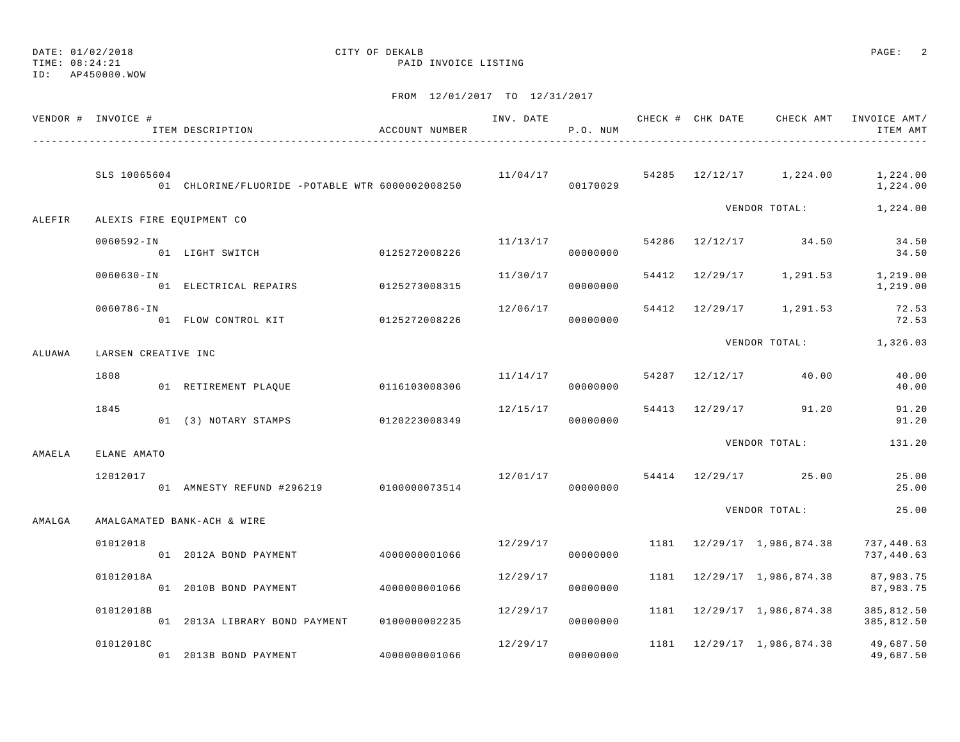TIME: 08:24:21 PAID INVOICE LISTING

ID: AP450000.WOW

|        | VENDOR # INVOICE #       | ITEM DESCRIPTION                                | ACCOUNT NUMBER |          | P.O. NUM |  |                                               | ITEM AMT                 |
|--------|--------------------------|-------------------------------------------------|----------------|----------|----------|--|-----------------------------------------------|--------------------------|
|        | SLS 10065604             | 01 CHLORINE/FLUORIDE -POTABLE WTR 6000002008250 |                |          | 00170029 |  | $11/04/17$ 54285 $12/12/17$ 1,224.00 1,224.00 | 1,224.00                 |
| ALEFIR | ALEXIS FIRE EQUIPMENT CO |                                                 |                |          |          |  | VENDOR TOTAL: 1,224.00                        |                          |
|        | 0060592-IN               | 01 LIGHT SWITCH                                 | 0125272008226  | 11/13/17 | 00000000 |  | 54286 12/12/17 34.50 34.50                    | 34.50                    |
|        | $0060630 - IN$           | 01 ELECTRICAL REPAIRS                           | 0125273008315  | 11/30/17 | 00000000 |  | 54412 12/29/17 1,291.53 1,219.00              | 1,219.00                 |
|        | 0060786-IN               | 01 FLOW CONTROL KIT 0125272008226               |                | 12/06/17 | 00000000 |  | 54412 12/29/17 1,291.53                       | 72.53<br>72.53           |
| ALUAWA | LARSEN CREATIVE INC      |                                                 |                |          |          |  | VENDOR TOTAL: 1,326.03                        |                          |
|        | 1808                     | 01 RETIREMENT PLAQUE                            | 0116103008306  | 11/14/17 | 00000000 |  | 54287 12/12/17 40.00                          | 40.00<br>40.00           |
|        | 1845                     | 01 (3) NOTARY STAMPS 0120223008349              |                | 12/15/17 | 00000000 |  | 54413 12/29/17 91.20                          | 91.20<br>91.20           |
| AMAELA | ELANE AMATO              |                                                 |                |          |          |  | VENDOR TOTAL:                                 | 131.20                   |
|        | 12012017                 | 01 AMNESTY REFUND #296219 0100000073514         |                |          | 00000000 |  | 12/01/17 54414 12/29/17 25.00                 | 25.00<br>25.00           |
| AMALGA |                          | AMALGAMATED BANK-ACH & WIRE                     |                |          |          |  | VENDOR TOTAL:                                 | 25.00                    |
|        | 01012018                 | 01 2012A BOND PAYMENT                           | 40000000001066 | 12/29/17 | 00000000 |  | 1181 12/29/17 1,986,874.38                    | 737,440.63<br>737,440.63 |
|        | 01012018A                | 01 2010B BOND PAYMENT 4000000001066             |                | 12/29/17 | 00000000 |  | 1181 12/29/17 1,986,874.38 87,983.75          | 87,983.75                |
|        | 01012018B                | 01 2013A LIBRARY BOND PAYMENT 0100000002235     |                | 12/29/17 | 00000000 |  | 1181 12/29/17 1,986,874.38                    | 385,812.50<br>385,812.50 |
|        | 01012018C                | 01 2013B BOND PAYMENT                           | 4000000001066  | 12/29/17 | 00000000 |  | 1181 12/29/17 1,986,874.38 49,687.50          | 49,687.50                |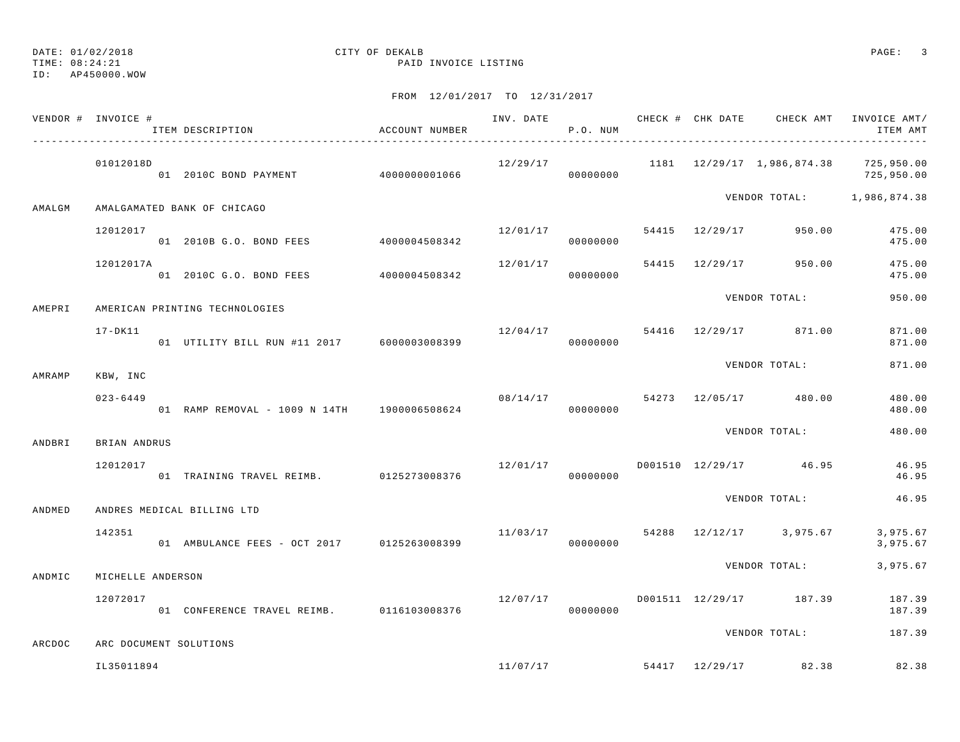|        | VENDOR # INVOICE # | ITEM DESCRIPTION                            | ACCOUNT NUMBER |          | P.O. NUM |  | INV. DATE 6 CHECK # CHK DATE CHECK AMT INVOICE AMT/ | ITEM AMT             |
|--------|--------------------|---------------------------------------------|----------------|----------|----------|--|-----------------------------------------------------|----------------------|
|        | 01012018D          | 01 2010C BOND PAYMENT 4000000001066         |                | 12/29/17 | 00000000 |  | 1181  12/29/17  1,986,874.38  725,950.00            | 725,950.00           |
| AMALGM |                    | AMALGAMATED BANK OF CHICAGO                 |                |          |          |  | VENDOR TOTAL: 1,986,874.38                          |                      |
|        | 12012017           | 01 2010B G.O. BOND FEES 4000004508342       |                | 12/01/17 | 00000000 |  | 54415 12/29/17 950.00                               | 475.00<br>475.00     |
|        | 12012017A          | 01  2010C  G.O. BOND  FEES  4000004508342   |                | 12/01/17 | 00000000 |  | 54415 12/29/17 950.00                               | 475.00<br>475.00     |
| AMEPRI |                    | AMERICAN PRINTING TECHNOLOGIES              |                |          |          |  | VENDOR TOTAL:                                       | 950.00               |
|        | 17-DK11            | 01 UTILITY BILL RUN #11 2017 6000003008399  |                |          | 00000000 |  | 12/04/17 54416 12/29/17 871.00                      | 871.00<br>871.00     |
| AMRAMP | KBW, INC           |                                             |                |          |          |  | VENDOR TOTAL:                                       | 871.00               |
|        | $023 - 6449$       | 01 RAMP REMOVAL - 1009 N 14TH 1900006508624 |                |          | 00000000 |  | 08/14/17 54273 12/05/17 480.00                      | 480.00<br>480.00     |
| ANDBRI | BRIAN ANDRUS       |                                             |                |          |          |  | VENDOR TOTAL:                                       | 480.00               |
|        | 12012017           | 01 TRAINING TRAVEL REIMB. 0125273008376     |                | 12/01/17 | 00000000 |  | D001510 12/29/17 46.95                              | 46.95<br>46.95       |
| ANDMED |                    | ANDRES MEDICAL BILLING LTD                  |                |          |          |  | VENDOR TOTAL:                                       | 46.95                |
|        | 142351             | 01 AMBULANCE FEES - OCT 2017 0125263008399  |                |          | 00000000 |  | $11/03/17$ 54288 $12/12/17$ 3,975.67                | 3,975.67<br>3,975.67 |
| ANDMIC | MICHELLE ANDERSON  |                                             |                |          |          |  | VENDOR TOTAL:                                       | 3,975.67             |
|        | 12072017           | 01 CONFERENCE TRAVEL REIMB. 0116103008376   |                | 12/07/17 | 00000000 |  | D001511 12/29/17 187.39                             | 187.39<br>187.39     |
| ARCDOC |                    | ARC DOCUMENT SOLUTIONS                      |                |          |          |  | VENDOR TOTAL:                                       | 187.39               |
|        | IL35011894         |                                             |                |          |          |  | $11/07/17$ 54417 $12/29/17$ 82.38                   | 82.38                |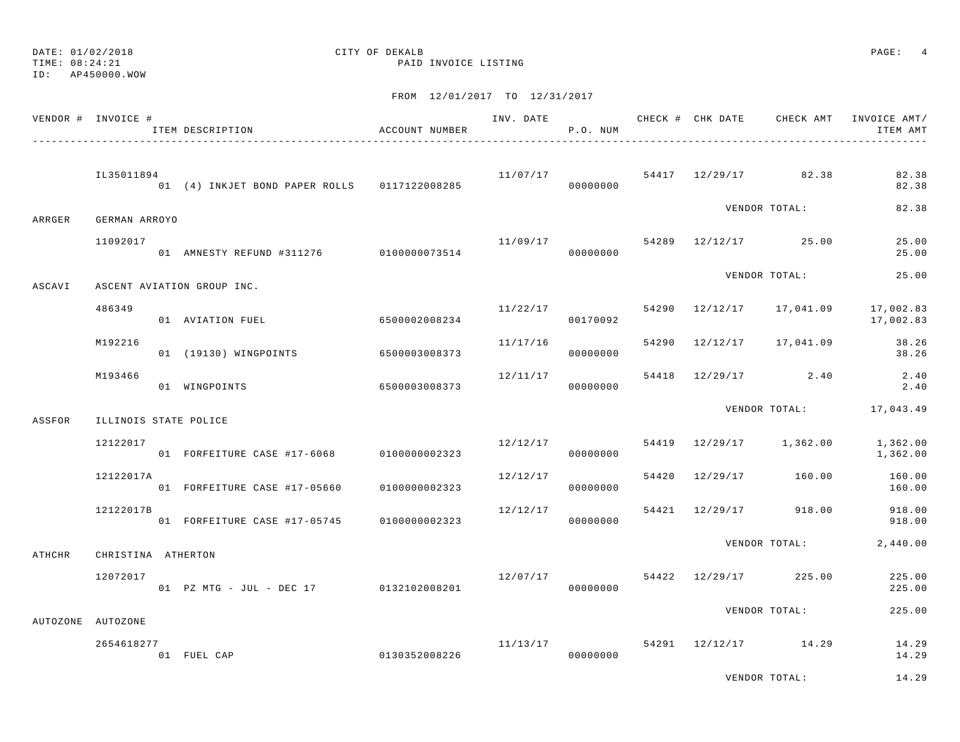#### TIME: 08:24:21 PAID INVOICE LISTING

ID: AP450000.WOW

|        | VENDOR # INVOICE #    | ITEM DESCRIPTION                             | ACCOUNT NUMBER |          | P.O. NUM |  | INV. DATE 6 CHECK # CHK DATE CHECK AMT | INVOICE AMT/<br>ITEM AMT |
|--------|-----------------------|----------------------------------------------|----------------|----------|----------|--|----------------------------------------|--------------------------|
|        | IL35011894            | 01 (4) INKJET BOND PAPER ROLLS 0117122008285 |                |          | 00000000 |  | $11/07/17$ 54417 12/29/17 82.38        | 82.38<br>82.38           |
| ARRGER | GERMAN ARROYO         |                                              |                |          |          |  | VENDOR TOTAL:                          | 82.38                    |
|        | 11092017              | 01 AMNESTY REFUND #311276 0100000073514      |                |          | 00000000 |  | $11/09/17$ 54289 $12/12/17$ 25.00      | 25.00<br>25.00           |
| ASCAVI |                       | ASCENT AVIATION GROUP INC.                   |                |          |          |  | VENDOR TOTAL:                          | 25.00                    |
|        | 486349                | 01 AVIATION FUEL                             | 6500002008234  | 11/22/17 | 00170092 |  | 54290 12/12/17 17,041.09               | 17,002.83<br>17,002.83   |
|        | M192216               | 01 (19130) WINGPOINTS                        | 6500003008373  | 11/17/16 | 00000000 |  | 54290 12/12/17 17,041.09               | 38.26<br>38.26           |
|        | M193466               | 01 WINGPOINTS                                | 6500003008373  | 12/11/17 | 00000000 |  | 54418 12/29/17 2.40                    | $2.40$<br>2.40           |
| ASSFOR | ILLINOIS STATE POLICE |                                              |                |          |          |  |                                        | VENDOR TOTAL: 17,043.49  |
|        | 12122017              | 01 FORFEITURE CASE #17-6068                  | 0100000002323  | 12/12/17 | 00000000 |  | 54419 12/29/17 1,362.00                | 1,362.00<br>1,362.00     |
|        | 12122017A             | 01 FORFEITURE CASE #17-05660                 | 0100000002323  | 12/12/17 | 00000000 |  | 54420 12/29/17 160.00                  | 160.00<br>160.00         |
|        | 12122017B             | 01 FORFEITURE CASE #17-05745 0100000002323   |                | 12/12/17 | 00000000 |  | 54421 12/29/17 918.00                  | 918.00<br>918.00         |
| ATHCHR | CHRISTINA ATHERTON    |                                              |                |          |          |  | VENDOR TOTAL:                          | 2,440.00                 |
|        | 12072017              | 01 PZ MTG - JUL - DEC 17 0132102008201       |                |          | 00000000 |  | $12/07/17$ 54422 $12/29/17$ 225.00     | 225.00<br>225.00         |
|        | AUTOZONE AUTOZONE     |                                              |                |          |          |  | VENDOR TOTAL:                          | 225.00                   |
|        | 2654618277            | 01 FUEL CAP                                  | 0130352008226  | 11/13/17 | 00000000 |  | 54291 12/12/17 14.29                   | 14.29<br>14.29           |
|        |                       |                                              |                |          |          |  | VENDOR TOTAL:                          | 14.29                    |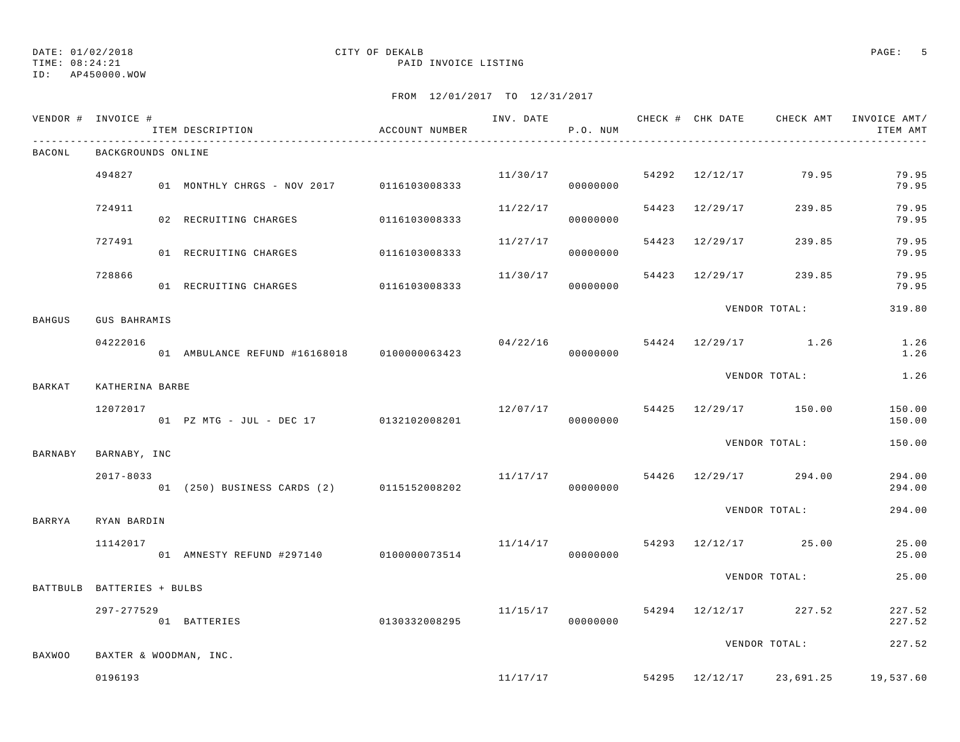## ID: AP450000.WOW

# DATE: 01/02/2018 CITY OF DEKALB PAGE: 5

TIME: 08:24:21 PAID INVOICE LISTING

|               | VENDOR # INVOICE #         | ITEM DESCRIPTION                            | ACCOUNT NUMBER |          | P.O. NUM  |                | INV. DATE 6 CHECK # CHK DATE CHECK AMT INVOICE AMT/ | ITEM AMT         |
|---------------|----------------------------|---------------------------------------------|----------------|----------|-----------|----------------|-----------------------------------------------------|------------------|
| BACONL        | BACKGROUNDS ONLINE         |                                             |                |          |           |                |                                                     |                  |
|               | 494827                     | 01 MONTHLY CHRGS - NOV 2017 0116103008333   |                | 11/30/17 | 00000000  |                | 54292 12/12/17 79.95                                | 79.95<br>79.95   |
|               | 724911                     | 02 RECRUITING CHARGES                       | 0116103008333  | 11/22/17 | 00000000  | 54423 12/29/17 | 239.85                                              | 79.95<br>79.95   |
|               | 727491                     | 01 RECRUITING CHARGES                       | 0116103008333  | 11/27/17 | 00000000  | 54423 12/29/17 | 239.85                                              | 79.95<br>79.95   |
|               | 728866                     | 01 RECRUITING CHARGES 0116103008333         |                | 11/30/17 | 00000000  | 54423 12/29/17 | 239.85                                              | 79.95<br>79.95   |
| <b>BAHGUS</b> | <b>GUS BAHRAMIS</b>        |                                             |                |          |           |                | VENDOR TOTAL:                                       | 319.80           |
|               | 04222016                   | 01 AMBULANCE REFUND #16168018 0100000063423 |                | 04/22/16 | 000000000 |                | 54424 12/29/17 1.26                                 | 1.26<br>1.26     |
| BARKAT        | KATHERINA BARBE            |                                             |                |          |           |                | VENDOR TOTAL:                                       | 1.26             |
|               | 12072017                   | 01 PZ MTG - JUL - DEC 17 0132102008201      |                | 12/07/17 | 00000000  |                | 54425 12/29/17 150.00                               | 150.00<br>150.00 |
| BARNABY       | BARNABY, INC               |                                             |                |          |           |                | VENDOR TOTAL:                                       | 150.00           |
|               | $2017 - 8033$              | 01 (250) BUSINESS CARDS (2) 0115152008202   |                | 11/17/17 | 00000000  |                | 54426 12/29/17 294.00                               | 294.00<br>294.00 |
| BARRYA        | RYAN BARDIN                |                                             |                |          |           |                | VENDOR TOTAL:                                       | 294.00           |
|               | 11142017                   | 01 AMNESTY REFUND #297140 0100000073514     |                |          | 00000000  |                | $11/14/17$ 54293 $12/12/17$ 25.00                   | 25.00<br>25.00   |
|               | BATTBULB BATTERIES + BULBS |                                             |                |          |           |                | VENDOR TOTAL:                                       | 25.00            |
|               | 297-277529                 | 01 BATTERIES                                | 0130332008295  | 11/15/17 | 00000000  |                | 54294 12/12/17 227.52                               | 227.52<br>227.52 |
| <b>BAXWOO</b> | BAXTER & WOODMAN, INC.     |                                             |                |          |           |                | VENDOR TOTAL:                                       | 227.52           |
|               | 0196193                    |                                             |                |          | 11/17/17  |                | 54295 12/12/17 23,691.25                            | 19,537.60        |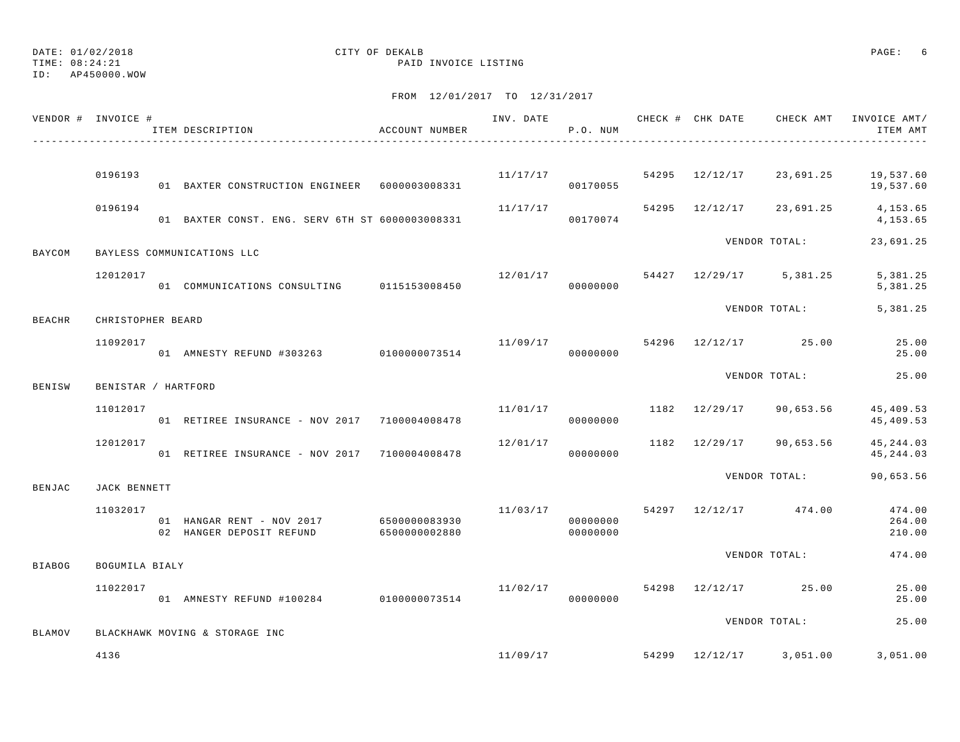TIME: 08:24:21 PAID INVOICE LISTING

ID: AP450000.WOW

|               | VENDOR # INVOICE #  | ACCOUNT NUMBER<br>ITEM DESCRIPTION                                                |                      | P.O. NUM             |  |                                      | INV. DATE 6 CHECK # CHK DATE CHECK AMT INVOICE AMT/<br>ITEM AMT |
|---------------|---------------------|-----------------------------------------------------------------------------------|----------------------|----------------------|--|--------------------------------------|-----------------------------------------------------------------|
|               |                     |                                                                                   |                      |                      |  |                                      |                                                                 |
|               | 0196193             | 01 BAXTER CONSTRUCTION ENGINEER 6000003008331                                     |                      | 00170055             |  | $11/17/17$ 54295 12/12/17 23,691.25  | 19,537.60<br>19,537.60                                          |
|               | 0196194             | 01 BAXTER CONST. ENG. SERV 6TH ST 6000003008331                                   | 11/17/17<br>00170074 |                      |  |                                      | 54295 12/12/17 23,691.25 4,153.65<br>4,153.65                   |
| BAYCOM        |                     | BAYLESS COMMUNICATIONS LLC                                                        |                      |                      |  | VENDOR TOTAL:                        | 23,691.25                                                       |
|               | 12012017            | 01 COMMUNICATIONS CONSULTING 0115153008450                                        |                      | 00000000             |  | $12/01/17$ 54427 $12/29/17$ 5,381.25 | 5,381.25<br>5,381.25                                            |
| BEACHR        | CHRISTOPHER BEARD   |                                                                                   |                      |                      |  |                                      | VENDOR TOTAL: 5,381.25                                          |
|               | 11092017            | 01 AMNESTY REFUND #303263 0100000073514                                           |                      | 00000000             |  | $11/09/17$ 54296 $12/12/17$ 25.00    | 25.00<br>25.00                                                  |
| BENISW        | BENISTAR / HARTFORD |                                                                                   |                      |                      |  | VENDOR TOTAL:                        | 25.00                                                           |
|               | 11012017            | 01 RETIREE INSURANCE - NOV 2017 7100004008478                                     |                      | 00000000             |  | $11/01/17$ 1182 $12/29/17$ 90,653.56 | 45,409.53<br>45,409.53                                          |
|               | 12012017            | 01 RETIREE INSURANCE - NOV 2017 7100004008478                                     | 12/01/17             | 00000000             |  | 1182 12/29/17 90,653.56              | 45, 244.03<br>45,244.03                                         |
| BENJAC        | JACK BENNETT        |                                                                                   |                      |                      |  | VENDOR TOTAL:                        | 90,653.56                                                       |
|               | 11032017            | 01 HANGAR RENT - NOV 2017 6500000083930<br>02 HANGER DEPOSIT REFUND 6500000002880 |                      | 00000000<br>00000000 |  | $11/03/17$ 54297 12/12/17 474.00     | 474.00<br>264.00<br>210.00                                      |
| <b>BIABOG</b> | BOGUMILA BIALY      |                                                                                   |                      |                      |  | VENDOR TOTAL:                        | 474.00                                                          |
|               | 11022017            | 11/02/17<br>01 AMNESTY REFUND #100284 0100000073514                               |                      | 00000000             |  | 54298 12/12/17 25.00                 | 25.00<br>25.00                                                  |
| BLAMOV        |                     | BLACKHAWK MOVING & STORAGE INC                                                    |                      |                      |  | VENDOR TOTAL:                        | 25.00                                                           |
|               | 4136                |                                                                                   |                      |                      |  | $11/09/17$ 54299 $12/12/17$ 3,051.00 | 3,051.00                                                        |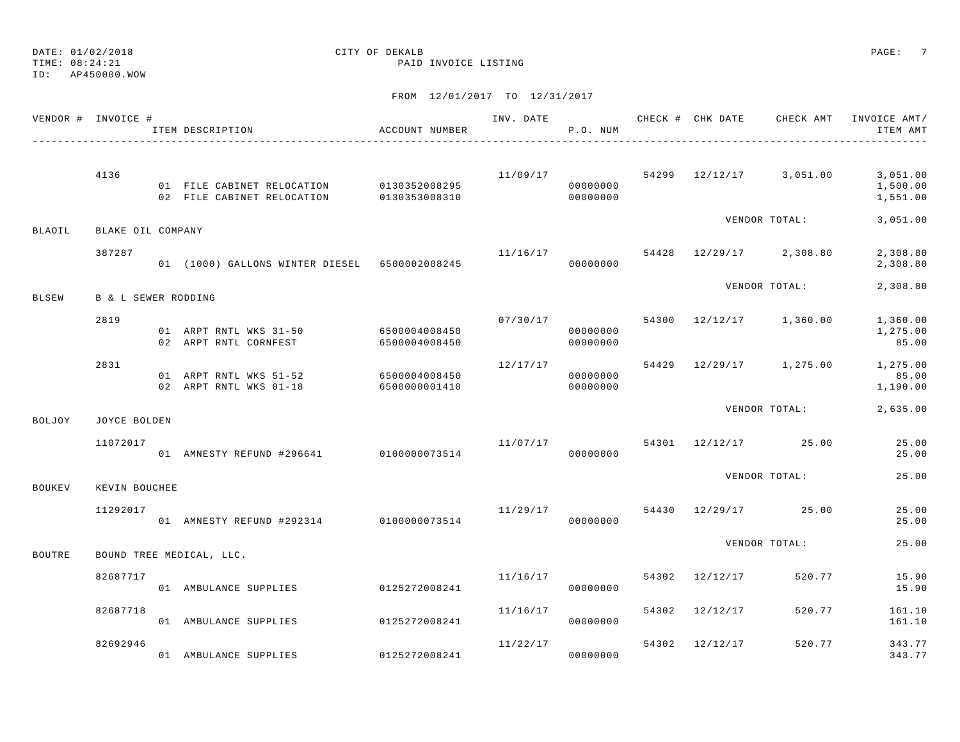TIME: 08:24:21 PAID INVOICE LISTING

ID: AP450000.WOW

|               | VENDOR # INVOICE #             | ITEM DESCRIPTION                                               | ACCOUNT NUMBER |          | P.O. NUM                         |       |                |                                      | INV. DATE 6 7 200 CHECK # CHK DATE 6 CHECK AMT INVOICE AMT<br>ITEM AMT |
|---------------|--------------------------------|----------------------------------------------------------------|----------------|----------|----------------------------------|-------|----------------|--------------------------------------|------------------------------------------------------------------------|
|               | 4136                           | 01 FILE CABINET RELOCATION 0130352008295                       |                | 11/09/17 | 00000000                         |       |                | 54299 12/12/17 3,051.00              | 3,051.00<br>1,500.00<br>1,551.00                                       |
| <b>BLAOIL</b> | BLAKE OIL COMPANY              |                                                                |                |          |                                  |       |                | VENDOR TOTAL:                        | 3,051.00                                                               |
|               | 387287                         | 01 (1000) GALLONS WINTER DIESEL 6500002008245                  |                |          | 00000000                         |       |                | $11/16/17$ 54428 $12/29/17$ 2,308.80 | 2,308.80<br>2,308.80                                                   |
| BLSEW         | <b>B &amp; L SEWER RODDING</b> |                                                                |                |          |                                  |       |                | VENDOR TOTAL:                        | 2,308.80                                                               |
|               | 2819                           | 01 ARPT RNTL WKS 31-50 6500004008450<br>02 ARPT RNTL CORNFEST  | 6500004008450  |          | 07/30/17<br>00000000<br>00000000 |       |                | 54300 12/12/17 1,360.00              | 1,360.00<br>1,275.00<br>85.00                                          |
|               | 2831                           | 01 ARPT RNTL WKS 51-52<br>02 ARPT RNTL WKS 01-18 6500000001410 | 6500004008450  | 12/17/17 | 00000000<br>00000000             | 54429 |                |                                      | $12/29/17$ 1, 275.00 1, 275.00<br>85.00<br>1,190.00                    |
| BOLJOY        | JOYCE BOLDEN                   |                                                                |                |          |                                  |       |                | VENDOR TOTAL:                        | 2,635.00                                                               |
|               | 11072017                       | 01 AMNESTY REFUND #296641 0100000073514                        |                | 11/07/17 | 00000000                         |       |                | 54301 12/12/17 25.00                 | 25.00<br>25.00                                                         |
| BOUKEV        | KEVIN BOUCHEE                  |                                                                |                |          |                                  |       |                | VENDOR TOTAL:                        | 25.00                                                                  |
|               | 11292017                       | 01 AMNESTY REFUND #292314 0100000073514                        |                | 11/29/17 | 00000000                         |       |                | 54430 12/29/17 25.00                 | 25.00<br>25.00                                                         |
| <b>BOUTRE</b> |                                | BOUND TREE MEDICAL, LLC.                                       |                |          |                                  |       |                | VENDOR TOTAL:                        | 25.00                                                                  |
|               | 82687717                       | 01 AMBULANCE SUPPLIES                                          | 0125272008241  | 11/16/17 | 00000000                         |       | 54302 12/12/17 | 520.77                               | 15.90<br>15.90                                                         |
|               | 82687718                       | 01 AMBULANCE SUPPLIES                                          | 0125272008241  | 11/16/17 | 00000000                         | 54302 | 12/12/17       | 520.77                               | 161.10<br>161.10                                                       |
|               | 82692946                       | 01 AMBULANCE SUPPLIES                                          | 0125272008241  | 11/22/17 | 00000000                         |       | 54302 12/12/17 | 520.77                               | 343.77<br>343.77                                                       |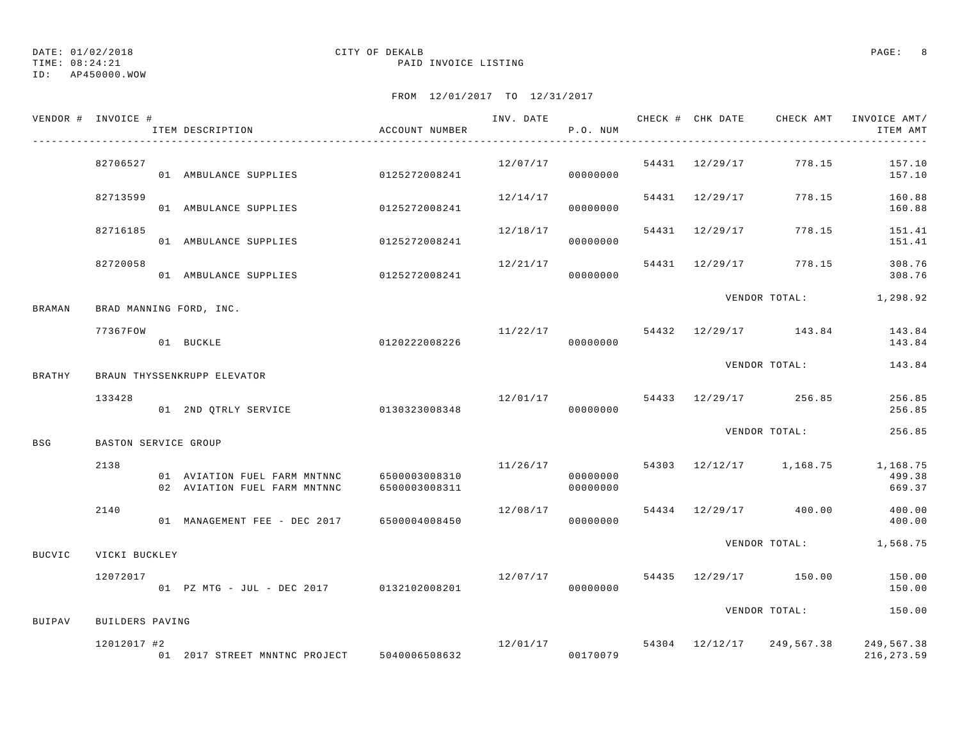TIME: 08:24:21 PAID INVOICE LISTING

ID: AP450000.WOW

|               | VENDOR # INVOICE #   | ITEM DESCRIPTION                                                           | ACCOUNT NUMBER |          | P.O. NUM             |                |                                                   | ITEM AMT<br>------------- |
|---------------|----------------------|----------------------------------------------------------------------------|----------------|----------|----------------------|----------------|---------------------------------------------------|---------------------------|
|               | 82706527             | 01 AMBULANCE SUPPLIES                                                      | 0125272008241  | 12/07/17 | 00000000             |                | 54431 12/29/17 778.15                             | 157.10<br>157.10          |
|               | 82713599             | 01 AMBULANCE SUPPLIES 0125272008241                                        |                | 12/14/17 | 00000000             | 54431 12/29/17 | 778.15                                            | 160.88<br>160.88          |
|               | 82716185             | 01 AMBULANCE SUPPLIES                                                      | 0125272008241  | 12/18/17 | 00000000             | 54431 12/29/17 | 778.15                                            | 151.41<br>151.41          |
|               | 82720058             | 01 AMBULANCE SUPPLIES                                                      | 0125272008241  | 12/21/17 | 00000000             | 54431 12/29/17 | 778.15                                            | 308.76<br>308.76          |
| <b>BRAMAN</b> |                      | BRAD MANNING FORD, INC.                                                    |                |          |                      |                | VENDOR TOTAL: 1,298.92                            |                           |
|               | 77367FOW             | 0120222008226<br>01 BUCKLE                                                 |                | 11/22/17 | 00000000             |                | 54432 12/29/17 143.84                             | 143.84<br>143.84          |
| BRATHY        |                      | BRAUN THYSSENKRUPP ELEVATOR                                                |                |          |                      |                | VENDOR TOTAL:                                     | 143.84                    |
|               | 133428               | 01 2ND QTRLY SERVICE 0130323008348                                         |                | 12/01/17 | 00000000             |                | 54433 12/29/17 256.85                             | 256.85<br>256.85          |
| BSG           | BASTON SERVICE GROUP |                                                                            |                |          |                      |                | VENDOR TOTAL:                                     | 256.85                    |
|               | 2138                 | 01 AVIATION FUEL FARM MNTNNC 6500003008310<br>02 AVIATION FUEL FARM MNTNNC | 6500003008311  | 11/26/17 | 00000000<br>00000000 |                | 54303 12/12/17 1,168.75 1,168.75                  | 499.38<br>669.37          |
|               | 2140                 | 01 MANAGEMENT FEE - DEC 2017 6500004008450                                 |                | 12/08/17 | 00000000             |                | 54434 12/29/17 400.00                             | 400.00<br>400.00          |
| <b>BUCVIC</b> | VICKI BUCKLEY        |                                                                            |                |          |                      |                | VENDOR TOTAL: 1,568.75                            |                           |
|               | 12072017             | 01 PZ MTG - JUL - DEC 2017 0132102008201                                   |                | 12/07/17 | 00000000             |                | 54435 12/29/17 150.00                             | 150.00<br>150.00          |
| BUIPAV        | BUILDERS PAVING      |                                                                            |                |          |                      |                | VENDOR TOTAL:                                     | 150.00                    |
|               | 12012017 #2          | 01  2017 STREET MNNTNC PROJECT  5040006508632                              |                |          | 00170079             |                | $12/01/17$ 54304 $12/12/17$ 249,567.38 249,567.38 | 216, 273.59               |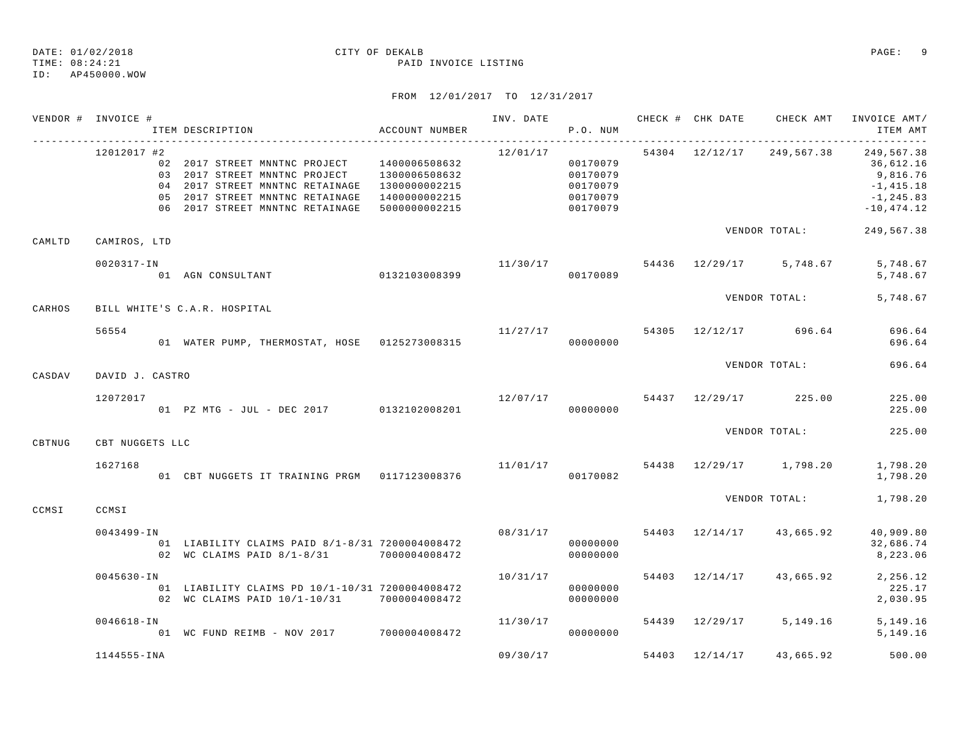TIME: 08:24:21 PAID INVOICE LISTING

### ID: AP450000.WOW

|        | VENDOR # INVOICE # |                                                                                                                                                                                                                                                       |                                               |                      |                                                          |  |                                                 |                                                                       |
|--------|--------------------|-------------------------------------------------------------------------------------------------------------------------------------------------------------------------------------------------------------------------------------------------------|-----------------------------------------------|----------------------|----------------------------------------------------------|--|-------------------------------------------------|-----------------------------------------------------------------------|
|        | 12012017 #2        | 02  2017 STREET MNNTNC PROJECT  1400006508632<br>03  2017 STREET MNNTNC PROJECT  1300006508632<br>04  2017 STREET MNNTNC RETAINAGE  1300000002215<br>05 2017 STREET MNNTNC RETAINAGE 1400000002215<br>06  2017 STREET MNNTNC RETAINAGE  5000000002215 |                                               | 12/01/17             | 00170079<br>00170079<br>00170079<br>00170079<br>00170079 |  | 54304 12/12/17 249,567.38 249,567.38            | 36,612.16<br>9,816.76<br>$-1,415.18$<br>$-1, 245.83$<br>$-10, 474.12$ |
| CAMLTD | CAMIROS, LTD       |                                                                                                                                                                                                                                                       |                                               |                      |                                                          |  | VENDOR TOTAL:                                   | 249,567.38                                                            |
|        | 0020317-IN         | 17-IN 11/30/17<br>01 AGN CONSULTANT 0132103008399 00170089                                                                                                                                                                                            |                                               |                      |                                                          |  | $11/30/17$ 54436 $12/29/17$ 5, 748.67 5, 748.67 | 5,748.67                                                              |
| CARHOS |                    | BILL WHITE'S C.A.R. HOSPITAL                                                                                                                                                                                                                          |                                               |                      |                                                          |  | VENDOR TOTAL: 5,748.67                          |                                                                       |
|        | 56554              |                                                                                                                                                                                                                                                       |                                               |                      |                                                          |  | $11/27/17$ 54305 $12/12/17$ 696.64              | 696.64<br>696.64                                                      |
| CASDAV | DAVID J. CASTRO    |                                                                                                                                                                                                                                                       |                                               |                      |                                                          |  | VENDOR TOTAL:                                   | 696.64                                                                |
|        | 12072017           | 7<br>01 PZ MTG - JUL - DEC 2017         0132102008201                         000000000                                                                                                                                                               |                                               |                      |                                                          |  |                                                 | 225.00<br>225.00                                                      |
| CBTNUG | CBT NUGGETS LLC    |                                                                                                                                                                                                                                                       |                                               |                      |                                                          |  | VENDOR TOTAL:                                   | 225.00                                                                |
|        | 1627168            | 01 CBT NUGGETS IT TRAINING PRGM 0117123008376                                                                                                                                                                                                         | $11/01/17$ 54438 $12/29/17$ 1,798.20 1,798.20 |                      | 00170082                                                 |  |                                                 | 1,798.20                                                              |
| CCMSI  | CCMSI              |                                                                                                                                                                                                                                                       |                                               |                      |                                                          |  | VENDOR TOTAL: 1,798.20                          |                                                                       |
|        | $0043499 - IN$     | 01 LIABILITY CLAIMS PAID 8/1-8/31 7200004008472<br>02 WC CLAIMS PAID 8/1-8/31 7000004008472                                                                                                                                                           |                                               | 08/31/17             | 00000000<br>00000000                                     |  | 54403 12/14/17 43,665.92                        | 40,909.80<br>32,686.74<br>8,223.06                                    |
|        | $0045630 - IN$     | 01 LIABILITY CLAIMS PD 10/1-10/31 7200004008472<br>02 WC CLAIMS PAID 10/1-10/31 7000004008472                                                                                                                                                         |                                               | 10/31/17             | 00000000<br>00000000                                     |  | 54403 12/14/17 43,665.92 2,256.12               | 225.17<br>2,030.95                                                    |
|        | $0046618 - IN$     | 01 WC FUND REIMB - NOV 2017 7000004008472                                                                                                                                                                                                             |                                               | 11/30/17<br>00000000 |                                                          |  | 54439 12/29/17 5,149.16                         | 5,149.16<br>5,149.16                                                  |
|        | 1144555-INA        |                                                                                                                                                                                                                                                       |                                               | 09/30/17             |                                                          |  |                                                 | 54403 12/14/17 43,665.92 500.00                                       |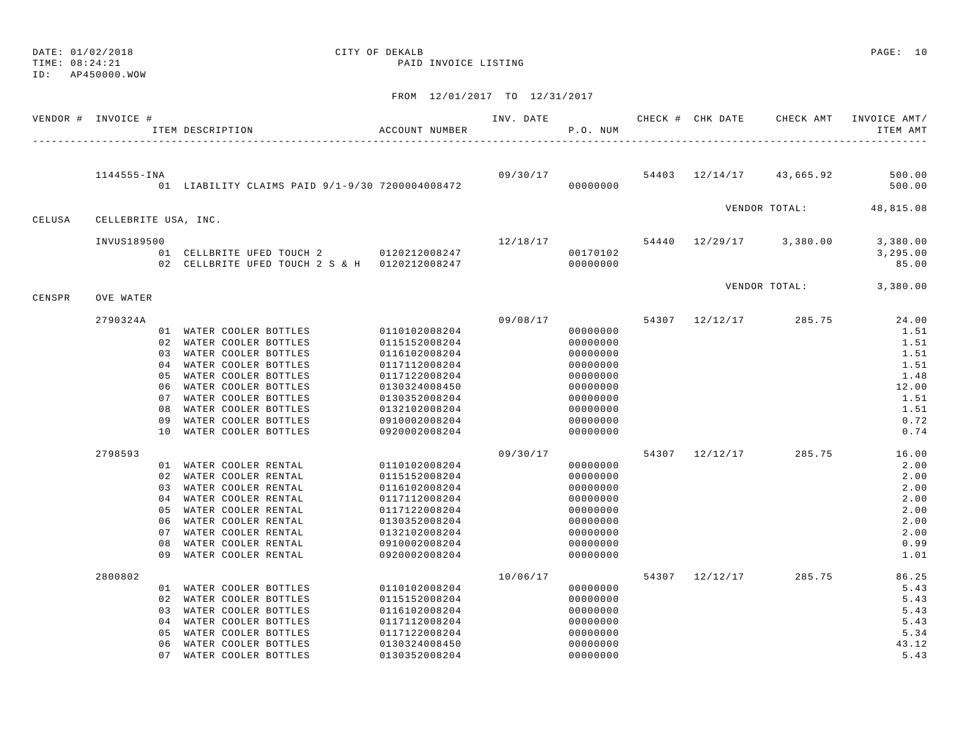DATE: 01/02/2018 CITY OF DEKALB PAGE: 10

ID: AP450000.WOW

|        | VENDOR # INVOICE #   |                | ITEM DESCRIPTION |                                            |                                                                                          | ACCOUNT NUMBER                 | INV. DATE | P.O. NUM             |       | CHECK # CHK DATE | CHECK AMT               | INVOICE AMT/<br>ITEM AMT |
|--------|----------------------|----------------|------------------|--------------------------------------------|------------------------------------------------------------------------------------------|--------------------------------|-----------|----------------------|-------|------------------|-------------------------|--------------------------|
|        |                      |                |                  |                                            |                                                                                          |                                |           |                      |       |                  |                         |                          |
|        | 1144555-INA          |                |                  |                                            | 01 LIABILITY CLAIMS PAID 9/1-9/30 7200004008472                                          |                                | 09/30/17  | 00000000             |       | 54403 12/14/17   | 43,665.92               | 500.00<br>500.00         |
| CELUSA | CELLEBRITE USA, INC. |                |                  |                                            |                                                                                          |                                |           |                      |       |                  | VENDOR TOTAL:           | 48,815.08                |
|        |                      |                |                  |                                            |                                                                                          |                                |           |                      |       |                  |                         |                          |
|        | INVUS189500          |                |                  |                                            |                                                                                          |                                | 12/18/17  |                      |       |                  | 54440 12/29/17 3,380.00 | 3,380.00                 |
|        |                      |                |                  |                                            | 01 CELLBRITE UFED TOUCH 2 0120212008247<br>02 CELLBRITE UFED TOUCH 2 S & H 0120212008247 |                                |           | 00170102<br>00000000 |       |                  |                         | 3,295.00<br>85.00        |
| CENSPR | OVE WATER            |                |                  |                                            |                                                                                          |                                |           |                      |       |                  | VENDOR TOTAL:           | 3,380.00                 |
|        | 2790324A             |                |                  |                                            |                                                                                          |                                | 09/08/17  |                      |       | 54307 12/12/17   | 285.75                  | 24.00                    |
|        |                      |                |                  | 01 WATER COOLER BOTTLES                    |                                                                                          | 0110102008204                  |           | 00000000             |       |                  |                         | 1.51                     |
|        |                      |                |                  | 02 WATER COOLER BOTTLES                    |                                                                                          | 0115152008204                  |           | 00000000             |       |                  |                         | 1.51                     |
|        |                      |                |                  | 03 WATER COOLER BOTTLES                    |                                                                                          | 0116102008204                  |           | 00000000             |       |                  |                         | 1.51                     |
|        |                      | 04             |                  | WATER COOLER BOTTLES                       |                                                                                          | 0117112008204                  |           | 00000000             |       |                  |                         | 1.51                     |
|        |                      | 05             |                  | WATER COOLER BOTTLES                       |                                                                                          | 0117122008204                  |           | 00000000             |       |                  |                         | 1.48                     |
|        |                      | 06             |                  | WATER COOLER BOTTLES                       |                                                                                          | 0130324008450                  |           | 00000000             |       |                  |                         | 12.00                    |
|        |                      | 07             |                  | WATER COOLER BOTTLES                       |                                                                                          | 0130352008204                  |           | 00000000             |       |                  |                         | 1.51                     |
|        |                      | 08             |                  | WATER COOLER BOTTLES                       |                                                                                          | 0132102008204                  |           | 00000000             |       |                  |                         | 1.51                     |
|        |                      | 09             |                  | WATER COOLER BOTTLES                       |                                                                                          | 0910002008204                  |           | 00000000             |       |                  |                         | 0.72                     |
|        |                      | 10             |                  | WATER COOLER BOTTLES                       |                                                                                          | 0920002008204                  |           | 00000000             |       |                  |                         | 0.74                     |
|        | 2798593              |                |                  |                                            |                                                                                          |                                | 09/30/17  |                      | 54307 | 12/12/17         | 285.75                  | 16.00                    |
|        |                      |                |                  | 01 WATER COOLER RENTAL                     |                                                                                          | 0110102008204                  |           | 00000000             |       |                  |                         | 2.00                     |
|        |                      |                |                  | 02 WATER COOLER RENTAL                     |                                                                                          | 0115152008204                  |           | 00000000             |       |                  |                         | 2.00                     |
|        |                      |                |                  | 03 WATER COOLER RENTAL                     |                                                                                          | 0116102008204                  |           | 00000000             |       |                  |                         | 2.00                     |
|        |                      |                |                  | 04 WATER COOLER RENTAL                     |                                                                                          | 0117112008204                  |           | 00000000             |       |                  |                         | 2.00                     |
|        |                      | 05<br>06       |                  | WATER COOLER RENTAL<br>WATER COOLER RENTAL |                                                                                          | 0117122008204                  |           | 00000000             |       |                  |                         | 2.00<br>2.00             |
|        |                      | 07             |                  | WATER COOLER RENTAL                        |                                                                                          | 0130352008204<br>0132102008204 |           | 00000000<br>00000000 |       |                  |                         | 2.00                     |
|        |                      | 08             |                  | WATER COOLER RENTAL                        |                                                                                          | 0910002008204                  |           | 00000000             |       |                  |                         | 0.99                     |
|        |                      | 09             |                  | WATER COOLER RENTAL                        |                                                                                          | 0920002008204                  |           | 00000000             |       |                  |                         | 1.01                     |
|        | 2800802              |                |                  |                                            |                                                                                          |                                | 10/06/17  |                      |       | 54307 12/12/17   | 285.75                  | 86.25                    |
|        |                      |                |                  | 01 WATER COOLER BOTTLES                    |                                                                                          | 0110102008204                  |           | 00000000             |       |                  |                         | 5.43                     |
|        |                      |                |                  | 02 WATER COOLER BOTTLES                    |                                                                                          | 0115152008204                  |           | 00000000             |       |                  |                         | 5.43                     |
|        |                      | 03             |                  | WATER COOLER BOTTLES                       |                                                                                          | 0116102008204                  |           | 00000000             |       |                  |                         | 5.43                     |
|        |                      | 0 <sub>4</sub> |                  | WATER COOLER BOTTLES                       |                                                                                          | 0117112008204                  |           | 00000000             |       |                  |                         | 5.43                     |
|        |                      | 0.5            |                  | WATER COOLER BOTTLES                       |                                                                                          | 0117122008204                  |           | 00000000             |       |                  |                         | 5.34                     |
|        |                      | 06             |                  | WATER COOLER BOTTLES                       |                                                                                          | 0130324008450                  |           | 00000000             |       |                  |                         | 43.12                    |
|        |                      | 0.7            |                  | WATER COOLER BOTTLES                       |                                                                                          | 0130352008204                  |           | 00000000             |       |                  |                         | 5.43                     |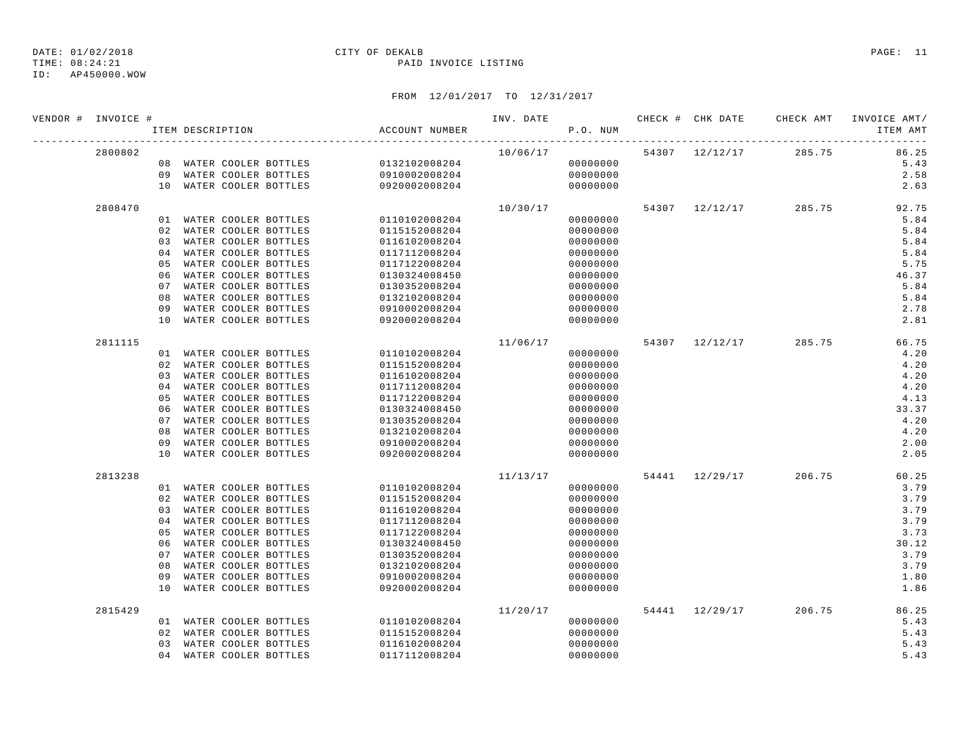TIME: 08:24:21 PAID INVOICE LISTING

ID: AP450000.WOW

| VENDOR # INVOICE # |         |    |                         |                                       |               | P.O. NUM |          |  |                                    | INV. DATE 6 1999 CHECK # CHK DATE 6 CHECK AMT INVOICE AMT<br>ITEM AMT |
|--------------------|---------|----|-------------------------|---------------------------------------|---------------|----------|----------|--|------------------------------------|-----------------------------------------------------------------------|
|                    | 2800802 |    |                         |                                       |               |          |          |  | $10/06/17$ 54307 $12/12/17$ 285.75 | 86.25                                                                 |
|                    |         |    |                         | 08 WATER COOLER BOTTLES 0132102008204 |               |          | 00000000 |  |                                    | 5.43                                                                  |
|                    |         |    |                         | 09 WATER COOLER BOTTLES 0910002008204 |               |          | 00000000 |  |                                    | 2.58                                                                  |
|                    |         |    | 10 WATER COOLER BOTTLES |                                       | 0920002008204 |          | 00000000 |  |                                    | 2.63                                                                  |
|                    | 2808470 |    |                         |                                       |               | 10/30/17 |          |  | 54307 12/12/17 285.75              | 92.75                                                                 |
|                    |         |    |                         | 01 WATER COOLER BOTTLES 0110102008204 |               |          | 00000000 |  |                                    | 5.84                                                                  |
|                    |         |    | 02 WATER COOLER BOTTLES |                                       | 0115152008204 |          | 00000000 |  |                                    | 5.84                                                                  |
|                    |         |    | 03 WATER COOLER BOTTLES |                                       | 0116102008204 |          | 00000000 |  |                                    | 5.84                                                                  |
|                    |         |    | 04 WATER COOLER BOTTLES |                                       | 0117112008204 |          | 00000000 |  |                                    | 5.84                                                                  |
|                    |         | 05 | WATER COOLER BOTTLES    |                                       | 0117122008204 |          | 00000000 |  |                                    | 5.75                                                                  |
|                    |         | 06 | WATER COOLER BOTTLES    |                                       | 0130324008450 |          | 00000000 |  |                                    | 46.37                                                                 |
|                    |         | 07 | WATER COOLER BOTTLES    |                                       | 0130352008204 |          | 00000000 |  |                                    | 5.84                                                                  |
|                    |         | 08 | WATER COOLER BOTTLES    |                                       | 0132102008204 |          | 00000000 |  |                                    | 5.84                                                                  |
|                    |         | 09 | WATER COOLER BOTTLES    |                                       | 0910002008204 |          | 00000000 |  |                                    | 2.78                                                                  |
|                    |         | 10 | WATER COOLER BOTTLES    |                                       | 0920002008204 |          | 00000000 |  |                                    | 2.81                                                                  |
|                    | 2811115 |    |                         |                                       |               | 11/06/17 |          |  | 54307 12/12/17 285.75              | 66.75                                                                 |
|                    |         |    |                         | 01 WATER COOLER BOTTLES               | 0110102008204 |          | 00000000 |  |                                    | 4.20                                                                  |
|                    |         |    | 02 WATER COOLER BOTTLES |                                       | 0115152008204 |          | 00000000 |  |                                    | 4.20                                                                  |
|                    |         | 03 | WATER COOLER BOTTLES    |                                       | 0116102008204 |          | 00000000 |  |                                    | 4.20                                                                  |
|                    |         | 04 | WATER COOLER BOTTLES    |                                       | 0117112008204 |          | 00000000 |  |                                    | 4.20                                                                  |
|                    |         | 05 | WATER COOLER BOTTLES    |                                       | 0117122008204 |          | 00000000 |  |                                    | 4.13                                                                  |
|                    |         | 06 | WATER COOLER BOTTLES    |                                       | 0130324008450 |          | 00000000 |  |                                    | 33.37                                                                 |
|                    |         | 07 | WATER COOLER BOTTLES    |                                       | 0130352008204 |          | 00000000 |  |                                    | 4.20                                                                  |
|                    |         | 08 | WATER COOLER BOTTLES    |                                       | 0132102008204 |          | 00000000 |  |                                    | 4.20                                                                  |
|                    |         | 09 | WATER COOLER BOTTLES    |                                       | 0910002008204 |          | 00000000 |  |                                    | 2.00                                                                  |
|                    |         | 10 | WATER COOLER BOTTLES    |                                       | 0920002008204 |          | 00000000 |  |                                    | 2.05                                                                  |
|                    | 2813238 |    |                         |                                       |               | 11/13/17 |          |  | 54441 12/29/17 206.75              | 60.25                                                                 |
|                    |         |    | 01 WATER COOLER BOTTLES |                                       | 0110102008204 |          | 00000000 |  |                                    | 3.79                                                                  |
|                    |         | 02 | WATER COOLER BOTTLES    |                                       | 0115152008204 |          | 00000000 |  |                                    | 3.79                                                                  |
|                    |         | 03 | WATER COOLER BOTTLES    |                                       | 0116102008204 |          | 00000000 |  |                                    | 3.79                                                                  |
|                    |         | 04 | WATER COOLER BOTTLES    |                                       | 0117112008204 |          | 00000000 |  |                                    | 3.79                                                                  |
|                    |         | 05 | WATER COOLER BOTTLES    |                                       | 0117122008204 |          | 00000000 |  |                                    | 3.73                                                                  |
|                    |         | 06 | WATER COOLER BOTTLES    |                                       | 0130324008450 |          | 00000000 |  |                                    | 30.12                                                                 |
|                    |         | 07 | WATER COOLER BOTTLES    |                                       | 0130352008204 |          | 00000000 |  |                                    | 3.79                                                                  |
|                    |         | 08 | WATER COOLER BOTTLES    |                                       | 0132102008204 |          | 00000000 |  |                                    | 3.79                                                                  |
|                    |         | 09 | WATER COOLER BOTTLES    |                                       | 0910002008204 |          | 00000000 |  |                                    | 1.80                                                                  |
|                    |         | 10 | WATER COOLER BOTTLES    |                                       | 0920002008204 |          | 00000000 |  |                                    | 1.86                                                                  |
|                    | 2815429 |    |                         |                                       |               | 11/20/17 |          |  | 54441 12/29/17 206.75              | 86.25                                                                 |
|                    |         |    |                         | 01 WATER COOLER BOTTLES               | 0110102008204 |          | 00000000 |  |                                    | 5.43                                                                  |
|                    |         | 02 | WATER COOLER BOTTLES    |                                       | 0115152008204 |          | 00000000 |  |                                    | 5.43                                                                  |
|                    |         | 03 | WATER COOLER BOTTLES    |                                       | 0116102008204 |          | 00000000 |  |                                    | 5.43                                                                  |
|                    |         |    | 04 WATER COOLER BOTTLES |                                       | 0117112008204 |          | 00000000 |  |                                    | 5.43                                                                  |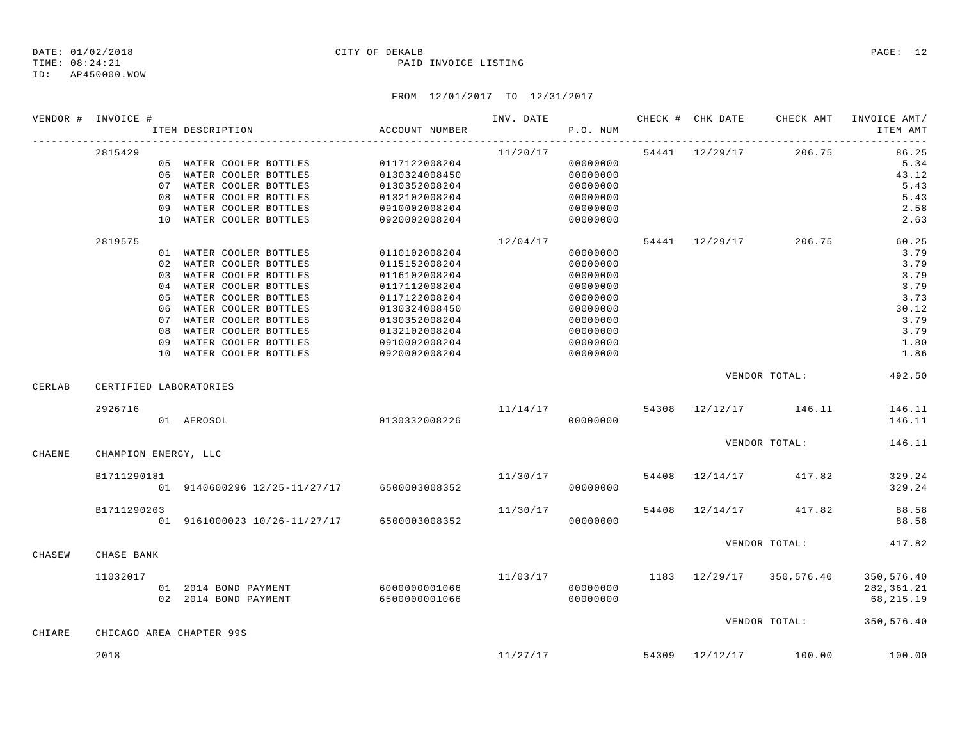TIME: 08:24:21 PAID INVOICE LISTING

ID: AP450000.WOW

|        | VENDOR # INVOICE #     |    | ITEM DESCRIPTION                                   | ACCOUNT NUMBER                 |          | P.O. NUM             |       | INV. DATE 6 . CHECK # CHK DATE CHECK AMT INVOICE AMT/ | ITEM AMT     |
|--------|------------------------|----|----------------------------------------------------|--------------------------------|----------|----------------------|-------|-------------------------------------------------------|--------------|
|        | 2815429                |    |                                                    |                                | 11/20/17 |                      |       | 54441 12/29/17 206.75                                 | 86.25        |
|        |                        |    | 05 WATER COOLER BOTTLES 0117122008204              |                                |          | 00000000             |       |                                                       | 5.34         |
|        |                        |    | 06 WATER COOLER BOTTLES                            | 0130324008450                  |          | 00000000             |       |                                                       | 43.12        |
|        |                        |    | 07 WATER COOLER BOTTLES                            | 0130352008204                  |          | 00000000             |       |                                                       | 5.43         |
|        |                        |    | 08 WATER COOLER BOTTLES<br>09 WATER COOLER BOTTLES | 0132102008204                  |          | 00000000             |       |                                                       | 5.43<br>2.58 |
|        |                        |    | 10 WATER COOLER BOTTLES                            | 0910002008204<br>0920002008204 |          | 00000000<br>00000000 |       |                                                       | 2.63         |
|        |                        |    |                                                    |                                |          |                      |       |                                                       |              |
|        | 2819575                |    |                                                    |                                | 12/04/17 |                      |       | 54441 12/29/17 206.75                                 | 60.25        |
|        |                        |    | 01 WATER COOLER BOTTLES                            | 0110102008204                  |          | 00000000             |       |                                                       | 3.79         |
|        |                        |    | 02 WATER COOLER BOTTLES                            | 0115152008204                  |          | 00000000             |       |                                                       | 3.79<br>3.79 |
|        |                        | 04 | 03 WATER COOLER BOTTLES<br>WATER COOLER BOTTLES    | 0116102008204                  |          | 00000000             |       |                                                       | 3.79         |
|        |                        |    | 05 WATER COOLER BOTTLES                            | 0117112008204<br>0117122008204 |          | 00000000<br>00000000 |       |                                                       | 3.73         |
|        |                        |    | 06 WATER COOLER BOTTLES                            | 0130324008450                  |          | 00000000             |       |                                                       | 30.12        |
|        |                        |    | 07 WATER COOLER BOTTLES                            | 0130352008204                  |          | 00000000             |       |                                                       | 3.79         |
|        |                        |    | 08 WATER COOLER BOTTLES                            | 0132102008204                  |          | 00000000             |       |                                                       | 3.79         |
|        |                        |    | 09 WATER COOLER BOTTLES                            | 0910002008204                  |          | 00000000             |       |                                                       | 1.80         |
|        |                        |    | 10 WATER COOLER BOTTLES                            | 0920002008204                  |          | 00000000             |       |                                                       | 1.86         |
| CERLAB | CERTIFIED LABORATORIES |    |                                                    |                                |          |                      |       | VENDOR TOTAL:                                         | 492.50       |
|        |                        |    |                                                    |                                |          |                      |       |                                                       |              |
|        | 2926716                |    |                                                    |                                |          |                      |       | $11/14/17$ 54308 12/12/17 146.11                      | 146.11       |
|        |                        |    | 01 AEROSOL                                         | 0130332008226                  |          | 00000000             |       |                                                       | 146.11       |
|        |                        |    |                                                    |                                |          |                      |       | VENDOR TOTAL:                                         | 146.11       |
| CHAENE | CHAMPION ENERGY, LLC   |    |                                                    |                                |          |                      |       |                                                       |              |
|        | B1711290181            |    |                                                    |                                | 11/30/17 |                      |       | 54408 12/14/17 417.82                                 | 329.24       |
|        |                        |    | 01 9140600296 12/25-11/27/17 6500003008352         |                                |          | 00000000             |       |                                                       | 329.24       |
|        | B1711290203            |    |                                                    |                                | 11/30/17 |                      | 54408 | 12/14/17 417.82                                       | 88.58        |
|        |                        |    | 01 9161000023 10/26-11/27/17 6500003008352         |                                | 00000000 |                      |       |                                                       | 88.58        |
|        |                        |    |                                                    |                                |          |                      |       | VENDOR TOTAL:                                         | 417.82       |
| CHASEW | CHASE BANK             |    |                                                    |                                |          |                      |       |                                                       |              |
|        | 11032017               |    |                                                    |                                |          |                      |       | 11/03/17 1183 12/29/17 350,576.40                     | 350,576.40   |
|        |                        |    |                                                    |                                |          | 00000000             |       |                                                       | 282,361.21   |
|        |                        |    | 02 2014 BOND PAYMENT                               | 65000000001066                 |          | 00000000             |       |                                                       | 68,215.19    |
|        |                        |    |                                                    |                                |          |                      |       | VENDOR TOTAL:                                         | 350,576.40   |
| CHIARE |                        |    | CHICAGO AREA CHAPTER 99S                           |                                |          |                      |       |                                                       |              |
|        | 2018                   |    |                                                    |                                |          |                      |       | $11/27/17$ 54309 $12/12/17$ 100.00                    | 100.00       |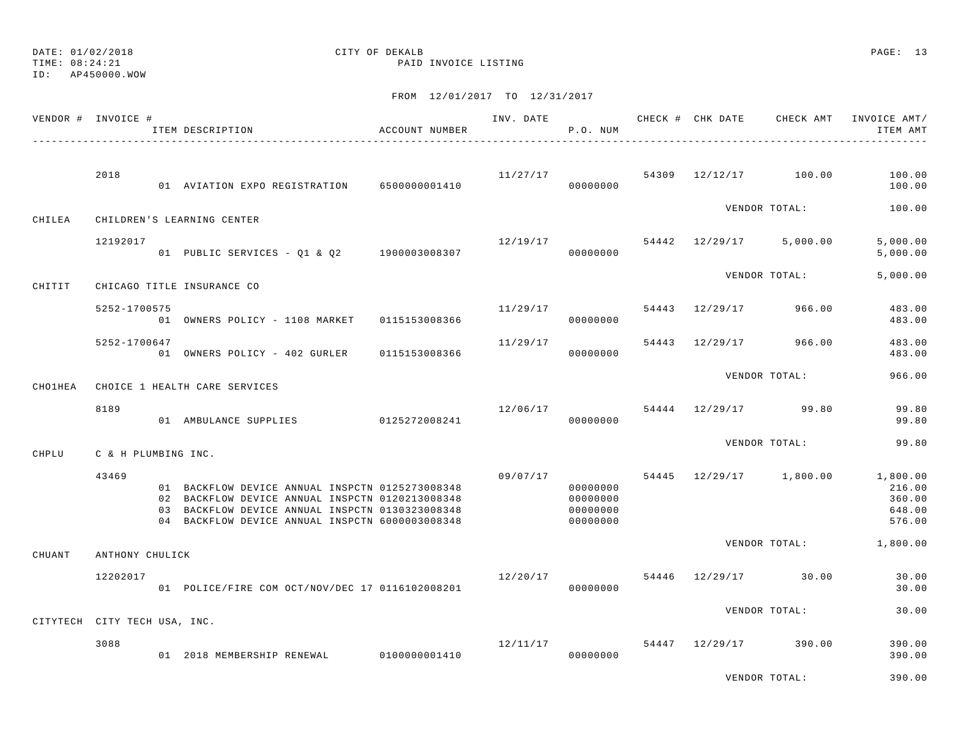ID: AP450000.WOW

## DATE: 01/02/2018 CITY OF DEKALB PAGE: 13

TIME: 08:24:21 PAID INVOICE LISTING

|                | VENDOR # INVOICE #           | ITEM DESCRIPTION                                                                                                                                                                                         | ACCOUNT NUMBER |                                  | P.O. NUM                                     |  |                                      | INVOICE AMT/<br>ITEM AMT                                                 |
|----------------|------------------------------|----------------------------------------------------------------------------------------------------------------------------------------------------------------------------------------------------------|----------------|----------------------------------|----------------------------------------------|--|--------------------------------------|--------------------------------------------------------------------------|
|                | 2018                         | 01 AVIATION EXPO REGISTRATION 65000000001410                                                                                                                                                             |                | $11/27/17$ 54309 12/12/17 100.00 | 00000000                                     |  |                                      | 100.00<br>100.00                                                         |
| CHILEA         |                              | CHILDREN'S LEARNING CENTER                                                                                                                                                                               |                |                                  |                                              |  | VENDOR TOTAL:                        | 100.00                                                                   |
|                | 12192017                     | 01 PUBLIC SERVICES - Q1 & Q2 1900003008307                                                                                                                                                               |                |                                  | 00000000                                     |  | $12/19/17$ 54442 $12/29/17$ 5,000.00 | 5,000.00<br>5,000.00                                                     |
| CHITIT         |                              | CHICAGO TITLE INSURANCE CO                                                                                                                                                                               |                |                                  |                                              |  | VENDOR TOTAL:                        | 5.000.00                                                                 |
|                | 5252-1700575                 | 979<br>01 OWNERS POLICY - 1108 MARKET 0115153008366                                                                                                                                                      |                | 11/29/17                         | 00000000                                     |  | 54443 12/29/17 966.00                | 483.00<br>483.00                                                         |
|                | 5252-1700647                 | 01 OWNERS POLICY - 402 GURLER 0115153008366                                                                                                                                                              |                | 11/29/17                         | 00000000                                     |  | 54443 12/29/17 966.00                | 483.00<br>483.00                                                         |
| <b>CHO1HEA</b> |                              | CHOICE 1 HEALTH CARE SERVICES                                                                                                                                                                            |                |                                  |                                              |  | VENDOR TOTAL:                        | 966.00                                                                   |
|                | 8189                         | 01 AMBULANCE SUPPLIES                                                                                                                                                                                    | 0125272008241  |                                  | 00000000                                     |  | $12/06/17$ 54444 $12/29/17$ 99.80    | 99.80<br>99.80                                                           |
| CHPLU          | C & H PLUMBING INC.          |                                                                                                                                                                                                          |                |                                  |                                              |  | VENDOR TOTAL:                        | 99.80                                                                    |
|                | 43469                        | 01 BACKFLOW DEVICE ANNUAL INSPCTN 0125273008348<br>02 BACKFLOW DEVICE ANNUAL INSPCTN 0120213008348<br>03 BACKFLOW DEVICE ANNUAL INSPCTN 0130323008348<br>04 BACKFLOW DEVICE ANNUAL INSPCTN 6000003008348 |                | 09/07/17                         | 00000000<br>00000000<br>00000000<br>00000000 |  |                                      | 54445 12/29/17 1,800.00 1,800.00<br>216.00<br>360.00<br>648.00<br>576.00 |
| CHUANT         | ANTHONY CHULICK              |                                                                                                                                                                                                          |                |                                  |                                              |  |                                      | VENDOR TOTAL: 1,800.00                                                   |
|                | 12202017                     | 01 POLICE/FIRE COM OCT/NOV/DEC 17 0116102008201                                                                                                                                                          |                | 12/20/17                         | 00000000                                     |  | 54446 12/29/17 30.00                 | 30.00<br>30.00                                                           |
|                | CITYTECH CITY TECH USA, INC. |                                                                                                                                                                                                          |                |                                  |                                              |  | VENDOR TOTAL:                        | 30.00                                                                    |
|                | 3088                         | 01 2018 MEMBERSHIP RENEWAL 0100000001410                                                                                                                                                                 |                |                                  | 00000000                                     |  | $12/11/17$ 54447 12/29/17 390.00     | 390.00<br>390.00                                                         |
|                |                              |                                                                                                                                                                                                          |                |                                  |                                              |  | VENDOR TOTAL:                        | 390.00                                                                   |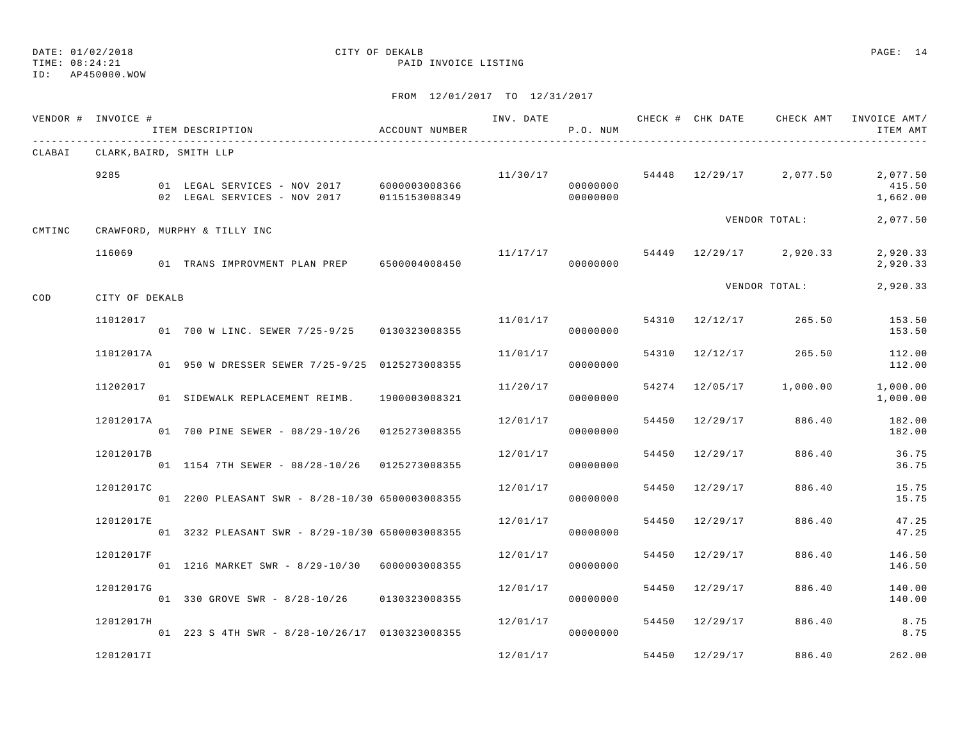ID: AP450000.WOW

## DATE: 01/02/2018 CITY OF DEKALB PAGE: 14

TIME: 08:24:21 PAID INVOICE LISTING

|        | VENDOR # INVOICE #             | ITEM DESCRIPTION                                                                                            | ACCOUNT NUMBER | INV. DATE | P.O. NUM |                |                         | CHECK # CHK DATE CHECK AMT INVOICE AMT/<br>ITEM AMT    |
|--------|--------------------------------|-------------------------------------------------------------------------------------------------------------|----------------|-----------|----------|----------------|-------------------------|--------------------------------------------------------|
|        | CLABAI CLARK, BAIRD, SMITH LLP |                                                                                                             |                |           |          |                |                         |                                                        |
|        | 9285                           | 01 LEGAL SERVICES - NOV 2017 6000003008366<br>02 LEGAL SERVICES - NOV 2017 0115153008349 000000000 00000000 |                | 11/30/17  | 00000000 |                |                         | 54448 12/29/17 2,077.50 2,077.50<br>415.50<br>1,662.00 |
| CMTINC |                                | CRAWFORD, MURPHY & TILLY INC                                                                                |                |           |          |                | VENDOR TOTAL:           | 2,077.50                                               |
|        | 116069                         | 01 TRANS IMPROVMENT PLAN PREP 6500004008450                                                                 |                | 11/17/17  | 00000000 |                | 54449 12/29/17 2,920.33 | 2,920.33<br>2,920.33                                   |
| COD    | CITY OF DEKALB                 |                                                                                                             |                |           |          |                | VENDOR TOTAL:           | 2,920.33                                               |
|        | 11012017                       | 01 700 W LINC. SEWER 7/25-9/25 0130323008355                                                                |                | 11/01/17  | 00000000 | 54310 12/12/17 | 265.50                  | 153.50<br>153.50                                       |
|        | 11012017A                      | 01 950 W DRESSER SEWER 7/25-9/25 0125273008355                                                              |                | 11/01/17  | 00000000 | 54310 12/12/17 |                         | 265.50 112.00<br>112.00                                |
|        | 11202017                       | 01 SIDEWALK REPLACEMENT REIMB. 1900003008321                                                                |                | 11/20/17  | 00000000 | 54274 12/05/17 | 1,000.00                | 1,000.00<br>1,000.00                                   |
|        | 12012017A                      | 01 700 PINE SEWER - 08/29-10/26 0125273008355                                                               |                | 12/01/17  | 00000000 | 54450 12/29/17 | 886.40                  | 182.00<br>182.00                                       |
|        | 12012017B                      | 01   1154   7TH   SEWER - 08/28-10/26   0125273008355                                                       |                | 12/01/17  | 00000000 | 54450 12/29/17 | 886.40                  | 36.75<br>36.75                                         |
|        | 12012017C                      | 01 2200 PLEASANT SWR - 8/28-10/30 6500003008355                                                             |                | 12/01/17  | 00000000 | 54450 12/29/17 | 886.40                  | 15.75<br>15.75                                         |
|        | 12012017E                      | 01 3232 PLEASANT SWR - 8/29-10/30 6500003008355                                                             |                | 12/01/17  | 00000000 | 54450 12/29/17 | 886.40                  | 47.25<br>47.25                                         |
|        | 12012017F                      | 01  1216 MARKET SWR - 8/29-10/30  6000003008355                                                             |                | 12/01/17  | 00000000 | 54450 12/29/17 | 886.40                  | 146.50<br>146.50                                       |
|        | 12012017G                      | 01 330 GROVE SWR - 8/28-10/26 0130323008355                                                                 |                | 12/01/17  | 00000000 | 54450 12/29/17 | 886.40                  | 140.00<br>140.00                                       |
|        | 12012017H                      | 01 223 S 4TH SWR - 8/28-10/26/17 0130323008355                                                              |                | 12/01/17  | 00000000 | 54450 12/29/17 | 886.40                  | 8.75<br>8.75                                           |
|        | 12012017I                      |                                                                                                             |                | 12/01/17  |          | 54450 12/29/17 | 886.40                  | 262.00                                                 |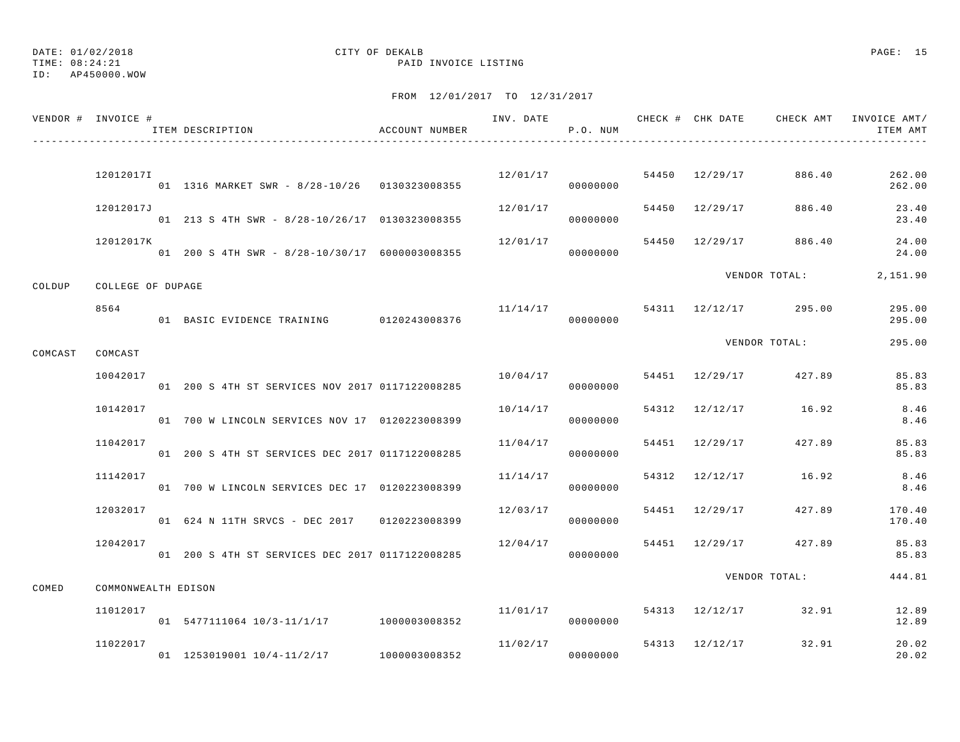TIME: 08:24:21 PAID INVOICE LISTING

#### ID: AP450000.WOW

|         | VENDOR # INVOICE #  | ITEM DESCRIPTION                                | ACCOUNT NUMBER |          | P.O. NUM |                | INV. DATE 6 1999 CHECK # CHK DATE 6 CHECK AMT INVOICE AMT/ | ITEM AMT         |
|---------|---------------------|-------------------------------------------------|----------------|----------|----------|----------------|------------------------------------------------------------|------------------|
|         | 12012017I           |                                                 |                | 12/01/17 |          |                | 54450 12/29/17 886.40                                      | 262.00           |
|         |                     | 01  1316 MARKET SWR - 8/28-10/26  0130323008355 |                |          | 00000000 |                |                                                            | 262.00           |
|         | 12012017J           | 01 213 S 4TH SWR - 8/28-10/26/17 0130323008355  |                | 12/01/17 | 00000000 | 54450 12/29/17 | 886.40                                                     | 23.40<br>23.40   |
|         | 12012017K           | 01 200 S 4TH SWR - 8/28-10/30/17 6000003008355  |                | 12/01/17 | 00000000 |                | 54450 12/29/17 886.40                                      | 24.00<br>24.00   |
| COLDUP  | COLLEGE OF DUPAGE   |                                                 |                |          |          |                | VENDOR TOTAL:                                              | 2,151.90         |
|         | 8564                | 01 BASIC EVIDENCE TRAINING 0120243008376        |                | 11/14/17 | 00000000 |                | 54311 12/12/17 295.00                                      | 295.00<br>295.00 |
|         | COMCAST             |                                                 |                |          |          |                | VENDOR TOTAL:                                              | 295.00           |
| COMCAST | 10042017            | 01 200 S 4TH ST SERVICES NOV 2017 0117122008285 |                | 10/04/17 | 00000000 |                | 54451 12/29/17 427.89                                      | 85.83<br>85.83   |
|         | 10142017            | 01 700 W LINCOLN SERVICES NOV 17 0120223008399  |                | 10/14/17 | 00000000 | 54312 12/12/17 | 16.92                                                      | 8.46<br>8.46     |
|         | 11042017            | 01 200 S 4TH ST SERVICES DEC 2017 0117122008285 |                | 11/04/17 | 00000000 | 54451 12/29/17 | 427.89                                                     | 85.83<br>85.83   |
|         | 11142017            | 01 700 W LINCOLN SERVICES DEC 17 0120223008399  |                | 11/14/17 | 00000000 | 54312 12/12/17 | 16.92                                                      | 8.46<br>8.46     |
|         | 12032017            | 01 624 N 11TH SRVCS - DEC 2017 0120223008399    |                | 12/03/17 | 00000000 | 54451 12/29/17 | 427.89                                                     | 170.40<br>170.40 |
|         | 12042017            | 01 200 S 4TH ST SERVICES DEC 2017 0117122008285 |                | 12/04/17 | 00000000 | 54451 12/29/17 | 427.89                                                     | 85.83<br>85.83   |
| COMED   | COMMONWEALTH EDISON |                                                 |                |          |          |                | VENDOR TOTAL:                                              | 444.81           |
|         | 11012017            | 01 5477111064 10/3-11/1/17 1000003008352        |                | 11/01/17 | 00000000 |                | 54313 12/12/17 32.91                                       | 12.89<br>12.89   |
|         | 11022017            | 01 1253019001 10/4-11/2/17 1000003008352        |                | 11/02/17 | 00000000 |                | 54313 12/12/17 32.91                                       | 20.02<br>20.02   |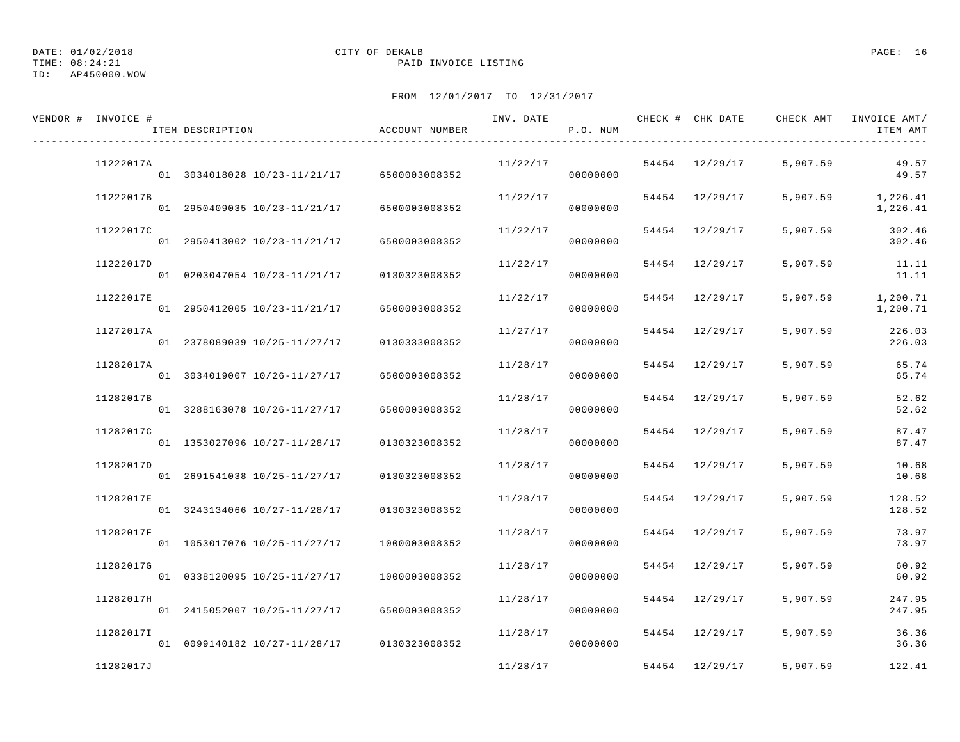DATE: 01/02/2018 CITY OF DEKALB PAGE: 16

ID: AP450000.WOW

| VENDOR # INVOICE # | ITEM DESCRIPTION                           | ACCOUNT NUMBER | INV. DATE | P.O. NUM |                | CHECK # CHK DATE GHECK AMT INVOICE AMT/ | ITEM AMT             |
|--------------------|--------------------------------------------|----------------|-----------|----------|----------------|-----------------------------------------|----------------------|
| 11222017A          | 01 3034018028 10/23-11/21/17 6500003008352 |                | 11/22/17  | 00000000 | 54454 12/29/17 | 5,907.59                                | 49.57<br>49.57       |
| 11222017B          | 01 2950409035 10/23-11/21/17               | 6500003008352  | 11/22/17  | 00000000 | 54454 12/29/17 | 5,907.59                                | 1,226.41<br>1,226.41 |
| 11222017C          | 01 2950413002 10/23-11/21/17               | 6500003008352  | 11/22/17  | 00000000 | 54454 12/29/17 | 5,907.59                                | 302.46<br>302.46     |
| 11222017D          | 01 0203047054 10/23-11/21/17               | 0130323008352  | 11/22/17  | 00000000 | 54454 12/29/17 | 5,907.59                                | 11.11<br>11.11       |
| 11222017E          | 01 2950412005 10/23-11/21/17               | 6500003008352  | 11/22/17  | 00000000 | 54454 12/29/17 | 5,907.59                                | 1,200.71<br>1,200.71 |
| 11272017A          | 01 2378089039 10/25-11/27/17               | 0130333008352  | 11/27/17  | 00000000 | 54454 12/29/17 | 5,907.59                                | 226.03<br>226.03     |
| 11282017A          | 01 3034019007 10/26-11/27/17               | 6500003008352  | 11/28/17  | 00000000 | 54454 12/29/17 | 5,907.59                                | 65.74<br>65.74       |
| 11282017B          | 01 3288163078 10/26-11/27/17               | 6500003008352  | 11/28/17  | 00000000 | 54454 12/29/17 | 5,907.59                                | 52.62<br>52.62       |
| 11282017C          | 01 1353027096 10/27-11/28/17               | 0130323008352  | 11/28/17  | 00000000 | 54454 12/29/17 | 5,907.59                                | 87.47<br>87.47       |
| 11282017D          | 01 2691541038 10/25-11/27/17               | 0130323008352  | 11/28/17  | 00000000 | 54454 12/29/17 | 5,907.59                                | 10.68<br>10.68       |
| 11282017E          | 01 3243134066 10/27-11/28/17               | 0130323008352  | 11/28/17  | 00000000 | 54454 12/29/17 | 5,907.59                                | 128.52<br>128.52     |
| 11282017F          | 01 1053017076 10/25-11/27/17               | 1000003008352  | 11/28/17  | 00000000 | 54454 12/29/17 | 5,907.59                                | 73.97<br>73.97       |
| 11282017G          | 01 0338120095 10/25-11/27/17               | 1000003008352  | 11/28/17  | 00000000 | 54454 12/29/17 | 5,907.59                                | 60.92<br>60.92       |
| 11282017H          | 01 2415052007 10/25-11/27/17               | 6500003008352  | 11/28/17  | 00000000 | 54454 12/29/17 | 5,907.59                                | 247.95<br>247.95     |
| 11282017I          | 01 0099140182 10/27-11/28/17 0130323008352 |                | 11/28/17  | 00000000 | 54454 12/29/17 | 5,907.59                                | 36.36<br>36.36       |
| 11282017J          |                                            |                | 11/28/17  |          | 54454 12/29/17 | 5,907.59                                | 122.41               |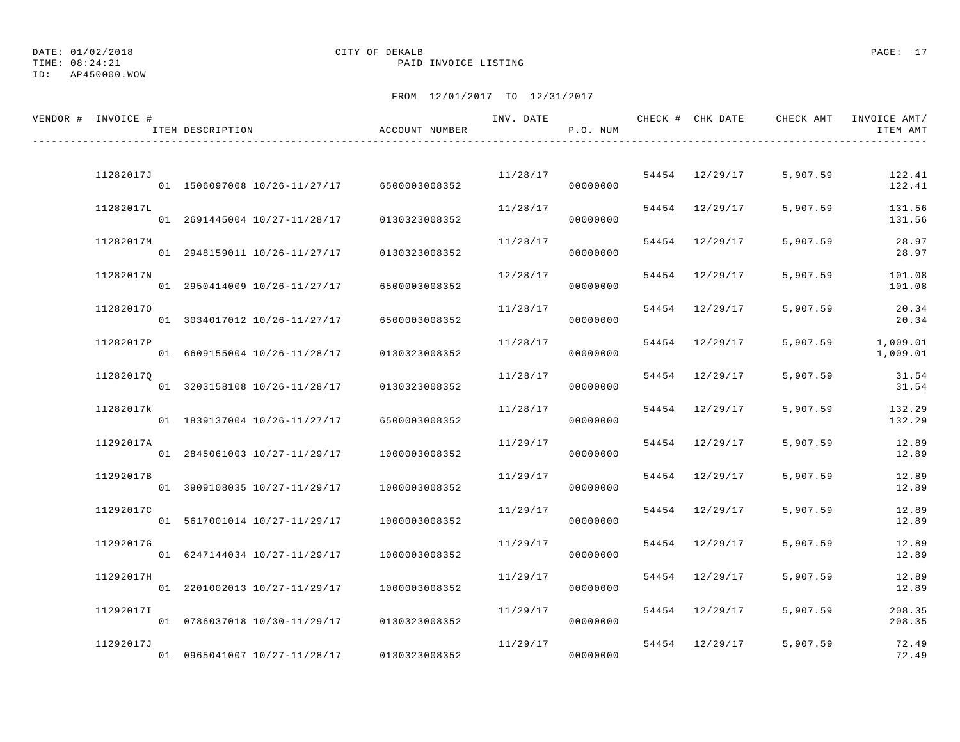DATE: 01/02/2018 CITY OF DEKALB PAGE: 17 ID: AP450000.WOW

| VENDOR # INVOICE # | ITEM DESCRIPTION                           | ACCOUNT NUMBER | INV. DATE | P.O. NUM |                |          | CHECK # CHK DATE CHECK AMT INVOICE AMT/<br>ITEM AMT |
|--------------------|--------------------------------------------|----------------|-----------|----------|----------------|----------|-----------------------------------------------------|
| 11282017J          |                                            |                | 11/28/17  |          | 54454 12/29/17 | 5,907.59 | 122.41                                              |
|                    | 01 1506097008 10/26-11/27/17 6500003008352 |                |           | 00000000 |                |          | 122.41                                              |
| 11282017L          | 01 2691445004 10/27-11/28/17               | 0130323008352  | 11/28/17  | 00000000 | 54454 12/29/17 | 5,907.59 | 131.56<br>131.56                                    |
| 11282017M          | 01 2948159011 10/26-11/27/17               | 0130323008352  | 11/28/17  | 00000000 | 54454 12/29/17 | 5,907.59 | 28.97<br>28.97                                      |
| 11282017N          | 01 2950414009 10/26-11/27/17               | 6500003008352  | 12/28/17  | 00000000 | 54454 12/29/17 | 5,907.59 | 101.08<br>101.08                                    |
| 112820170          | 01 3034017012 10/26-11/27/17               | 6500003008352  | 11/28/17  | 00000000 | 54454 12/29/17 | 5,907.59 | 20.34<br>20.34                                      |
| 11282017P          | 01 6609155004 10/26-11/28/17               | 0130323008352  | 11/28/17  | 00000000 | 54454 12/29/17 | 5,907.59 | 1,009.01<br>1,009.01                                |
| 112820170          | 01 3203158108 10/26-11/28/17               | 0130323008352  | 11/28/17  | 00000000 | 54454 12/29/17 | 5,907.59 | 31.54<br>31.54                                      |
| 11282017k          | 01 1839137004 10/26-11/27/17               | 6500003008352  | 11/28/17  | 00000000 | 54454 12/29/17 | 5,907.59 | 132.29<br>132.29                                    |
| 11292017A          | 01 2845061003 10/27-11/29/17               | 1000003008352  | 11/29/17  | 00000000 | 54454 12/29/17 | 5,907.59 | 12.89<br>12.89                                      |
| 11292017B          | 01 3909108035 10/27-11/29/17               | 1000003008352  | 11/29/17  | 00000000 | 54454 12/29/17 | 5,907.59 | 12.89<br>12.89                                      |
| 11292017C          | 01 5617001014 10/27-11/29/17               | 1000003008352  | 11/29/17  | 00000000 | 54454 12/29/17 | 5,907.59 | 12.89<br>12.89                                      |
| 11292017G          | 01 6247144034 10/27-11/29/17               | 1000003008352  | 11/29/17  | 00000000 | 54454 12/29/17 | 5,907.59 | 12.89<br>12.89                                      |
| 11292017H          |                                            |                | 11/29/17  |          | 54454 12/29/17 | 5,907.59 | 12.89                                               |
| 11292017I          | 01 2201002013 10/27-11/29/17               | 1000003008352  | 11/29/17  | 00000000 | 54454 12/29/17 | 5,907.59 | 12.89<br>208.35                                     |
| 11292017J          | 01 0786037018 10/30-11/29/17               | 0130323008352  | 11/29/17  | 00000000 | 54454 12/29/17 | 5,907.59 | 208.35<br>72.49                                     |
|                    | 01 0965041007 10/27-11/28/17 0130323008352 |                |           | 00000000 |                |          | 72.49                                               |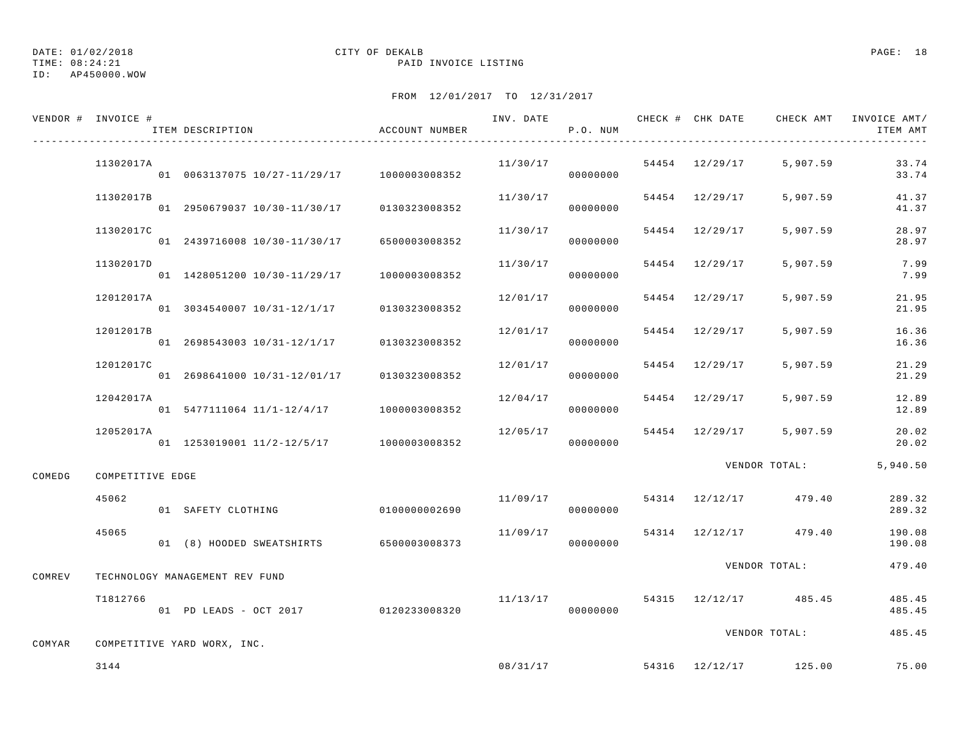ID: AP450000.WOW

### TIME: 08:24:21 PAID INVOICE LISTING

|        | VENDOR # INVOICE # | ITEM DESCRIPTION                           | ACCOUNT NUMBER | INV. DATE | P.O. NUM |                | CHECK # CHK DATE CHECK AMT | INVOICE AMT/<br>ITEM AMT |
|--------|--------------------|--------------------------------------------|----------------|-----------|----------|----------------|----------------------------|--------------------------|
|        | 11302017A          | 01 0063137075 10/27-11/29/17 1000003008352 |                | 11/30/17  | 00000000 | 54454 12/29/17 | 5,907.59                   | 33.74<br>33.74           |
|        | 11302017B          | 01 2950679037 10/30-11/30/17               | 0130323008352  | 11/30/17  | 00000000 | 54454 12/29/17 | 5,907.59                   | 41.37<br>41.37           |
|        | 11302017C          | 01 2439716008 10/30-11/30/17               | 6500003008352  | 11/30/17  | 00000000 | 54454 12/29/17 | 5,907.59                   | 28.97<br>28.97           |
|        | 11302017D          | 01 1428051200 10/30-11/29/17               | 1000003008352  | 11/30/17  | 00000000 | 54454 12/29/17 | 5,907.59                   | 7.99<br>7.99             |
|        | 12012017A          | 01 3034540007 10/31-12/1/17                | 0130323008352  | 12/01/17  | 00000000 | 54454 12/29/17 | 5,907.59                   | 21.95<br>21.95           |
|        | 12012017B          | 01 2698543003 10/31-12/1/17                | 0130323008352  | 12/01/17  | 00000000 | 54454 12/29/17 | 5,907.59                   | 16.36<br>16.36           |
|        | 12012017C          | 01 2698641000 10/31-12/01/17               | 0130323008352  | 12/01/17  | 00000000 | 54454 12/29/17 | 5,907.59                   | 21.29<br>21.29           |
|        | 12042017A          | 01 5477111064 11/1-12/4/17 1000003008352   |                | 12/04/17  | 00000000 | 54454 12/29/17 | 5,907.59                   | 12.89<br>12.89           |
|        | 12052017A          | 01 1253019001 11/2-12/5/17 1000003008352   |                | 12/05/17  | 00000000 | 54454 12/29/17 | 5,907.59                   | 20.02<br>20.02           |
| COMEDG | COMPETITIVE EDGE   |                                            |                |           |          |                | VENDOR TOTAL:              | 5,940.50                 |
|        | 45062              | 01 SAFETY CLOTHING                         | 0100000002690  | 11/09/17  | 00000000 | 54314 12/12/17 | 479.40                     | 289.32<br>289.32         |
|        | 45065              | 01 (8) HOODED SWEATSHIRTS 6500003008373    |                | 11/09/17  | 00000000 |                | 54314 12/12/17 479.40      | 190.08<br>190.08         |
| COMREV |                    | TECHNOLOGY MANAGEMENT REV FUND             |                |           |          |                | VENDOR TOTAL:              | 479.40                   |
|        | T1812766           | 01 PD LEADS - OCT 2017                     | 0120233008320  | 11/13/17  | 00000000 |                | 54315 12/12/17 485.45      | 485.45<br>485.45         |
| COMYAR |                    | COMPETITIVE YARD WORX, INC.                |                |           |          |                | VENDOR TOTAL:              | 485.45                   |
|        | 3144               |                                            |                |           | 08/31/17 |                | 54316 12/12/17 125.00      | 75.00                    |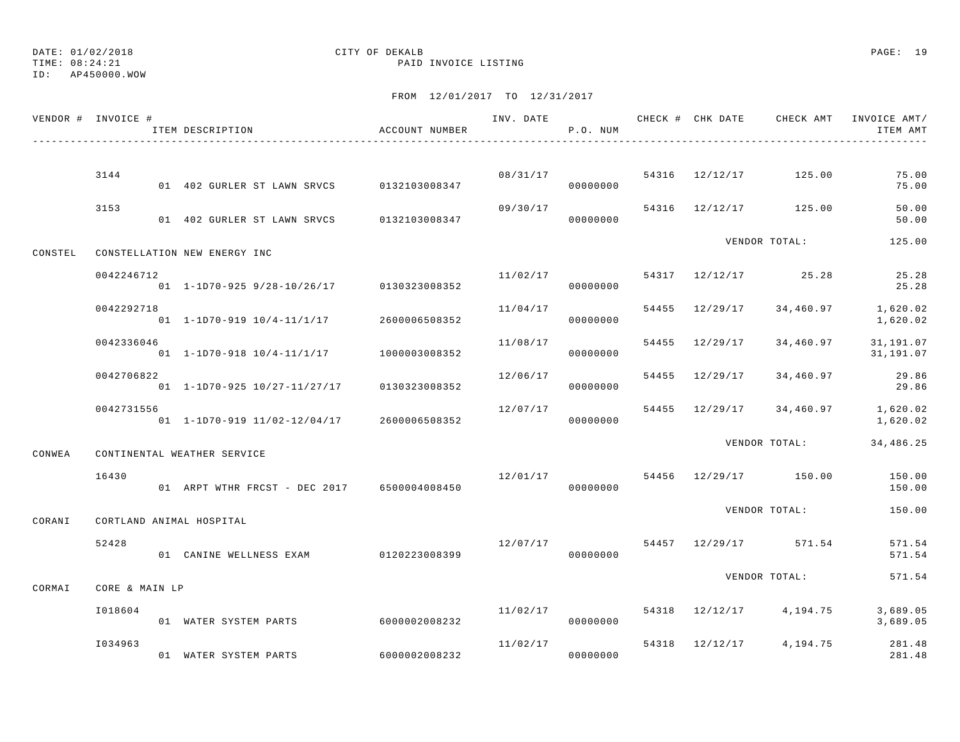TIME: 08:24:21 PAID INVOICE LISTING

ID: AP450000.WOW

|         | VENDOR # INVOICE #       | ITEM DESCRIPTION                              | ACCOUNT NUMBER |          | P.O. NUM             |  |                                   | ITEM AMT               |
|---------|--------------------------|-----------------------------------------------|----------------|----------|----------------------|--|-----------------------------------|------------------------|
|         |                          |                                               |                |          |                      |  |                                   |                        |
|         | 3144                     | 01 402 GURLER ST LAWN SRVCS 0132103008347     |                |          | 08/31/17<br>00000000 |  | 54316 12/12/17 125.00             | 75.00<br>75.00         |
|         | 3153                     | 01 402 GURLER ST LAWN SRVCS 0132103008347     |                | 09/30/17 | 00000000             |  | 54316 12/12/17 125.00             | 50.00<br>50.00         |
| CONSTEL |                          | CONSTELLATION NEW ENERGY INC                  |                |          |                      |  | VENDOR TOTAL:                     | 125.00                 |
|         | 0042246712               | $01 1-1D70-925 9/28-10/26/17$ 0130323008352   |                | 11/02/17 | 00000000             |  | 54317 12/12/17 25.28              | 25.28<br>25.28         |
|         | 0042292718               | 01  1-1D70-919  10/4-11/1/17  2600006508352   |                | 11/04/17 | 00000000             |  | 54455 12/29/17 34,460.97          | 1,620.02<br>1,620.02   |
|         | 0042336046               | 01 1-1D70-918 10/4-11/1/17                    | 1000003008352  | 11/08/17 | 00000000             |  | 54455 12/29/17 34,460.97          | 31,191.07<br>31,191.07 |
|         | 0042706822               | 01 1-1D70-925 10/27-11/27/17 0130323008352    |                | 12/06/17 | 00000000             |  | 54455 12/29/17 34,460.97          | 29.86<br>29.86         |
|         | 0042731556               | 01  1-1D70-919  11/02-12/04/17  2600006508352 |                | 12/07/17 | 00000000             |  | 54455 12/29/17 34,460.97 1,620.02 | 1,620.02               |
| CONWEA  |                          | CONTINENTAL WEATHER SERVICE                   |                |          |                      |  | VENDOR TOTAL:                     | 34,486.25              |
|         | 16430                    | 01 ARPT WTHR FRCST - DEC 2017 6500004008450   |                | 12/01/17 | 00000000             |  | 54456 12/29/17 150.00             | 150.00<br>150.00       |
| CORANI  | CORTLAND ANIMAL HOSPITAL |                                               |                |          |                      |  | VENDOR TOTAL:                     | 150.00                 |
|         | 52428                    | 01 CANINE WELLNESS EXAM 0120223008399         |                |          | 00000000             |  | $12/07/17$ 54457 12/29/17 571.54  | 571.54<br>571.54       |
| CORMAI  | CORE & MAIN LP           |                                               |                |          |                      |  | VENDOR TOTAL:                     | 571.54                 |
|         | I018604                  | 01 WATER SYSTEM PARTS                         | 6000002008232  | 11/02/17 | 00000000             |  | 54318 12/12/17 4,194.75           | 3,689.05<br>3,689.05   |
|         | I034963                  | 01 WATER SYSTEM PARTS                         | 6000002008232  | 11/02/17 | 00000000             |  | 54318 12/12/17 4,194.75           | 281.48<br>281.48       |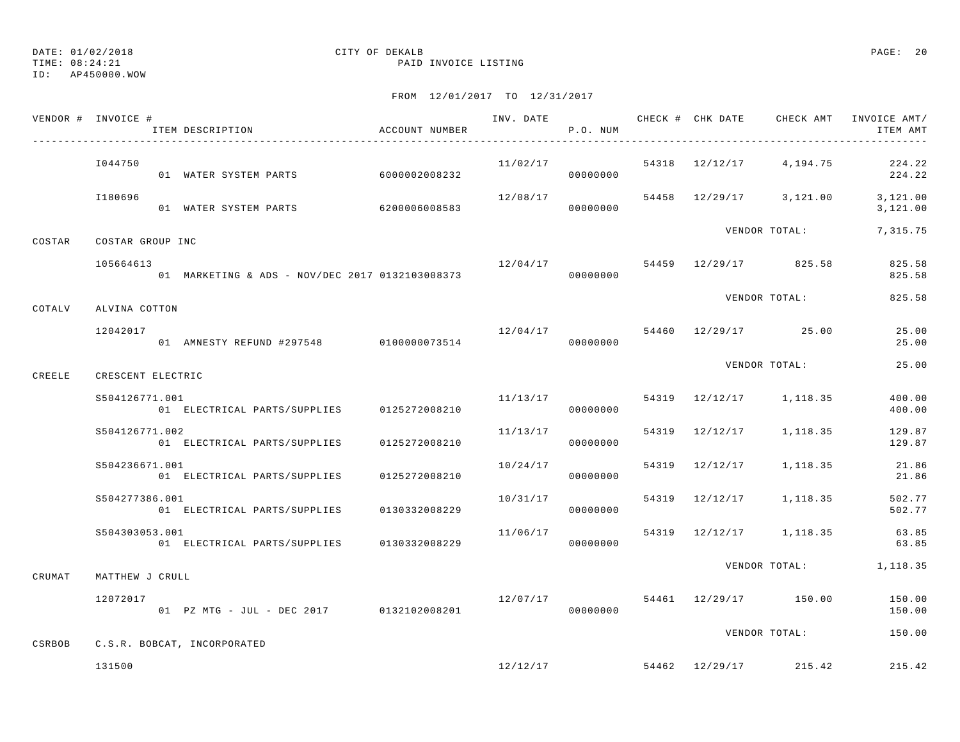DATE: 01/02/2018 CITY OF DEKALB PAGE: 20 TIME: 08:24:21 PAID INVOICE LISTING

| VENDOR # INVOICE # |                   | ITEM DESCRIPTION                                | ACCOUNT NUMBER |                                    | P.O. NUM |                |                         | ITEM AMT                                               |
|--------------------|-------------------|-------------------------------------------------|----------------|------------------------------------|----------|----------------|-------------------------|--------------------------------------------------------|
|                    | I044750           | 01 WATER SYSTEM PARTS 6000002008232             |                |                                    | 00000000 |                |                         | $11/02/17$ 54318 $12/12/17$ 4, 194.75 224.22<br>224.22 |
|                    | I180696           | 01 WATER SYSTEM PARTS                           | 6200006008583  | 12/08/17                           | 00000000 |                |                         | 54458 12/29/17 3,121.00 3,121.00<br>3,121.00           |
| COSTAR             | COSTAR GROUP INC  |                                                 |                |                                    |          |                | VENDOR TOTAL:           | 7,315.75                                               |
|                    | 105664613         | 01 MARKETING & ADS - NOV/DEC 2017 0132103008373 |                | $12/04/17$ 54459 $12/29/17$ 825.58 | 00000000 |                |                         | 825.58<br>825.58                                       |
| COTALV             | ALVINA COTTON     |                                                 |                |                                    |          |                | VENDOR TOTAL:           | 825.58                                                 |
|                    | 12042017          | 01 AMNESTY REFUND #297548 0100000073514         |                | $12/04/17$ 54460 12/29/17 25.00    | 00000000 |                |                         | 25.00<br>25.00                                         |
| CREELE             | CRESCENT ELECTRIC |                                                 |                |                                    |          |                | VENDOR TOTAL:           | 25.00                                                  |
|                    | S504126771.001    | 01 ELECTRICAL PARTS/SUPPLIES 0125272008210      |                | 11/13/17                           | 00000000 |                | 54319 12/12/17 1,118.35 | 400.00<br>400.00                                       |
|                    | S504126771.002    | 01 ELECTRICAL PARTS/SUPPLIES                    | 0125272008210  | 11/13/17                           | 00000000 | 54319 12/12/17 | 1,118.35                | 129.87<br>129.87                                       |
|                    | S504236671.001    | 01 ELECTRICAL PARTS/SUPPLIES                    | 0125272008210  | 10/24/17                           | 00000000 |                | 54319 12/12/17 1,118.35 | 21.86<br>21.86                                         |
|                    | S504277386.001    | 01 ELECTRICAL PARTS/SUPPLIES                    | 0130332008229  | 10/31/17                           | 00000000 |                | 54319 12/12/17 1,118.35 | 502.77<br>502.77                                       |
|                    | S504303053.001    | 01 ELECTRICAL PARTS/SUPPLIES 0130332008229      |                | 11/06/17                           | 00000000 |                | 54319 12/12/17 1,118.35 | 63.85<br>63.85                                         |
| CRUMAT             | MATTHEW J CRULL   |                                                 |                |                                    |          |                |                         | VENDOR TOTAL: 1,118.35                                 |
|                    | 12072017          | 01 PZ MTG - JUL - DEC 2017 0132102008201        |                | 12/07/17                           | 00000000 |                | 54461 12/29/17 150.00   | 150.00<br>150.00                                       |
| CSRBOB             |                   | C.S.R. BOBCAT, INCORPORATED                     |                |                                    |          |                | VENDOR TOTAL:           | 150.00                                                 |
|                    | 131500            |                                                 |                |                                    | 12/12/17 |                | 54462 12/29/17 215.42   | 215.42                                                 |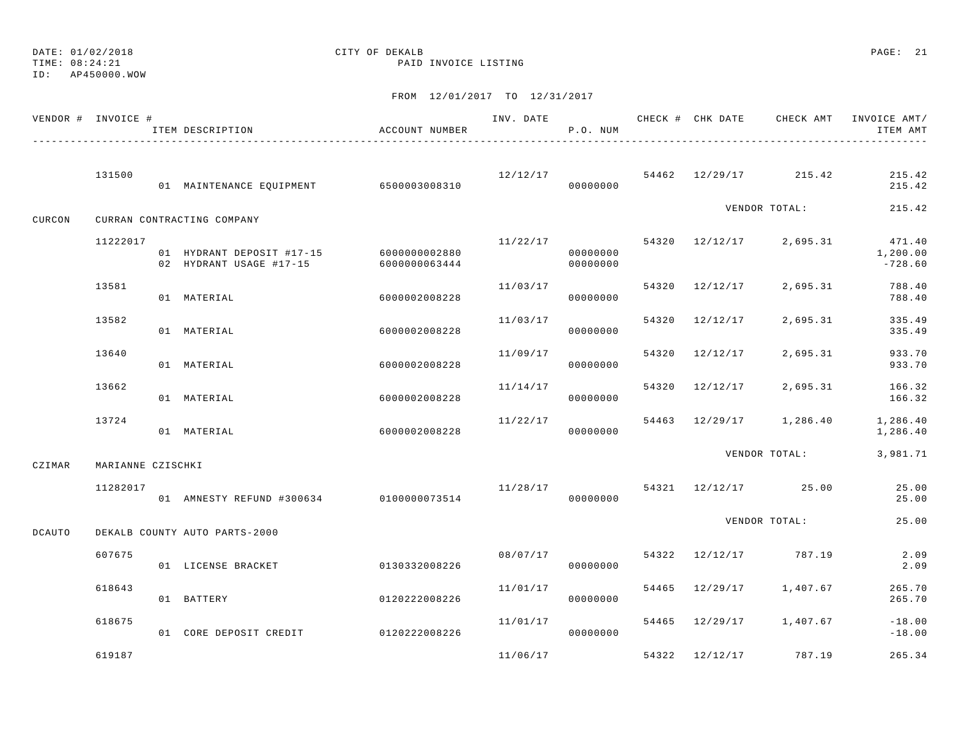DATE: 01/02/2018 CITY OF DEKALB PAGE: 21 ID: AP450000.WOW

|               | VENDOR # INVOICE # | ITEM DESCRIPTION                                                   | ACCOUNT NUMBER |          | INV. DATE<br>P.O. NUM |       |                |                                    | CHECK # CHK DATE CHECK AMT INVOICE AMT /<br>ITEM AMT |
|---------------|--------------------|--------------------------------------------------------------------|----------------|----------|-----------------------|-------|----------------|------------------------------------|------------------------------------------------------|
|               | 131500             | 01 MAINTENANCE EQUIPMENT 6500003008310                             |                |          | 00000000              |       |                | $12/12/17$ 54462 $12/29/17$ 215.42 | 215.42<br>215.42                                     |
| CURCON        |                    | CURRAN CONTRACTING COMPANY                                         |                |          |                       |       |                | VENDOR TOTAL:                      | 215.42                                               |
|               | 11222017           | 01 HYDRANT DEPOSIT #17-15 6000000002880<br>02 HYDRANT USAGE #17-15 | 6000000063444  | 11/22/17 | 00000000<br>00000000  |       |                | 54320 12/12/17 2,695.31            | 471.40<br>1,200.00<br>$-728.60$                      |
|               | 13581              | 01 MATERIAL                                                        | 6000002008228  | 11/03/17 | 00000000              |       | 54320 12/12/17 | 2,695.31                           | 788.40<br>788.40                                     |
|               | 13582              | 01 MATERIAL                                                        | 6000002008228  | 11/03/17 | 00000000              | 54320 | 12/12/17       | 2,695.31                           | 335.49<br>335.49                                     |
|               | 13640              | 01 MATERIAL                                                        | 6000002008228  | 11/09/17 | 00000000              |       | 54320 12/12/17 | 2,695.31                           | 933.70<br>933.70                                     |
|               | 13662              | 01 MATERIAL                                                        | 6000002008228  | 11/14/17 | 00000000              |       | 54320 12/12/17 | 2,695.31                           | 166.32<br>166.32                                     |
|               | 13724              | 01 MATERIAL                                                        | 6000002008228  | 11/22/17 | 00000000              |       |                | 54463 12/29/17 1,286.40            | 1,286.40<br>1,286.40                                 |
| CZIMAR        | MARIANNE CZISCHKI  |                                                                    |                |          |                       |       |                | VENDOR TOTAL:                      | 3,981.71                                             |
|               | 11282017           | 01 AMNESTY REFUND #300634 0100000073514                            |                | 11/28/17 | 00000000              |       |                | 54321 12/12/17 25.00               | 25.00<br>25.00                                       |
| <b>DCAUTO</b> |                    | DEKALB COUNTY AUTO PARTS-2000                                      |                |          |                       |       |                | VENDOR TOTAL:                      | 25.00                                                |
|               | 607675             | 01 LICENSE BRACKET                                                 | 0130332008226  |          | 08/07/17<br>00000000  |       |                | 54322 12/12/17 787.19              | 2.09<br>2.09                                         |
|               | 618643             | 01 BATTERY                                                         | 0120222008226  | 11/01/17 | 00000000              |       |                | 54465 12/29/17 1,407.67            | 265.70<br>265.70                                     |
|               | 618675             | 01 CORE DEPOSIT CREDIT 0120222008226                               |                | 11/01/17 | 00000000              |       |                | 54465 12/29/17 1,407.67            | $-18.00$<br>$-18.00$                                 |
|               | 619187             |                                                                    |                | 11/06/17 |                       |       |                | 54322 12/12/17 787.19              | 265.34                                               |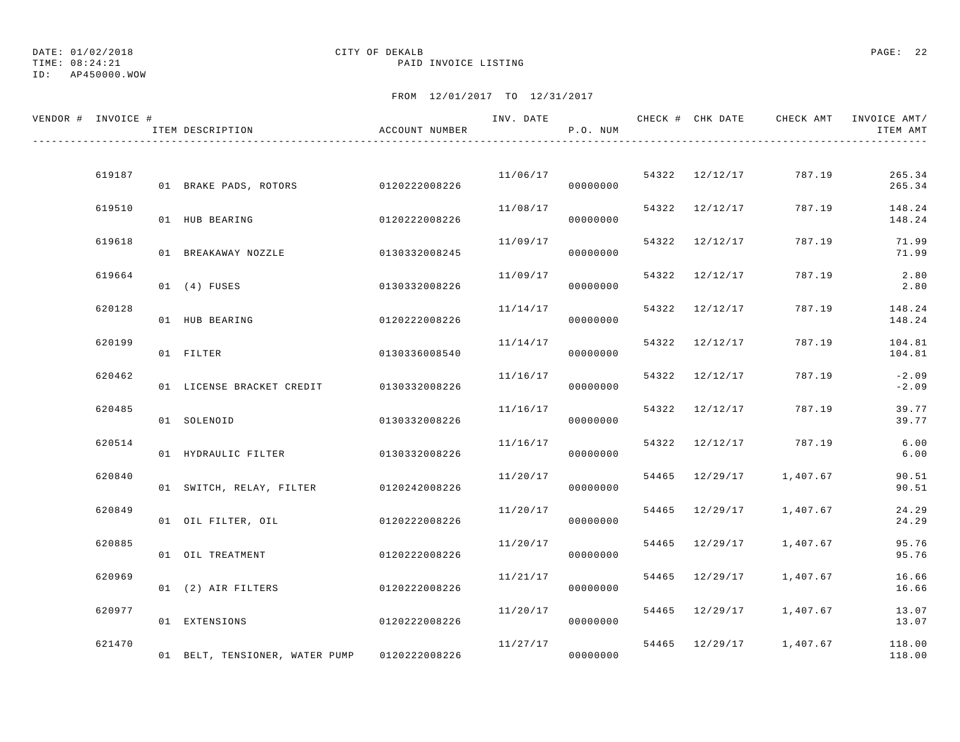DATE: 01/02/2018 CITY OF DEKALB PAGE: 22 ID: AP450000.WOW

| VENDOR # INVOICE # | ITEM DESCRIPTION                        | ACCOUNT NUMBER |                         | P.O. NUM |                |                         | INV. DATE 6 CHECK # CHK DATE CHECK AMT INVOICE AMT/<br>ITEM AMT |
|--------------------|-----------------------------------------|----------------|-------------------------|----------|----------------|-------------------------|-----------------------------------------------------------------|
|                    |                                         |                |                         |          |                |                         |                                                                 |
| 619187             | 01 BRAKE PADS, ROTORS 0120222008226     |                | 11/06/17 54322 12/12/17 | 00000000 |                | 787.19                  | 265.34<br>265.34                                                |
| 619510             | 01 HUB BEARING                          | 0120222008226  | 11/08/17                | 00000000 | 54322 12/12/17 | 787.19                  | 148.24<br>148.24                                                |
| 619618             | 01 BREAKAWAY NOZZLE                     | 0130332008245  | 11/09/17                | 00000000 | 54322 12/12/17 | 787.19                  | 71.99<br>71.99                                                  |
| 619664             | 01 (4) FUSES                            | 0130332008226  | 11/09/17                | 00000000 | 54322 12/12/17 | 787.19                  | 2.80<br>2.80                                                    |
| 620128             | 01 HUB BEARING                          | 0120222008226  | 11/14/17                | 00000000 | 54322 12/12/17 | 787.19                  | 148.24<br>148.24                                                |
| 620199             | 01 FILTER                               | 0130336008540  | 11/14/17                | 00000000 | 54322 12/12/17 | 787.19                  | 104.81<br>104.81                                                |
| 620462             | 01 LICENSE BRACKET CREDIT 0130332008226 |                | 11/16/17                | 00000000 | 54322 12/12/17 | 787.19                  | $-2.09$<br>$-2.09$                                              |
| 620485             |                                         |                | 11/16/17                |          | 54322 12/12/17 | 787.19                  | 39.77                                                           |
| 620514             | 01 SOLENOID                             | 0130332008226  | 11/16/17                | 00000000 | 54322 12/12/17 | 787.19                  | 39.77<br>6.00                                                   |
|                    | 01 HYDRAULIC FILTER 0130332008226       |                |                         | 00000000 |                |                         | $6.00$                                                          |
| 620840             | 01 SWITCH, RELAY, FILTER 0120242008226  |                | 11/20/17                | 00000000 |                | 54465 12/29/17 1,407.67 | 90.51<br>90.51                                                  |
| 620849             | 01 OIL FILTER, OIL                      | 0120222008226  | 11/20/17                | 00000000 |                | 54465 12/29/17 1,407.67 | 24.29<br>24.29                                                  |
| 620885             | 01 OIL TREATMENT                        | 0120222008226  | 11/20/17                | 00000000 | 54465 12/29/17 | 1,407.67                | 95.76<br>95.76                                                  |
| 620969             | 01 (2) AIR FILTERS                      | 0120222008226  | 11/21/17                | 00000000 | 54465 12/29/17 | 1,407.67                | 16.66<br>16.66                                                  |
| 620977             | 01 EXTENSIONS                           | 0120222008226  | 11/20/17                | 00000000 |                | 54465 12/29/17 1,407.67 | 13.07<br>13.07                                                  |
| 621470             | 01 BELT, TENSIONER, WATER PUMP          | 0120222008226  | 11/27/17                | 00000000 |                | 54465 12/29/17 1,407.67 | 118.00<br>118.00                                                |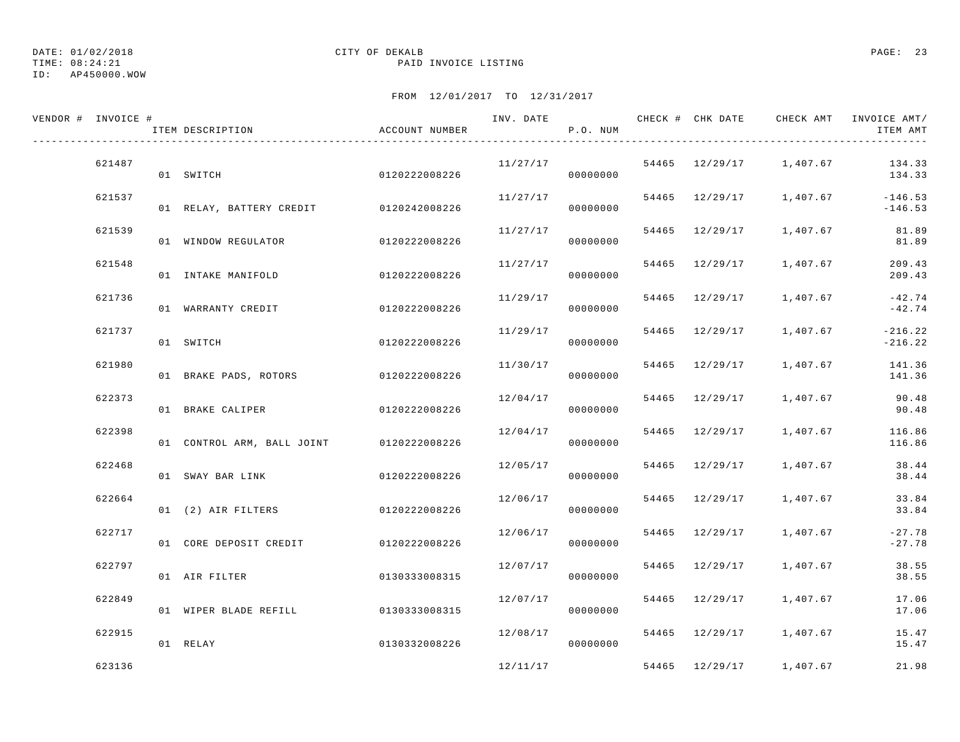DATE: 01/02/2018 CITY OF DEKALB PAGE: 23 TIME: 08:24:21 PAID INVOICE LISTING

ID: AP450000.WOW

| VENDOR # INVOICE # | ITEM DESCRIPTION                         | ACCOUNT NUMBER |          | P.O. NUM |                |                                      | INV. DATE 6 1999 CHECK # CHK DATE 6 CHECK AMT INVOICE AMT<br>ITEM AMT |
|--------------------|------------------------------------------|----------------|----------|----------|----------------|--------------------------------------|-----------------------------------------------------------------------|
| 621487             | 01 SWITCH                                | 0120222008226  |          | 00000000 |                | $11/27/17$ 54465 $12/29/17$ 1,407.67 | 134.33<br>134.33                                                      |
| 621537             | 01 RELAY, BATTERY CREDIT 0120242008226   |                | 11/27/17 | 00000000 |                | 54465 12/29/17 1,407.67              | $-146.53$<br>$-146.53$                                                |
| 621539             | 01 WINDOW REGULATOR 0120222008226        |                | 11/27/17 | 00000000 |                | 54465 12/29/17 1,407.67              | 81.89<br>81.89                                                        |
| 621548             | 01 INTAKE MANIFOLD                       | 0120222008226  | 11/27/17 | 00000000 |                | 54465 12/29/17 1,407.67              | 209.43<br>209.43                                                      |
| 621736             | 01 WARRANTY CREDIT                       | 0120222008226  | 11/29/17 | 00000000 | 54465 12/29/17 | 1,407.67                             | $-42.74$<br>$-42.74$                                                  |
| 621737             | 01 SWITCH                                | 0120222008226  | 11/29/17 | 00000000 |                | 54465 12/29/17 1,407.67              | $-216.22$<br>$-216.22$                                                |
| 621980             | 01 BRAKE PADS, ROTORS 0120222008226      |                | 11/30/17 | 00000000 |                |                                      | 54465 12/29/17 1,407.67 141.36<br>141.36                              |
| 622373             | 01 BRAKE CALIPER 0120222008226           |                | 12/04/17 | 00000000 |                | 54465 12/29/17 1,407.67              | 90.48<br>90.48                                                        |
| 622398             | 01 CONTROL ARM, BALL JOINT 0120222008226 |                | 12/04/17 | 00000000 | 54465 12/29/17 | 1,407.67                             | 116.86<br>116.86                                                      |
| 622468             | 01 SWAY BAR LINK                         | 0120222008226  | 12/05/17 | 00000000 |                | 54465 12/29/17 1,407.67              | 38.44<br>38.44                                                        |
| 622664             | 01 (2) AIR FILTERS                       | 0120222008226  | 12/06/17 | 00000000 | 54465 12/29/17 | 1,407.67                             | 33.84<br>33.84                                                        |
| 622717             | 01 CORE DEPOSIT CREDIT                   | 0120222008226  | 12/06/17 | 00000000 |                | 54465 12/29/17 1,407.67              | $-27.78$<br>$-27.78$                                                  |
| 622797             | 01 AIR FILTER                            | 0130333008315  | 12/07/17 | 00000000 | 54465 12/29/17 | 1,407.67                             | 38.55<br>38.55                                                        |
| 622849             | 01 WIPER BLADE REFILL 0130333008315      |                | 12/07/17 | 00000000 | 54465 12/29/17 | 1,407.67                             | 17.06<br>17.06                                                        |
| 622915             | 01 RELAY                                 | 0130332008226  | 12/08/17 | 00000000 |                | 54465 12/29/17 1,407.67              | 15.47<br>15.47                                                        |
| 623136             |                                          |                | 12/11/17 |          | 54465 12/29/17 | 1,407.67                             | 21.98                                                                 |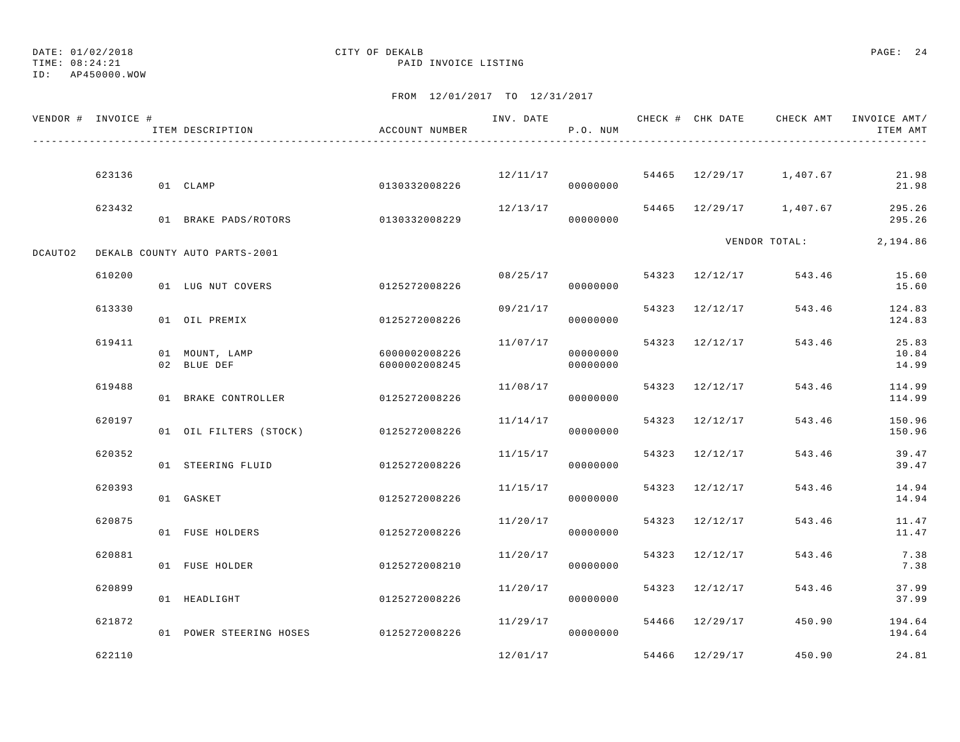DATE: 01/02/2018 CITY OF DEKALB PAGE: 24

ID: AP450000.WOW

|         | VENDOR # INVOICE # | ITEM DESCRIPTION              | ACCOUNT NUMBER                 | INV. DATE | P.O. NUM             |       |                |                         | CHECK # CHK DATE CHECK AMT INVOICE AMT/<br>ITEM AMT |
|---------|--------------------|-------------------------------|--------------------------------|-----------|----------------------|-------|----------------|-------------------------|-----------------------------------------------------|
|         |                    |                               |                                |           |                      |       |                |                         |                                                     |
|         | 623136             | 01 CLAMP                      | 0130332008226                  |           | 12/11/17<br>00000000 |       |                | 54465 12/29/17 1,407.67 | 21.98<br>21.98                                      |
|         | 623432             | 01 BRAKE PADS/ROTORS          | 0130332008229                  | 12/13/17  | 00000000             |       |                | 54465 12/29/17 1,407.67 | 295.26<br>295.26                                    |
| DCAUTO2 |                    | DEKALB COUNTY AUTO PARTS-2001 |                                |           |                      |       |                | VENDOR TOTAL:           | 2,194.86                                            |
|         | 610200             | 01 LUG NUT COVERS             | 0125272008226                  |           | 08/25/17<br>00000000 |       | 54323 12/12/17 | 543.46                  | 15.60<br>15.60                                      |
|         | 613330             | 01 OIL PREMIX                 | 0125272008226                  | 09/21/17  | 00000000             |       | 54323 12/12/17 | 543.46                  | 124.83<br>124.83                                    |
|         | 619411             | 01 MOUNT, LAMP<br>02 BLUE DEF | 6000002008226<br>6000002008245 | 11/07/17  | 00000000<br>00000000 |       | 54323 12/12/17 | 543.46                  | 25.83<br>10.84<br>14.99                             |
|         | 619488             | 01 BRAKE CONTROLLER           | 0125272008226                  | 11/08/17  | 00000000             |       | 54323 12/12/17 | 543.46                  | 114.99<br>114.99                                    |
|         | 620197             | 01 OIL FILTERS (STOCK)        | 0125272008226                  | 11/14/17  | 00000000             |       | 54323 12/12/17 | 543.46                  | 150.96<br>150.96                                    |
|         | 620352             | 01 STEERING FLUID             | 0125272008226                  | 11/15/17  | 00000000             | 54323 | 12/12/17       | 543.46                  | 39.47<br>39.47                                      |
|         | 620393             | 01 GASKET                     | 0125272008226                  | 11/15/17  | 00000000             |       | 54323 12/12/17 | 543.46                  | 14.94<br>14.94                                      |
|         | 620875             | 01 FUSE HOLDERS               | 0125272008226                  | 11/20/17  | 00000000             |       | 54323 12/12/17 | 543.46                  | 11.47<br>11.47                                      |
|         | 620881             | 01 FUSE HOLDER                | 0125272008210                  | 11/20/17  | 00000000             | 54323 | 12/12/17       | 543.46                  | 7.38<br>7.38                                        |
|         | 620899             | 01 HEADLIGHT                  | 0125272008226                  | 11/20/17  | 00000000             |       | 54323 12/12/17 | 543.46                  | 37.99<br>37.99                                      |
|         | 621872             | 01 POWER STEERING HOSES       | 0125272008226                  | 11/29/17  | 000000000            |       | 54466 12/29/17 | 450.90                  | 194.64<br>194.64                                    |
|         | 622110             |                               |                                | 12/01/17  |                      |       | 54466 12/29/17 | 450.90                  | 24.81                                               |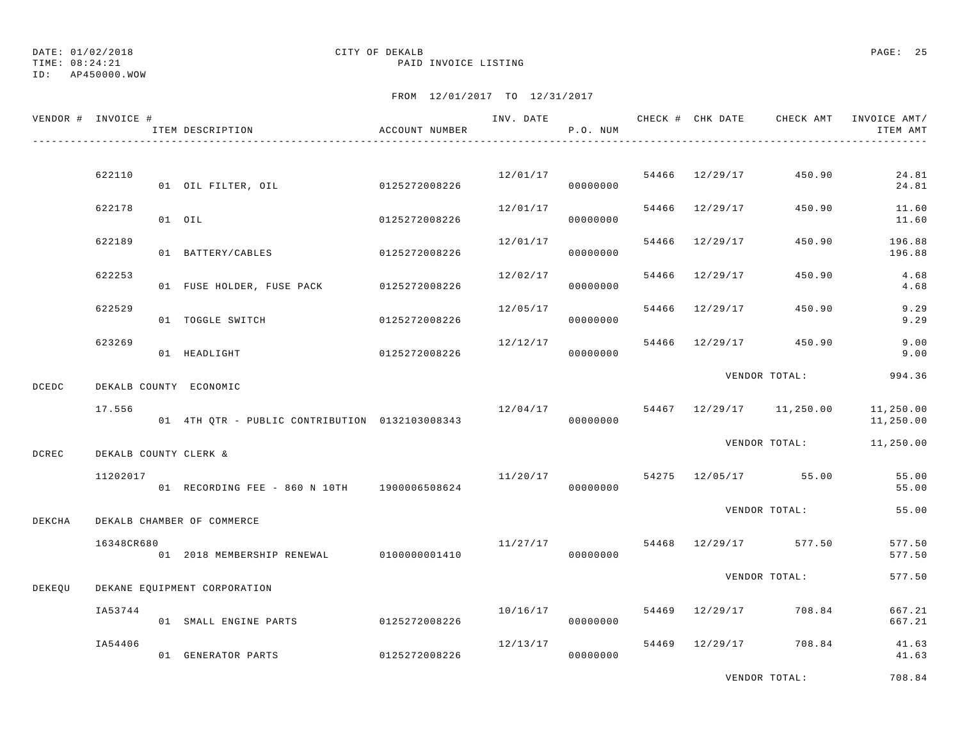TIME: 08:24:21 PAID INVOICE LISTING

### ID: AP450000.WOW

### FROM 12/01/2017 TO 12/31/2017

|        | VENDOR # INVOICE #    | ITEM DESCRIPTION                               | ACCOUNT NUMBER | INV. DATE | P.O. NUM | CHECK # CHK DATE            | CHECK AMT                         | INVOICE AMT/<br>ITEM AMT |
|--------|-----------------------|------------------------------------------------|----------------|-----------|----------|-----------------------------|-----------------------------------|--------------------------|
|        |                       |                                                |                |           |          |                             |                                   |                          |
|        | 622110                | 01 OIL FILTER, OIL 6125272008226               |                |           | 00000000 | $12/01/17$ 54466 $12/29/17$ | 450.90                            | 24.81<br>24.81           |
|        | 622178                | 01 OIL                                         | 0125272008226  | 12/01/17  | 00000000 | 54466 12/29/17              | 450.90                            | 11.60<br>11.60           |
|        | 622189                | 01 BATTERY/CABLES                              | 0125272008226  | 12/01/17  | 00000000 | 54466 12/29/17              | 450.90                            | 196.88<br>196.88         |
|        | 622253                | 01 FUSE HOLDER, FUSE PACK 0125272008226        |                | 12/02/17  | 00000000 | 54466 12/29/17              | 450.90                            | 4.68<br>4.68             |
|        | 622529                | 01 TOGGLE SWITCH                               | 0125272008226  | 12/05/17  | 00000000 | 54466 12/29/17              | 450.90                            | 9.29<br>9.29             |
|        | 623269                | 01 HEADLIGHT                                   | 0125272008226  | 12/12/17  | 00000000 |                             | 54466 12/29/17 450.90             | 9.00<br>9.00             |
| DCEDC  |                       | DEKALB COUNTY ECONOMIC                         |                |           |          |                             | VENDOR TOTAL:                     | 994.36                   |
|        | 17.556                | 01 4TH QTR - PUBLIC CONTRIBUTION 0132103008343 |                | 12/04/17  | 00000000 |                             | 54467 12/29/17 11,250.00          | 11,250.00<br>11,250.00   |
| DCREC  | DEKALB COUNTY CLERK & |                                                |                |           |          |                             | VENDOR TOTAL:                     | 11,250.00                |
|        | 11202017              | 01 RECORDING FEE - 860 N 10TH 1900006508624    |                |           | 00000000 |                             | $11/20/17$ 54275 $12/05/17$ 55.00 | 55.00<br>55.00           |
| DEKCHA |                       | DEKALB CHAMBER OF COMMERCE                     |                |           |          |                             | VENDOR TOTAL:                     | 55.00                    |
|        | 16348CR680            | 01 2018 MEMBERSHIP RENEWAL 0100000001410       |                | 11/27/17  | 00000000 |                             | 54468 12/29/17 577.50             | 577.50<br>577.50         |
| DEKEQU |                       | DEKANE EQUIPMENT CORPORATION                   |                |           |          |                             | VENDOR TOTAL:                     | 577.50                   |
|        | IA53744               | 01 SMALL ENGINE PARTS                          | 0125272008226  | 10/16/17  | 00000000 |                             | 54469 12/29/17 708.84             | 667.21<br>667.21         |
|        | IA54406               | 01 GENERATOR PARTS                             | 0125272008226  | 12/13/17  | 00000000 |                             | 54469 12/29/17 708.84             | 41.63<br>41.63           |
|        |                       |                                                |                |           |          |                             |                                   |                          |

VENDOR TOTAL: 708.84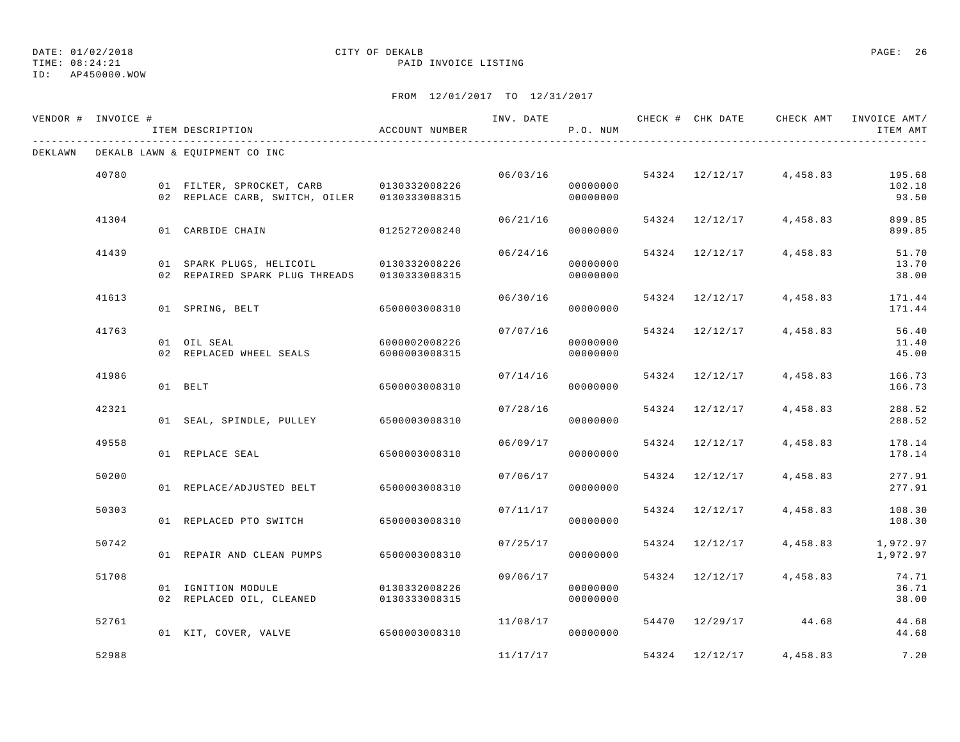#### TIME: 08:24:21 PAID INVOICE LISTING ID: AP450000.WOW

| VENDOR # INVOICE # |       | ITEM DESCRIPTION                                                                        | ACCOUNT NUMBER                 |          | P.O. NUM             |                | INV. DATE 6 CHECK # CHK DATE 6 CHECK AMT INVOICE AMT | ITEM AMT                  |
|--------------------|-------|-----------------------------------------------------------------------------------------|--------------------------------|----------|----------------------|----------------|------------------------------------------------------|---------------------------|
| DEKLAWN            |       | DEKALB LAWN & EQUIPMENT CO INC                                                          |                                |          |                      |                |                                                      |                           |
|                    | 40780 | 01 FILTER, SPROCKET, CARB 0130332008226<br>02 REPLACE CARB, SWITCH, OILER 0130333008315 |                                |          | 00000000<br>00000000 |                | $06/03/16$ 54324 12/12/17 4,458.83                   | 195.68<br>102.18<br>93.50 |
|                    | 41304 | 01 CARBIDE CHAIN                                                                        | 0125272008240                  |          | 00000000             |                | $06/21/16$ 54324 12/12/17 4,458.83                   | 899.85<br>899.85          |
|                    | 41439 | 01 SPARK PLUGS, HELICOIL 0130332008226<br>02 REPAIRED SPARK PLUG THREADS 0130333008315  |                                | 06/24/16 | 00000000<br>00000000 |                | 54324 12/12/17 4,458.83                              | 51.70<br>13.70<br>38.00   |
|                    | 41613 | 01 SPRING, BELT                                                                         | 6500003008310                  | 06/30/16 | 00000000             |                | $54324$ $12/12/17$ $4,458.83$                        | 171.44<br>171.44          |
|                    | 41763 | 01 OIL SEAL<br>02 REPLACED WHEEL SEALS                                                  | 6000002008226<br>6000003008315 | 07/07/16 | 00000000<br>00000000 |                | 54324 12/12/17 4,458.83                              | 56.40<br>11.40<br>45.00   |
|                    | 41986 | 01 BELT                                                                                 | 6500003008310                  | 07/14/16 | 00000000             |                | 54324 12/12/17 4,458.83                              | 166.73<br>166.73          |
|                    | 42321 | 01 SEAL, SPINDLE, PULLEY 6500003008310                                                  |                                | 07/28/16 | 00000000             | 54324 12/12/17 | 4,458.83                                             | 288.52<br>288.52          |
|                    | 49558 | 01 REPLACE SEAL                                                                         | 6500003008310                  | 06/09/17 | 00000000             | 54324 12/12/17 | 4,458.83                                             | 178.14<br>178.14          |
|                    | 50200 | 01 REPLACE/ADJUSTED BELT 6500003008310                                                  |                                | 07/06/17 | 00000000             | 54324 12/12/17 | 4,458.83                                             | 277.91<br>277.91          |
|                    | 50303 | 01 REPLACED PTO SWITCH 6500003008310                                                    |                                |          | 07/11/17<br>00000000 | 54324 12/12/17 | 4,458.83                                             | 108.30<br>108.30          |
|                    | 50742 | 01 REPAIR AND CLEAN PUMPS                                                               | 6500003008310                  | 07/25/17 | 00000000             |                | 54324 12/12/17 4,458.83                              | 1,972.97<br>1,972.97      |
|                    | 51708 | 01 IGNITION MODULE<br>02 REPLACED OIL, CLEANED 0130333008315                            | 0130332008226                  | 09/06/17 | 00000000<br>00000000 |                | 54324 12/12/17 4,458.83                              | 74.71<br>36.71<br>38.00   |
|                    | 52761 | 01 KIT, COVER, VALVE 6500003008310                                                      |                                | 11/08/17 | 00000000             |                | 54470 12/29/17 44.68                                 | 44.68<br>44.68            |
|                    | 52988 |                                                                                         |                                | 11/17/17 |                      |                | 54324 12/12/17 4,458.83                              | 7.20                      |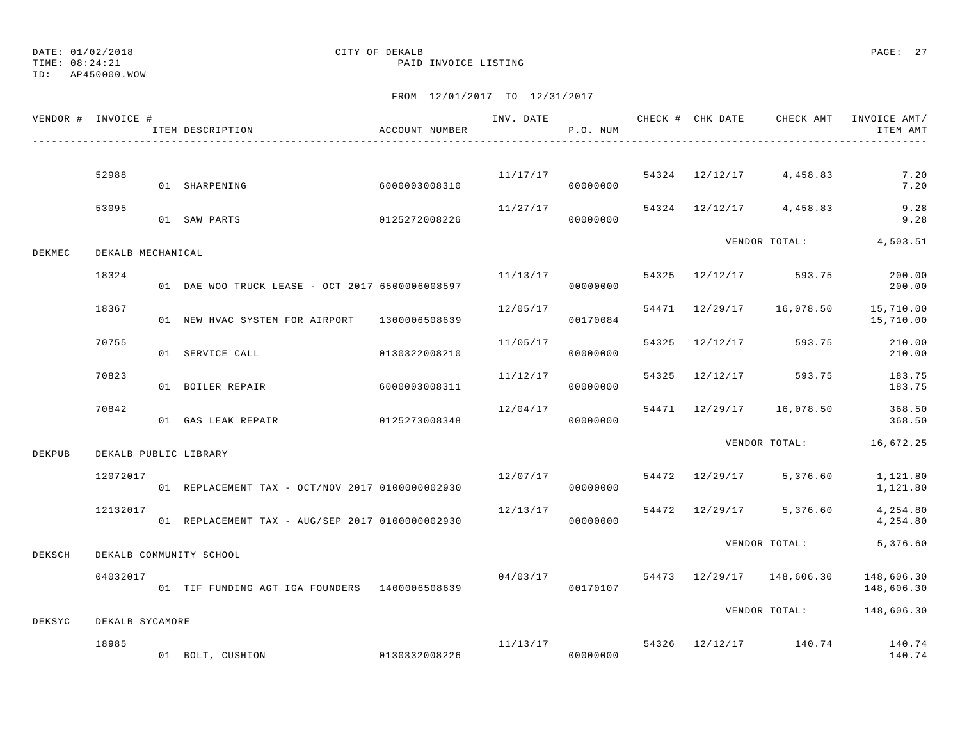DATE: 01/02/2018 CITY OF DEKALB PAGE: 27 ID: AP450000.WOW

| VENDOR # INVOICE # |                   | ITEM DESCRIPTION                                | ACCOUNT NUMBER |          | P.O. NUM             | INV. DATE CHECK # CHK DATE | CHECK AMT                          | INVOICE AMT/<br>ITEM AMT                            |
|--------------------|-------------------|-------------------------------------------------|----------------|----------|----------------------|----------------------------|------------------------------------|-----------------------------------------------------|
|                    | 52988             | 01 SHARPENING                                   | 6000003008310  |          | 00000000             |                            | $11/17/17$ 54324 12/12/17 4,458.83 | 7.20<br>7.20                                        |
|                    | 53095             | 01 SAW PARTS                                    | 0125272008226  | 11/27/17 | 00000000             |                            | 54324 12/12/17 4,458.83            | 9.28<br>9.28                                        |
| DEKMEC             | DEKALB MECHANICAL |                                                 |                |          |                      |                            |                                    | VENDOR TOTAL: 4,503.51                              |
|                    | 18324             | 01 DAE WOO TRUCK LEASE - OCT 2017 6500006008597 |                | 11/13/17 | 00000000             |                            | 54325 12/12/17 593.75              | 200.00<br>200.00                                    |
|                    | 18367             | 01 NEW HVAC SYSTEM FOR AIRPORT 1300006508639    |                | 12/05/17 | 00170084             |                            |                                    | 54471 12/29/17 16,078.50 15,710.00<br>15,710.00     |
|                    | 70755             | 01 SERVICE CALL                                 | 0130322008210  | 11/05/17 | 00000000             | 54325 12/12/17             | 593.75                             | 210.00<br>210.00                                    |
|                    | 70823             | 01 BOILER REPAIR                                | 60000003008311 | 11/12/17 | 00000000             |                            | 54325 12/12/17 593.75              | 183.75<br>183.75                                    |
|                    | 70842             | 01 GAS LEAK REPAIR                              | 0125273008348  | 12/04/17 | 00000000             |                            | 54471 12/29/17 16,078.50           | 368.50<br>368.50                                    |
| DEKPUB             |                   | DEKALB PUBLIC LIBRARY                           |                |          |                      |                            |                                    | VENDOR TOTAL: 16,672.25                             |
|                    | 12072017          | 01 REPLACEMENT TAX - OCT/NOV 2017 0100000002930 |                | 12/07/17 | 00000000             |                            | 54472 12/29/17 5,376.60            | 1,121.80<br>1,121.80                                |
|                    | 12132017          | 01 REPLACEMENT TAX - AUG/SEP 2017 0100000002930 |                | 12/13/17 | 00000000             |                            | 54472 12/29/17 5,376.60            | 4,254.80<br>4,254.80                                |
| DEKSCH             |                   | DEKALB COMMUNITY SCHOOL                         |                |          |                      |                            | VENDOR TOTAL:                      | 5,376.60                                            |
|                    | 04032017          | 01 TIF FUNDING AGT IGA FOUNDERS 1400006508639   |                |          | 04/03/17<br>00170107 |                            | 54473 12/29/17 148,606.30          | 148,606.30<br>148,606.30                            |
| DEKSYC             | DEKALB SYCAMORE   |                                                 |                |          |                      |                            |                                    | VENDOR TOTAL: 148,606.30                            |
|                    | 18985             | 01 BOLT, CUSHION 0130332008226                  |                |          | 00000000             |                            |                                    | $11/13/17$ 54326 $12/12/17$ 140.74 140.74<br>140.74 |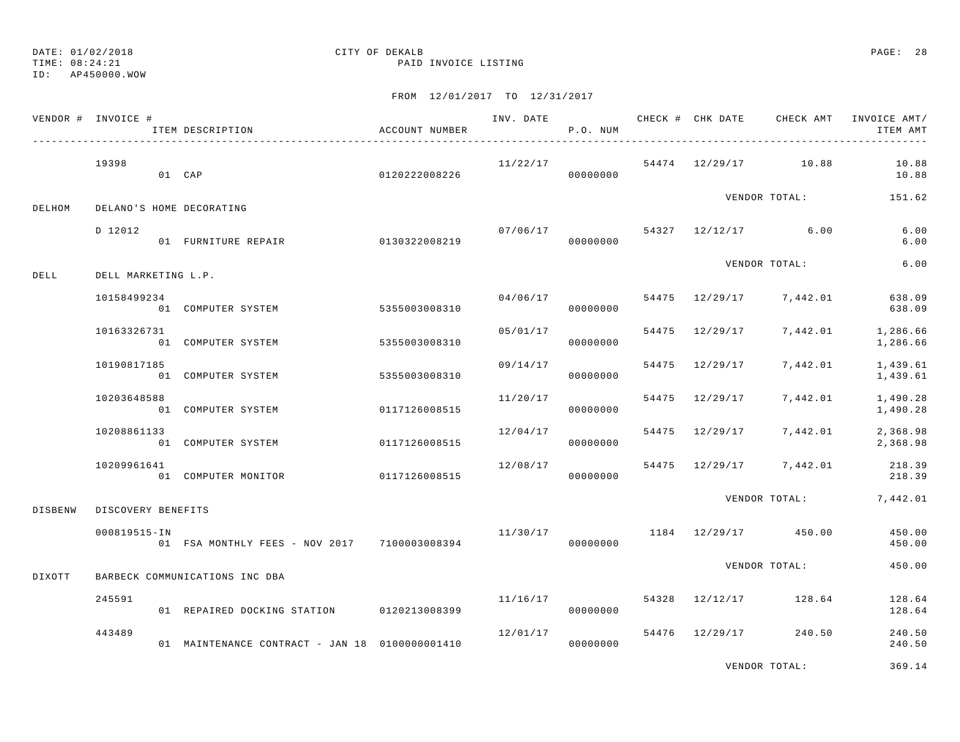TIME: 08:24:21 PAID INVOICE LISTING

#### ID: AP450000.WOW

### FROM 12/01/2017 TO 12/31/2017

| VENDOR # INVOICE # |                     | ITEM DESCRIPTION                               | ACCOUNT NUMBER |          | P.O. NUM |  | INV. DATE 6 CHECK # CHK DATE CHECK AMT | INVOICE AMT/<br>ITEM AMT                            |
|--------------------|---------------------|------------------------------------------------|----------------|----------|----------|--|----------------------------------------|-----------------------------------------------------|
|                    | 19398               | 01 CAP                                         | 0120222008226  | 11/22/17 | 00000000 |  | 54474 12/29/17 10.88                   | 10.88<br>10.88                                      |
| DELHOM             |                     | DELANO'S HOME DECORATING                       |                |          |          |  | VENDOR TOTAL:                          | 151.62                                              |
|                    | D 12012             | 01 FURNITURE REPAIR                            | 0130322008219  |          | 00000000 |  | $07/06/17$ 54327 12/12/17 6.00         | 6.00<br>6.00                                        |
| DELL               | DELL MARKETING L.P. |                                                |                |          |          |  | VENDOR TOTAL:                          | 6.00                                                |
|                    | 10158499234         | 01 COMPUTER SYSTEM 5355003008310               |                |          | 00000000 |  |                                        | $04/06/17$ 54475 12/29/17 7,442.01 638.09<br>638.09 |
|                    | 10163326731         | 01 COMPUTER SYSTEM                             | 5355003008310  | 05/01/17 | 00000000 |  | 54475 12/29/17 7,442.01                | 1,286.66<br>1,286.66                                |
|                    | 10190817185         | 01 COMPUTER SYSTEM                             | 5355003008310  | 09/14/17 | 00000000 |  | 54475 12/29/17 7,442.01                | 1,439.61<br>1,439.61                                |
|                    | 10203648588         | 01 COMPUTER SYSTEM                             | 0117126008515  | 11/20/17 | 00000000 |  | 54475 12/29/17 7,442.01                | 1,490.28<br>1,490.28                                |
|                    | 10208861133         | 01 COMPUTER SYSTEM                             | 0117126008515  | 12/04/17 | 00000000 |  |                                        | 54475 12/29/17 7,442.01 2,368.98<br>2,368.98        |
|                    | 10209961641         | 01 COMPUTER MONITOR                            | 0117126008515  | 12/08/17 | 00000000 |  | 54475 12/29/17 7,442.01                | 218.39<br>218.39                                    |
| <b>DISBENW</b>     | DISCOVERY BENEFITS  |                                                |                |          |          |  |                                        | VENDOR TOTAL: 7,442.01                              |
|                    | 000819515-IN        | 01 FSA MONTHLY FEES - NOV 2017 7100003008394   |                |          | 00000000 |  | $11/30/17$ 1184 $12/29/17$ 450.00      | 450.00<br>450.00                                    |
| DIXOTT             |                     | BARBECK COMMUNICATIONS INC DBA                 |                |          |          |  | VENDOR TOTAL:                          | 450.00                                              |
|                    | 245591              | 01 REPAIRED DOCKING STATION 0120213008399      |                |          | 00000000 |  | $11/16/17$ 54328 $12/12/17$ 128.64     | 128.64<br>128.64                                    |
|                    | 443489              | 01 MAINTENANCE CONTRACT - JAN 18 0100000001410 |                | 12/01/17 | 00000000 |  | 54476 12/29/17 240.50                  | 240.50<br>240.50                                    |

VENDOR TOTAL: 369.14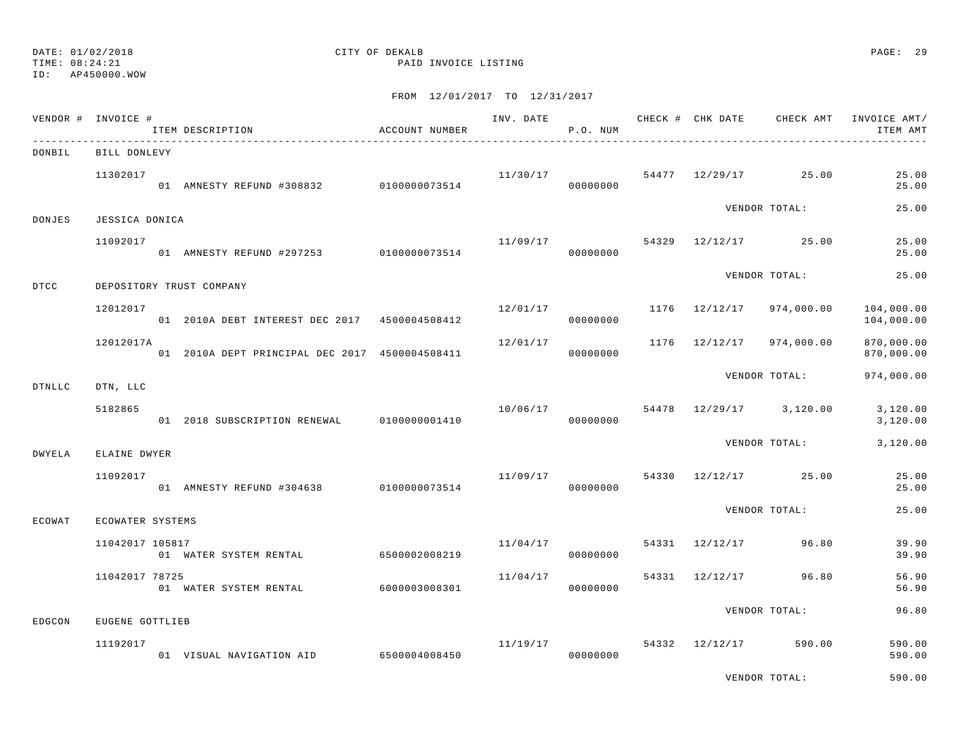TIME: 08:24:21 PAID INVOICE LISTING

|               | VENDOR # INVOICE # | ITEM DESCRIPTION                               | ACCOUNT NUMBER |                      | P.O. NUM |                |                                   | ITEM AMT                 |
|---------------|--------------------|------------------------------------------------|----------------|----------------------|----------|----------------|-----------------------------------|--------------------------|
| DONBIL        | BILL DONLEVY       |                                                |                |                      |          |                |                                   |                          |
|               | 11302017           | 01 AMNESTY REFUND #308832 0100000073514        |                | 11/30/17<br>00000000 |          |                | 54477 12/29/17 25.00              | 25.00<br>25.00           |
| DONJES        | JESSICA DONICA     |                                                |                |                      |          |                | VENDOR TOTAL:                     | 25.00                    |
|               | 11092017           | 01 AMNESTY REFUND #297253 0100000073514        |                |                      | 00000000 |                | $11/09/17$ 54329 $12/12/17$ 25.00 | 25.00<br>25.00           |
| DTCC          |                    | DEPOSITORY TRUST COMPANY                       |                |                      |          |                | VENDOR TOTAL:                     | 25.00                    |
|               | 12012017           | 01 2010A DEBT INTEREST DEC 2017 4500004508412  |                | 12/01/17             | 00000000 |                | 1176 12/12/17 974,000.00          | 104,000.00<br>104,000.00 |
|               | 12012017A          | 01 2010A DEPT PRINCIPAL DEC 2017 4500004508411 |                | 12/01/17             | 00000000 |                | 1176 12/12/17 974,000.00          | 870,000.00<br>870,000.00 |
| <b>DTNLLC</b> | DTN, LLC           |                                                |                |                      |          |                | VENDOR TOTAL:                     | 974,000.00               |
|               | 5182865            | 01 2018 SUBSCRIPTION RENEWAL 0100000001410     |                |                      | 00000000 |                | 10/06/17 54478 12/29/17 3,120.00  | 3,120.00<br>3,120.00     |
| DWYELA        | ELAINE DWYER       |                                                |                |                      |          |                | VENDOR TOTAL:                     | 3,120.00                 |
|               | 11092017           | 01 AMNESTY REFUND #304638 0100000073514        |                |                      | 00000000 |                | $11/09/17$ 54330 $12/12/17$ 25.00 | 25.00<br>25.00           |
| ECOWAT        | ECOWATER SYSTEMS   |                                                |                |                      |          |                | VENDOR TOTAL:                     | 25.00                    |
|               | 11042017 105817    | 01 WATER SYSTEM RENTAL 6500002008219           |                | 11/04/17             | 00000000 |                | 54331 12/12/17 96.80              | 39.90<br>39.90           |
|               | 11042017 78725     | 01 WATER SYSTEM RENTAL 6000003008301           |                | 11/04/17             | 00000000 | 54331 12/12/17 | 96.80                             | 56.90<br>56.90           |
| EDGCON        | EUGENE GOTTLIEB    |                                                |                |                      |          |                | VENDOR TOTAL:                     | 96.80                    |
|               | 11192017           | 01 VISUAL NAVIGATION AID 6500004008450         |                | 11/19/17             | 00000000 |                | 54332 12/12/17 590.00             | 590.00<br>590.00         |
|               |                    |                                                |                |                      |          |                | VENDOR TOTAL:                     | 590.00                   |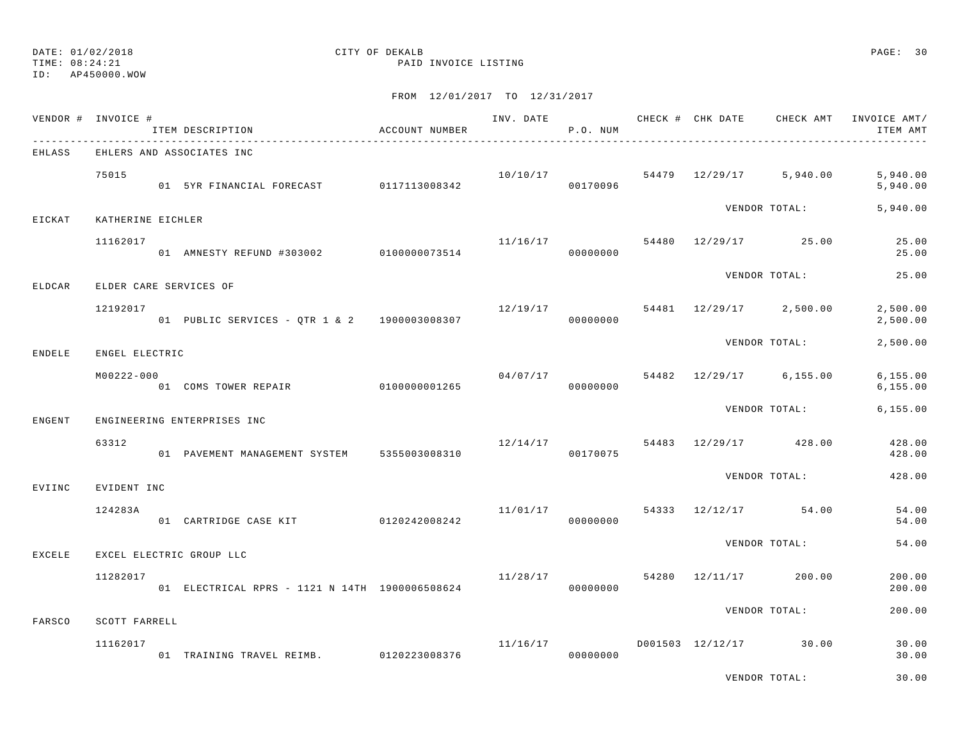## ID: AP450000.WOW

## DATE: 01/02/2018 CITY OF DEKALB PAGE: 30

TIME: 08:24:21 PAID INVOICE LISTING

|        | VENDOR # INVOICE #        | ITEM DESCRIPTION                               | ACCOUNT NUMBER |          | P.O. NUM |  |                                      | ITEM AMT               |
|--------|---------------------------|------------------------------------------------|----------------|----------|----------|--|--------------------------------------|------------------------|
| EHLASS |                           | EHLERS AND ASSOCIATES INC                      |                |          |          |  |                                      |                        |
|        | 75015                     | 01 5YR FINANCIAL FORECAST 0117113008342        |                |          | 00170096 |  | $10/10/17$ 54479 $12/29/17$ 5,940.00 | 5,940.00<br>5,940.00   |
| EICKAT | KATHERINE EICHLER         |                                                |                |          |          |  | VENDOR TOTAL:                        | 5,940.00               |
|        | 11162017                  | 01 AMNESTY REFUND #303002 0100000073514        |                | 11/16/17 | 00000000 |  | 54480 12/29/17 25.00                 | 25.00<br>25.00         |
| ELDCAR | ELDER CARE SERVICES OF    |                                                |                |          |          |  | VENDOR TOTAL:                        | 25.00                  |
|        | 12192017                  | 01 PUBLIC SERVICES - QTR 1 & 2 1900003008307   |                | 12/19/17 | 00000000 |  | 54481 12/29/17 2,500.00              | 2,500.00<br>2,500.00   |
| ENDELE | ENGEL ELECTRIC            |                                                |                |          |          |  | VENDOR TOTAL:                        | 2,500.00               |
|        | M00222-000                | 01 COMS TOWER REPAIR 6100000001265             |                |          | 00000000 |  | $04/07/17$ 54482 12/29/17 6,155.00   | 6, 155.00<br>6, 155.00 |
| ENGENT |                           | ENGINEERING ENTERPRISES INC                    |                |          |          |  | VENDOR TOTAL:                        | 6, 155.00              |
|        | 63312                     | 01 PAVEMENT MANAGEMENT SYSTEM 5355003008310    |                | 12/14/17 | 00170075 |  | 54483 12/29/17 428.00                | 428.00<br>428.00       |
| EVIINC | EVIDENT INC               |                                                |                |          |          |  | VENDOR TOTAL:                        | 428.00                 |
|        | 124283A                   | 01 CARTRIDGE CASE KIT 0120242008242            |                | 11/01/17 | 00000000 |  | 54333 12/12/17 54.00                 | 54.00<br>54.00         |
| EXCELE |                           | EXCEL ELECTRIC GROUP LLC                       |                |          |          |  | VENDOR TOTAL:                        | 54.00                  |
|        | 11282017                  | 01 ELECTRICAL RPRS - 1121 N 14TH 1900006508624 |                | 11/28/17 | 00000000 |  | 54280 12/11/17 200.00                | 200.00<br>200.00       |
|        |                           |                                                |                |          |          |  | VENDOR TOTAL:                        | 200.00                 |
| FARSCO | SCOTT FARRELL<br>11162017 | 01 TRAINING TRAVEL REIMB. 0120223008376        |                | 11/16/17 | 00000000 |  | D001503 12/12/17 30.00               | 30.00<br>30.00         |
|        |                           |                                                |                |          |          |  | VENDOR TOTAL:                        | 30.00                  |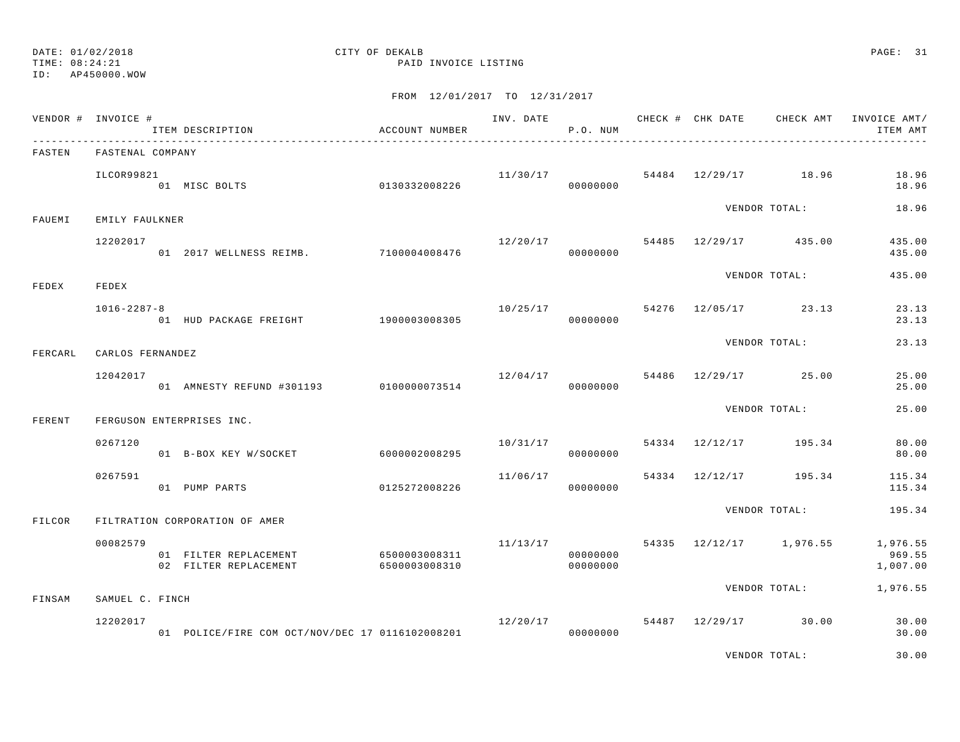TIME: 08:24:21 PAID INVOICE LISTING

ID: AP450000.WOW

### FROM 12/01/2017 TO 12/31/2017

|         | VENDOR # INVOICE # | ITEM DESCRIPTION<br>_____________________________ | ACCOUNT NUMBER                 |                         | P.O. NUM             | INV. DATE 6 CHECK # CHK DATE CHECK AMT |                         | INVOICE AMT/<br>ITEM AMT       |
|---------|--------------------|---------------------------------------------------|--------------------------------|-------------------------|----------------------|----------------------------------------|-------------------------|--------------------------------|
| FASTEN  | FASTENAL COMPANY   |                                                   |                                |                         |                      |                                        |                         |                                |
|         | ILCOR99821         | 0130332008226<br>01 MISC BOLTS                    |                                |                         | 00000000             | $11/30/17$ 54484 $12/29/17$ 18.96      |                         | 18.96<br>18.96                 |
| FAUEMI  | EMILY FAULKNER     |                                                   |                                |                         |                      |                                        | VENDOR TOTAL:           | 18.96                          |
|         | 12202017           | 01 2017 WELLNESS REIMB. 7100004008476             |                                | 12/20/17                | 00000000             | 54485 12/29/17 435.00                  |                         | 435.00<br>435.00               |
|         | FEDEX              |                                                   |                                |                         |                      |                                        | VENDOR TOTAL:           | 435.00                         |
| FEDEX   | $1016 - 2287 - 8$  | 01 HUD PACKAGE FREIGHT                            | 1900003008305                  |                         | 00000000             | $10/25/17$ 54276 12/05/17 23.13        |                         | 23.13<br>23.13                 |
| FERCARL | CARLOS FERNANDEZ   |                                                   |                                |                         |                      |                                        | VENDOR TOTAL:           | 23.13                          |
|         | 12042017           |                                                   |                                |                         |                      | $12/04/17$ 54486 $12/29/17$ 25.00      |                         | 25.00                          |
|         |                    | 01 AMNESTY REFUND #301193 0100000073514           |                                |                         | 00000000             |                                        |                         | 25.00                          |
| FERENT  |                    | FERGUSON ENTERPRISES INC.                         |                                |                         |                      |                                        | VENDOR TOTAL:           | 25.00                          |
|         | 0267120            | 01 B-BOX KEY W/SOCKET                             | 6000002008295                  | 10/31/17                | 00000000             | 54334 12/12/17 195.34                  |                         | 80.00<br>80.00                 |
|         | 0267591            | 01 PUMP PARTS                                     | 0125272008226                  | 11/06/17                | 00000000             | 54334 12/12/17 195.34                  |                         | 115.34<br>115.34               |
| FILCOR  |                    | FILTRATION CORPORATION OF AMER                    |                                |                         |                      |                                        | VENDOR TOTAL:           | 195.34                         |
|         | 00082579           | 01 FILTER REPLACEMENT<br>02 FILTER REPLACEMENT    | 6500003008311<br>6500003008310 | 11/13/17                | 00000000<br>00000000 |                                        | 54335 12/12/17 1,976.55 | 1,976.55<br>969.55<br>1,007.00 |
| FINSAM  | SAMUEL C. FINCH    |                                                   |                                |                         |                      |                                        | VENDOR TOTAL:           | 1,976.55                       |
|         | 12202017           | 01 POLICE/FIRE COM OCT/NOV/DEC 17 0116102008201   |                                | 12/20/17 54487 12/29/17 | 00000000             |                                        | 30.00                   | 30.00<br>30.00                 |
|         |                    |                                                   |                                |                         |                      |                                        |                         |                                |

VENDOR TOTAL: 30.00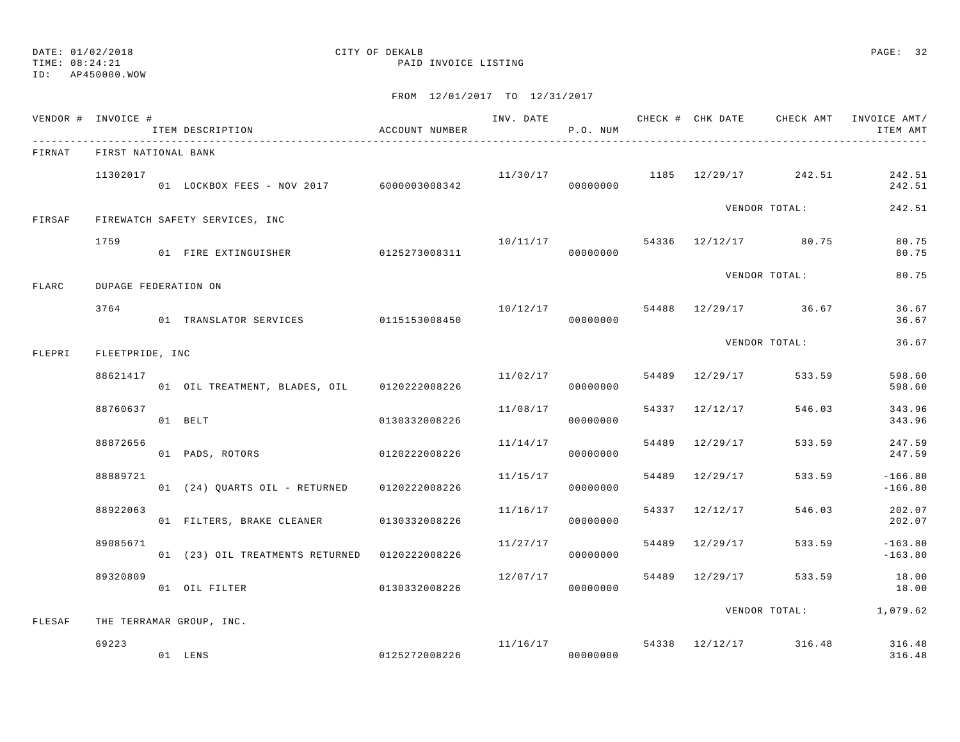## ID: AP450000.WOW

# DATE: 01/02/2018 CITY OF DEKALB PAGE: 32

TIME: 08:24:21 PAID INVOICE LISTING

|        | VENDOR # INVOICE #   | ___________________________                     |               |          | P.O. NUM  |                |                                    | INV. DATE 6 CHECK # CHK DATE CHECK AMT INVOICE AMT/<br>ITEM AMT |
|--------|----------------------|-------------------------------------------------|---------------|----------|-----------|----------------|------------------------------------|-----------------------------------------------------------------|
| FIRNAT | FIRST NATIONAL BANK  |                                                 |               |          |           |                |                                    |                                                                 |
|        | 11302017             | 01 LOCKBOX FEES - NOV 2017 6000003008342        |               |          | 000000000 |                | $11/30/17$ 1185 $12/29/17$ 242.51  | 242.51<br>242.51                                                |
| FIRSAF |                      | FIREWATCH SAFETY SERVICES, INC                  |               |          |           |                | VENDOR TOTAL:                      | 242.51                                                          |
|        | 1759                 | 01 FIRE EXTINGUISHER 0125273008311              |               |          | 00000000  |                | $10/11/17$ 54336 12/12/17 80.75    | 80.75<br>80.75                                                  |
| FLARC  | DUPAGE FEDERATION ON |                                                 |               |          |           |                | VENDOR TOTAL:                      | 80.75                                                           |
|        | 3764                 |                                                 |               |          |           |                | $10/12/17$ 54488 $12/29/17$ 36.67  | 36.67<br>36.67                                                  |
| FLEPRI | FLEETPRIDE, INC      |                                                 |               |          |           |                | VENDOR TOTAL:                      | 36.67                                                           |
|        | 88621417             | 01 OIL TREATMENT, BLADES, OIL 0120222008226     |               | 11/02/17 | 00000000  | 54489 12/29/17 | 533.59                             | 598.60<br>598.60                                                |
|        | 88760637             | 01 BELT                                         | 0130332008226 | 11/08/17 | 00000000  | 54337 12/12/17 | 546.03                             | 343.96<br>343.96                                                |
|        | 88872656             | 01 PADS, ROTORS 0120222008226                   |               | 11/14/17 | 00000000  | 54489 12/29/17 | 533.59                             | 247.59<br>247.59                                                |
|        | 88889721             | 01 (24) QUARTS OIL - RETURNED 0120222008226     |               | 11/15/17 | 00000000  | 54489 12/29/17 | 533.59                             | $-166.80$<br>$-166.80$                                          |
|        | 88922063             | 01 FILTERS, BRAKE CLEANER 0130332008226         |               | 11/16/17 | 00000000  | 54337 12/12/17 | 546.03                             | 202.07<br>202.07                                                |
|        | 89085671             | 01 (23) OIL TREATMENTS RETURNED   0120222008226 |               | 11/27/17 | 00000000  | 54489 12/29/17 | 533.59                             | $-163.80$<br>$-163.80$                                          |
|        | 89320809             | 01 OIL FILTER                                   | 0130332008226 | 12/07/17 | 00000000  | 54489 12/29/17 |                                    | 533.59 18.00<br>18.00                                           |
| FLESAF |                      | THE TERRAMAR GROUP, INC.                        |               |          |           |                |                                    | VENDOR TOTAL: 1,079.62                                          |
|        | 69223                | 0125272008226<br>01 LENS                        |               |          | 00000000  |                | $11/16/17$ 54338 $12/12/17$ 316.48 | 316.48<br>316.48                                                |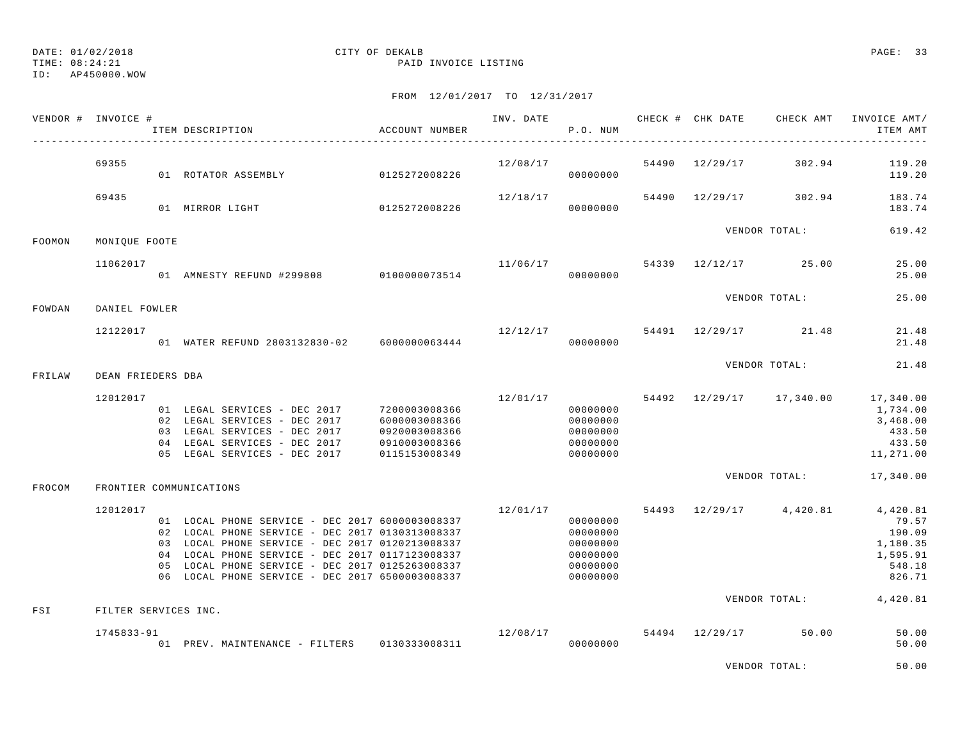ID: AP450000.WOW

### FROM 12/01/2017 TO 12/31/2017

|        | VENDOR # INVOICE #               | ITEM DESCRIPTION                                                                                                                                                                                                                                                                                               | ACCOUNT NUMBER                                                                    |          | P.O. NUM                                                             |  | INV. DATE 6 CHECK # CHK DATE CHECK AMT INVOICE AMT/        | ITEM AMT                                                    |
|--------|----------------------------------|----------------------------------------------------------------------------------------------------------------------------------------------------------------------------------------------------------------------------------------------------------------------------------------------------------------|-----------------------------------------------------------------------------------|----------|----------------------------------------------------------------------|--|------------------------------------------------------------|-------------------------------------------------------------|
|        | 69355                            | 01 ROTATOR ASSEMBLY                                                                                                                                                                                                                                                                                            | 0125272008226                                                                     | 12/08/17 | 00000000                                                             |  | 54490 12/29/17 302.94                                      | 119.20<br>119.20                                            |
|        | 69435                            | 01 MIRROR LIGHT 0125272008226                                                                                                                                                                                                                                                                                  |                                                                                   | 12/18/17 | 00000000                                                             |  | 54490 12/29/17 302.94                                      | 183.74<br>183.74                                            |
| FOOMON | MONIOUE FOOTE                    |                                                                                                                                                                                                                                                                                                                |                                                                                   |          |                                                                      |  | VENDOR TOTAL:                                              | 619.42                                                      |
|        | 11062017                         | 01 AMNESTY REFUND #299808 0100000073514                                                                                                                                                                                                                                                                        |                                                                                   |          | 00000000                                                             |  | $11/06/17$ 54339 $12/12/17$ 25.00                          | 25.00<br>25.00                                              |
| FOWDAN | DANIEL FOWLER                    |                                                                                                                                                                                                                                                                                                                |                                                                                   |          |                                                                      |  | VENDOR TOTAL:                                              | 25.00                                                       |
|        | 12122017                         | 01 WATER REFUND 2803132830-02 6000000063444                                                                                                                                                                                                                                                                    |                                                                                   | 12/12/17 | 00000000                                                             |  | 54491 12/29/17 21.48                                       | 21.48<br>21.48                                              |
| FRILAW | DEAN FRIEDERS DBA                |                                                                                                                                                                                                                                                                                                                |                                                                                   |          |                                                                      |  | VENDOR TOTAL:                                              | 21.48                                                       |
|        | 12012017                         | 01 LEGAL SERVICES - DEC 2017<br>02 LEGAL SERVICES - DEC 2017<br>03 LEGAL SERVICES - DEC 2017<br>04 LEGAL SERVICES - DEC 2017<br>05 LEGAL SERVICES - DEC 2017                                                                                                                                                   | 7200003008366<br>6000003008366<br>0920003008366<br>0910003008366<br>0115153008349 | 12/01/17 | 00000000<br>00000000<br>00000000<br>00000000<br>00000000             |  | 54492 12/29/17 17,340.00 17,340.00                         | 1,734.00<br>3,468.00<br>433.50<br>433.50<br>11,271.00       |
| FROCOM |                                  | FRONTIER COMMUNICATIONS                                                                                                                                                                                                                                                                                        |                                                                                   |          |                                                                      |  | VENDOR TOTAL:                                              | 17,340.00                                                   |
| FSI    | 12012017<br>FILTER SERVICES INC. | 01 LOCAL PHONE SERVICE - DEC 2017 6000003008337<br>02 LOCAL PHONE SERVICE - DEC 2017 0130313008337<br>03 LOCAL PHONE SERVICE - DEC 2017 0120213008337<br>04 LOCAL PHONE SERVICE - DEC 2017 0117123008337<br>05 LOCAL PHONE SERVICE - DEC 2017 0125263008337<br>06 LOCAL PHONE SERVICE - DEC 2017 6500003008337 |                                                                                   | 12/01/17 | 00000000<br>00000000<br>00000000<br>00000000<br>00000000<br>00000000 |  | 54493 12/29/17 4,420.81 4,420.81<br>VENDOR TOTAL: 4,420.81 | 79.57<br>190.09<br>1,180.35<br>1,595.91<br>548.18<br>826.71 |
|        | 1745833-91                       | 01 PREV. MAINTENANCE - FILTERS 0130333008311                                                                                                                                                                                                                                                                   |                                                                                   | 12/08/17 | 00000000                                                             |  | 54494 12/29/17 50.00                                       | 50.00<br>50.00                                              |

VENDOR TOTAL: 50.00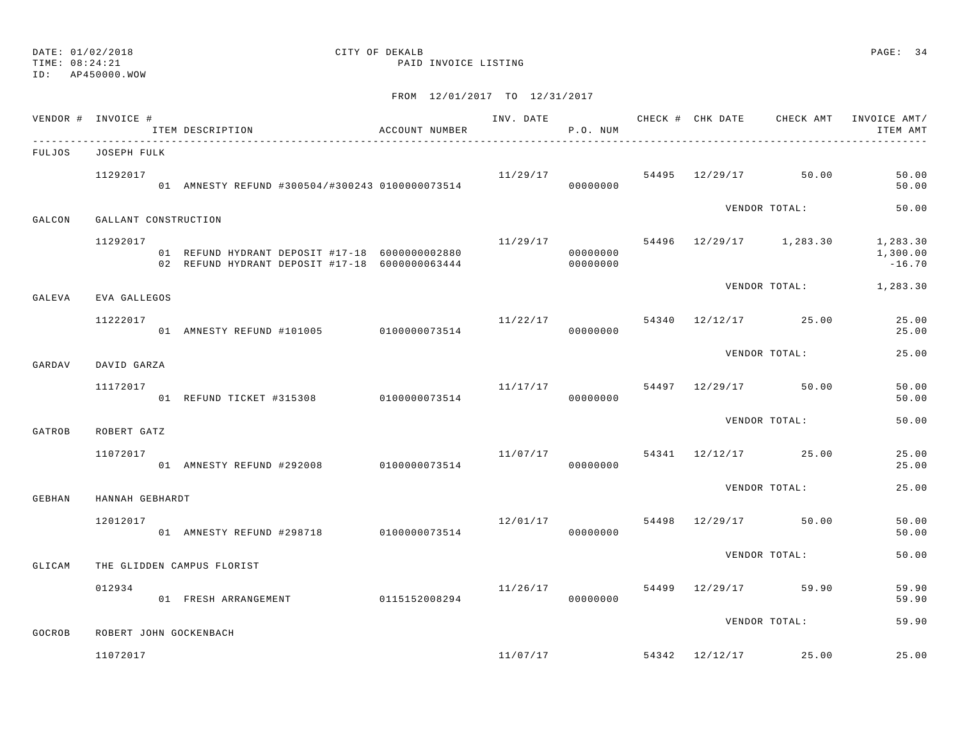# ID: AP450000.WOW

# DATE: 01/02/2018 CITY OF DEKALB PAGE: 34

TIME: 08:24:21 PAID INVOICE LISTING

|        | VENDOR # INVOICE #   | ITEM DESCRIPTION                                                                                 | ACCOUNT NUMBER |                                   | P.O. NUM             |  |                                   | INV. DATE 6 CHECK # CHK DATE CHECK AMT INVOICE AMT/<br>ITEM AMT         |
|--------|----------------------|--------------------------------------------------------------------------------------------------|----------------|-----------------------------------|----------------------|--|-----------------------------------|-------------------------------------------------------------------------|
| FULJOS | JOSEPH FULK          |                                                                                                  |                |                                   |                      |  |                                   |                                                                         |
|        | 11292017             | 01 AMNESTY REFUND #300504/#300243 0100000073514                                                  |                | 11/29/17                          | 00000000             |  | 54495 12/29/17 50.00              | 50.00<br>50.00                                                          |
| GALCON | GALLANT CONSTRUCTION |                                                                                                  |                |                                   |                      |  | VENDOR TOTAL:                     | 50.00                                                                   |
|        | 11292017             | 01 REFUND HYDRANT DEPOSIT #17-18 6000000002880<br>02 REFUND HYDRANT DEPOSIT #17-18 6000000063444 |                |                                   | 00000000<br>00000000 |  |                                   | $11/29/17$ 54496 $12/29/17$ 1, 283.30 1, 283.30<br>1,300.00<br>$-16.70$ |
| GALEVA | EVA GALLEGOS         |                                                                                                  |                |                                   |                      |  |                                   | VENDOR TOTAL: 1,283.30                                                  |
|        | 11222017             | 01 AMNESTY REFUND #101005 0100000073514                                                          |                |                                   | 00000000             |  | $11/22/17$ 54340 $12/12/17$ 25.00 | 25.00<br>25.00                                                          |
| GARDAV | DAVID GARZA          |                                                                                                  |                |                                   |                      |  | VENDOR TOTAL:                     | 25.00                                                                   |
|        | 11172017             | 01 REFUND TICKET #315308 0100000073514                                                           |                | $11/17/17$ 50.00                  | 00000000             |  |                                   | 50.00<br>50.00                                                          |
| GATROB | ROBERT GATZ          |                                                                                                  |                |                                   |                      |  | VENDOR TOTAL:                     | 50.00                                                                   |
|        | 11072017             | 01 AMNESTY REFUND #292008 0100000073514                                                          |                | $11/07/17$ 54341 $12/12/17$ 25.00 | 00000000             |  |                                   | 25.00<br>25.00                                                          |
| GEBHAN | HANNAH GEBHARDT      |                                                                                                  |                |                                   |                      |  | VENDOR TOTAL:                     | 25.00                                                                   |
|        | 12012017             | 01 AMNESTY REFUND #298718 0100000073514                                                          |                | 12/01/17                          | 00000000             |  | 54498 12/29/17 50.00              | 50.00<br>50.00                                                          |
| GLICAM |                      | THE GLIDDEN CAMPUS FLORIST                                                                       |                |                                   |                      |  | VENDOR TOTAL:                     | 50.00                                                                   |
|        | 012934               | 01 FRESH ARRANGEMENT 0115152008294                                                               |                | 11/26/17 54499 12/29/17 59.90     | 00000000             |  |                                   | 59.90<br>59.90                                                          |
| GOCROB |                      | ROBERT JOHN GOCKENBACH                                                                           |                |                                   |                      |  | VENDOR TOTAL:                     | 59.90                                                                   |
|        | 11072017             |                                                                                                  |                |                                   |                      |  | $11/07/17$ 54342 $12/12/17$ 25.00 | 25.00                                                                   |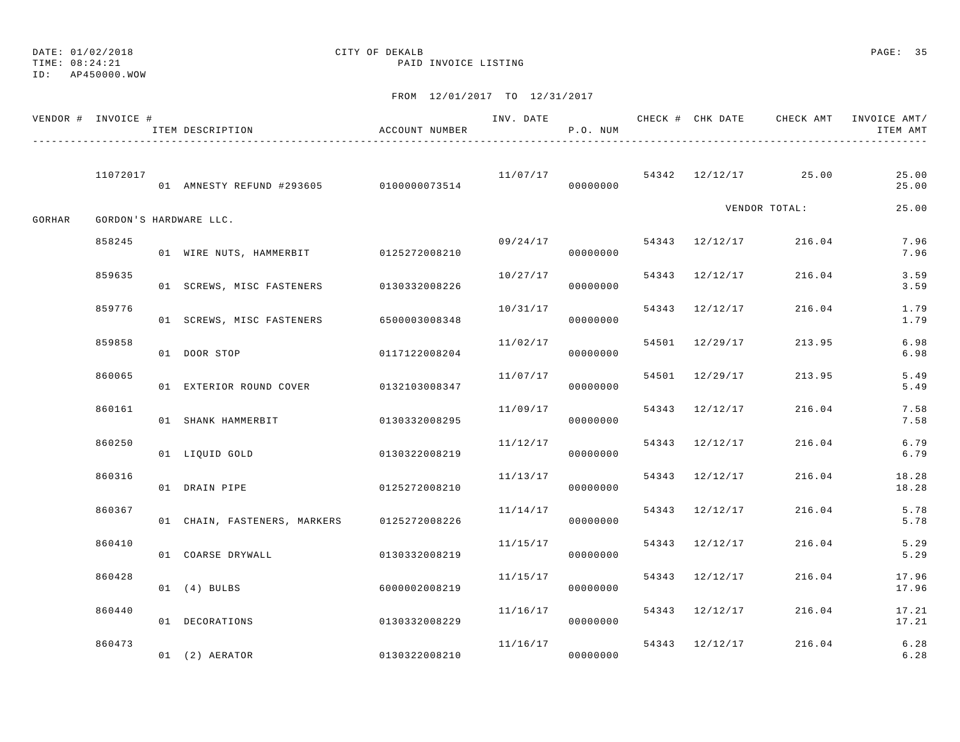|        | VENDOR # INVOICE # | ITEM DESCRIPTION                        | ACCOUNT NUMBER | INV. DATE | P.O. NUM             |                |                                 | CHECK # CHK DATE CHECK AMT INVOICE AMT/<br>ITEM AMT |
|--------|--------------------|-----------------------------------------|----------------|-----------|----------------------|----------------|---------------------------------|-----------------------------------------------------|
|        | 11072017           | 01 AMNESTY REFUND #293605 0100000073514 |                |           | 00000000             |                | $11/07/17$ 54342 12/12/17 25.00 | 25.00<br>25.00                                      |
| GORHAR |                    | GORDON'S HARDWARE LLC.                  |                |           |                      |                | VENDOR TOTAL:                   | 25.00                                               |
|        | 858245             | 01 WIRE NUTS, HAMMERBIT 0125272008210   |                |           | 09/24/17<br>00000000 | 54343 12/12/17 | 216.04                          | 7.96<br>7.96                                        |
|        | 859635             | 01 SCREWS, MISC FASTENERS 0130332008226 |                | 10/27/17  | 00000000             | 54343 12/12/17 | 216.04                          | 3.59<br>3.59                                        |
|        | 859776             | 01 SCREWS, MISC FASTENERS               | 6500003008348  | 10/31/17  | 00000000             | 54343 12/12/17 | 216.04                          | 1.79<br>1.79                                        |
|        | 859858             | 01 DOOR STOP                            | 0117122008204  |           | 11/02/17<br>00000000 | 54501 12/29/17 | 213.95                          | 6.98<br>6.98                                        |
|        | 860065             | 01 EXTERIOR ROUND COVER 0132103008347   |                | 11/07/17  | 00000000             | 54501 12/29/17 | 213.95                          | 5.49<br>5.49                                        |
|        | 860161             | 01 SHANK HAMMERBIT                      | 0130332008295  | 11/09/17  | 00000000             | 54343 12/12/17 | 216.04                          | 7.58<br>7.58                                        |
|        | 860250             | 01 LIOUID GOLD                          | 0130322008219  | 11/12/17  | 00000000             | 54343 12/12/17 | 216.04                          | 6.79<br>6.79                                        |
|        | 860316             | 01 DRAIN PIPE                           | 0125272008210  | 11/13/17  | 00000000             | 54343 12/12/17 | 216.04                          | 18.28<br>18.28                                      |
|        | 860367             | 01 CHAIN, FASTENERS, MARKERS            | 0125272008226  | 11/14/17  | 00000000             | 54343 12/12/17 | 216.04                          | 5.78<br>5.78                                        |
|        | 860410             | 01 COARSE DRYWALL                       | 0130332008219  | 11/15/17  | 00000000             | 54343 12/12/17 | 216.04                          | 5.29<br>5.29                                        |
|        | 860428             | $01$ $(4)$ BULBS                        | 6000002008219  | 11/15/17  | 00000000             | 54343 12/12/17 | 216.04                          | 17.96<br>17.96                                      |
|        | 860440             | 01 DECORATIONS                          | 0130332008229  | 11/16/17  | 00000000             | 54343 12/12/17 | 216.04                          | 17.21<br>17.21                                      |
|        | 860473             | 01 (2) AERATOR                          | 0130322008210  | 11/16/17  | 00000000             | 54343 12/12/17 | 216.04                          | $6.28$<br>$6.28$                                    |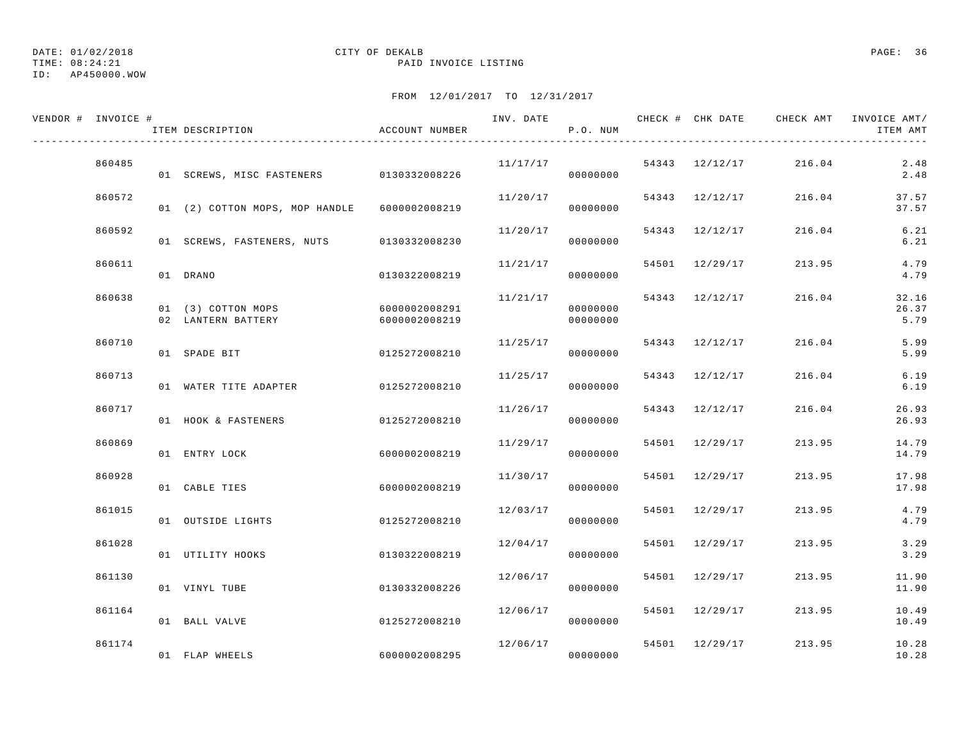DATE: 01/02/2018 CITY OF DEKALB PAGE: 36

ID: AP450000.WOW

| VENDOR # INVOICE # |        | ITEM DESCRIPTION                         | ACCOUNT NUMBER                 |          | P.O. NUM             |                |        | ITEM AMT               |
|--------------------|--------|------------------------------------------|--------------------------------|----------|----------------------|----------------|--------|------------------------|
|                    | 860485 | 01 SCREWS, MISC FASTENERS 0130332008226  |                                | 11/17/17 | 00000000             | 54343 12/12/17 | 216.04 | 2.48<br>2.48           |
|                    | 860572 | 01 (2) COTTON MOPS, MOP HANDLE           | 6000002008219                  | 11/20/17 | 00000000             | 54343 12/12/17 | 216.04 | 37.57<br>37.57         |
|                    | 860592 | 01 SCREWS, FASTENERS, NUTS               | 0130332008230                  | 11/20/17 | 00000000             | 54343 12/12/17 | 216.04 | 6.21<br>6.21           |
|                    | 860611 | 01 DRANO                                 | 0130322008219                  | 11/21/17 | 00000000             | 54501 12/29/17 | 213.95 | 4.79<br>4.79           |
|                    | 860638 | 01 (3) COTTON MOPS<br>02 LANTERN BATTERY | 6000002008291<br>6000002008219 | 11/21/17 | 00000000<br>00000000 | 54343 12/12/17 | 216.04 | 32.16<br>26.37<br>5.79 |
|                    | 860710 | 01 SPADE BIT                             | 0125272008210                  | 11/25/17 | 00000000             | 54343 12/12/17 | 216.04 | 5.99<br>5.99           |
|                    | 860713 | 01 WATER TITE ADAPTER                    | 0125272008210                  | 11/25/17 | 00000000             | 54343 12/12/17 | 216.04 | 6.19<br>6.19           |
|                    | 860717 | 01 HOOK & FASTENERS                      | 0125272008210                  | 11/26/17 | 00000000             | 54343 12/12/17 | 216.04 | 26.93<br>26.93         |
|                    | 860869 | 01 ENTRY LOCK                            | 6000002008219                  | 11/29/17 | 00000000             | 54501 12/29/17 | 213.95 | 14.79<br>14.79         |
|                    | 860928 | 01 CABLE TIES                            | 6000002008219                  | 11/30/17 | 00000000             | 54501 12/29/17 | 213.95 | 17.98<br>17.98         |
|                    | 861015 | 01 OUTSIDE LIGHTS                        | 0125272008210                  | 12/03/17 | 00000000             | 54501 12/29/17 | 213.95 | 4.79<br>4.79           |
|                    | 861028 | 01 UTILITY HOOKS                         | 0130322008219                  | 12/04/17 | 00000000             | 54501 12/29/17 | 213.95 | 3.29<br>3.29           |
|                    | 861130 | 01 VINYL TUBE                            | 0130332008226                  | 12/06/17 | 00000000             | 54501 12/29/17 | 213.95 | 11.90<br>11.90         |
|                    | 861164 | 01 BALL VALVE                            | 0125272008210                  | 12/06/17 | 00000000             | 54501 12/29/17 | 213.95 | 10.49<br>10.49         |
|                    | 861174 | 01 FLAP WHEELS                           | 6000002008295                  | 12/06/17 | 00000000             | 54501 12/29/17 | 213.95 | 10.28<br>10.28         |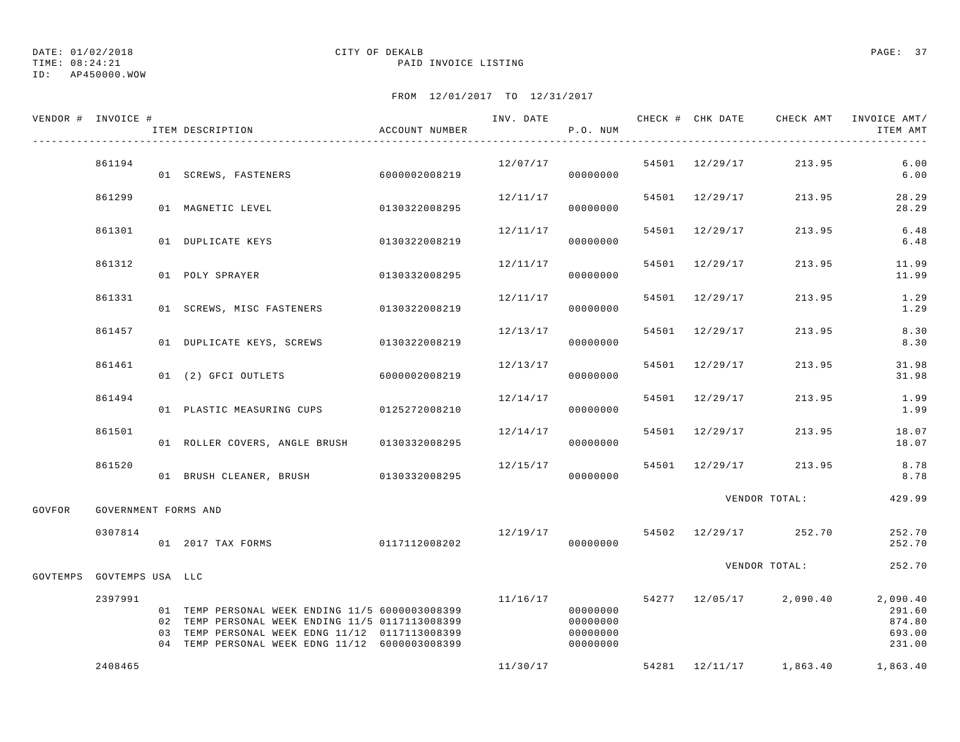TIME: 08:24:21 PAID INVOICE LISTING

DATE: 01/02/2018 CITY OF DEKALB PAGE: 37

ID: AP450000.WOW

| VENDOR # INVOICE #        |                      | ITEM DESCRIPTION                                                                                                                                                                                       | ACCOUNT NUMBER |          | P.O. NUM                                     |                | INV. DATE 6 CHECK # CHK DATE CHECK AMT INVOICE AMT/ | ITEM AMT                             |
|---------------------------|----------------------|--------------------------------------------------------------------------------------------------------------------------------------------------------------------------------------------------------|----------------|----------|----------------------------------------------|----------------|-----------------------------------------------------|--------------------------------------|
|                           | 861194               | 01 SCREWS, FASTENERS 6000002008219                                                                                                                                                                     |                | 12/07/17 | 00000000                                     |                | 54501 12/29/17 213.95                               | 6.00<br>6.00                         |
|                           | 861299               | 01 MAGNETIC LEVEL                                                                                                                                                                                      | 0130322008295  | 12/11/17 | 00000000                                     | 54501 12/29/17 | 213.95                                              | 28.29<br>28.29                       |
|                           | 861301               | 01 DUPLICATE KEYS                                                                                                                                                                                      | 0130322008219  | 12/11/17 | 00000000                                     | 54501 12/29/17 | 213.95                                              | 6.48<br>6.48                         |
|                           | 861312               | 01 POLY SPRAYER                                                                                                                                                                                        | 0130332008295  | 12/11/17 | 00000000                                     | 54501 12/29/17 | 213.95                                              | 11.99<br>11.99                       |
|                           | 861331               | 01 SCREWS, MISC FASTENERS                                                                                                                                                                              | 0130322008219  | 12/11/17 | 00000000                                     | 54501 12/29/17 | 213.95                                              | 1.29<br>1.29                         |
|                           | 861457               | 01 DUPLICATE KEYS, SCREWS                                                                                                                                                                              | 0130322008219  | 12/13/17 | 00000000                                     | 54501 12/29/17 | 213.95                                              | 8.30<br>8.30                         |
|                           | 861461               | 01 (2) GFCI OUTLETS 6000002008219                                                                                                                                                                      |                | 12/13/17 | 00000000                                     | 54501 12/29/17 | 213.95                                              | 31.98<br>31.98                       |
|                           | 861494               | 01 PLASTIC MEASURING CUPS 0125272008210                                                                                                                                                                |                | 12/14/17 | 00000000                                     | 54501 12/29/17 | 213.95                                              | 1.99<br>1.99                         |
|                           | 861501               | 01 ROLLER COVERS, ANGLE BRUSH 0130332008295                                                                                                                                                            |                | 12/14/17 | 00000000                                     | 54501 12/29/17 | 213.95                                              | 18.07<br>18.07                       |
|                           | 861520               | 01 BRUSH CLEANER, BRUSH 0130332008295                                                                                                                                                                  |                | 12/15/17 | 00000000                                     | 54501 12/29/17 | 213.95                                              | 8.78<br>8.78                         |
| GOVFOR                    | GOVERNMENT FORMS AND |                                                                                                                                                                                                        |                |          |                                              |                | VENDOR TOTAL:                                       | 429.99                               |
|                           | 0307814              | 01 2017 TAX FORMS                                                                                                                                                                                      | 0117112008202  | 12/19/17 | 00000000                                     |                | 54502 12/29/17 252.70                               | 252.70<br>252.70                     |
| GOVTEMPS GOVTEMPS USA LLC |                      |                                                                                                                                                                                                        |                |          |                                              |                | VENDOR TOTAL:                                       | 252.70                               |
|                           | 2397991              | 01 TEMP PERSONAL WEEK ENDING 11/5 6000003008399<br>02 TEMP PERSONAL WEEK ENDING 11/5 0117113008399<br>03 TEMP PERSONAL WEEK EDNG 11/12 0117113008399<br>04 TEMP PERSONAL WEEK EDNG 11/12 6000003008399 |                | 11/16/17 | 00000000<br>00000000<br>00000000<br>00000000 |                | 54277 12/05/17 2,090.40 2,090.40                    | 291.60<br>874.80<br>693.00<br>231.00 |
|                           | 2408465              |                                                                                                                                                                                                        |                |          | 11/30/17                                     |                | 54281 12/11/17 1,863.40                             | 1,863.40                             |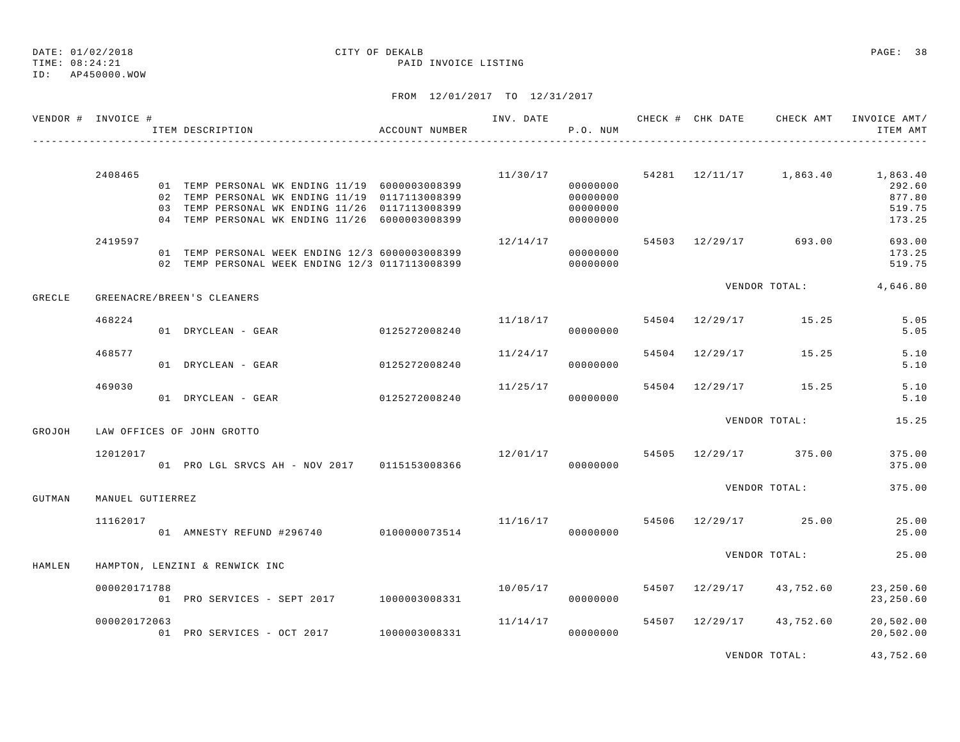TIME: 08:24:21 PAID INVOICE LISTING

### ID: AP450000.WOW

| VENDOR # INVOICE # |                  | ACCOUNT NUMBER<br>ITEM DESCRIPTION                                                                 |               |                                 | P.O. NUM             |  |                                   | INV. DATE 6 CHECK # CHK DATE 6 CHECK AMT INVOICE AMT/<br>ITEM AMT |
|--------------------|------------------|----------------------------------------------------------------------------------------------------|---------------|---------------------------------|----------------------|--|-----------------------------------|-------------------------------------------------------------------|
|                    |                  |                                                                                                    |               |                                 |                      |  |                                   | $11/30/17$ 54281 $12/11/17$ 1,863.40 1,863.40                     |
|                    | 2408465          | 01 TEMP PERSONAL WK ENDING 11/19 6000003008399                                                     |               |                                 | 00000000             |  |                                   | 292.60                                                            |
|                    |                  | 02 TEMP PERSONAL WK ENDING 11/19 0117113008399                                                     |               |                                 | 00000000             |  |                                   | 877.80                                                            |
|                    |                  | 03 TEMP PERSONAL WK ENDING 11/26 0117113008399                                                     |               |                                 | 00000000             |  |                                   | 519.75                                                            |
|                    |                  | 04 TEMP PERSONAL WK ENDING 11/26 6000003008399                                                     |               |                                 | 00000000             |  |                                   | 173.25                                                            |
|                    | 2419597          |                                                                                                    |               | 12/14/17                        |                      |  | 54503 12/29/17 693.00             | 693.00                                                            |
|                    |                  | 01 TEMP PERSONAL WEEK ENDING 12/3 6000003008399<br>02 TEMP PERSONAL WEEK ENDING 12/3 0117113008399 |               |                                 | 00000000<br>00000000 |  |                                   | 173.25<br>519.75                                                  |
|                    |                  |                                                                                                    |               |                                 |                      |  | VENDOR TOTAL:                     | 4,646.80                                                          |
| <b>GRECLE</b>      |                  | GREENACRE/BREEN'S CLEANERS                                                                         |               |                                 |                      |  |                                   |                                                                   |
|                    | 468224           |                                                                                                    |               | $11/18/17$ 54504 12/29/17 15.25 |                      |  |                                   | 5.05                                                              |
|                    |                  | 01 DRYCLEAN - GEAR                                                                                 | 0125272008240 |                                 | 00000000             |  |                                   | 5.05                                                              |
|                    | 468577           |                                                                                                    |               | 11/24/17                        |                      |  | 54504 12/29/17 15.25              | 5.10                                                              |
|                    |                  | 01 DRYCLEAN - GEAR                                                                                 | 0125272008240 |                                 | 00000000             |  |                                   | 5.10                                                              |
|                    | 469030           |                                                                                                    |               | 11/25/17                        |                      |  | 54504 12/29/17 15.25              | 5.10                                                              |
|                    |                  | 01 DRYCLEAN - GEAR 0125272008240                                                                   |               |                                 | 00000000             |  |                                   | 5.10                                                              |
|                    |                  | LAW OFFICES OF JOHN GROTTO                                                                         |               |                                 |                      |  | VENDOR TOTAL:                     | 15.25                                                             |
| GROJOH             |                  |                                                                                                    |               |                                 |                      |  |                                   |                                                                   |
|                    | 12012017         |                                                                                                    |               |                                 |                      |  | 12/01/17 54505 12/29/17 375.00    | 375.00                                                            |
|                    |                  | 01 PRO LGL SRVCS AH - NOV 2017 0115153008366                                                       |               |                                 | 00000000             |  |                                   | 375.00                                                            |
|                    |                  |                                                                                                    |               |                                 |                      |  | VENDOR TOTAL:                     | 375.00                                                            |
| GUTMAN             | MANUEL GUTIERREZ |                                                                                                    |               |                                 |                      |  |                                   |                                                                   |
|                    | 11162017         | 01 AMNESTY REFUND #296740 0100000073514                                                            |               |                                 | 00000000             |  | $11/16/17$ 54506 $12/29/17$ 25.00 | 25.00<br>25.00                                                    |
|                    |                  |                                                                                                    |               |                                 |                      |  |                                   |                                                                   |
| HAMLEN             |                  | HAMPTON, LENZINI & RENWICK INC                                                                     |               |                                 |                      |  | VENDOR TOTAL:                     | 25.00                                                             |
|                    |                  |                                                                                                    |               |                                 |                      |  |                                   |                                                                   |
|                    | 000020171788     | 01 PRO SERVICES - SEPT 2017 1000003008331                                                          |               | 10/05/17                        | 00000000             |  | 54507 12/29/17 43,752.60          | 23,250.60<br>23, 250.60                                           |
|                    | 000020172063     |                                                                                                    |               | 11/14/17                        |                      |  | 54507 12/29/17 43,752.60          | 20,502.00                                                         |
|                    |                  | 01 PRO SERVICES - OCT 2017 1000003008331                                                           |               |                                 | 00000000             |  |                                   | 20,502.00                                                         |
|                    |                  |                                                                                                    |               |                                 |                      |  | VENDOR TOTAL:                     | 43,752.60                                                         |
|                    |                  |                                                                                                    |               |                                 |                      |  |                                   |                                                                   |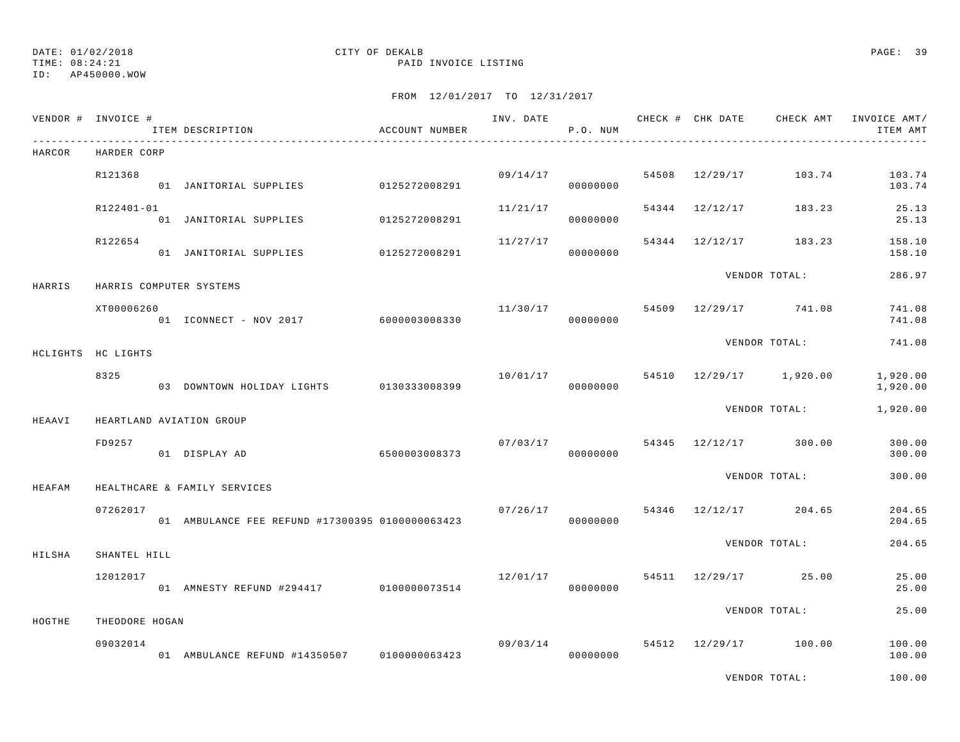TIME: 08:24:21 PAID INVOICE LISTING

ID: AP450000.WOW

|        | VENDOR # INVOICE #         | ITEM DESCRIPTION                                | ACCOUNT NUMBER |          | P.O. NUM             |  |                                      | ITEM AMT             |
|--------|----------------------------|-------------------------------------------------|----------------|----------|----------------------|--|--------------------------------------|----------------------|
| HARCOR | HARDER CORP                |                                                 |                |          |                      |  |                                      |                      |
|        | R121368                    | 01 JANITORIAL SUPPLIES 0125272008291            |                |          | 09/14/17<br>00000000 |  | 54508 12/29/17 103.74                | 103.74<br>103.74     |
|        | R122401-01                 | 01 JANITORIAL SUPPLIES 0125272008291            |                | 11/21/17 | 00000000             |  | 54344 12/12/17 183.23                | 25.13<br>25.13       |
|        | R122654                    | 01 JANITORIAL SUPPLIES 0125272008291            |                | 11/27/17 | 00000000             |  | 54344 12/12/17 183.23                | 158.10<br>158.10     |
| HARRIS |                            | HARRIS COMPUTER SYSTEMS                         |                |          |                      |  | VENDOR TOTAL:                        | 286.97               |
|        | XT00006260                 | 01 ICONNECT - NOV 2017 6000003008330            |                | 11/30/17 | 00000000             |  | 54509 12/29/17 741.08                | 741.08<br>741.08     |
|        | HCLIGHTS HC LIGHTS         |                                                 |                |          |                      |  | VENDOR TOTAL:                        | 741.08               |
|        | 8325                       | 03 DOWNTOWN HOLIDAY LIGHTS 0130333008399        |                |          | 00000000             |  | $10/01/17$ 54510 $12/29/17$ 1,920.00 | 1,920.00<br>1,920.00 |
| HEAAVI |                            | HEARTLAND AVIATION GROUP                        |                |          |                      |  | VENDOR TOTAL:                        | 1,920.00             |
|        | FD9257                     | 01 DISPLAY AD                                   | 6500003008373  |          | 07/03/17<br>00000000 |  | 54345 12/12/17 300.00                | 300.00<br>300.00     |
| HEAFAM |                            | HEALTHCARE & FAMILY SERVICES                    |                |          |                      |  | VENDOR TOTAL:                        | 300.00               |
|        | 07262017                   | 01 AMBULANCE FEE REFUND #17300395 0100000063423 |                |          | 00000000             |  | $07/26/17$ 54346 12/12/17 204.65     | 204.65<br>204.65     |
| HILSHA | SHANTEL HILL               |                                                 |                |          |                      |  | VENDOR TOTAL:                        | 204.65               |
|        | 12012017                   | 01 AMNESTY REFUND #294417 0100000073514         |                | 12/01/17 | 00000000             |  | 54511 12/29/17 25.00                 | 25.00<br>25.00       |
|        |                            |                                                 |                |          |                      |  | VENDOR TOTAL:                        | 25.00                |
| HOGTHE | THEODORE HOGAN<br>09032014 | 01 AMBULANCE REFUND #14350507 0100000063423     |                |          | 00000000             |  | $09/03/14$ 54512 12/29/17 100.00     | 100.00<br>100.00     |
|        |                            |                                                 |                |          |                      |  | VENDOR TOTAL:                        | 100.00               |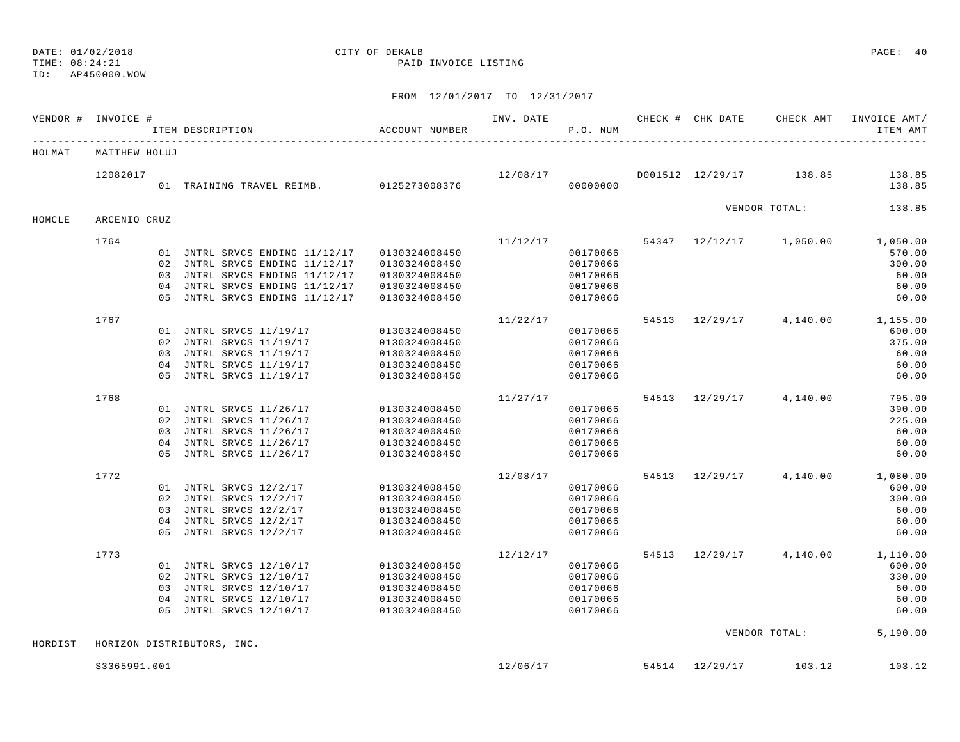## DATE: 01/02/2018 CITY OF DEKALB PAGE: 40

TIME: 08:24:21 PAID INVOICE LISTING

| VENDOR # INVOICE # |               | ITEM DESCRIPTION                             | ACCOUNT NUMBER | INV. DATE | P.O. NUM | CHECK # CHK DATE | CHECK AMT               | INVOICE AMT/<br>ITEM AMT         |
|--------------------|---------------|----------------------------------------------|----------------|-----------|----------|------------------|-------------------------|----------------------------------|
| HOLMAT             | MATTHEW HOLUJ |                                              |                |           |          |                  |                         |                                  |
|                    | 12082017      | 01 TRAINING TRAVEL REIMB. 0125273008376      |                | 12/08/17  |          |                  | D001512 12/29/17 138.85 | 138.85                           |
|                    |               |                                              |                |           | 00000000 |                  |                         | 138.85                           |
| HOMCLE             | ARCENIO CRUZ  |                                              |                |           |          |                  | VENDOR TOTAL:           | 138.85                           |
|                    | 1764          |                                              |                | 11/12/17  |          |                  |                         | 54347 12/12/17 1,050.00 1,050.00 |
|                    |               | 01 JNTRL SRVCS ENDING 11/12/17 0130324008450 |                |           | 00170066 |                  |                         | 570.00                           |
|                    |               | 02 JNTRL SRVCS ENDING 11/12/17               | 0130324008450  |           | 00170066 |                  |                         | 300.00                           |
|                    |               | 03 JNTRL SRVCS ENDING 11/12/17               | 0130324008450  |           | 00170066 |                  |                         | 60.00                            |
|                    |               | 04 JNTRL SRVCS ENDING 11/12/17               | 0130324008450  |           | 00170066 |                  |                         | 60.00                            |
|                    |               | 05 JNTRL SRVCS ENDING 11/12/17               | 0130324008450  |           | 00170066 |                  |                         | 60.00                            |
|                    | 1767          |                                              |                | 11/22/17  |          |                  |                         | 54513 12/29/17 4,140.00 1,155.00 |
|                    |               | 01 JNTRL SRVCS 11/19/17                      | 0130324008450  |           | 00170066 |                  |                         | 600.00                           |
|                    |               | 02 JNTRL SRVCS 11/19/17                      | 0130324008450  |           | 00170066 |                  |                         | 375.00                           |
|                    |               | 03 JNTRL SRVCS 11/19/17                      | 0130324008450  |           | 00170066 |                  |                         | 60.00                            |
|                    |               | 04 JNTRL SRVCS 11/19/17                      | 0130324008450  |           | 00170066 |                  |                         | 60.00                            |
|                    |               | 05 JNTRL SRVCS 11/19/17                      | 0130324008450  |           | 00170066 |                  |                         | 60.00                            |
|                    | 1768          |                                              |                | 11/27/17  |          |                  | 54513 12/29/17 4,140.00 | 795.00                           |
|                    |               | 01 JNTRL SRVCS 11/26/17                      | 0130324008450  |           | 00170066 |                  |                         | 390.00                           |
|                    |               | 02 JNTRL SRVCS 11/26/17                      | 0130324008450  |           | 00170066 |                  |                         | 225.00                           |
|                    |               | 03 JNTRL SRVCS 11/26/17                      | 0130324008450  |           | 00170066 |                  |                         | 60.00                            |
|                    |               | 04 JNTRL SRVCS 11/26/17                      | 0130324008450  |           | 00170066 |                  |                         | 60.00                            |
|                    |               | 05 JNTRL SRVCS 11/26/17                      | 0130324008450  |           | 00170066 |                  |                         | 60.00                            |
|                    | 1772          |                                              |                | 12/08/17  |          |                  |                         | 54513 12/29/17 4,140.00 1,080.00 |
|                    |               | 01 JNTRL SRVCS 12/2/17                       | 0130324008450  |           | 00170066 |                  |                         | 600.00                           |
|                    |               | 02 JNTRL SRVCS 12/2/17                       | 0130324008450  |           | 00170066 |                  |                         | 300.00                           |
|                    |               | 03 JNTRL SRVCS 12/2/17                       | 0130324008450  |           | 00170066 |                  |                         | 60.00                            |
|                    |               | 04 JNTRL SRVCS 12/2/17                       | 0130324008450  |           | 00170066 |                  |                         | 60.00                            |
|                    |               | 05 JNTRL SRVCS 12/2/17                       | 0130324008450  |           | 00170066 |                  |                         | 60.00                            |
|                    | 1773          |                                              |                | 12/12/17  |          |                  |                         | 54513 12/29/17 4,140.00 1,110.00 |
|                    |               | 01 JNTRL SRVCS 12/10/17                      | 0130324008450  |           | 00170066 |                  |                         | 600.00                           |
|                    |               | 02 JNTRL SRVCS 12/10/17                      | 0130324008450  |           | 00170066 |                  |                         | 330.00                           |
|                    |               | 03 JNTRL SRVCS 12/10/17                      | 0130324008450  |           | 00170066 |                  |                         | 60.00                            |
|                    |               | 04 JNTRL SRVCS 12/10/17                      | 0130324008450  |           | 00170066 |                  |                         | 60.00                            |
|                    |               | 05 JNTRL SRVCS 12/10/17                      | 0130324008450  |           | 00170066 |                  |                         | 60.00                            |
| HORDIST            |               |                                              |                |           |          |                  |                         | VENDOR TOTAL: 5,190.00           |
|                    |               | HORIZON DISTRIBUTORS, INC.                   |                |           |          |                  |                         |                                  |
|                    | S3365991.001  |                                              |                | 12/06/17  |          |                  | 54514 12/29/17 103.12   | 103.12                           |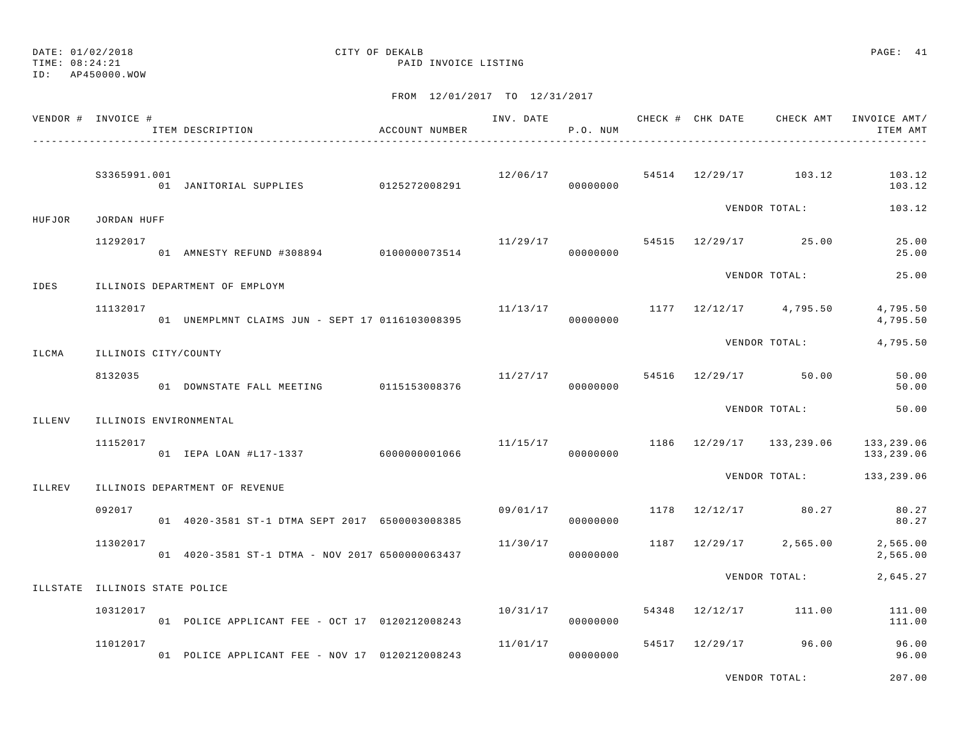TIME: 08:24:21 PAID INVOICE LISTING

| VENDOR # INVOICE #             |                      | ITEM DESCRIPTION                                | ACCOUNT NUMBER | INV. DATE | P.O. NUM             |       | CHECK # CHK DATE | CHECK AMT                | INVOICE AMT/<br>ITEM AMT |
|--------------------------------|----------------------|-------------------------------------------------|----------------|-----------|----------------------|-------|------------------|--------------------------|--------------------------|
|                                | S3365991.001         |                                                 |                |           | 12/06/17<br>00000000 |       |                  | 54514 12/29/17 103.12    | 103.12<br>103.12         |
| HUFJOR                         | JORDAN HUFF          |                                                 |                |           |                      |       |                  | VENDOR TOTAL:            | 103.12                   |
|                                | 11292017             | 01 AMNESTY REFUND #308894 0100000073514         |                | 11/29/17  | 00000000             |       |                  | 54515 12/29/17 25.00     | 25.00<br>25.00           |
| IDES                           |                      | ILLINOIS DEPARTMENT OF EMPLOYM                  |                |           |                      |       |                  | VENDOR TOTAL:            | 25.00                    |
|                                | 11132017             | 01 UNEMPLMNT CLAIMS JUN - SEPT 17 0116103008395 |                | 11/13/17  | 00000000             |       |                  | 1177 12/12/17 4,795.50   | 4,795.50<br>4,795.50     |
| ILCMA                          | ILLINOIS CITY/COUNTY |                                                 |                |           |                      |       |                  | VENDOR TOTAL:            | 4,795.50                 |
|                                | 8132035              | 01 DOWNSTATE FALL MEETING 0115153008376         |                | 11/27/17  | 00000000             |       |                  | 54516 12/29/17 50.00     | 50.00<br>50.00           |
| ILLENV                         |                      | ILLINOIS ENVIRONMENTAL                          |                |           |                      |       |                  | VENDOR TOTAL:            | 50.00                    |
|                                | 11152017             | 01 IEPA LOAN #L17-1337 6000000001066            |                | 11/15/17  | 00000000             |       |                  | 1186 12/29/17 133,239.06 | 133,239.06<br>133,239.06 |
| ILLREV                         |                      | ILLINOIS DEPARTMENT OF REVENUE                  |                |           |                      |       |                  | VENDOR TOTAL:            | 133,239.06               |
|                                | 092017               | 01 4020-3581 ST-1 DTMA SEPT 2017 6500003008385  |                | 09/01/17  | 00000000             | 1178  |                  | 12/12/17 80.27           | 80.27<br>80.27           |
|                                | 11302017             | 01 4020-3581 ST-1 DTMA - NOV 2017 6500000063437 |                | 11/30/17  | 00000000             | 1187  |                  | 12/29/17 2,565.00        | 2,565.00<br>2,565.00     |
| ILLSTATE ILLINOIS STATE POLICE |                      |                                                 |                |           |                      |       |                  | VENDOR TOTAL:            | 2,645.27                 |
|                                | 10312017             | 01 POLICE APPLICANT FEE - OCT 17 0120212008243  |                | 10/31/17  | 00000000             |       | 54348 12/12/17   | 111.00                   | 111.00<br>111.00         |
|                                | 11012017             | 01 POLICE APPLICANT FEE - NOV 17 0120212008243  |                | 11/01/17  | 00000000             | 54517 |                  | 12/29/17 96.00           | 96.00<br>96.00           |
|                                |                      |                                                 |                |           |                      |       |                  | VENDOR TOTAL:            | 207.00                   |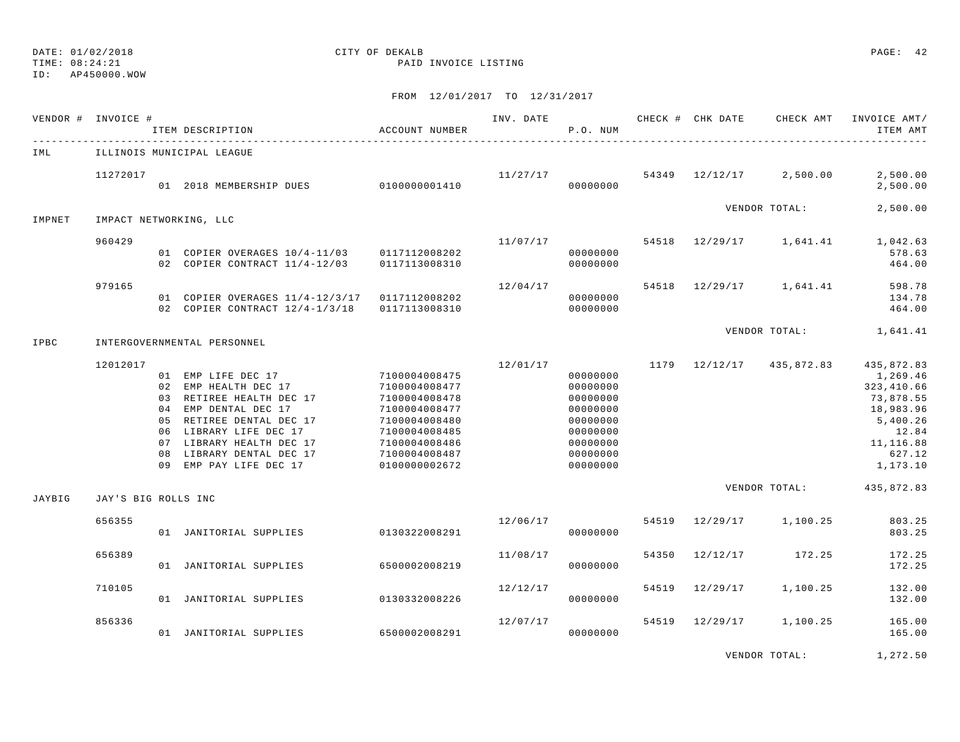ID: AP450000.WOW

TIME: 08:24:21 PAID INVOICE LISTING

FROM 12/01/2017 TO 12/31/2017

|        | VENDOR # INVOICE #  | ITEM DESCRIPTION                                                                                                                                                                                                                       | ACCOUNT NUMBER                                                                                                                                        | INV. DATE | P.O. NUM                                                                                                 |       | CHECK # CHK DATE | CHECK AMT                | INVOICE AMT/<br>ITEM AMT                                                                                                |
|--------|---------------------|----------------------------------------------------------------------------------------------------------------------------------------------------------------------------------------------------------------------------------------|-------------------------------------------------------------------------------------------------------------------------------------------------------|-----------|----------------------------------------------------------------------------------------------------------|-------|------------------|--------------------------|-------------------------------------------------------------------------------------------------------------------------|
| IML    |                     | ILLINOIS MUNICIPAL LEAGUE                                                                                                                                                                                                              |                                                                                                                                                       |           |                                                                                                          |       |                  |                          |                                                                                                                         |
|        | 11272017            | 01 2018 MEMBERSHIP DUES 0100000001410                                                                                                                                                                                                  |                                                                                                                                                       | 11/27/17  | 00000000                                                                                                 |       |                  | 54349 12/12/17 2,500.00  | 2,500.00<br>2,500.00                                                                                                    |
| IMPNET |                     | IMPACT NETWORKING, LLC                                                                                                                                                                                                                 |                                                                                                                                                       |           |                                                                                                          |       |                  | VENDOR TOTAL:            | 2,500.00                                                                                                                |
|        | 960429              | 01 COPIER OVERAGES 10/4-11/03 0117112008202<br>02 COPIER CONTRACT 11/4-12/03                                                                                                                                                           | 0117113008310                                                                                                                                         | 11/07/17  | 00000000<br>00000000                                                                                     |       |                  | 54518 12/29/17 1,641.41  | 1,042.63<br>578.63<br>464.00                                                                                            |
|        | 979165              | 01 COPIER OVERAGES 11/4-12/3/17 0117112008202<br>02 COPIER CONTRACT 12/4-1/3/18 0117113008310                                                                                                                                          |                                                                                                                                                       | 12/04/17  | 00000000<br>00000000                                                                                     |       |                  | 54518 12/29/17 1,641.41  | 598.78<br>134.78<br>464.00                                                                                              |
| IPBC   |                     | INTERGOVERNMENTAL PERSONNEL                                                                                                                                                                                                            |                                                                                                                                                       |           |                                                                                                          |       |                  | VENDOR TOTAL:            | 1,641.41                                                                                                                |
|        | 12012017            | 01 EMP LIFE DEC 17<br>02 EMP HEALTH DEC 17<br>03 RETIREE HEALTH DEC 17<br>04 EMP DENTAL DEC 17<br>05 RETIREE DENTAL DEC 17<br>06 LIBRARY LIFE DEC 17<br>07 LIBRARY HEALTH DEC 17<br>08 LIBRARY DENTAL DEC 17<br>09 EMP PAY LIFE DEC 17 | 7100004008475<br>7100004008477<br>7100004008478<br>7100004008477<br>7100004008480<br>7100004008485<br>7100004008486<br>7100004008487<br>0100000002672 | 12/01/17  | 00000000<br>00000000<br>00000000<br>00000000<br>00000000<br>00000000<br>00000000<br>00000000<br>00000000 |       |                  | 1179 12/12/17 435,872.83 | 435,872.83<br>1,269.46<br>323, 410.66<br>73,878.55<br>18,983.96<br>5,400.26<br>12.84<br>11,116.88<br>627.12<br>1,173.10 |
| JAYBIG | JAY'S BIG ROLLS INC |                                                                                                                                                                                                                                        |                                                                                                                                                       |           |                                                                                                          |       |                  | VENDOR TOTAL:            | 435,872.83                                                                                                              |
|        | 656355              | 01 JANITORIAL SUPPLIES 0130322008291                                                                                                                                                                                                   |                                                                                                                                                       | 12/06/17  | 00000000                                                                                                 | 54519 |                  | 12/29/17 1,100.25        | 803.25<br>803.25                                                                                                        |
|        | 656389              | 01 JANITORIAL SUPPLIES                                                                                                                                                                                                                 | 6500002008219                                                                                                                                         | 11/08/17  | 00000000                                                                                                 | 54350 | 12/12/17         | 172.25                   | 172.25<br>172.25                                                                                                        |
|        | 710105              | 01 JANITORIAL SUPPLIES                                                                                                                                                                                                                 | 0130332008226                                                                                                                                         | 12/12/17  | 00000000                                                                                                 |       | 54519 12/29/17   | 1,100.25                 | 132.00<br>132.00                                                                                                        |
|        | 856336              | 01 JANITORIAL SUPPLIES                                                                                                                                                                                                                 | 6500002008291                                                                                                                                         | 12/07/17  | 00000000                                                                                                 | 54519 | 12/29/17         | 1,100.25                 | 165.00<br>165.00                                                                                                        |
|        |                     |                                                                                                                                                                                                                                        |                                                                                                                                                       |           |                                                                                                          |       |                  |                          | .                                                                                                                       |

VENDOR TOTAL: 1,272.50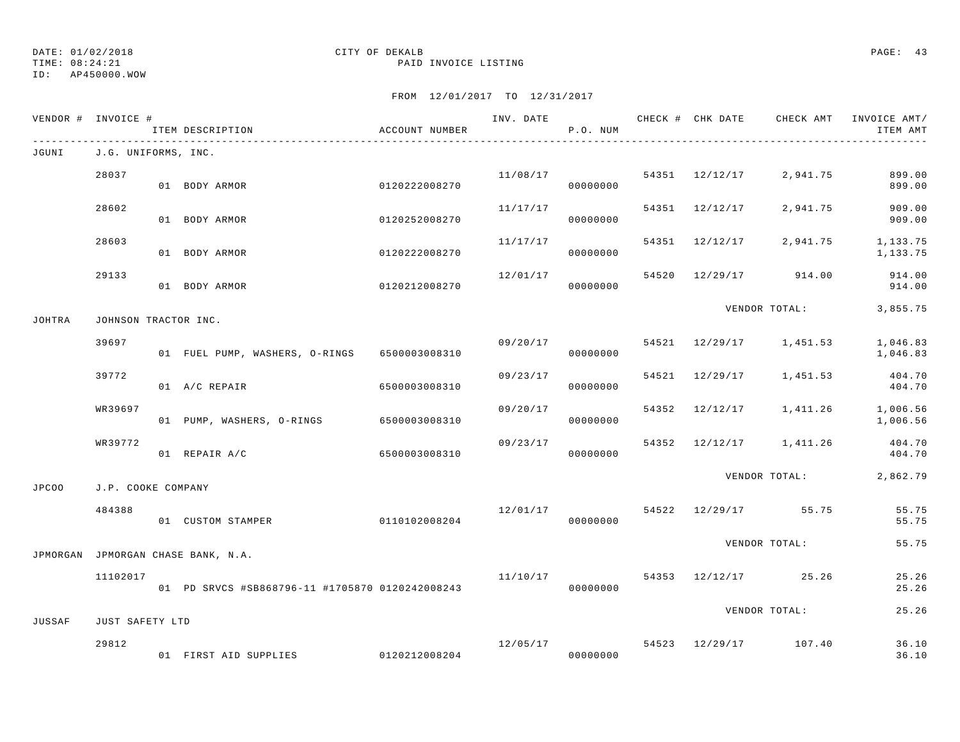DATE: 01/02/2018 CITY OF DEKALB PAGE: 43 TIME: 08:24:21 PAID INVOICE LISTING

ID: AP450000.WOW

|              | VENDOR # INVOICE #   | ITEM DESCRIPTION                                | ACCOUNT NUMBER |          | P.O. NUM             |  | INV. DATE 6 CHECK # CHK DATE CHECK AMT INVOICE AMT/ | ITEM AMT             |
|--------------|----------------------|-------------------------------------------------|----------------|----------|----------------------|--|-----------------------------------------------------|----------------------|
| JGUNI        | J.G. UNIFORMS, INC.  |                                                 |                |          |                      |  |                                                     |                      |
|              | 28037                | 01 BODY ARMOR                                   | 0120222008270  |          | 11/08/17<br>00000000 |  | 54351 12/12/17 2,941.75                             | 899.00<br>899.00     |
|              | 28602                | 01 BODY ARMOR                                   | 0120252008270  | 11/17/17 | 00000000             |  | 54351 12/12/17 2,941.75                             | 909.00<br>909.00     |
|              | 28603                | 01 BODY ARMOR                                   | 0120222008270  | 11/17/17 | 00000000             |  | 54351 12/12/17 2,941.75 1,133.75                    | 1,133.75             |
|              | 29133                | 01 BODY ARMOR                                   | 0120212008270  | 12/01/17 | 00000000             |  | 54520 12/29/17 914.00                               | 914.00<br>914.00     |
| JOHTRA       | JOHNSON TRACTOR INC. |                                                 |                |          |                      |  | VENDOR TOTAL:                                       | 3,855.75             |
|              | 39697                | 01 FUEL PUMP, WASHERS, O-RINGS 6500003008310    |                |          | 09/20/17<br>00000000 |  | 54521 12/29/17 1,451.53                             | 1,046.83<br>1,046.83 |
|              | 39772                | 01 A/C REPAIR                                   | 6500003008310  | 09/23/17 | 00000000             |  | 54521 12/29/17 1,451.53                             | 404.70<br>404.70     |
|              | WR39697              | 01 PUMP, WASHERS, O-RINGS 6500003008310         |                | 09/20/17 | 00000000             |  | 54352 12/12/17 1,411.26 1,006.56                    | 1,006.56             |
|              | WR39772              | 01 REPAIR A/C                                   | 6500003008310  | 09/23/17 | 00000000             |  | 54352 12/12/17 1,411.26                             | 404.70<br>404.70     |
| <b>JPCOO</b> | J.P. COOKE COMPANY   |                                                 |                |          |                      |  | VENDOR TOTAL: 2,862.79                              |                      |
|              | 484388               | 01 CUSTOM STAMPER                               | 0110102008204  | 12/01/17 | 00000000             |  | 54522 12/29/17 55.75                                | 55.75<br>55.75       |
|              |                      | JPMORGAN JPMORGAN CHASE BANK, N.A.              |                |          |                      |  | VENDOR TOTAL:                                       | 55.75                |
|              | 11102017             | 01 PD SRVCS #SB868796-11 #1705870 0120242008243 |                | 11/10/17 | 00000000             |  | 54353 12/12/17 25.26                                | 25.26<br>25.26       |
| JUSSAF       | JUST SAFETY LTD      |                                                 |                |          |                      |  | VENDOR TOTAL:                                       | 25.26                |
|              | 29812                | 01 FIRST AID SUPPLIES 0120212008204             |                |          | 00000000             |  | $12/05/17$ 54523 $12/29/17$ 107.40                  | 36.10<br>36.10       |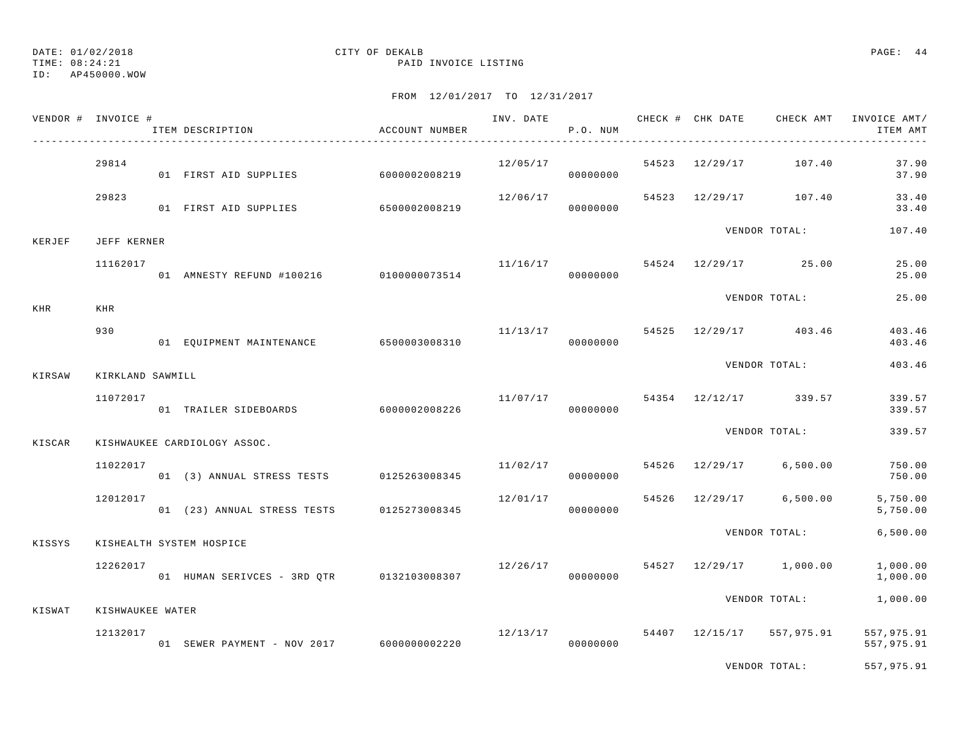TIME: 08:24:21 PAID INVOICE LISTING

ID: AP450000.WOW

|            | VENDOR # INVOICE # | ITEM DESCRIPTION                          | ACCOUNT NUMBER | INV. DATE CHECK # CHK DATE | P.O. NUM             |       |                | CHECK AMT             | INVOICE AMT/<br>ITEM AMT |
|------------|--------------------|-------------------------------------------|----------------|----------------------------|----------------------|-------|----------------|-----------------------|--------------------------|
|            | 29814              | 01 FIRST AID SUPPLIES                     | 6000002008219  | 12/05/17                   | 00000000             | 54523 | 12/29/17       | 107.40                | 37.90<br>37.90           |
|            | 29823              | 01 FIRST AID SUPPLIES                     | 6500002008219  | 12/06/17                   | 00000000             |       | 54523 12/29/17 | 107.40                | 33.40<br>33.40           |
| KERJEF     | JEFF KERNER        |                                           |                |                            |                      |       |                | VENDOR TOTAL:         | 107.40                   |
|            | 11162017           | 01 AMNESTY REFUND #100216 0100000073514   |                | 11/16/17                   | 00000000             | 54524 |                | 12/29/17 25.00        | 25.00<br>25.00           |
| <b>KHR</b> | <b>KHR</b>         |                                           |                |                            |                      |       |                | VENDOR TOTAL:         | 25.00                    |
|            | 930                | 01 EQUIPMENT MAINTENANCE 6500003008310    |                | 11/13/17                   | 00000000             |       |                | 54525 12/29/17 403.46 | 403.46<br>403.46         |
| KIRSAW     | KIRKLAND SAWMILL   |                                           |                |                            |                      |       |                | VENDOR TOTAL:         | 403.46                   |
|            | 11072017           | 01 TRAILER SIDEBOARDS                     | 6000002008226  |                            | 11/07/17<br>00000000 | 54354 |                | 12/12/17 339.57       | 339.57<br>339.57         |
| KISCAR     |                    | KISHWAUKEE CARDIOLOGY ASSOC.              |                |                            |                      |       |                | VENDOR TOTAL:         | 339.57                   |
|            | 11022017           | 01 (3) ANNUAL STRESS TESTS                | 0125263008345  | 11/02/17                   | 00000000             |       | 54526 12/29/17 | 6,500.00              | 750.00<br>750.00         |
|            | 12012017           | 01 (23) ANNUAL STRESS TESTS               | 0125273008345  | 12/01/17                   | 00000000             | 54526 |                | 12/29/17 6,500.00     | 5,750.00<br>5,750.00     |
| KISSYS     |                    | KISHEALTH SYSTEM HOSPICE                  |                |                            |                      |       |                | VENDOR TOTAL:         | 6,500.00                 |
|            | 12262017           | 01 HUMAN SERIVCES - 3RD QTR 0132103008307 |                | 12/26/17                   | 00000000             | 54527 |                | 12/29/17 1,000.00     | 1,000.00<br>1,000.00     |
| KISWAT     | KISHWAUKEE WATER   |                                           |                |                            |                      |       |                | VENDOR TOTAL:         | 1,000.00                 |
|            | 12132017           | 01 SEWER PAYMENT - NOV 2017 6000000002220 |                | 12/13/17                   | 00000000             |       | 54407 12/15/17 | 557,975.91            | 557,975.91<br>557,975.91 |
|            |                    |                                           |                |                            |                      |       |                | VENDOR TOTAL:         | 557,975.91               |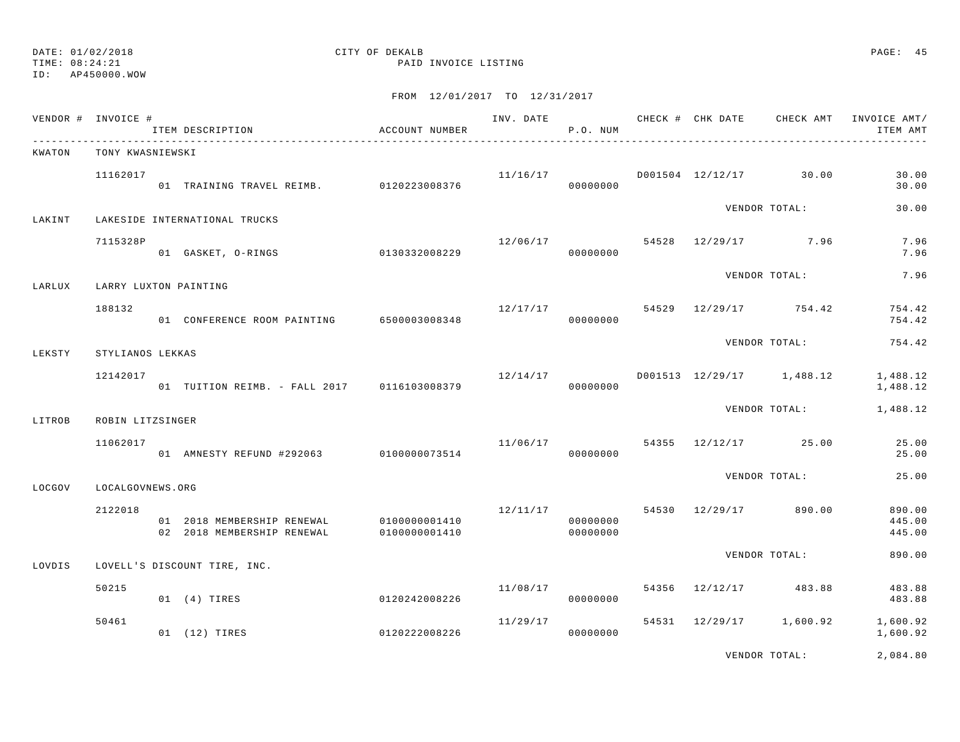TIME: 08:24:21 PAID INVOICE LISTING

FROM 12/01/2017 TO 12/31/2017

|        | VENDOR # INVOICE # | ITEM DESCRIPTION                                         | ACCOUNT NUMBER                 |          | P.O. NUM             |  |                                       | INV. DATE 6 CHECK # CHK DATE CHECK AMT INVOICE AMT/<br>ITEM AMT   |
|--------|--------------------|----------------------------------------------------------|--------------------------------|----------|----------------------|--|---------------------------------------|-------------------------------------------------------------------|
| KWATON | TONY KWASNIEWSKI   |                                                          |                                |          |                      |  |                                       |                                                                   |
|        | 11162017           | 01 TRAINING TRAVEL REIMB. 0120223008376                  |                                |          | 00000000             |  | $11/16/17$ $D001504$ $12/12/17$ 30.00 | 30.00<br>30.00                                                    |
| LAKINT |                    | LAKESIDE INTERNATIONAL TRUCKS                            |                                |          |                      |  | VENDOR TOTAL:                         | 30.00                                                             |
|        | 7115328P           | 01 GASKET, O-RINGS 0130332008229                         |                                | 12/06/17 | 00000000             |  | 54528 12/29/17 7.96                   | 7.96<br>7.96                                                      |
| LARLUX |                    | LARRY LUXTON PAINTING                                    |                                |          |                      |  | VENDOR TOTAL:                         | 7.96                                                              |
|        | 188132             | 01 CONFERENCE ROOM PAINTING 6500003008348                |                                |          | 00000000             |  | $12/17/17$ 54529 $12/29/17$ 754.42    | 754.42<br>754.42                                                  |
| LEKSTY | STYLIANOS LEKKAS   |                                                          |                                |          |                      |  | VENDOR TOTAL:                         | 754.42                                                            |
|        | 12142017           | 01 TUITION REIMB. - FALL 2017 0116103008379              |                                |          | 00000000             |  |                                       | $12/14/17$ $1001513$ $12/29/17$ $1,488.12$ $1,488.12$<br>1,488.12 |
| LITROB | ROBIN LITZSINGER   |                                                          |                                |          |                      |  |                                       | VENDOR TOTAL: 1,488.12                                            |
|        | 11062017           | 01 AMNESTY REFUND #292063 0100000073514                  |                                | 11/06/17 | 00000000             |  | 54355 12/12/17 25.00                  | 25.00<br>25.00                                                    |
| LOCGOV | LOCALGOVNEWS.ORG   |                                                          |                                |          |                      |  | VENDOR TOTAL:                         | 25.00                                                             |
|        | 2122018            | 01 2018 MEMBERSHIP RENEWAL<br>02 2018 MEMBERSHIP RENEWAL | 0100000001410<br>0100000001410 | 12/11/17 | 00000000<br>00000000 |  | 54530 12/29/17 890.00                 | 890.00<br>445.00<br>445.00                                        |
| LOVDIS |                    | LOVELL'S DISCOUNT TIRE, INC.                             |                                |          |                      |  | VENDOR TOTAL:                         | 890.00                                                            |
|        | 50215              |                                                          |                                | 11/08/17 |                      |  | 54356 12/12/17 483.88                 | 483.88                                                            |
|        |                    | 0120242008226<br>01 (4) TIRES                            |                                |          | 00000000             |  |                                       | 483.88                                                            |
|        | 50461              | 01 (12) TIRES                                            | 0120222008226                  | 11/29/17 | 00000000             |  |                                       | 54531 12/29/17 1,600.92 1,600.92<br>1,600.92                      |
|        |                    |                                                          |                                |          |                      |  |                                       | .                                                                 |

VENDOR TOTAL: 2,084.80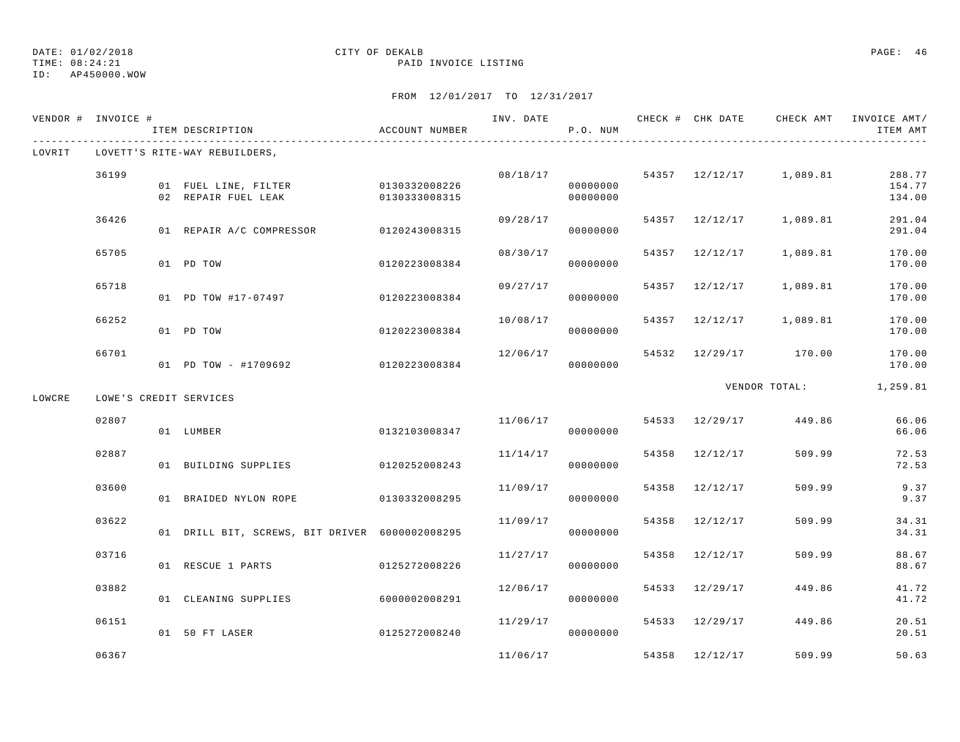ID: AP450000.WOW

#### TIME: 08:24:21 PAID INVOICE LISTING

|        | VENDOR # INVOICE # | ITEM DESCRIPTION                                                        | ACCOUNT NUMBER |          | P.O. NUM             |       |                |                                    | INV. DATE 6 CHECK # CHK DATE CHECK AMT INVOICE AMT/<br>ITEM AMT |
|--------|--------------------|-------------------------------------------------------------------------|----------------|----------|----------------------|-------|----------------|------------------------------------|-----------------------------------------------------------------|
| LOVRIT |                    | LOVETT'S RITE-WAY REBUILDERS,                                           |                |          |                      |       |                |                                    |                                                                 |
|        | 36199              | 01 FUEL LINE, FILTER 0130332008226<br>02 REPAIR FUEL LEAK 0130333008315 |                |          | 00000000<br>00000000 |       |                | $08/18/17$ 54357 12/12/17 1,089.81 | 288.77<br>154.77<br>134.00                                      |
|        | 36426              | 01 REPAIR A/C COMPRESSOR 0120243008315                                  |                |          | 09/28/17<br>00000000 |       |                | 54357 12/12/17 1,089.81            | 291.04<br>291.04                                                |
|        | 65705              | 01 PD TOW                                                               | 0120223008384  | 08/30/17 | 00000000             |       | 54357 12/12/17 | 1,089.81                           | 170.00<br>170.00                                                |
|        | 65718              | 01 PD TOW #17-07497 0120223008384                                       |                | 09/27/17 | 00000000             |       | 54357 12/12/17 | 1,089.81                           | 170.00<br>170.00                                                |
|        | 66252              | 01 PD TOW                                                               | 0120223008384  | 10/08/17 | 00000000             |       |                | 54357 12/12/17 1,089.81            | 170.00<br>170.00                                                |
|        | 66701              | 01 PD TOW - #1709692                                                    | 0120223008384  | 12/06/17 | 00000000             |       |                | 54532 12/29/17 170.00              | 170.00<br>170.00                                                |
| LOWCRE |                    | LOWE'S CREDIT SERVICES                                                  |                |          |                      |       |                | VENDOR TOTAL:                      | 1,259.81                                                        |
|        | 02807              | 01 LUMBER                                                               | 0132103008347  | 11/06/17 | 00000000             |       |                | 54533 12/29/17 449.86              | 66.06<br>66.06                                                  |
|        | 02887              | 01 BUILDING SUPPLIES                                                    | 0120252008243  | 11/14/17 | 00000000             |       | 54358 12/12/17 | 509.99                             | 72.53<br>72.53                                                  |
|        | 03600              | 01 BRAIDED NYLON ROPE                                                   | 0130332008295  | 11/09/17 | 00000000             |       | 54358 12/12/17 | 509.99                             | 9.37<br>9.37                                                    |
|        | 03622              | 01 DRILL BIT, SCREWS, BIT DRIVER 6000002008295                          |                | 11/09/17 | 00000000             |       | 54358 12/12/17 | 509.99                             | 34.31<br>34.31                                                  |
|        | 03716              | 01 RESCUE 1 PARTS                                                       | 0125272008226  | 11/27/17 | 00000000             | 54358 | 12/12/17       | 509.99                             | 88.67<br>88.67                                                  |
|        | 03882              | 01 CLEANING SUPPLIES                                                    | 6000002008291  | 12/06/17 | 00000000             |       | 54533 12/29/17 | 449.86                             | 41.72<br>41.72                                                  |
|        | 06151              | 01 50 FT LASER                                                          | 0125272008240  | 11/29/17 | 00000000             |       |                | 54533 12/29/17 449.86              | 20.51<br>20.51                                                  |
|        | 06367              |                                                                         |                | 11/06/17 |                      |       | 54358 12/12/17 | 509.99                             | 50.63                                                           |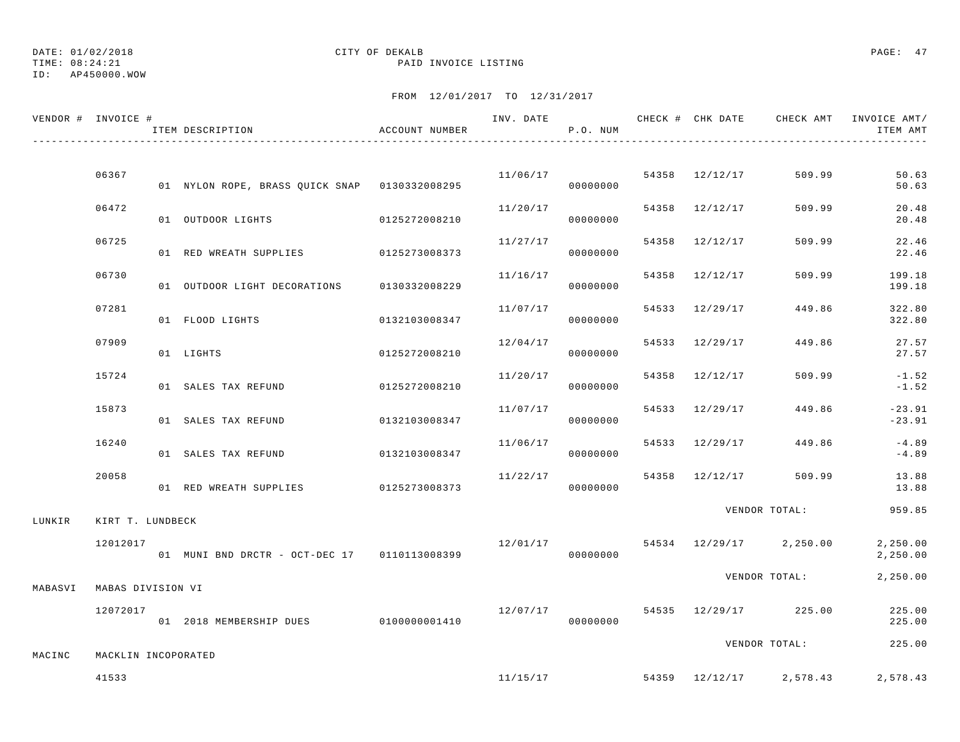#### ID: AP450000.WOW

#### TIME: 08:24:21 PAID INVOICE LISTING

|         | VENDOR # INVOICE #  | ITEM DESCRIPTION                              | ACCOUNT NUMBER |          | P.O. NUM |       |                |                         | ITEM AMT             |
|---------|---------------------|-----------------------------------------------|----------------|----------|----------|-------|----------------|-------------------------|----------------------|
|         |                     |                                               |                |          |          |       |                |                         |                      |
|         | 06367               | 01 NYLON ROPE, BRASS QUICK SNAP 0130332008295 |                | 11/06/17 | 00000000 |       | 54358 12/12/17 | 509.99                  | 50.63<br>50.63       |
|         | 06472               | 01 OUTDOOR LIGHTS                             | 0125272008210  | 11/20/17 | 00000000 |       | 54358 12/12/17 | 509.99                  | 20.48<br>20.48       |
|         | 06725               | 01 RED WREATH SUPPLIES 0125273008373          |                | 11/27/17 | 00000000 |       | 54358 12/12/17 | 509.99                  | 22.46<br>22.46       |
|         | 06730               | 01 OUTDOOR LIGHT DECORATIONS                  | 0130332008229  | 11/16/17 | 00000000 |       | 54358 12/12/17 | 509.99                  | 199.18<br>199.18     |
|         | 07281               | 01 FLOOD LIGHTS                               | 0132103008347  | 11/07/17 | 00000000 |       | 54533 12/29/17 | 449.86                  | 322.80<br>322.80     |
|         | 07909               | 01 LIGHTS                                     | 0125272008210  | 12/04/17 | 00000000 | 54533 | 12/29/17       | 449.86                  | 27.57<br>27.57       |
|         | 15724               | 01 SALES TAX REFUND                           | 0125272008210  | 11/20/17 | 00000000 |       | 54358 12/12/17 | 509.99                  | $-1.52$<br>$-1.52$   |
|         | 15873               | 01 SALES TAX REFUND                           | 0132103008347  | 11/07/17 | 00000000 |       | 54533 12/29/17 | 449.86                  | $-23.91$<br>$-23.91$ |
|         | 16240               | 01 SALES TAX REFUND                           | 0132103008347  | 11/06/17 | 00000000 |       | 54533 12/29/17 | 449.86                  | $-4.89$<br>$-4.89$   |
|         | 20058               | 01 RED WREATH SUPPLIES                        | 0125273008373  | 11/22/17 | 00000000 |       |                | 54358 12/12/17 509.99   | 13.88<br>13.88       |
| LUNKIR  | KIRT T. LUNDBECK    |                                               |                |          |          |       |                | VENDOR TOTAL:           | 959.85               |
|         | 12012017            | 01 MUNI BND DRCTR - OCT-DEC 17 0110113008399  |                | 12/01/17 | 00000000 |       |                | 54534 12/29/17 2,250.00 | 2,250.00<br>2,250.00 |
| MABASVI | MABAS DIVISION VI   |                                               |                |          |          |       |                | VENDOR TOTAL:           | 2,250.00             |
|         | 12072017            | 01 2018 MEMBERSHIP DUES 0100000001410         |                | 12/07/17 | 00000000 |       |                | 54535 12/29/17 225.00   | 225.00<br>225.00     |
|         |                     |                                               |                |          |          |       |                | VENDOR TOTAL:           | 225.00               |
| MACINC  | MACKLIN INCOPORATED |                                               |                |          |          |       |                |                         |                      |
|         | 41533               |                                               |                | 11/15/17 |          |       |                | 54359 12/12/17 2,578.43 | 2,578.43             |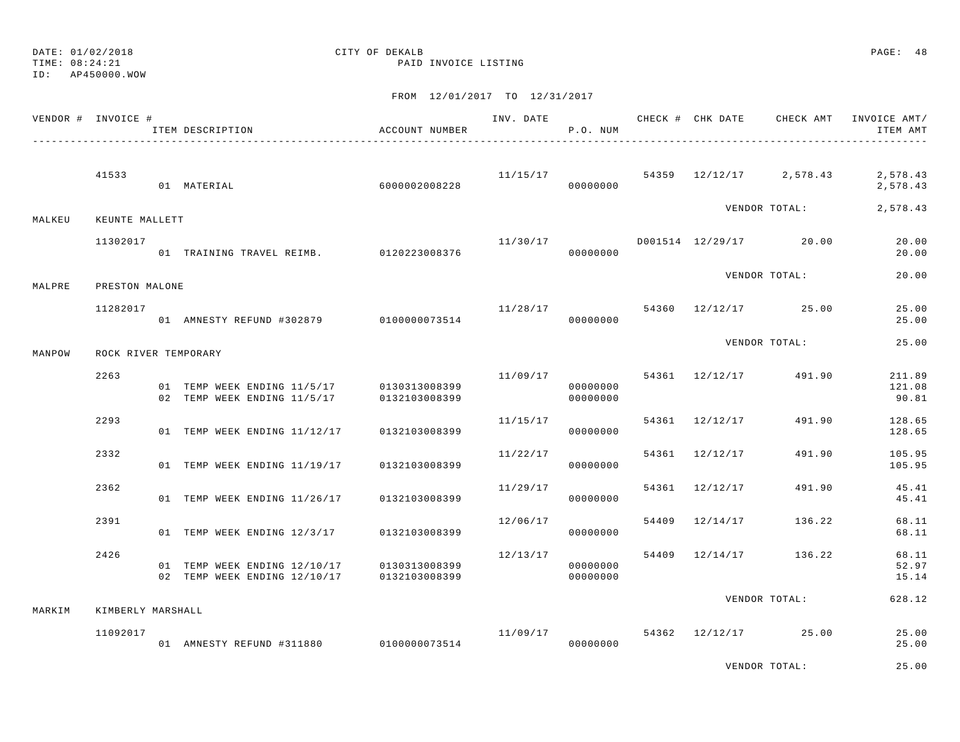TIME: 08:24:21 PAID INVOICE LISTING

|        | VENDOR # INVOICE #   | ITEM DESCRIPTION<br>-----------------------------------                                  | ACCOUNT NUMBER                 |          | P.O. NUM             |                | INV. DATE 6 CHECK # CHK DATE CHECK AMT | INVOICE AMT/<br>ITEM AMT                                  |
|--------|----------------------|------------------------------------------------------------------------------------------|--------------------------------|----------|----------------------|----------------|----------------------------------------|-----------------------------------------------------------|
|        | 41533                | 01 MATERIAL                                                                              | 6000002008228                  |          | 00000000             |                |                                        | $11/15/17$ 54359 $12/12/17$ 2,578.43 2,578.43<br>2,578.43 |
| MALKEU | KEUNTE MALLETT       |                                                                                          |                                |          |                      |                | VENDOR TOTAL:                          | 2,578.43                                                  |
|        | 11302017             | 01 TRAINING TRAVEL REIMB. 0120223008376                                                  |                                | 11/30/17 | 00000000             |                | D001514 12/29/17 20.00                 | 20.00<br>20.00                                            |
| MALPRE | PRESTON MALONE       |                                                                                          |                                |          |                      |                | VENDOR TOTAL:                          | 20.00                                                     |
|        | 11282017             | 01 AMNESTY REFUND #302879 0100000073514                                                  |                                |          | 00000000             |                | $11/28/17$ 54360 $12/12/17$ 25.00      | 25.00<br>25.00                                            |
| MANPOW | ROCK RIVER TEMPORARY |                                                                                          |                                |          |                      |                | VENDOR TOTAL:                          | 25.00                                                     |
|        | 2263                 | 01 TEMP WEEK ENDING 11/5/17<br>02 TEMP WEEK ENDING 11/5/17                               | 0130313008399<br>0132103008399 | 11/09/17 | 00000000<br>00000000 |                | 54361 12/12/17 491.90                  | 211.89<br>121.08<br>90.81                                 |
|        | 2293                 | 01 TEMP WEEK ENDING 11/12/17                                                             | 0132103008399                  | 11/15/17 | 00000000             | 54361 12/12/17 | 491.90                                 | 128.65<br>128.65                                          |
|        | 2332                 | 01 TEMP WEEK ENDING 11/19/17                                                             | 0132103008399                  | 11/22/17 | 00000000             | 54361 12/12/17 | 491.90                                 | 105.95<br>105.95                                          |
|        | 2362                 | 01 TEMP WEEK ENDING 11/26/17                                                             | 0132103008399                  | 11/29/17 | 00000000             | 54361 12/12/17 | 491.90                                 | 45.41<br>45.41                                            |
|        | 2391                 | 01 TEMP WEEK ENDING 12/3/17                                                              | 0132103008399                  | 12/06/17 | 00000000             | 54409 12/14/17 | 136.22                                 | 68.11<br>68.11                                            |
|        | 2426                 | 01 TEMP WEEK ENDING 12/10/17 0130313008399<br>02 TEMP WEEK ENDING 12/10/17 0132103008399 |                                | 12/13/17 | 00000000<br>00000000 |                | 54409 12/14/17 136.22                  | 68.11<br>52.97<br>15.14                                   |
| MARKIM | KIMBERLY MARSHALL    |                                                                                          |                                |          |                      |                | VENDOR TOTAL:                          | 628.12                                                    |
|        | 11092017             | 01 AMNESTY REFUND #311880 0100000073514                                                  |                                |          | 00000000             |                | $11/09/17$ 54362 $12/12/17$ 25.00      | 25.00<br>25.00                                            |
|        |                      |                                                                                          |                                |          |                      |                | VENDOR TOTAL:                          | 25.00                                                     |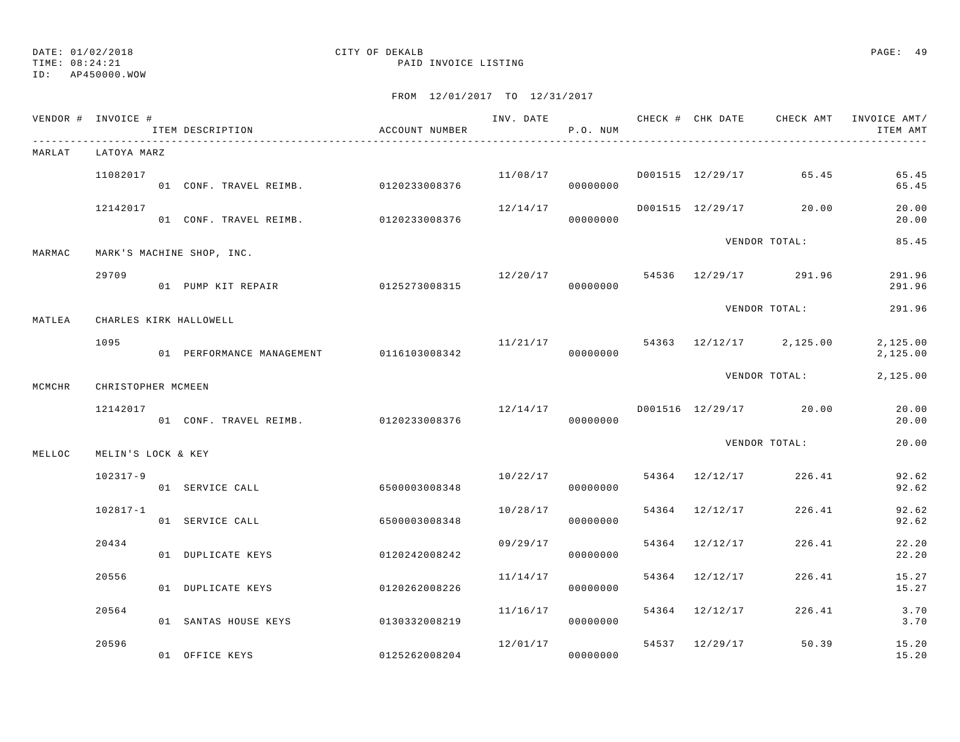TIME: 08:24:21 PAID INVOICE LISTING

|        | VENDOR # INVOICE # | ITEM DESCRIPTION                         | ACCOUNT NUMBER |          | P.O. NUM |                |                                     | INV. DATE 6 . CHECK # CHK DATE CHECK AMT INVOICE AMT<br>ITEM AMT |
|--------|--------------------|------------------------------------------|----------------|----------|----------|----------------|-------------------------------------|------------------------------------------------------------------|
| MARLAT | LATOYA MARZ        |                                          |                |          |          |                |                                     |                                                                  |
|        | 11082017           | 01 CONF. TRAVEL REIMB. 0120233008376     |                |          | 00000000 |                | $11/08/17$ D001515 12/29/17 65.45   | 65.45<br>65.45                                                   |
|        | 12142017           |                                          |                |          |          |                | $12/14/17$ D001515 12/29/17 20.00   | 20.00<br>20.00                                                   |
| MARMAC |                    | MARK'S MACHINE SHOP, INC.                |                |          |          |                | VENDOR TOTAL:                       | 85.45                                                            |
|        | 29709              | 01 PUMP KIT REPAIR 0125273008315         |                |          |          |                | $12/20/17$ 54536 $12/29/17$ 291.96  | 291.96<br>291.96                                                 |
| MATLEA |                    | CHARLES KIRK HALLOWELL                   |                |          |          |                | VENDOR TOTAL:                       | 291.96                                                           |
|        | 1095               | 01 PERFORMANCE MANAGEMENT 0116103008342  |                |          | 00000000 |                | $11/21/17$ 54363 12/12/17 2,125.00  | 2,125.00<br>2,125.00                                             |
| MCMCHR | CHRISTOPHER MCMEEN |                                          |                |          |          |                |                                     | VENDOR TOTAL: 2,125.00                                           |
|        | 12142017           |                                          |                |          |          |                | $12/14/17$ D001516 $12/29/17$ 20.00 | 20.00<br>20.00                                                   |
| MELLOC | MELIN'S LOCK & KEY |                                          |                |          |          |                | VENDOR TOTAL:                       | 20.00                                                            |
|        | 102317-9           | 01 SERVICE CALL                          | 6500003008348  |          | 00000000 |                | $10/22/17$ 54364 12/12/17 226.41    | 92.62<br>92.62                                                   |
|        | 102817-1           | 01 SERVICE CALL                          | 6500003008348  | 10/28/17 | 00000000 |                | 54364 12/12/17 226.41               | 92.62<br>92.62                                                   |
|        | 20434              | 01 DUPLICATE KEYS                        | 0120242008242  | 09/29/17 | 00000000 | 54364 12/12/17 | 226.41                              | 22.20<br>22.20                                                   |
|        | 20556              | 01 DUPLICATE KEYS                        | 0120262008226  | 11/14/17 | 00000000 | 54364 12/12/17 | 226.41                              | 15.27<br>15.27                                                   |
|        | 20564              | 01 SANTAS HOUSE KEYS 0130332008219       |                | 11/16/17 | 00000000 | 54364 12/12/17 |                                     | 226.41 3.70<br>3.70                                              |
|        | 20596              | 01 OFFICE KEYS AND THE STATE OF THE REYS | 0125262008204  | 12/01/17 | 00000000 |                | 54537 12/29/17 50.39                | 15.20<br>15.20                                                   |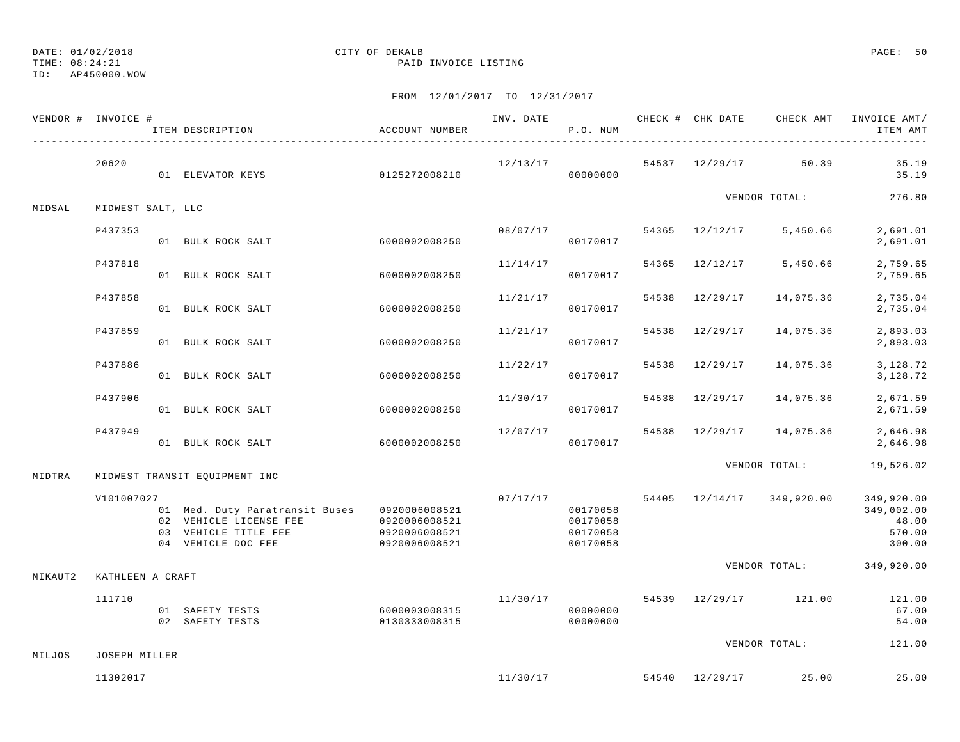TIME: 08:24:21 PAID INVOICE LISTING

ID: AP450000.WOW

|         | VENDOR # INVOICE # | ITEM DESCRIPTION                                                                                                                   | ACCOUNT NUMBER                 | INV. DATE | P.O. NUM                                     |       |                | CHECK # CHK DATE CHECK AMT        | INVOICE AMT/<br>ITEM AMT                              |
|---------|--------------------|------------------------------------------------------------------------------------------------------------------------------------|--------------------------------|-----------|----------------------------------------------|-------|----------------|-----------------------------------|-------------------------------------------------------|
|         | 20620              | 01 ELEVATOR KEYS                                                                                                                   | 0125272008210                  | 12/13/17  | 00000000                                     |       |                | 54537 12/29/17 50.39              | 35.19<br>35.19                                        |
| MIDSAL  | MIDWEST SALT, LLC  |                                                                                                                                    |                                |           |                                              |       |                | VENDOR TOTAL:                     | 276.80                                                |
|         | P437353            | 01 BULK ROCK SALT                                                                                                                  | 60000002008250                 |           | 08/07/17<br>00170017                         |       |                | 54365 12/12/17 5,450.66           | 2,691.01<br>2,691.01                                  |
|         | P437818            | 01 BULK ROCK SALT                                                                                                                  | 6000002008250                  | 11/14/17  | 00170017                                     | 54365 | 12/12/17       | 5,450.66                          | 2,759.65<br>2,759.65                                  |
|         | P437858            | 01 BULK ROCK SALT                                                                                                                  | 6000002008250                  | 11/21/17  | 00170017                                     | 54538 | 12/29/17       | 14,075.36                         | 2,735.04<br>2,735.04                                  |
|         | P437859            | 01 BULK ROCK SALT                                                                                                                  | 6000002008250                  | 11/21/17  | 00170017                                     | 54538 | 12/29/17       | 14,075.36                         | 2,893.03<br>2,893.03                                  |
|         | P437886            | 01 BULK ROCK SALT                                                                                                                  | 6000002008250                  | 11/22/17  | 00170017                                     |       | 54538 12/29/17 | 14,075.36                         | 3,128.72<br>3,128.72                                  |
|         | P437906            | 01 BULK ROCK SALT                                                                                                                  | 6000002008250                  | 11/30/17  | 00170017                                     |       | 54538 12/29/17 | 14,075.36                         | 2,671.59<br>2,671.59                                  |
|         | P437949            | 01 BULK ROCK SALT                                                                                                                  | 6000002008250                  | 12/07/17  | 00170017                                     |       |                | 54538 12/29/17 14,075.36          | 2,646.98<br>2,646.98                                  |
| MIDTRA  |                    | MIDWEST TRANSIT EQUIPMENT INC                                                                                                      |                                |           |                                              |       |                |                                   | VENDOR TOTAL: 19,526.02                               |
|         | V101007027         | 01 Med. Duty Paratransit Buses 0920006008521<br>02 VEHICLE LICENSE FEE 0920006008521<br>03 VEHICLE TITLE FEE<br>04 VEHICLE DOC FEE | 0920006008521<br>0920006008521 | 07/17/17  | 00170058<br>00170058<br>00170058<br>00170058 |       |                | 54405 12/14/17 349,920.00         | 349,920.00<br>349,002.00<br>48.00<br>570.00<br>300.00 |
| MIKAUT2 | KATHLEEN A CRAFT   |                                                                                                                                    |                                |           |                                              |       |                |                                   | VENDOR TOTAL: 349,920.00                              |
|         | 111710             | 01 SAFETY TESTS<br>02 SAFETY TESTS                                                                                                 | 6000003008315<br>0130333008315 | 11/30/17  | 00000000<br>00000000                         |       |                | 54539 12/29/17 121.00             | 121.00<br>67.00<br>54.00                              |
| MILJOS  | JOSEPH MILLER      |                                                                                                                                    |                                |           |                                              |       |                | VENDOR TOTAL:                     | 121.00                                                |
|         | 11302017           |                                                                                                                                    |                                |           |                                              |       |                | $11/30/17$ 54540 $12/29/17$ 25.00 | 25.00                                                 |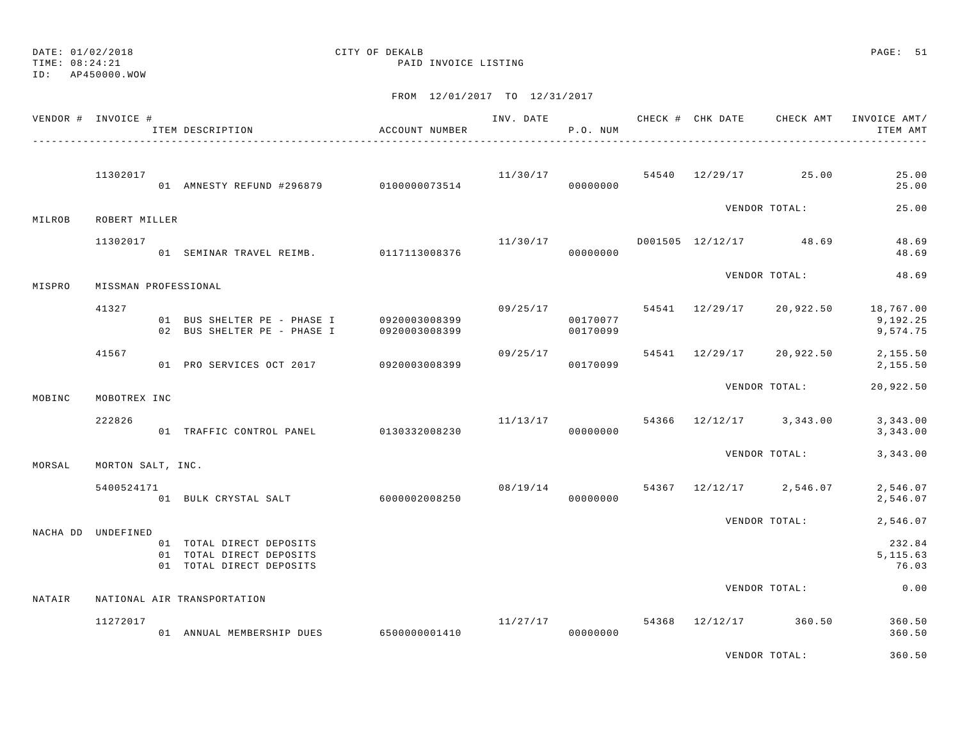TIME: 08:24:21 PAID INVOICE LISTING

ID: AP450000.WOW

|        | VENDOR # INVOICE #   | ITEM DESCRIPTION                                                                       | ACCOUNT NUMBER | INV. DATE | P.O. NUM             |  |                                   | CHECK # CHK DATE CHECK AMT INVOICE AMT /<br>ITEM AMT                          |
|--------|----------------------|----------------------------------------------------------------------------------------|----------------|-----------|----------------------|--|-----------------------------------|-------------------------------------------------------------------------------|
|        | 11302017             | 01 AMNESTY REFUND #296879 0100000073514                                                |                | 00000000  |                      |  | $11/30/17$ 54540 $12/29/17$ 25.00 | 25.00<br>25.00                                                                |
| MILROB | ROBERT MILLER        |                                                                                        |                |           |                      |  | VENDOR TOTAL:                     | 25.00                                                                         |
|        | 11302017             | 01 SEMINAR TRAVEL REIMB. 0117113008376                                                 |                | 11/30/17  | 000000000            |  | D001505 12/12/17 48.69            | 48.69<br>48.69                                                                |
| MISPRO | MISSMAN PROFESSIONAL |                                                                                        |                |           |                      |  | VENDOR TOTAL:                     | 48.69                                                                         |
|        | 41327                | 01 BUS SHELTER PE - PHASE I 0920003008399<br>02 BUS SHELTER PE - PHASE I 0920003008399 |                |           | 00170077<br>00170099 |  |                                   | $09/25/17$ $54541$ $12/29/17$ $20,922.50$ $18,767.00$<br>9,192.25<br>9,574.75 |
|        | 41567                | 01 PRO SERVICES OCT 2017 0920003008399                                                 |                | 09/25/17  | 00170099             |  |                                   | 54541 12/29/17 20,922.50 2,155.50<br>2,155.50                                 |
| MOBINC | MOBOTREX INC         |                                                                                        |                |           |                      |  | VENDOR TOTAL:                     | 20,922.50                                                                     |
|        | 222826               | 01 TRAFFIC CONTROL PANEL 0130332008230                                                 |                |           | 00000000             |  |                                   | $11/13/17$ 54366 $12/12/17$ 3,343.00 3,343.00<br>3,343.00                     |
| MORSAL | MORTON SALT, INC.    |                                                                                        |                |           |                      |  | VENDOR TOTAL:                     | 3,343.00                                                                      |
|        | 5400524171           | 01 BULK CRYSTAL SALT 6000002008250                                                     |                | 08/19/14  | 00000000             |  | 54367 12/12/17 2,546.07           | 2,546.07<br>2,546.07                                                          |
|        |                      |                                                                                        |                |           |                      |  | VENDOR TOTAL:                     | 2,546.07                                                                      |
|        | NACHA DD UNDEFINED   | 01 TOTAL DIRECT DEPOSITS<br>01 TOTAL DIRECT DEPOSITS<br>01 TOTAL DIRECT DEPOSITS       |                |           |                      |  |                                   | 232.84<br>5, 115.63<br>76.03                                                  |
| NATAIR |                      | NATIONAL AIR TRANSPORTATION                                                            |                |           |                      |  | VENDOR TOTAL:                     | 0.00                                                                          |
|        |                      |                                                                                        |                |           |                      |  |                                   |                                                                               |
|        | 11272017             | 01 ANNUAL MEMBERSHIP DUES 6500000001410                                                |                |           | 00000000             |  | $11/27/17$ 54368 12/12/17 360.50  | 360.50<br>360.50                                                              |
|        |                      |                                                                                        |                |           |                      |  | VENDOR TOTAL:                     | 360.50                                                                        |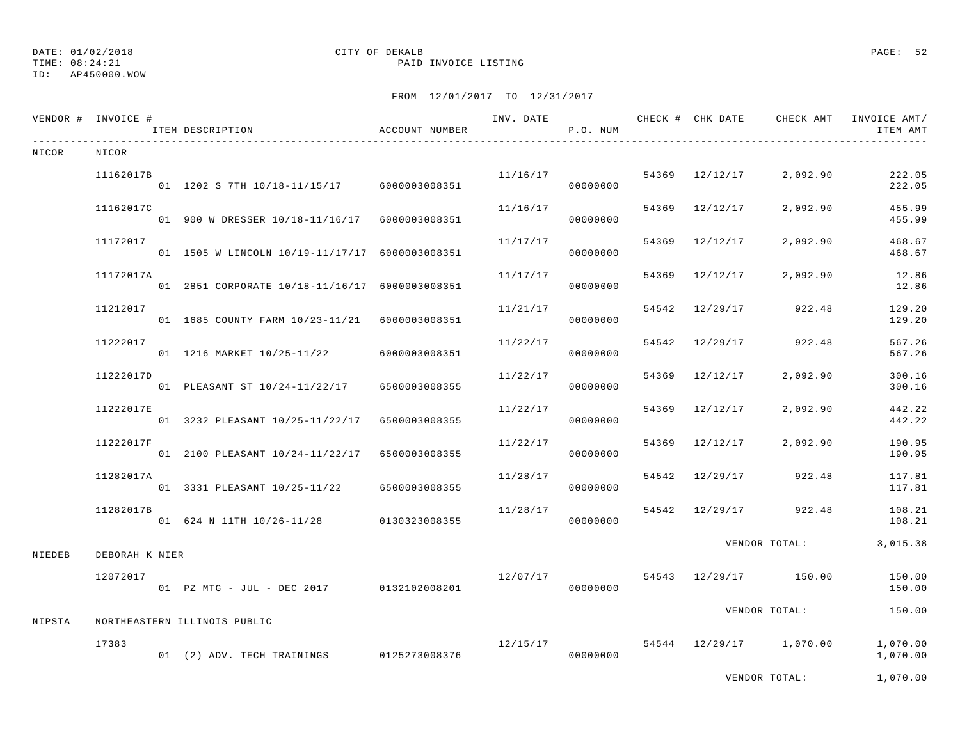## DATE: 01/02/2018 CITY OF DEKALB PAGE: 52

TIME: 08:24:21 PAID INVOICE LISTING

|        | VENDOR # INVOICE # | ITEM DESCRIPTION                               | ACCOUNT NUMBER | INV. DATE | P.O. NUM             |       |                | CHECK # CHK DATE CHECK AMT | INVOICE AMT/<br>ITEM AMT |
|--------|--------------------|------------------------------------------------|----------------|-----------|----------------------|-------|----------------|----------------------------|--------------------------|
| NICOR  | NICOR              |                                                |                |           |                      |       |                |                            |                          |
|        | 11162017B          | 01 1202 S 7TH 10/18-11/15/17 6000003008351     |                |           | 11/16/17<br>00000000 |       | 54369 12/12/17 | 2,092.90                   | 222.05<br>222.05         |
|        | 11162017C          | 01 900 W DRESSER 10/18-11/16/17 6000003008351  |                | 11/16/17  | 00000000             | 54369 | 12/12/17       | 2,092.90                   | 455.99<br>455.99         |
|        | 11172017           | 01 1505 W LINCOLN 10/19-11/17/17 6000003008351 |                | 11/17/17  | 00000000             |       | 54369 12/12/17 | 2,092.90                   | 468.67<br>468.67         |
|        | 11172017A          | 01 2851 CORPORATE 10/18-11/16/17 6000003008351 |                | 11/17/17  | 00000000             |       | 54369 12/12/17 | 2,092.90                   | 12.86<br>12.86           |
|        | 11212017           | 01 1685 COUNTY FARM 10/23-11/21 6000003008351  |                | 11/21/17  | 00000000             | 54542 | 12/29/17       | 922.48                     | 129.20<br>129.20         |
|        | 11222017           | 01 1216 MARKET 10/25-11/22                     | 6000003008351  | 11/22/17  | 00000000             | 54542 | 12/29/17       | 922.48                     | 567.26<br>567.26         |
|        | 11222017D          | 01 PLEASANT ST 10/24-11/22/17                  | 6500003008355  | 11/22/17  | 00000000             | 54369 | 12/12/17       | 2,092.90                   | 300.16<br>300.16         |
|        | 11222017E          | 01 3232 PLEASANT 10/25-11/22/17                | 6500003008355  | 11/22/17  | 00000000             |       | 54369 12/12/17 | 2,092.90                   | 442.22<br>442.22         |
|        | 11222017F          | 01 2100 PLEASANT 10/24-11/22/17                | 6500003008355  | 11/22/17  | 00000000             |       | 54369 12/12/17 | 2,092.90                   | 190.95<br>190.95         |
|        | 11282017A          | 01 3331 PLEASANT 10/25-11/22                   | 6500003008355  | 11/28/17  | 00000000             |       | 54542 12/29/17 | 922.48                     | 117.81<br>117.81         |
|        | 11282017B          | 01 624 N 11TH 10/26-11/28 0130323008355        |                | 11/28/17  | 00000000             |       | 54542 12/29/17 | 922.48                     | 108.21<br>108.21         |
| NIEDEB | DEBORAH K NIER     |                                                |                |           |                      |       |                | VENDOR TOTAL:              | 3,015.38                 |
|        | 12072017           | 01 PZ MTG - JUL - DEC 2017 0132102008201       |                | 12/07/17  | 00000000             |       |                | 54543 12/29/17 150.00      | 150.00<br>150.00         |
| NIPSTA |                    | NORTHEASTERN ILLINOIS PUBLIC                   |                |           |                      |       |                | VENDOR TOTAL:              | 150.00                   |
|        | 17383              | 01 (2) ADV. TECH TRAININGS 0125273008376       |                | 12/15/17  | 00000000             |       |                | 54544 12/29/17 1,070.00    | 1,070.00<br>1,070.00     |
|        |                    |                                                |                |           |                      |       |                | VENDOR TOTAL:              | 1,070.00                 |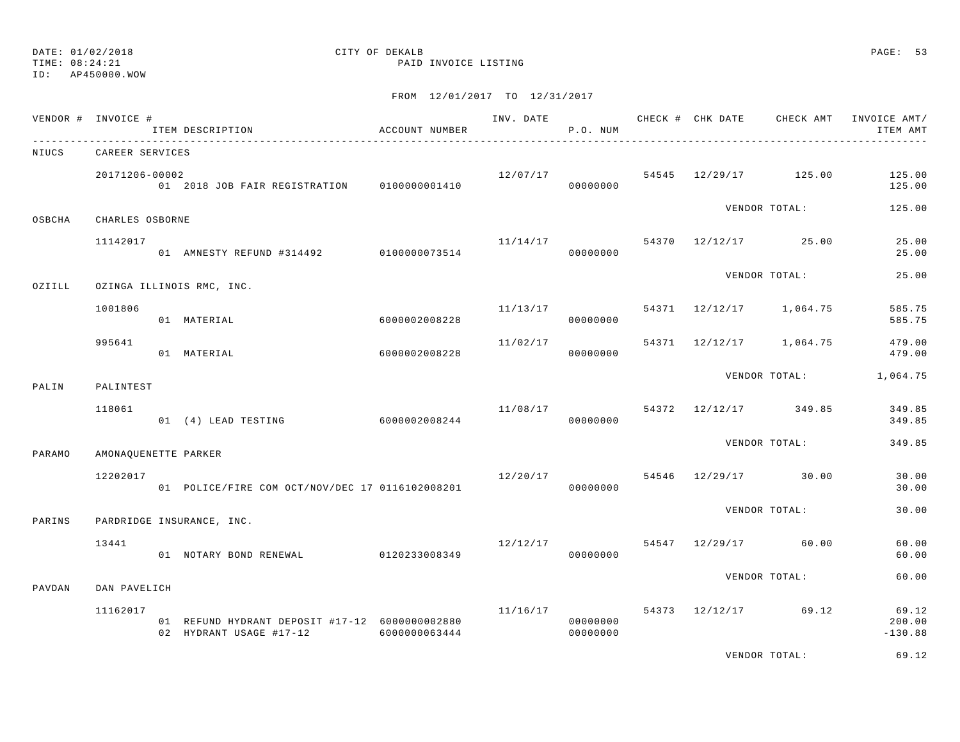# DATE: 01/02/2018 CITY OF DEKALB PAGE: 53

TIME: 08:24:21 PAID INVOICE LISTING

FROM 12/01/2017 TO 12/31/2017

|        | VENDOR # INVOICE #   | ITEM DESCRIPTION                                                          | ACCOUNT NUMBER |                                   | P.O. NUM             |  |                                    | INV. DATE 6 CHECK # CHK DATE CHECK AMT INVOICE AMT/<br>ITEM AMT |
|--------|----------------------|---------------------------------------------------------------------------|----------------|-----------------------------------|----------------------|--|------------------------------------|-----------------------------------------------------------------|
| NIUCS  | CAREER SERVICES      |                                                                           |                |                                   |                      |  |                                    |                                                                 |
|        | 20171206-00002       | 01  2018  JOB  FAIR REGISTRATION   0100000001410                          |                |                                   | 00000000             |  | $12/07/17$ 54545 $12/29/17$ 125.00 | 125.00<br>125.00                                                |
| OSBCHA | CHARLES OSBORNE      |                                                                           |                |                                   |                      |  | VENDOR TOTAL:                      | 125.00                                                          |
|        | 11142017             | 01 AMNESTY REFUND #314492 0100000073514                                   |                |                                   | 000000000            |  | $11/14/17$ 54370 $12/12/17$ 25.00  | 25.00<br>25.00                                                  |
| OZIILL |                      | OZINGA ILLINOIS RMC, INC.                                                 |                |                                   |                      |  | VENDOR TOTAL:                      | 25.00                                                           |
|        | 1001806              | 01 MATERIAL                                                               | 6000002008228  | 11/13/17                          | 00000000             |  | 54371 12/12/17 1,064.75            | 585.75<br>585.75                                                |
|        | 995641               | 01 MATERIAL                                                               | 6000002008228  | 11/02/17                          | 00000000             |  | 54371 12/12/17 1,064.75            | 479.00<br>479.00                                                |
| PALIN  | PALINTEST            |                                                                           |                |                                   |                      |  |                                    | VENDOR TOTAL: 1,064.75                                          |
|        | 118061               | 01 (4) LEAD TESTING 6000002008244                                         |                |                                   | 00000000             |  | $11/08/17$ 54372 $12/12/17$ 349.85 | 349.85<br>349.85                                                |
| PARAMO | AMONAQUENETTE PARKER |                                                                           |                |                                   |                      |  | VENDOR TOTAL:                      | 349.85                                                          |
|        | 12202017             | 01 POLICE/FIRE COM OCT/NOV/DEC 17 0116102008201                           |                | $12/20/17$ 54546 $12/29/17$ 30.00 | 00000000             |  |                                    | 30.00<br>30.00                                                  |
| PARINS |                      | PARDRIDGE INSURANCE, INC.                                                 |                |                                   |                      |  | VENDOR TOTAL:                      | 30.00                                                           |
|        | 13441                | 01 NOTARY BOND RENEWAL 0120233008349                                      |                | $12/12/17$ 54547 12/29/17 60.00   | 00000000             |  |                                    | 60.00<br>60.00                                                  |
| PAVDAN | DAN PAVELICH         |                                                                           |                |                                   |                      |  | VENDOR TOTAL:                      | 60.00                                                           |
|        | 11162017             | 01 REFUND HYDRANT DEPOSIT #17-12 6000000002880<br>02 HYDRANT USAGE #17-12 | 6000000063444  | 11/16/17                          | 00000000<br>00000000 |  |                                    | 54373 12/12/17 69.12 69.12<br>200.00<br>$-130.88$               |

VENDOR TOTAL: 69.12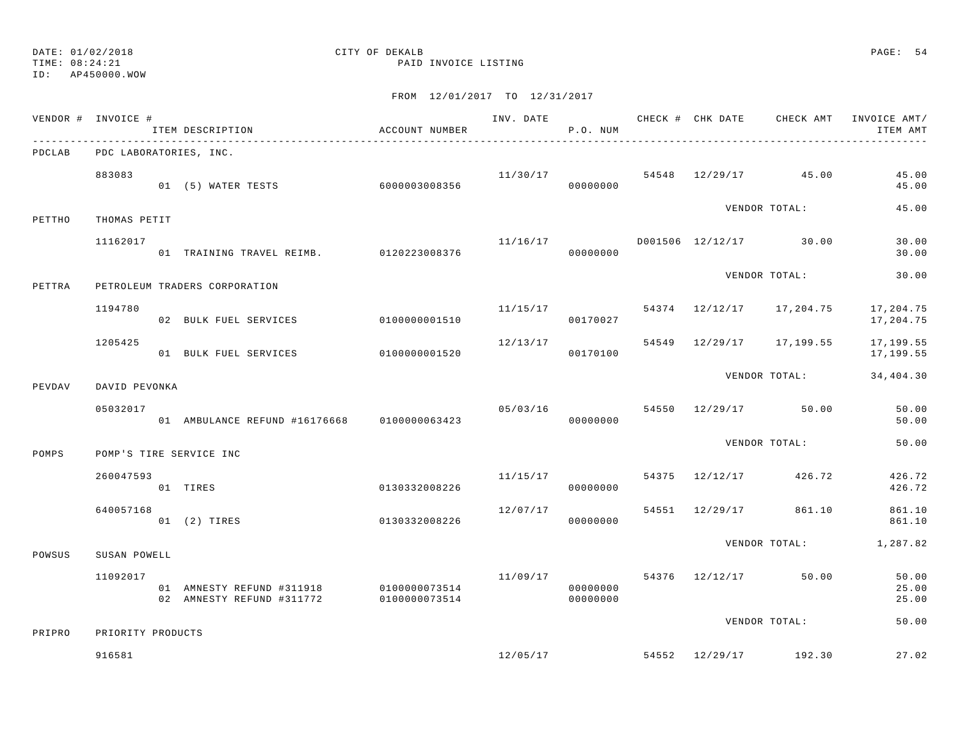# DATE: 01/02/2018 CITY OF DEKALB PAGE: 54

TIME: 08:24:21 PAID INVOICE LISTING

| .      | VENDOR # INVOICE # | ITEM DESCRIPTION                                                     | ACCOUNT NUMBER |          | P.O. NUM             |  |                                        | INV. DATE 6 1999 CHECK # CHK DATE 6 CHECK AMT INVOICE AMT/<br>ITEM AMT |
|--------|--------------------|----------------------------------------------------------------------|----------------|----------|----------------------|--|----------------------------------------|------------------------------------------------------------------------|
| PDCLAB |                    | PDC LABORATORIES, INC.                                               |                |          |                      |  |                                        |                                                                        |
|        | 883083             |                                                                      |                |          |                      |  | $11/30/17$ 54548 $12/29/17$ 45.00      | 45.00<br>45.00                                                         |
| PETTHO | THOMAS PETIT       |                                                                      |                |          |                      |  | VENDOR TOTAL:                          | 45.00                                                                  |
|        | 11162017           | 01 TRAINING TRAVEL REIMB. 0120223008376                              |                | 11/16/17 | 00000000             |  | D001506 12/12/17 30.00                 | 30.00<br>30.00                                                         |
| PETTRA |                    | PETROLEUM TRADERS CORPORATION                                        |                |          |                      |  | VENDOR TOTAL:                          | 30.00                                                                  |
|        | 1194780            | 02 BULK FUEL SERVICES                                                | 0100000001510  |          | 00170027             |  | $11/15/17$ 54374 $12/12/17$ 17, 204.75 | 17,204.75<br>17,204.75                                                 |
|        | 1205425            | 01 BULK FUEL SERVICES 0100000001520                                  |                | 12/13/17 | 00170100             |  | 54549 12/29/17 17,199.55               | 17,199.55<br>17,199.55                                                 |
| PEVDAV | DAVID PEVONKA      |                                                                      |                |          |                      |  | VENDOR TOTAL:                          | 34,404.30                                                              |
|        | 05032017           | 01 AMBULANCE REFUND #16176668 0100000063423                          |                | 05/03/16 | 00000000             |  | 54550 12/29/17 50.00                   | 50.00<br>50.00                                                         |
| POMPS  |                    | POMP'S TIRE SERVICE INC                                              |                |          |                      |  | VENDOR TOTAL:                          | 50.00                                                                  |
|        | 260047593          | 01 TIRES                                                             | 0130332008226  | 11/15/17 | 00000000             |  | 54375 12/12/17 426.72                  | 426.72<br>426.72                                                       |
|        | 640057168          | 01 (2) TIRES                                                         | 0130332008226  | 12/07/17 | 00000000             |  | 54551 12/29/17 861.10                  | 861.10<br>861.10                                                       |
| POWSUS | SUSAN POWELL       |                                                                      |                |          |                      |  |                                        | VENDOR TOTAL: 1,287.82                                                 |
|        | 11092017           | 01 AMNESTY REFUND #311918 0100000073514<br>02 AMNESTY REFUND #311772 | 0100000073514  | 11/09/17 | 00000000<br>00000000 |  | 54376 12/12/17 50.00                   | 50.00<br>25.00<br>25.00                                                |
| PRIPRO | PRIORITY PRODUCTS  |                                                                      |                |          |                      |  | VENDOR TOTAL:                          | 50.00                                                                  |
|        | 916581             |                                                                      |                |          |                      |  | $12/05/17$ 54552 $12/29/17$ 192.30     | 27.02                                                                  |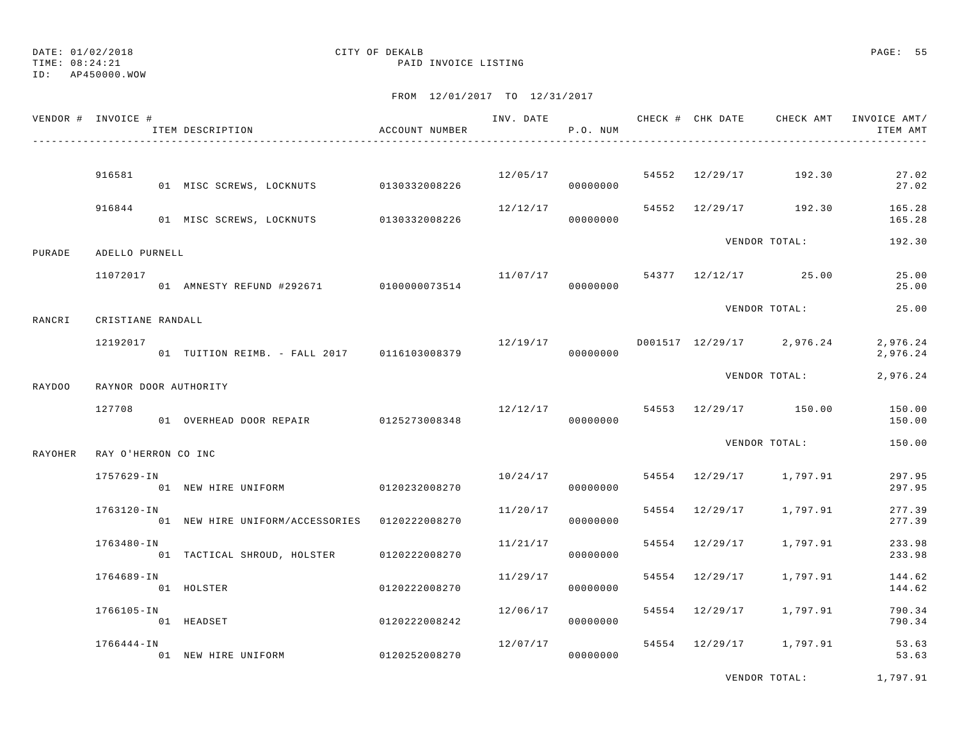## DATE: 01/02/2018 CITY OF DEKALB PAGE: 55

TIME: 08:24:21 PAID INVOICE LISTING

FROM 12/01/2017 TO 12/31/2017

| VENDOR # INVOICE # |                     | ITEM DESCRIPTION                              | ACCOUNT NUMBER |                                    | P.O. NUM |                |                                            | INV. DATE 6 1999 CHECK # CHK DATE 6 CHECK AMT INVOICE AMT/<br>ITEM AMT |
|--------------------|---------------------|-----------------------------------------------|----------------|------------------------------------|----------|----------------|--------------------------------------------|------------------------------------------------------------------------|
|                    | 916581              |                                               |                |                                    |          |                | $12/05/17$ 54552 $12/29/17$ 192.30         | 27.02                                                                  |
|                    |                     | 01 MISC SCREWS, LOCKNUTS 0130332008226        |                |                                    | 00000000 |                |                                            | 27.02                                                                  |
|                    | 916844              | 01 MISC SCREWS, LOCKNUTS 0130332008226        |                | 12/12/17                           | 00000000 |                | 54552 12/29/17 192.30                      | 165.28<br>165.28                                                       |
| PURADE             | ADELLO PURNELL      |                                               |                |                                    |          |                | VENDOR TOTAL:                              | 192.30                                                                 |
|                    | 11072017            | 01 AMNESTY REFUND #292671 0100000073514       |                | 00000000                           |          |                | $11/07/17$ 54377 12/12/17 25.00            | 25.00<br>25.00                                                         |
| RANCRI             | CRISTIANE RANDALL   |                                               |                |                                    |          |                | VENDOR TOTAL:                              | 25.00                                                                  |
|                    | 12192017            | 01 TUITION REIMB. - FALL 2017 0116103008379   |                |                                    | 00000000 |                | $12/19/17$ $D001517$ $12/29/17$ $2,976.24$ | 2,976.24<br>2,976.24                                                   |
|                    |                     |                                               |                |                                    |          |                | VENDOR TOTAL:                              | 2,976.24                                                               |
| RAYDOO             |                     | RAYNOR DOOR AUTHORITY                         |                |                                    |          |                |                                            |                                                                        |
|                    | 127708              | 01 OVERHEAD DOOR REPAIR 0125273008348         |                | $12/12/17$ 54553 $12/29/17$ 150.00 | 00000000 |                |                                            | 150.00<br>150.00                                                       |
| RAYOHER            | RAY O'HERRON CO INC |                                               |                |                                    |          |                | VENDOR TOTAL:                              | 150.00                                                                 |
|                    | 1757629-IN          | 01 NEW HIRE UNIFORM 0120232008270             |                | 10/24/17                           | 00000000 |                | 54554 12/29/17 1,797.91                    | 297.95<br>297.95                                                       |
|                    | 1763120-IN          | 01 NEW HIRE UNIFORM/ACCESSORIES 0120222008270 |                | 11/20/17                           | 00000000 |                | 54554 12/29/17 1,797.91                    | 277.39<br>277.39                                                       |
|                    | 1763480-IN          | 01 TACTICAL SHROUD, HOLSTER 0120222008270     |                | 11/21/17                           | 00000000 | 54554 12/29/17 | 1,797.91                                   | 233.98<br>233.98                                                       |
|                    | 1764689-IN          | 01 HOLSTER                                    | 0120222008270  | 11/29/17                           | 00000000 | 54554 12/29/17 | 1,797.91                                   | 144.62<br>144.62                                                       |
|                    | 1766105-IN          | 01 HEADSET                                    | 0120222008242  | 12/06/17                           | 00000000 | 54554 12/29/17 | 1,797.91                                   | 790.34<br>790.34                                                       |
|                    | 1766444-IN          | 01 NEW HIRE UNIFORM                           | 0120252008270  | 12/07/17                           | 00000000 |                | 54554 12/29/17 1,797.91                    | 53.63<br>53.63                                                         |

VENDOR TOTAL: 1,797.91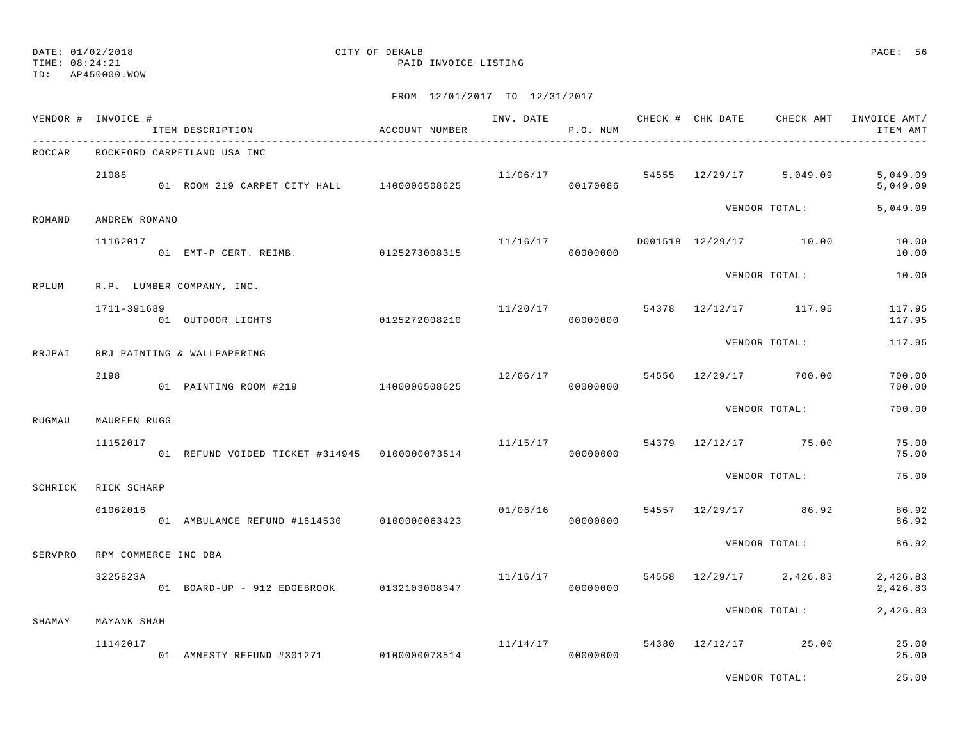## DATE: 01/02/2018 CITY OF DEKALB PAGE: 56

TIME: 08:24:21 PAID INVOICE LISTING

|         | VENDOR # INVOICE #   | ITEM DESCRIPTION                                | ACCOUNT NUMBER |                      | P.O. NUM             |  |                                    | INV. DATE 6 CHECK # CHK DATE CHECK AMT INVOICE AMT/<br>ITEM AMT |
|---------|----------------------|-------------------------------------------------|----------------|----------------------|----------------------|--|------------------------------------|-----------------------------------------------------------------|
| ROCCAR  |                      | ROCKFORD CARPETLAND USA INC                     |                |                      |                      |  |                                    |                                                                 |
|         | 21088                | 01 ROOM 219 CARPET CITY HALL 1400006508625      |                |                      | 00170086             |  |                                    | $11/06/17$ 54555 $12/29/17$ 5,049.09 5,049.09<br>5,049.09       |
| ROMAND  | ANDREW ROMANO        |                                                 |                |                      |                      |  | VENDOR TOTAL:                      | 5,049.09                                                        |
|         | 11162017             | 01 EMT-P CERT. REIMB. 0125273008315             |                | 11/16/17             | 00000000             |  | D001518 12/29/17 10.00             | 10.00<br>10.00                                                  |
| RPLUM   |                      | R.P. LUMBER COMPANY, INC.                       |                |                      |                      |  | VENDOR TOTAL:                      | 10.00                                                           |
|         | 1711-391689          | 01 OUTDOOR LIGHTS                               | 0125272008210  | 11/20/17             | 00000000             |  | 54378 12/12/17 117.95              | 117.95<br>117.95                                                |
| RRJPAI  |                      | RRJ PAINTING & WALLPAPERING                     |                |                      |                      |  | VENDOR TOTAL:                      | 117.95                                                          |
|         | 2198                 | 01 PAINTING ROOM #219                           | 1400006508625  |                      | 00000000             |  | $12/06/17$ 54556 $12/29/17$ 700.00 | 700.00<br>700.00                                                |
| RUGMAU  | MAUREEN RUGG         |                                                 |                |                      |                      |  | VENDOR TOTAL:                      | 700.00                                                          |
|         | 11152017             | 01 REFUND VOIDED TICKET #314945   0100000073514 |                | 11/15/17             | 00000000             |  | 54379 12/12/17 75.00               | 75.00<br>75.00                                                  |
| SCHRICK | RICK SCHARP          |                                                 |                |                      |                      |  | VENDOR TOTAL:                      | 75.00                                                           |
|         | 01062016             | 01 AMBULANCE REFUND #1614530 0100000063423      |                |                      | 01/06/16<br>00000000 |  | 54557 12/29/17 86.92               | 86.92<br>86.92                                                  |
| SERVPRO | RPM COMMERCE INC DBA |                                                 |                |                      |                      |  | VENDOR TOTAL:                      | 86.92                                                           |
|         | 3225823A             | 01 BOARD-UP - 912 EDGEBROOK 0132103008347       |                | 11/16/17             | 00000000             |  | 54558 12/29/17 2,426.83            | 2,426.83<br>2,426.83                                            |
| SHAMAY  | MAYANK SHAH          |                                                 |                |                      |                      |  | VENDOR TOTAL:                      | 2,426.83                                                        |
|         | 11142017             | 01 AMNESTY REFUND #301271 0100000073514         |                | 11/14/17<br>00000000 |                      |  | 54380 12/12/17 25.00               | 25.00<br>25.00                                                  |
|         |                      |                                                 |                |                      |                      |  | VENDOR TOTAL:                      | 25.00                                                           |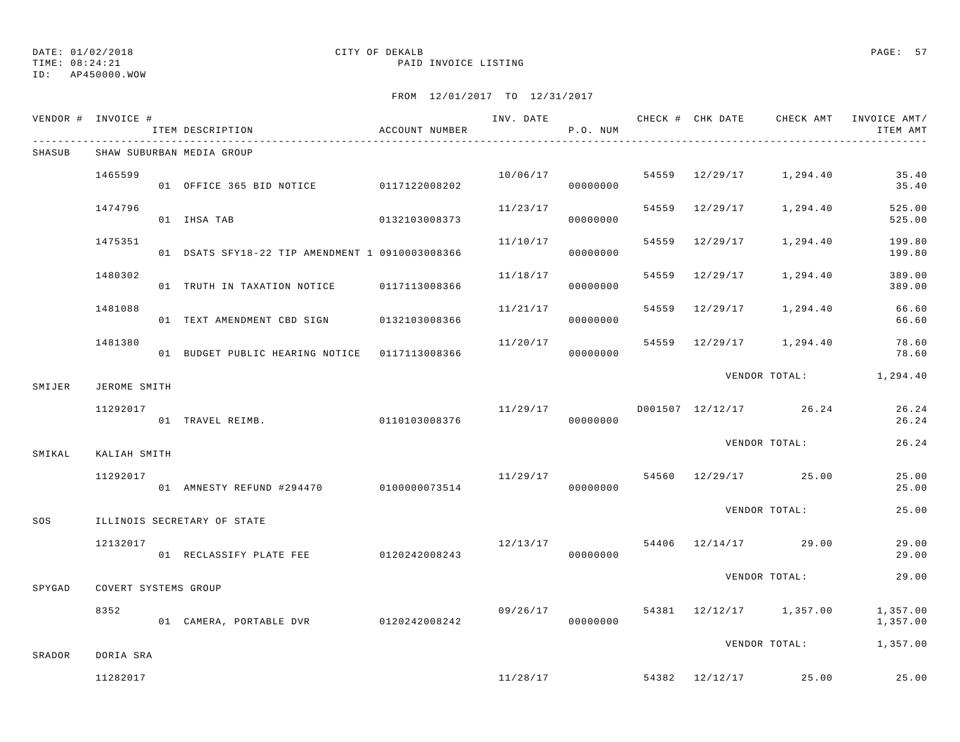TIME: 08:24:21 PAID INVOICE LISTING ID: AP450000.WOW

|        | VENDOR # INVOICE #    | ITEM DESCRIPTION                                | ACCOUNT NUMBER |                                   | P.O. NUM |  |                                    | INV. DATE 6 CHECK # CHK DATE CHECK AMT INVOICE AMT/<br>ITEM AMT |
|--------|-----------------------|-------------------------------------------------|----------------|-----------------------------------|----------|--|------------------------------------|-----------------------------------------------------------------|
| SHASUB |                       | SHAW SUBURBAN MEDIA GROUP                       |                |                                   |          |  |                                    |                                                                 |
|        | 1465599               | 01 OFFICE 365 BID NOTICE 0117122008202          |                | 10/06/17                          | 00000000 |  | 54559 12/29/17 1,294.40            | 35.40<br>35.40                                                  |
|        | 1474796               | 01 IHSA TAB                                     | 0132103008373  | 11/23/17                          | 00000000 |  | 54559 12/29/17 1,294.40            | 525.00<br>525.00                                                |
|        | 1475351               | 01 DSATS SFY18-22 TIP AMENDMENT 1 0910003008366 |                | 11/10/17                          | 00000000 |  | 54559 12/29/17 1,294.40            | 199.80<br>199.80                                                |
|        | 1480302               | 01 TRUTH IN TAXATION NOTICE 0117113008366       |                | 11/18/17                          | 00000000 |  | 54559 12/29/17 1,294.40            | 389.00<br>389.00                                                |
|        | 1481088               | 01 TEXT AMENDMENT CBD SIGN 0132103008366        |                | 11/21/17                          | 00000000 |  | 54559 12/29/17 1,294.40            | 66.60<br>66.60                                                  |
|        | 1481380               | 01 BUDGET PUBLIC HEARING NOTICE  0117113008366  |                | 11/20/17                          | 00000000 |  | 54559 12/29/17 1,294.40            | 78.60<br>78.60                                                  |
| SMIJER | JEROME SMITH          |                                                 |                |                                   |          |  |                                    | VENDOR TOTAL: 1,294.40                                          |
|        | 11292017              | 01 TRAVEL REIMB. 6110103008376                  |                |                                   | 00000000 |  | $11/29/17$ D001507 12/12/17 26.24  | 26.24<br>26.24                                                  |
| SMIKAL | KALIAH SMITH          |                                                 |                |                                   |          |  | VENDOR TOTAL:                      | 26.24                                                           |
|        | 11292017              | 01 AMNESTY REFUND #294470 0100000073514         |                | 11/29/17                          | 00000000 |  | 54560 12/29/17 25.00               | 25.00<br>25.00                                                  |
| SOS    |                       | ILLINOIS SECRETARY OF STATE                     |                |                                   |          |  | VENDOR TOTAL:                      | 25.00                                                           |
|        | 12132017              | 01 RECLASSIFY PLATE FEE 0120242008243           |                | $12/13/17$ 54406 $12/14/17$ 29.00 | 00000000 |  |                                    | 29.00<br>29.00                                                  |
| SPYGAD | COVERT SYSTEMS GROUP  |                                                 |                |                                   |          |  | VENDOR TOTAL:                      | 29.00                                                           |
|        | 8352                  | 01 CAMERA, PORTABLE DVR 0120242008242           |                |                                   | 00000000 |  | $09/26/17$ 54381 12/12/17 1,357.00 | 1,357.00<br>1,357.00                                            |
|        |                       |                                                 |                |                                   |          |  | VENDOR TOTAL:                      | 1,357.00                                                        |
| SRADOR | DORIA SRA<br>11282017 |                                                 |                |                                   |          |  | $11/28/17$ 54382 $12/12/17$ 25.00  | 25.00                                                           |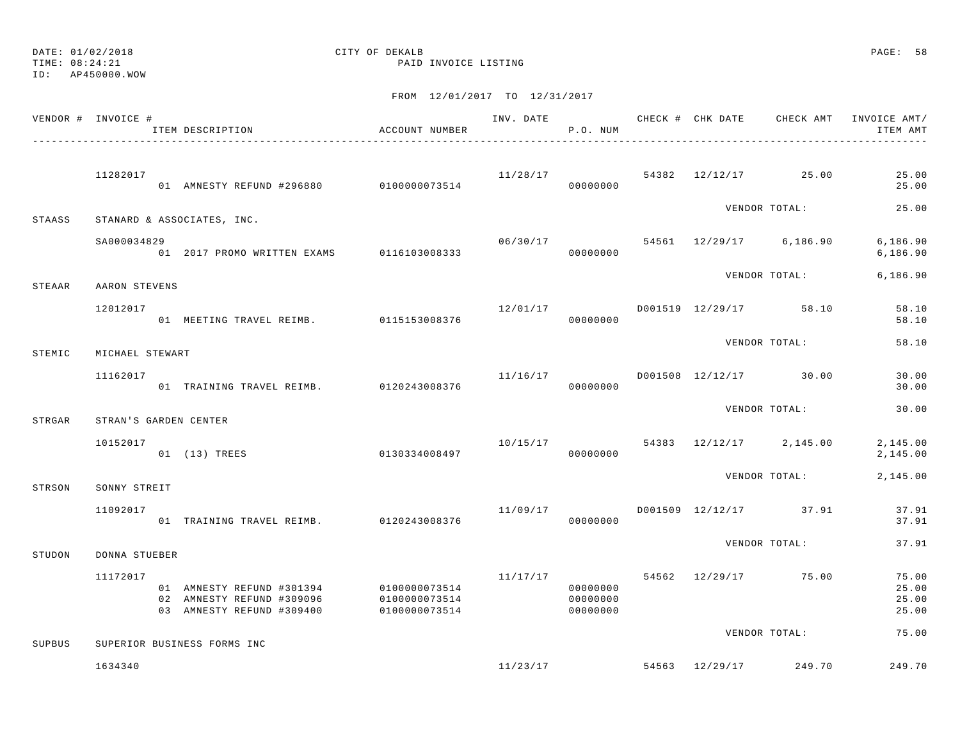TIME: 08:24:21 PAID INVOICE LISTING

ID: AP450000.WOW

|        | VENDOR # INVOICE #    | ITEM DESCRIPTION                                                                                  | ACCOUNT NUMBER                 |          | P.O. NUM                         |  |                                       | INV. DATE 6 1999 CHECK # CHK DATE 6 CHECK AMT INVOICE AMT<br>ITEM AMT |
|--------|-----------------------|---------------------------------------------------------------------------------------------------|--------------------------------|----------|----------------------------------|--|---------------------------------------|-----------------------------------------------------------------------|
|        | 11282017              | .<br>01 AMNESTY REFUND #296880 0100000073514                                                      |                                |          | 00000000                         |  | $11/28/17$ 54382 $12/12/17$ 25.00     | 25.00<br>25.00                                                        |
| STAASS |                       | STANARD & ASSOCIATES, INC.                                                                        |                                |          |                                  |  | VENDOR TOTAL:                         | 25.00                                                                 |
|        | SA000034829           | 01 2017 PROMO WRITTEN EXAMS 0116103008333                                                         |                                |          | 00000000                         |  | $06/30/17$ 54561 12/29/17 6,186.90    | 6,186.90<br>6, 186.90                                                 |
| STEAAR | AARON STEVENS         |                                                                                                   |                                |          |                                  |  | VENDOR TOTAL:                         | 6,186.90                                                              |
|        | 12012017              | 01 MEETING TRAVEL REIMB. 0115153008376                                                            |                                |          | 00000000                         |  | $12/01/17$ D001519 12/29/17 58.10     | 58.10<br>58.10                                                        |
| STEMIC | MICHAEL STEWART       |                                                                                                   |                                |          |                                  |  | VENDOR TOTAL:                         | 58.10                                                                 |
|        | 11162017              | 01 TRAINING TRAVEL REIMB. 0120243008376                                                           |                                |          | 00000000                         |  | $11/16/17$ $D001508$ $12/12/17$ 30.00 | 30.00<br>30.00                                                        |
| STRGAR | STRAN'S GARDEN CENTER |                                                                                                   |                                |          |                                  |  | VENDOR TOTAL:                         | 30.00                                                                 |
|        | 10152017              | 01 (13) TREES                                                                                     | 0130334008497                  |          | 00000000                         |  | $10/15/17$ 54383 $12/12/17$ 2,145.00  | 2,145.00<br>2,145.00                                                  |
| STRSON | SONNY STREIT          |                                                                                                   |                                |          |                                  |  | VENDOR TOTAL:                         | 2,145.00                                                              |
|        | 11092017              | 01 TRAINING TRAVEL REIMB. 0120243008376                                                           |                                | 11/09/17 | 00000000                         |  | D001509 12/12/17 37.91                | 37.91<br>37.91                                                        |
| STUDON | DONNA STUEBER         |                                                                                                   |                                |          |                                  |  | VENDOR TOTAL:                         | 37.91                                                                 |
|        | 11172017              | 01 AMNESTY REFUND #301394 0100000073514<br>02 AMNESTY REFUND #309096<br>03 AMNESTY REFUND #309400 | 0100000073514<br>0100000073514 |          | 00000000<br>00000000<br>00000000 |  | $11/17/17$ 54562 $12/29/17$ 75.00     | 75.00<br>25.00<br>25.00<br>25.00                                      |
| SUPBUS |                       | SUPERIOR BUSINESS FORMS INC                                                                       |                                |          |                                  |  | VENDOR TOTAL:                         | 75.00                                                                 |
|        | 1634340               |                                                                                                   |                                |          | 11/23/17                         |  | 54563 12/29/17 249.70                 | 249.70                                                                |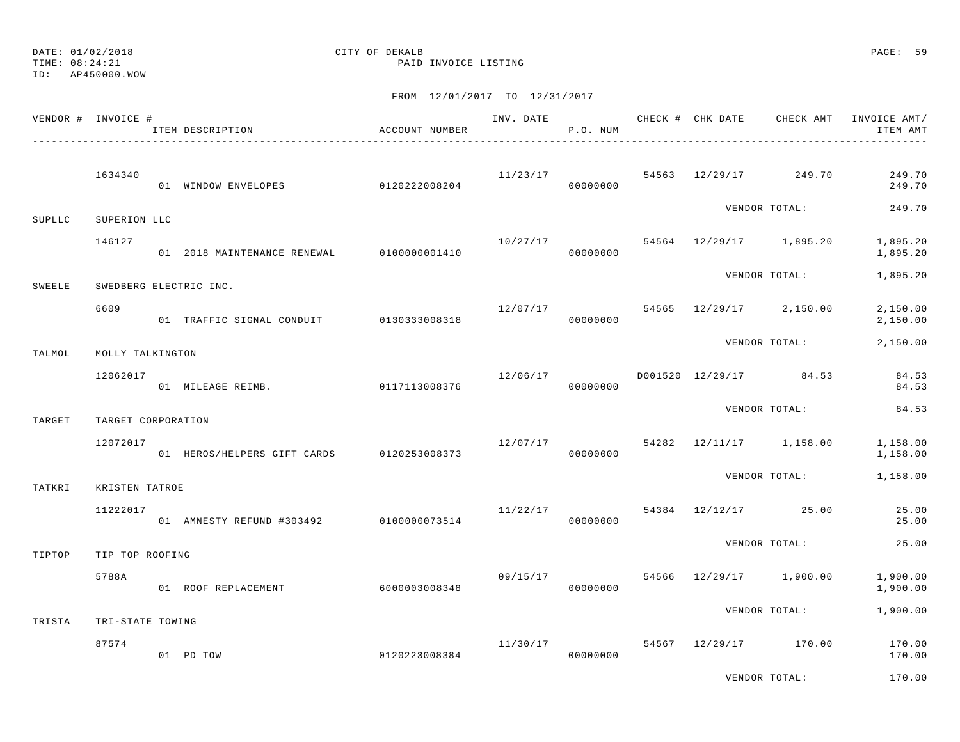TIME: 08:24:21 PAID INVOICE LISTING

ID: AP450000.WOW

|        | VENDOR # INVOICE #     | ITEM DESCRIPTION                          | ACCOUNT NUMBER |                      | P.O. NUM |  |                                      | INV. DATE 6 CHECK # CHK DATE CHECK AMT INVOICE AMT/<br>ITEM AMT |
|--------|------------------------|-------------------------------------------|----------------|----------------------|----------|--|--------------------------------------|-----------------------------------------------------------------|
|        | 1634340                | 01 WINDOW ENVELOPES 0120222008204         |                | 11/23/17             | 00000000 |  | 54563 12/29/17 249.70                | 249.70<br>249.70                                                |
|        |                        |                                           |                |                      |          |  | VENDOR TOTAL:                        | 249.70                                                          |
| SUPLLC | SUPERION LLC<br>146127 |                                           |                | 00000000             |          |  | $10/27/17$ 54564 $12/29/17$ 1,895.20 | 1,895.20<br>1,895.20                                            |
| SWEELE |                        | SWEDBERG ELECTRIC INC.                    |                |                      |          |  | VENDOR TOTAL:                        | 1,895.20                                                        |
|        | 6609                   | 01 TRAFFIC SIGNAL CONDUIT 0130333008318   |                | 12/07/17             | 00000000 |  | 54565 12/29/17 2,150.00              | 2,150.00<br>2,150.00                                            |
| TALMOL | MOLLY TALKINGTON       |                                           |                |                      |          |  | VENDOR TOTAL:                        | 2,150.00                                                        |
|        | 12062017               | 01 MILEAGE REIMB. 0117113008376           |                |                      | 00000000 |  | $12/06/17$ D001520 $12/29/17$ 84.53  | 84.53<br>84.53                                                  |
| TARGET | TARGET CORPORATION     |                                           |                |                      |          |  | VENDOR TOTAL:                        | 84.53                                                           |
|        | 12072017               | 01 HEROS/HELPERS GIFT CARDS 0120253008373 |                | 12/07/17             | 00000000 |  | 54282 12/11/17 1,158.00              | 1,158.00<br>1,158.00                                            |
| TATKRI | KRISTEN TATROE         |                                           |                |                      |          |  | VENDOR TOTAL:                        | 1,158.00                                                        |
|        | 11222017               | 01 AMNESTY REFUND #303492 0100000073514   |                | 11/22/17<br>00000000 |          |  | 54384 12/12/17 25.00                 | 25.00<br>25.00                                                  |
| TIPTOP | TIP TOP ROOFING        |                                           |                |                      |          |  | VENDOR TOTAL:                        | 25.00                                                           |
|        | 5788A                  | 01 ROOF REPLACEMENT                       | 6000003008348  | 09/15/17             | 00000000 |  | 54566 12/29/17 1,900.00              | 1,900.00<br>1,900.00                                            |
| TRISTA | TRI-STATE TOWING       |                                           |                |                      |          |  | VENDOR TOTAL:                        | 1,900.00                                                        |
|        | 87574                  | 01 PD TOW                                 | 0120223008384  | 11/30/17             | 00000000 |  | 54567 12/29/17 170.00                | 170.00<br>170.00                                                |
|        |                        |                                           |                |                      |          |  | VENDOR TOTAL:                        | 170.00                                                          |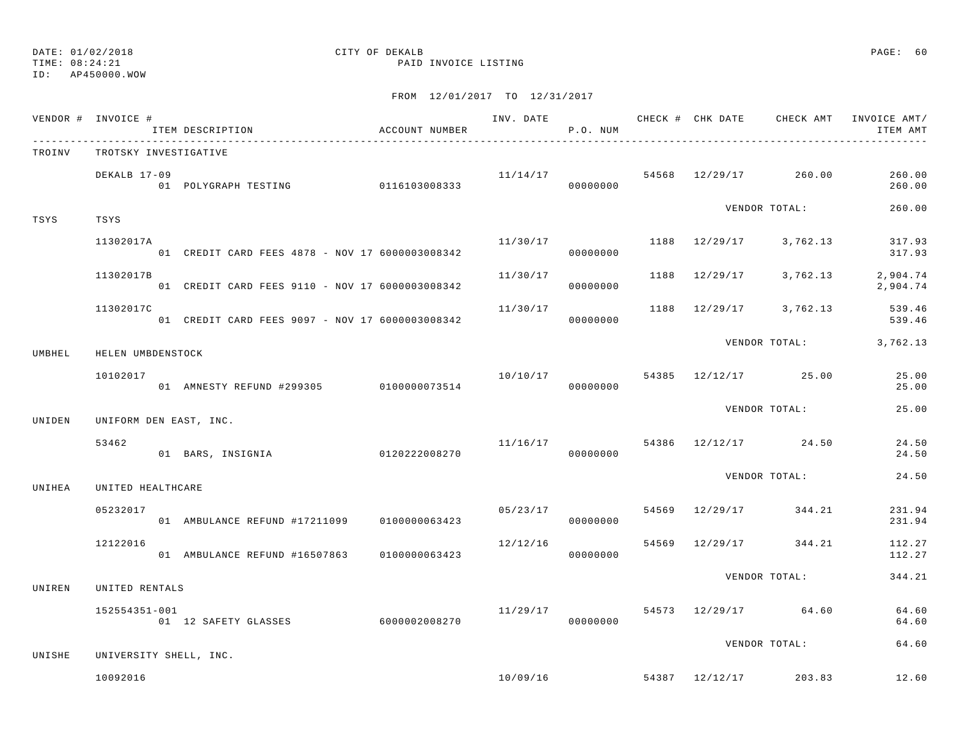## DATE: 01/02/2018 CITY OF DEKALB PAGE: 60

TIME: 08:24:21 PAID INVOICE LISTING

|        | VENDOR # INVOICE #<br>ITEM DESCRIPTION                       | ACCOUNT NUMBER |          | P.O. NUM |  |                                    | INV. DATE 6 CHECK # CHK DATE CHECK AMT INVOICE AMT/<br>ITEM AMT |
|--------|--------------------------------------------------------------|----------------|----------|----------|--|------------------------------------|-----------------------------------------------------------------|
| TROINV | TROTSKY INVESTIGATIVE                                        |                |          |          |  |                                    |                                                                 |
|        | DEKALB 17-09                                                 |                |          |          |  | $11/14/17$ 54568 12/29/17 260.00   | 260.00<br>260.00                                                |
| TSYS   | TSYS                                                         |                |          |          |  | VENDOR TOTAL:                      | 260.00                                                          |
|        | 11302017A<br>01 CREDIT CARD FEES 4878 - NOV 17 6000003008342 |                | 11/30/17 | 00000000 |  | 1188 12/29/17 3,762.13             | 317.93<br>317.93                                                |
|        | 11302017B<br>01 CREDIT CARD FEES 9110 - NOV 17 6000003008342 |                | 11/30/17 | 00000000 |  |                                    | 1188 12/29/17 3,762.13 2,904.74<br>2,904.74                     |
|        | 11302017C<br>01 CREDIT CARD FEES 9097 - NOV 17 6000003008342 |                | 11/30/17 | 00000000 |  | 1188 12/29/17 3,762.13             | 539.46<br>539.46                                                |
| UMBHEL | HELEN UMBDENSTOCK                                            |                |          |          |  |                                    | VENDOR TOTAL: 3,762.13                                          |
|        | 10102017<br>01 AMNESTY REFUND #299305 0100000073514          |                |          | 00000000 |  | $10/10/17$ 54385 $12/12/17$ 25.00  | 25.00<br>25.00                                                  |
| UNIDEN | UNIFORM DEN EAST, INC.                                       |                |          |          |  | VENDOR TOTAL:                      | 25.00                                                           |
|        | 53462<br>01 BARS, INSIGNIA 0120222008270                     |                |          | 00000000 |  | $11/16/17$ 54386 $12/12/17$ 24.50  | 24.50<br>24.50                                                  |
| UNIHEA | UNITED HEALTHCARE                                            |                |          |          |  | VENDOR TOTAL:                      | 24.50                                                           |
|        | 05232017<br>01 AMBULANCE REFUND #17211099 0100000063423      |                | 05/23/17 |          |  | 54569 12/29/17 344.21              | 231.94<br>231.94                                                |
|        | 12122016                                                     |                | 12/12/16 | 00000000 |  | 54569 12/29/17 344.21              | 112.27<br>112.27                                                |
| UNIREN | UNITED RENTALS                                               |                |          |          |  | VENDOR TOTAL:                      | 344.21                                                          |
|        | 152554351-001<br>- 001<br>01 12 SAFETY GLASSES 6000002008270 |                | 11/29/17 | 00000000 |  | 54573 12/29/17 64.60               | 64.60<br>64.60                                                  |
| UNISHE | UNIVERSITY SHELL, INC.                                       |                |          |          |  | VENDOR TOTAL:                      | 64.60                                                           |
|        | 10092016                                                     |                |          |          |  | $10/09/16$ 54387 $12/12/17$ 203.83 | 12.60                                                           |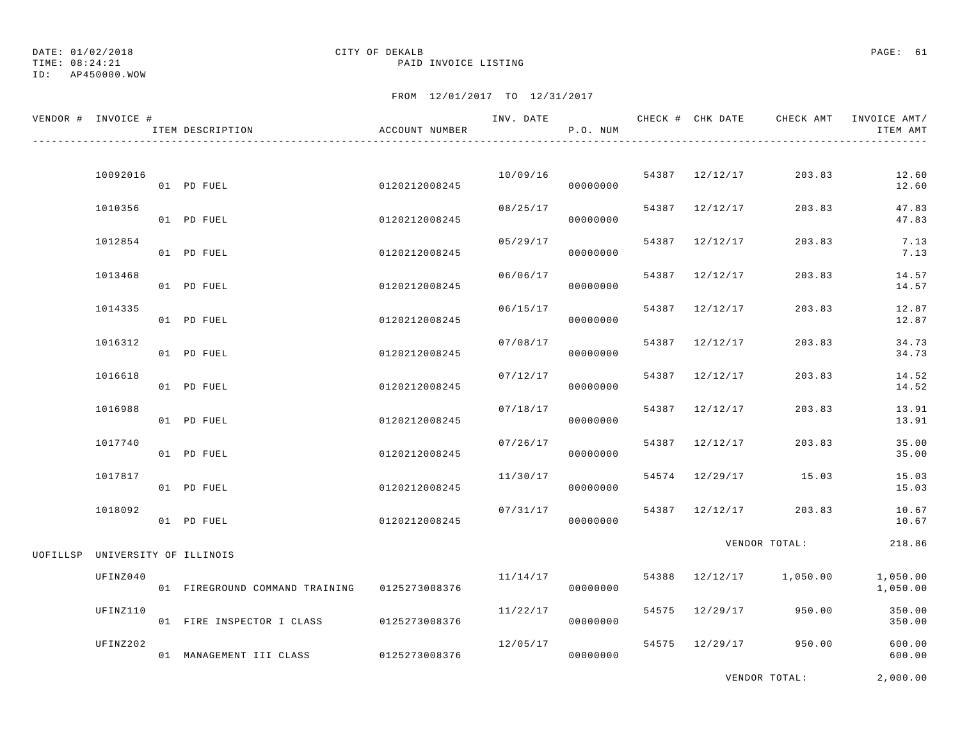TIME: 08:24:21 PAID INVOICE LISTING

DATE: 01/02/2018 CITY OF DEKALB PAGE: 61 ID: AP450000.WOW

### FROM 12/01/2017 TO 12/31/2017

| VENDOR # INVOICE #              |          | ITEM DESCRIPTION               | ACCOUNT NUMBER | INV. DATE | P.O. NUM |       | CHECK # CHK DATE | CHECK AMT     | INVOICE AMT/<br>ITEM AMT |
|---------------------------------|----------|--------------------------------|----------------|-----------|----------|-------|------------------|---------------|--------------------------|
|                                 | 10092016 | 01 PD FUEL                     | 0120212008245  | 10/09/16  | 00000000 |       | 54387 12/12/17   | 203.83        | 12.60<br>12.60           |
|                                 | 1010356  | 01 PD FUEL                     | 0120212008245  | 08/25/17  | 00000000 |       | 54387 12/12/17   | 203.83        | 47.83<br>47.83           |
|                                 | 1012854  | 01 PD FUEL                     | 0120212008245  | 05/29/17  | 00000000 |       | 54387 12/12/17   | 203.83        | 7.13<br>7.13             |
|                                 | 1013468  | 01 PD FUEL                     | 0120212008245  | 06/06/17  | 00000000 | 54387 | 12/12/17         | 203.83        | 14.57<br>14.57           |
|                                 | 1014335  | 01 PD FUEL                     | 0120212008245  | 06/15/17  | 00000000 | 54387 | 12/12/17         | 203.83        | 12.87<br>12.87           |
|                                 | 1016312  | 01 PD FUEL                     | 0120212008245  | 07/08/17  | 00000000 | 54387 | 12/12/17         | 203.83        | 34.73<br>34.73           |
|                                 | 1016618  | 01 PD FUEL                     | 0120212008245  | 07/12/17  | 00000000 | 54387 | 12/12/17         | 203.83        | 14.52<br>14.52           |
|                                 | 1016988  | 01 PD FUEL                     | 0120212008245  | 07/18/17  | 00000000 | 54387 | 12/12/17         | 203.83        | 13.91<br>13.91           |
|                                 | 1017740  | 01 PD FUEL                     | 0120212008245  | 07/26/17  | 00000000 | 54387 | 12/12/17         | 203.83        | 35.00<br>35.00           |
|                                 | 1017817  | 01 PD FUEL                     | 0120212008245  | 11/30/17  | 00000000 |       | 54574 12/29/17   | 15.03         | 15.03<br>15.03           |
|                                 | 1018092  | 01 PD FUEL                     | 0120212008245  | 07/31/17  | 00000000 |       | 54387 12/12/17   | 203.83        | 10.67<br>10.67           |
| UOFILLSP UNIVERSITY OF ILLINOIS |          |                                |                |           |          |       |                  | VENDOR TOTAL: | 218.86                   |
|                                 | UFINZ040 | 01 FIREGROUND COMMAND TRAINING | 0125273008376  | 11/14/17  | 00000000 | 54388 | 12/12/17         | 1,050.00      | 1,050.00<br>1,050.00     |
|                                 | UFINZ110 | 01 FIRE INSPECTOR I CLASS      | 0125273008376  | 11/22/17  | 00000000 |       | 54575 12/29/17   | 950.00        | 350.00<br>350.00         |
|                                 | UFINZ202 | 01 MANAGEMENT III CLASS        | 0125273008376  | 12/05/17  | 00000000 |       | 54575 12/29/17   | 950.00        | 600.00<br>600.00         |

VENDOR TOTAL: 2,000.00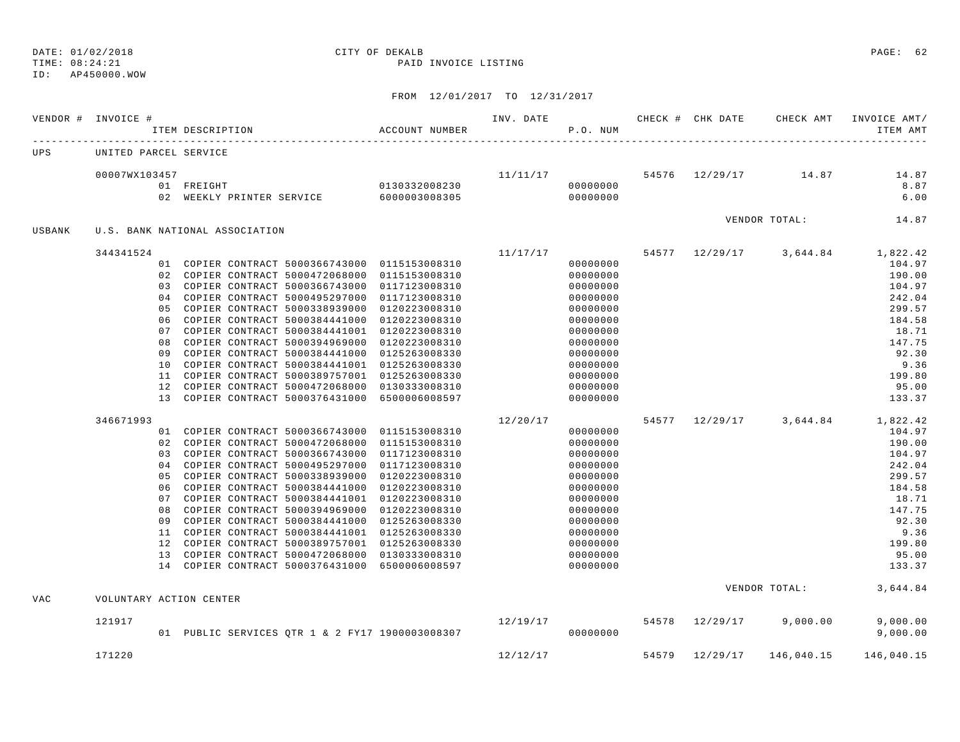TIME: 08:24:21 PAID INVOICE LISTING ID: AP450000.WOW

|        | VENDOR # INVOICE #      |                | ITEM DESCRIPTION<br>$\,$ ACCOUNT NUMBER                                                    |               | INV. DATE | P.O. NUM             |                | CHECK # CHK DATE CHECK AMT      | INVOICE AMT/<br>ITEM AMT                    |
|--------|-------------------------|----------------|--------------------------------------------------------------------------------------------|---------------|-----------|----------------------|----------------|---------------------------------|---------------------------------------------|
| UPS    | UNITED PARCEL SERVICE   |                |                                                                                            |               |           |                      |                |                                 |                                             |
|        | 00007WX103457           |                |                                                                                            |               |           |                      |                | $11/11/17$ 54576 12/29/17 14.87 | 14.87                                       |
|        |                         |                | 01 FREIGHT                                                                                 | 0130332008230 | 000000000 |                      |                |                                 | 8.87                                        |
|        |                         |                |                                                                                            |               |           |                      |                |                                 | 6.00                                        |
| USBANK |                         |                | U.S. BANK NATIONAL ASSOCIATION                                                             |               |           |                      |                |                                 | VENDOR TOTAL: 14.87                         |
|        | 344341524               |                |                                                                                            |               |           |                      |                |                                 | $11/17/17$ 54577 12/29/17 3,644.84 1,822.42 |
|        |                         |                | 01 COPIER CONTRACT 5000366743000 0115153008310                                             |               |           | 00000000             |                |                                 | 104.97                                      |
|        |                         | 02             | COPIER CONTRACT 5000472068000 0115153008310                                                |               |           | 00000000             |                |                                 | 190.00                                      |
|        |                         | 0.3            | COPIER CONTRACT 5000366743000 0117123008310                                                |               |           | 00000000             |                |                                 | 104.97                                      |
|        |                         | 04             | COPIER CONTRACT 5000495297000 0117123008310                                                |               |           | 00000000             |                |                                 | 242.04                                      |
|        |                         | 05             | COPIER CONTRACT 5000338939000 0120223008310                                                |               |           | 00000000             |                |                                 | 299.57                                      |
|        |                         | 06             | COPIER CONTRACT 5000384441000 0120223008310                                                |               |           | 00000000             |                |                                 | 184.58                                      |
|        |                         | 07             | COPIER CONTRACT 5000384441001 0120223008310                                                |               |           | 00000000             |                |                                 | 18.71                                       |
|        |                         | 08             | COPIER CONTRACT 5000394969000 0120223008310                                                |               |           | 00000000             |                |                                 | 147.75                                      |
|        |                         | 09             | COPIER CONTRACT 5000384441000 0125263008330                                                |               |           | 00000000             |                |                                 | 92.30                                       |
|        |                         | 10             | COPIER CONTRACT 5000384441001 0125263008330                                                |               |           | 00000000             |                |                                 | 9.36                                        |
|        |                         | 11             | COPIER CONTRACT 5000389757001 0125263008330                                                |               |           | 00000000             |                |                                 | 199.80                                      |
|        |                         | 12             | COPIER CONTRACT 5000472068000 0130333008310                                                |               |           | 00000000             |                |                                 | 95.00                                       |
|        |                         |                | 13 COPIER CONTRACT 5000376431000 6500006008597                                             |               |           | 00000000             |                |                                 | 133.37                                      |
|        | 346671993               |                |                                                                                            |               | 12/20/17  |                      |                |                                 | 54577 12/29/17 3,644.84 1,822.42            |
|        |                         |                | 01 COPIER CONTRACT 5000366743000 0115153008310                                             |               |           | 00000000             |                |                                 | 104.97                                      |
|        |                         | 02             | COPIER CONTRACT 5000472068000 0115153008310                                                |               |           | 00000000             |                |                                 | 190.00                                      |
|        |                         |                | 03 COPIER CONTRACT 5000366743000 0117123008310                                             |               |           | 00000000             |                |                                 | 104.97                                      |
|        |                         | 0 <sub>4</sub> | COPIER CONTRACT 5000495297000 0117123008310                                                |               |           | 00000000             |                |                                 | 242.04                                      |
|        |                         | 0.5            | COPIER CONTRACT 5000338939000 0120223008310                                                |               |           | 00000000             |                |                                 | 299.57                                      |
|        |                         | 06             | COPIER CONTRACT 5000384441000 0120223008310                                                |               |           | 00000000             |                |                                 | 184.58                                      |
|        |                         | 07             | COPIER CONTRACT 5000384441001 0120223008310                                                |               |           | 00000000             |                |                                 | 18.71                                       |
|        |                         | 08<br>09       | COPIER CONTRACT 5000394969000 0120223008310<br>COPIER CONTRACT 5000384441000 0125263008330 |               |           | 00000000<br>00000000 |                |                                 | 147.75<br>92.30                             |
|        |                         |                | 11 COPIER CONTRACT 5000384441001 0125263008330                                             |               |           | 00000000             |                |                                 | 9.36                                        |
|        |                         | 12             | COPIER CONTRACT 5000389757001 0125263008330                                                |               |           | 00000000             |                |                                 | 199.80                                      |
|        |                         |                | 13 COPIER CONTRACT 5000472068000 0130333008310                                             |               |           | 00000000             |                |                                 | 95.00                                       |
|        |                         |                | 14 COPIER CONTRACT 5000376431000 6500006008597                                             |               |           | 00000000             |                |                                 | 133.37                                      |
| VAC    | VOLUNTARY ACTION CENTER |                |                                                                                            |               |           |                      |                | VENDOR TOTAL:                   | 3,644.84                                    |
|        |                         |                |                                                                                            |               |           |                      |                |                                 |                                             |
|        | 121917                  |                | 01 PUBLIC SERVICES QTR 1 & 2 FY17 1900003008307                                            |               | 12/19/17  | 00000000             | 54578 12/29/17 | 9,000.00                        | 9,000.00<br>9,000.00                        |
|        |                         |                |                                                                                            |               |           |                      |                |                                 |                                             |
|        | 171220                  |                |                                                                                            |               | 12/12/17  |                      | 54579 12/29/17 | 146,040.15                      | 146,040.15                                  |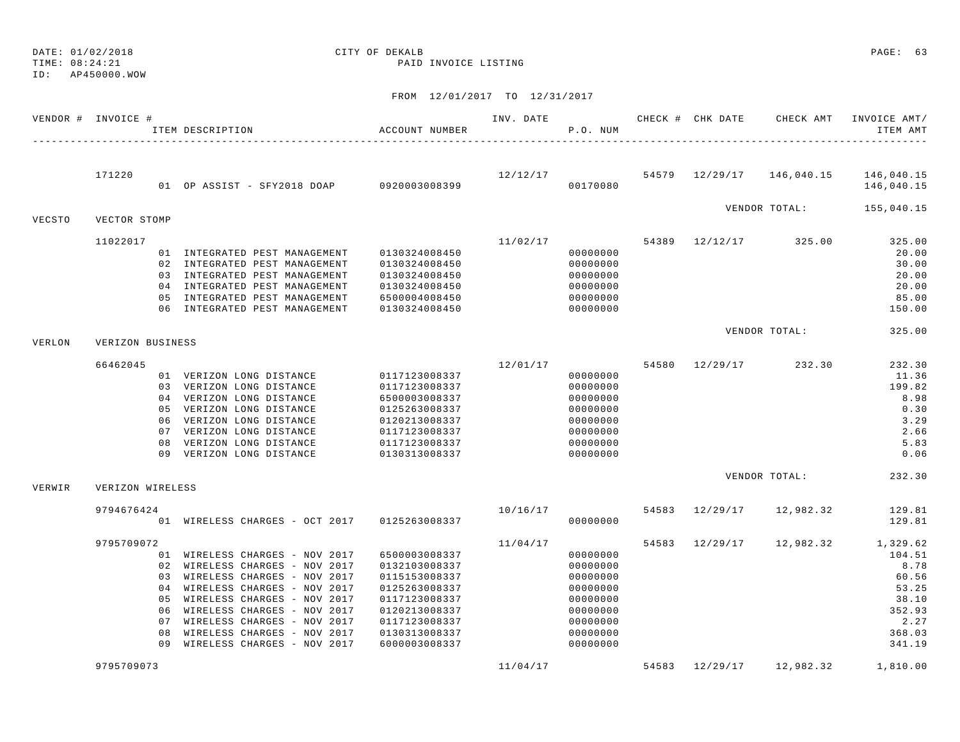TIME: 08:24:21 PAID INVOICE LISTING

ID: AP450000.WOW

|        | VENDOR # INVOICE # |     | ITEM DESCRIPTION                                               | ACCOUNT NUMBER                 | INV. DATE | P.O. NUM             |       | CHECK # CHK DATE | CHECK AMT                 | INVOICE AMT/<br>ITEM AMT |
|--------|--------------------|-----|----------------------------------------------------------------|--------------------------------|-----------|----------------------|-------|------------------|---------------------------|--------------------------|
|        |                    |     |                                                                |                                |           |                      |       |                  |                           |                          |
|        | 171220             |     | 01 OP ASSIST - SFY2018 DOAP 0920003008399                      |                                | 12/12/17  | 00170080             |       |                  | 54579 12/29/17 146,040.15 | 146,040.15<br>146,040.15 |
|        |                    |     |                                                                |                                |           |                      |       |                  | VENDOR TOTAL:             | 155,040.15               |
| VECSTO | VECTOR STOMP       |     |                                                                |                                |           |                      |       |                  |                           |                          |
|        | 11022017           |     |                                                                |                                | 11/02/17  |                      | 54389 |                  | 12/12/17 325.00           | 325.00                   |
|        |                    |     | 01 INTEGRATED PEST MANAGEMENT                                  | 0130324008450                  |           | 00000000             |       |                  |                           | 20.00                    |
|        |                    |     | 02 INTEGRATED PEST MANAGEMENT<br>03 INTEGRATED PEST MANAGEMENT | 0130324008450                  |           | 00000000<br>00000000 |       |                  |                           | 30.00<br>20.00           |
|        |                    |     | 04 INTEGRATED PEST MANAGEMENT                                  | 0130324008450<br>0130324008450 |           | 00000000             |       |                  |                           | 20.00                    |
|        |                    | 0.5 | INTEGRATED PEST MANAGEMENT                                     | 6500004008450                  |           | 00000000             |       |                  |                           | 85.00                    |
|        |                    |     | 06 INTEGRATED PEST MANAGEMENT                                  | 0130324008450                  |           | 00000000             |       |                  |                           | 150.00                   |
|        |                    |     |                                                                |                                |           |                      |       |                  | VENDOR TOTAL:             | 325.00                   |
| VERLON | VERIZON BUSINESS   |     |                                                                |                                |           |                      |       |                  |                           |                          |
|        | 66462045           |     |                                                                |                                | 12/01/17  |                      |       | 54580 12/29/17   | 232.30                    | 232.30                   |
|        |                    |     | 01 VERIZON LONG DISTANCE                                       | 0117123008337                  |           | 00000000             |       |                  |                           | 11.36                    |
|        |                    |     | 03 VERIZON LONG DISTANCE                                       | 0117123008337                  |           | 00000000             |       |                  |                           | 199.82                   |
|        |                    |     | 04 VERIZON LONG DISTANCE                                       | 6500003008337                  |           | 00000000             |       |                  |                           | 8.98                     |
|        |                    |     | 05 VERIZON LONG DISTANCE                                       | 0125263008337                  |           | 00000000             |       |                  |                           | 0.30                     |
|        |                    |     | 06 VERIZON LONG DISTANCE                                       | 0120213008337                  |           | 00000000             |       |                  |                           | 3.29                     |
|        |                    |     | 07 VERIZON LONG DISTANCE                                       | 0117123008337                  |           | 00000000             |       |                  |                           | 2.66                     |
|        |                    |     | 08 VERIZON LONG DISTANCE                                       | 0117123008337                  |           | 00000000             |       |                  |                           | 5.83                     |
|        |                    |     | 09 VERIZON LONG DISTANCE                                       | 0130313008337                  |           | 00000000             |       |                  |                           | 0.06                     |
| VERWIR | VERIZON WIRELESS   |     |                                                                |                                |           |                      |       |                  | VENDOR TOTAL:             | 232.30                   |
|        |                    |     |                                                                |                                |           |                      |       |                  |                           |                          |
|        | 9794676424         |     |                                                                |                                | 10/16/17  |                      | 54583 | 12/29/17         | 12,982.32                 | 129.81                   |
|        |                    |     | 01 WIRELESS CHARGES - OCT 2017                                 | 0125263008337                  |           | 00000000             |       |                  |                           | 129.81                   |
|        | 9795709072         |     |                                                                |                                | 11/04/17  |                      | 54583 | 12/29/17         | 12,982.32                 | 1,329.62                 |
|        |                    |     | 01 WIRELESS CHARGES - NOV 2017                                 | 6500003008337                  |           | 00000000             |       |                  |                           | 104.51                   |
|        |                    |     | 02 WIRELESS CHARGES - NOV 2017                                 | 0132103008337                  |           | 00000000             |       |                  |                           | 8.78                     |
|        |                    |     | 03 WIRELESS CHARGES - NOV 2017                                 | 0115153008337                  |           | 00000000             |       |                  |                           | 60.56                    |
|        |                    |     | 04 WIRELESS CHARGES - NOV 2017                                 | 0125263008337                  |           | 00000000             |       |                  |                           | 53.25                    |
|        |                    |     | 05 WIRELESS CHARGES - NOV 2017                                 | 0117123008337                  |           | 00000000             |       |                  |                           | 38.10                    |
|        |                    | 06  | WIRELESS CHARGES - NOV 2017                                    | 0120213008337                  |           | 00000000             |       |                  |                           | 352.93                   |
|        |                    | 07  | WIRELESS CHARGES - NOV 2017                                    | 0117123008337                  |           | 00000000             |       |                  |                           | 2.27                     |
|        |                    | 08  | WIRELESS CHARGES - NOV 2017                                    | 0130313008337                  |           | 00000000             |       |                  |                           | 368.03                   |
|        |                    | 09  | WIRELESS CHARGES - NOV 2017                                    | 6000003008337                  |           | 00000000             |       |                  |                           | 341.19                   |
|        | 9795709073         |     |                                                                |                                | 11/04/17  |                      | 54583 | 12/29/17         | 12,982.32                 | 1,810.00                 |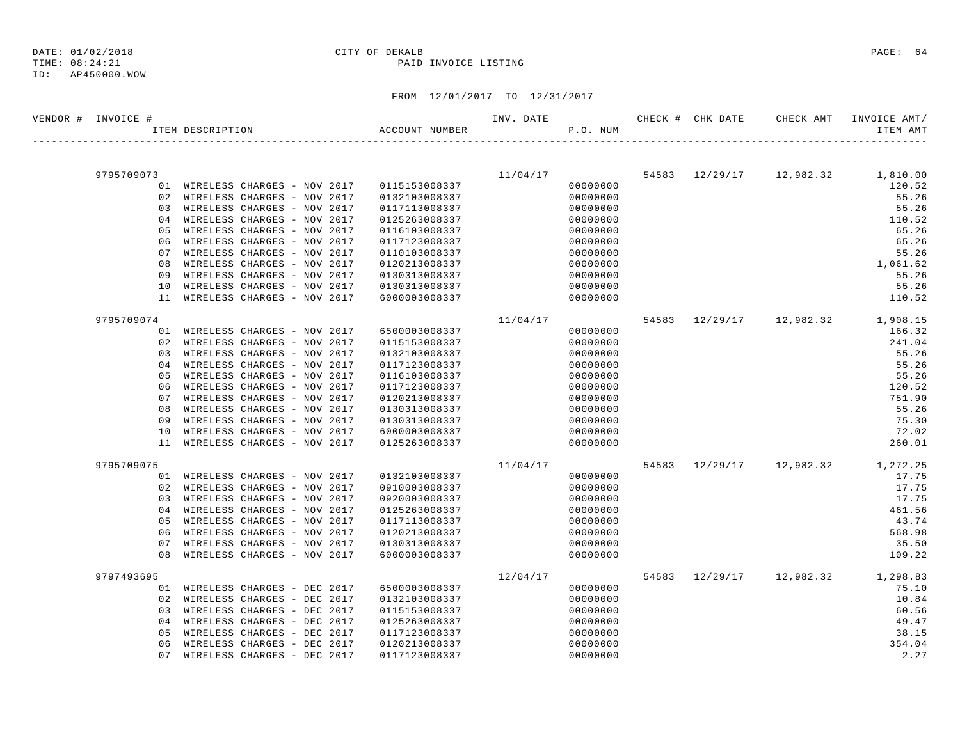TIME: 08:24:21 PAID INVOICE LISTING

#### ID: AP450000.WOW

| VENDOR # INVOICE # | ITEM DESCRIPTION |                                                            | ACCOUNT NUMBER                 | INV. DATE | P.O. NUM             |  | CHECK # CHK DATE CHECK AMT | INVOICE AMT/<br>ITEM AMT          |
|--------------------|------------------|------------------------------------------------------------|--------------------------------|-----------|----------------------|--|----------------------------|-----------------------------------|
|                    |                  |                                                            |                                |           |                      |  |                            |                                   |
| 9795709073         |                  |                                                            |                                | 11/04/17  |                      |  |                            | 54583 12/29/17 12,982.32 1,810.00 |
|                    |                  | 01 WIRELESS CHARGES - NOV 2017                             | 0115153008337                  |           | 00000000             |  |                            | 120.52                            |
|                    |                  | 02 WIRELESS CHARGES - NOV 2017                             | 0132103008337                  |           | 00000000             |  |                            | 55.26                             |
|                    |                  | 03 WIRELESS CHARGES - NOV 2017                             | 0117113008337                  |           | 00000000             |  |                            | 55.26                             |
|                    |                  | 04 WIRELESS CHARGES - NOV 2017                             | 0125263008337                  |           | 00000000             |  |                            | 110.52                            |
| 0 <sub>5</sub>     |                  | WIRELESS CHARGES - NOV 2017                                | 0116103008337                  |           | 00000000             |  |                            | 65.26                             |
| 06                 |                  | WIRELESS CHARGES - NOV 2017                                | 0117123008337                  |           | 00000000             |  |                            | 65.26                             |
| 07                 |                  | WIRELESS CHARGES - NOV 2017                                | 0110103008337                  |           | 00000000             |  |                            | 55.26                             |
| 08                 |                  | WIRELESS CHARGES - NOV 2017                                | 0120213008337                  |           | 00000000             |  |                            | 1,061.62                          |
| 09                 |                  | WIRELESS CHARGES - NOV 2017                                | 0130313008337                  |           | 00000000             |  |                            | 55.26                             |
| 10                 |                  | WIRELESS CHARGES - NOV 2017                                | 0130313008337                  |           | 00000000             |  |                            | 55.26                             |
|                    |                  | 11 WIRELESS CHARGES - NOV 2017                             | 6000003008337                  |           | 00000000             |  |                            | 110.52                            |
| 9795709074         |                  |                                                            |                                | 11/04/17  |                      |  |                            | 54583 12/29/17 12,982.32 1,908.15 |
|                    |                  | 01 WIRELESS CHARGES - NOV 2017                             | 6500003008337                  |           | 00000000             |  |                            | 166.32                            |
|                    |                  | 02 WIRELESS CHARGES - NOV 2017                             | 0115153008337                  |           | 00000000             |  |                            | 241.04                            |
|                    |                  | 03 WIRELESS CHARGES - NOV 2017                             | 0132103008337                  |           | 00000000             |  |                            | 55.26                             |
| 04                 |                  | WIRELESS CHARGES - NOV 2017                                | 0117123008337                  |           | 00000000             |  |                            | 55.26                             |
| 05                 |                  | WIRELESS CHARGES - NOV 2017                                | 0116103008337                  |           | 00000000             |  |                            | 55.26                             |
| 06                 |                  | WIRELESS CHARGES - NOV 2017                                | 0117123008337                  |           | 00000000             |  |                            | 120.52                            |
| 07                 |                  | WIRELESS CHARGES - NOV 2017<br>WIRELESS CHARGES - NOV 2017 | 0120213008337                  |           | 00000000             |  |                            | 751.90<br>55.26                   |
| 08<br>09           |                  | WIRELESS CHARGES - NOV 2017                                | 0130313008337<br>0130313008337 |           | 00000000<br>00000000 |  |                            | 75.30                             |
| 10                 |                  | WIRELESS CHARGES - NOV 2017                                | 6000003008337                  |           | 00000000             |  |                            | 72.02                             |
|                    |                  | 11 WIRELESS CHARGES - NOV 2017                             | 0125263008337                  |           | 00000000             |  |                            | 260.01                            |
|                    |                  |                                                            |                                |           |                      |  |                            |                                   |
| 9795709075         |                  |                                                            |                                | 11/04/17  |                      |  |                            | 54583 12/29/17 12,982.32 1,272.25 |
|                    |                  | 01 WIRELESS CHARGES - NOV 2017                             | 0132103008337                  |           | 00000000             |  |                            | 17.75                             |
| 02                 |                  | WIRELESS CHARGES - NOV 2017                                | 0910003008337                  |           | 00000000             |  |                            | 17.75                             |
|                    |                  | 03 WIRELESS CHARGES - NOV 2017                             | 0920003008337                  |           | 00000000             |  |                            | 17.75                             |
| 04                 |                  | WIRELESS CHARGES - NOV 2017                                | 0125263008337                  |           | 00000000             |  |                            | 461.56                            |
| 05                 |                  | WIRELESS CHARGES - NOV 2017                                | 0117113008337                  |           | 00000000             |  |                            | 43.74                             |
| 06                 |                  | WIRELESS CHARGES - NOV 2017                                | 0120213008337                  |           | 00000000             |  |                            | 568.98                            |
| 07                 |                  | WIRELESS CHARGES - NOV 2017                                | 0130313008337                  |           | 00000000             |  |                            | 35.50                             |
| 08                 |                  | WIRELESS CHARGES - NOV 2017                                | 6000003008337                  |           | 00000000             |  |                            | 109.22                            |
| 9797493695         |                  |                                                            |                                | 12/04/17  |                      |  |                            | 54583 12/29/17 12,982.32 1,298.83 |
|                    |                  | 01 WIRELESS CHARGES - DEC 2017                             | 6500003008337                  |           | 00000000             |  |                            | 75.10                             |
| 02                 |                  | WIRELESS CHARGES - DEC 2017                                | 0132103008337                  |           | 00000000             |  |                            | 10.84                             |
| 03                 |                  | WIRELESS CHARGES - DEC 2017                                | 0115153008337                  |           | 00000000             |  |                            | 60.56                             |
|                    |                  | 04 WIRELESS CHARGES - DEC 2017                             | 0125263008337                  |           | 00000000             |  |                            | 49.47                             |
| 05                 |                  | WIRELESS CHARGES - DEC 2017                                | 0117123008337                  |           | 00000000             |  |                            | 38.15                             |
| 06                 |                  | WIRELESS CHARGES - DEC 2017                                | 0120213008337                  |           | 00000000             |  |                            | 354.04                            |
| 07                 |                  | WIRELESS CHARGES - DEC 2017                                | 0117123008337                  |           | 00000000             |  |                            | 2.27                              |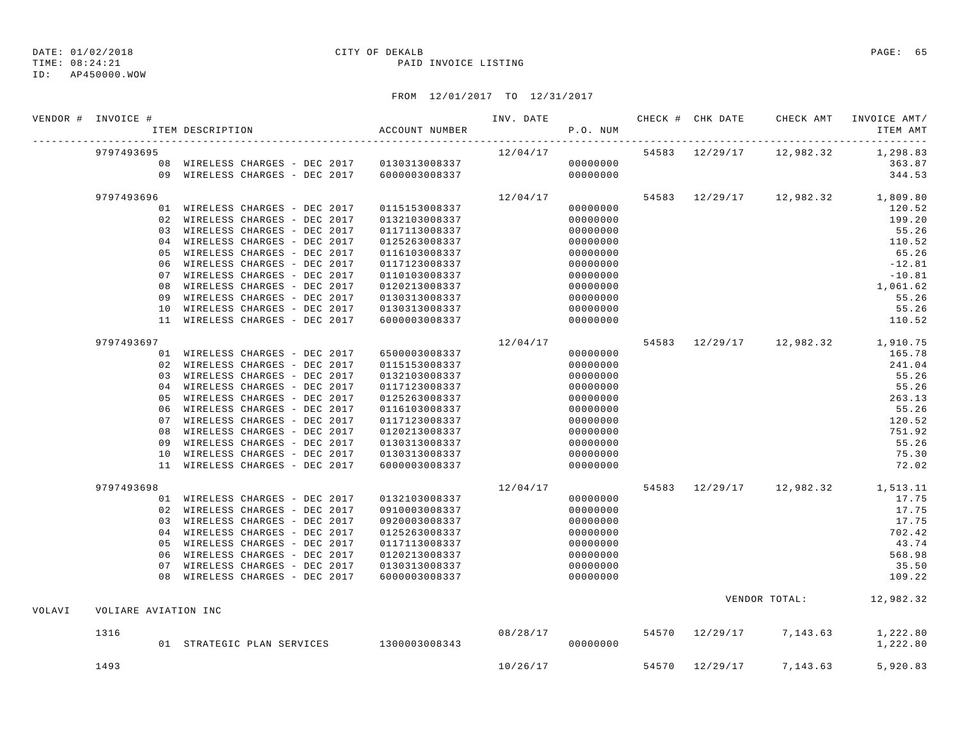TIME: 08:24:21 PAID INVOICE LISTING

#### ID: AP450000.WOW

# DATE: 01/02/2018 CITY OF DEKALB PAGE: 65

|        | VENDOR # INVOICE #   |     | ITEM DESCRIPTION                             | ACCOUNT NUMBER | INV. DATE | P.O. NUM | CHECK # CHK DATE | CHECK AMT                         | INVOICE AMT/<br>ITEM AMT |
|--------|----------------------|-----|----------------------------------------------|----------------|-----------|----------|------------------|-----------------------------------|--------------------------|
|        | 9797493695           |     |                                              |                | 12/04/17  |          |                  | 54583 12/29/17 12,982.32          | 1,298.83                 |
|        |                      |     | 08 WIRELESS CHARGES - DEC 2017 0130313008337 |                |           | 00000000 |                  |                                   | 363.87                   |
|        |                      |     | 09 WIRELESS CHARGES - DEC 2017               | 6000003008337  |           | 00000000 |                  |                                   | 344.53                   |
|        | 9797493696           |     |                                              |                | 12/04/17  |          |                  | 54583 12/29/17 12,982.32 1,809.80 |                          |
|        |                      |     | 01 WIRELESS CHARGES - DEC 2017               | 0115153008337  |           | 00000000 |                  |                                   | 120.52                   |
|        |                      |     | 02 WIRELESS CHARGES - DEC 2017               | 0132103008337  |           | 00000000 |                  |                                   | 199.20                   |
|        |                      |     | 03 WIRELESS CHARGES - DEC 2017               | 0117113008337  |           | 00000000 |                  |                                   | 55.26                    |
|        |                      |     | 04 WIRELESS CHARGES - DEC 2017               | 0125263008337  |           | 00000000 |                  |                                   | 110.52                   |
|        |                      | 0.5 | WIRELESS CHARGES - DEC 2017                  | 0116103008337  |           | 00000000 |                  |                                   | 65.26                    |
|        |                      |     | 06 WIRELESS CHARGES - DEC 2017               | 0117123008337  |           | 00000000 |                  |                                   | $-12.81$                 |
|        |                      | 07  | WIRELESS CHARGES - DEC 2017                  | 0110103008337  |           | 00000000 |                  |                                   | $-10.81$                 |
|        |                      |     | 08 WIRELESS CHARGES - DEC 2017               | 0120213008337  |           | 00000000 |                  |                                   | 1,061.62                 |
|        |                      | 09  | WIRELESS CHARGES - DEC 2017                  | 0130313008337  |           | 00000000 |                  |                                   | 55.26                    |
|        |                      | 10  | WIRELESS CHARGES - DEC 2017                  | 0130313008337  |           | 00000000 |                  |                                   | 55.26                    |
|        |                      | 11  | WIRELESS CHARGES - DEC 2017                  | 6000003008337  |           | 00000000 |                  |                                   | 110.52                   |
|        | 9797493697           |     |                                              |                | 12/04/17  |          |                  | 54583 12/29/17 12,982.32 1,910.75 |                          |
|        |                      |     | 01 WIRELESS CHARGES - DEC 2017               | 6500003008337  |           | 00000000 |                  |                                   | 165.78                   |
|        |                      |     | 02 WIRELESS CHARGES - DEC 2017               | 0115153008337  |           | 00000000 |                  |                                   | 241.04                   |
|        |                      |     | 03 WIRELESS CHARGES - DEC 2017               | 0132103008337  |           | 00000000 |                  |                                   | 55.26                    |
|        |                      |     | 04 WIRELESS CHARGES - DEC 2017               | 0117123008337  |           | 00000000 |                  |                                   | 55.26                    |
|        |                      | 0.5 | WIRELESS CHARGES - DEC 2017                  | 0125263008337  |           | 00000000 |                  |                                   | 263.13                   |
|        |                      | 06  | WIRELESS CHARGES - DEC 2017                  | 0116103008337  |           | 00000000 |                  |                                   | 55.26                    |
|        |                      | 0.7 | WIRELESS CHARGES - DEC 2017                  | 0117123008337  |           | 00000000 |                  |                                   | 120.52                   |
|        |                      |     | 08 WIRELESS CHARGES - DEC 2017               | 0120213008337  |           | 00000000 |                  |                                   | 751.92                   |
|        |                      | 09  | WIRELESS CHARGES - DEC 2017                  | 0130313008337  |           | 00000000 |                  |                                   | 55.26                    |
|        |                      | 10  | WIRELESS CHARGES - DEC 2017                  | 0130313008337  |           | 00000000 |                  |                                   | 75.30                    |
|        |                      | 11  | WIRELESS CHARGES - DEC 2017                  | 6000003008337  |           | 00000000 |                  |                                   | 72.02                    |
|        | 9797493698           |     |                                              |                | 12/04/17  |          |                  | 54583 12/29/17 12,982.32 1,513.11 |                          |
|        |                      |     | 01 WIRELESS CHARGES - DEC 2017               | 0132103008337  |           | 00000000 |                  |                                   | 17.75                    |
|        |                      |     | 02 WIRELESS CHARGES - DEC 2017               | 0910003008337  |           | 00000000 |                  |                                   | 17.75                    |
|        |                      |     | 03 WIRELESS CHARGES - DEC 2017               | 0920003008337  |           | 00000000 |                  |                                   | 17.75                    |
|        |                      |     | 04 WIRELESS CHARGES - DEC 2017               | 0125263008337  |           | 00000000 |                  |                                   | 702.42                   |
|        |                      |     | 05 WIRELESS CHARGES - DEC 2017               | 0117113008337  |           | 00000000 |                  |                                   | 43.74                    |
|        |                      | 06  | WIRELESS CHARGES - DEC 2017                  | 0120213008337  |           | 00000000 |                  |                                   | 568.98                   |
|        |                      | 07  | WIRELESS CHARGES - DEC 2017                  | 0130313008337  |           | 00000000 |                  |                                   | 35.50                    |
|        |                      |     | 08 WIRELESS CHARGES - DEC 2017               | 6000003008337  |           | 00000000 |                  |                                   | 109.22                   |
|        |                      |     |                                              |                |           |          |                  | VENDOR TOTAL: 12,982.32           |                          |
| VOLAVI | VOLIARE AVIATION INC |     |                                              |                |           |          |                  |                                   |                          |
|        | 1316                 |     |                                              |                |           | 08/28/17 |                  | 54570 12/29/17 7,143.63           | 1,222.80                 |
|        |                      |     | 01 STRATEGIC PLAN SERVICES 1300003008343     |                |           | 00000000 |                  |                                   | 1,222.80                 |
|        | 1493                 |     |                                              |                | 10/26/17  |          | 54570 12/29/17   | 7,143.63                          | 5,920.83                 |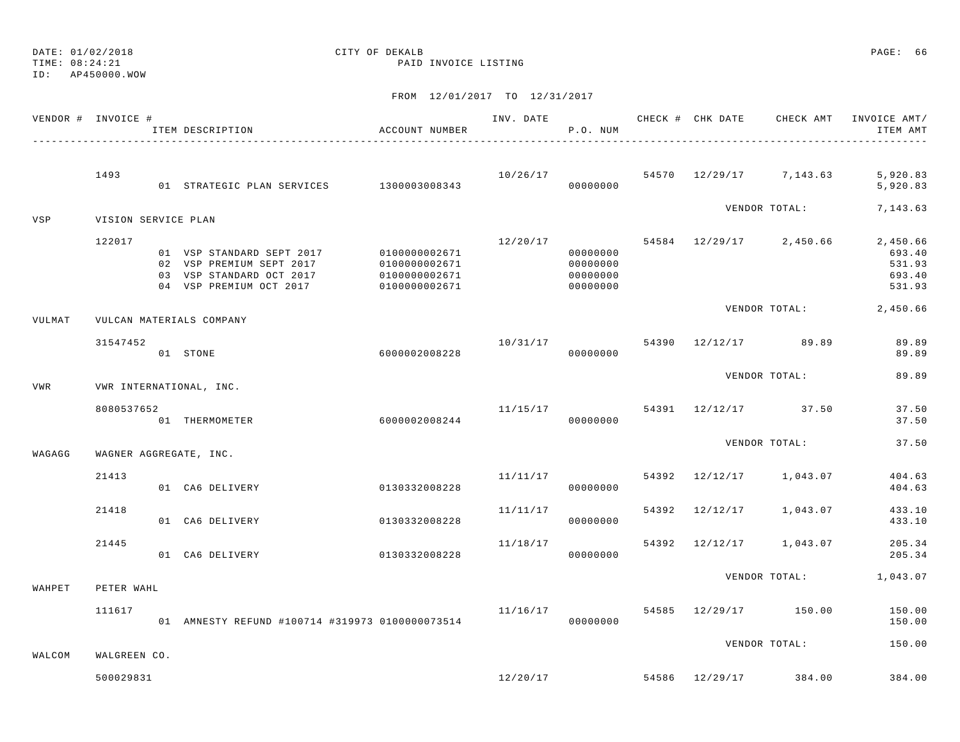TIME: 08:24:21 PAID INVOICE LISTING

ID: AP450000.WOW

|        | VENDOR # INVOICE #        | ITEM DESCRIPTION                                                                                             | ACCOUNT NUMBER                                                   |          | P.O. NUM                                     |  |                                       | ITEM AMT                                         |
|--------|---------------------------|--------------------------------------------------------------------------------------------------------------|------------------------------------------------------------------|----------|----------------------------------------------|--|---------------------------------------|--------------------------------------------------|
|        | 1493                      | 01 STRATEGIC PLAN SERVICES 1300003008343                                                                     |                                                                  |          | 00000000                                     |  | $10/26/17$ 54570 $12/29/17$ 7, 143.63 | 5,920.83<br>5,920.83                             |
| VSP    | VISION SERVICE PLAN       |                                                                                                              |                                                                  |          |                                              |  | VENDOR TOTAL:                         | 7,143.63                                         |
|        | 122017                    | 01 VSP STANDARD SEPT 2017<br>02 VSP PREMIUM SEPT 2017<br>03 VSP STANDARD OCT 2017<br>04 VSP PREMIUM OCT 2017 | 0100000002671<br>0100000002671<br>0100000002671<br>0100000002671 |          | 00000000<br>00000000<br>00000000<br>00000000 |  | $12/20/17$ 54584 12/29/17 2,450.66    | 2,450.66<br>693.40<br>531.93<br>693.40<br>531.93 |
| VULMAT |                           | VULCAN MATERIALS COMPANY                                                                                     |                                                                  |          |                                              |  |                                       | VENDOR TOTAL: 2,450.66                           |
|        | 31547452                  | 01 STONE                                                                                                     | 6000002008228                                                    |          | 00000000                                     |  | 10/31/17 54390 12/12/17 89.89         | 89.89<br>89.89                                   |
| VWR    |                           | VWR INTERNATIONAL, INC.                                                                                      |                                                                  |          |                                              |  | VENDOR TOTAL:                         | 89.89                                            |
|        | 8080537652                | 01 THERMOMETER                                                                                               | 6000002008244                                                    |          | 00000000                                     |  | $11/15/17$ 54391 $12/12/17$ 37.50     | 37.50<br>37.50                                   |
| WAGAGG |                           | WAGNER AGGREGATE, INC.                                                                                       |                                                                  |          |                                              |  | VENDOR TOTAL:                         | 37.50                                            |
|        | 21413                     | 01 CA6 DELIVERY                                                                                              | 0130332008228                                                    | 11/11/17 | 00000000                                     |  | 54392 12/12/17 1,043.07               | 404.63<br>404.63                                 |
|        | 21418                     | 01 CA6 DELIVERY                                                                                              | 0130332008228                                                    | 11/11/17 | 00000000                                     |  | 54392 12/12/17 1,043.07               | 433.10<br>433.10                                 |
|        | 21445                     | 01 CA6 DELIVERY                                                                                              | 0130332008228                                                    | 11/18/17 | 00000000                                     |  | 54392 12/12/17 1,043.07               | 205.34<br>205.34                                 |
| WAHPET | PETER WAHL                |                                                                                                              |                                                                  |          |                                              |  | VENDOR TOTAL:                         | 1,043.07                                         |
|        | 111617                    | 01 AMNESTY REFUND #100714 #319973 0100000073514                                                              |                                                                  | 11/16/17 | 00000000                                     |  | 54585 12/29/17 150.00                 | 150.00<br>150.00                                 |
|        |                           |                                                                                                              |                                                                  |          |                                              |  | VENDOR TOTAL:                         | 150.00                                           |
| WALCOM | WALGREEN CO.<br>500029831 |                                                                                                              |                                                                  | 12/20/17 |                                              |  | 54586 12/29/17 384.00                 | 384.00                                           |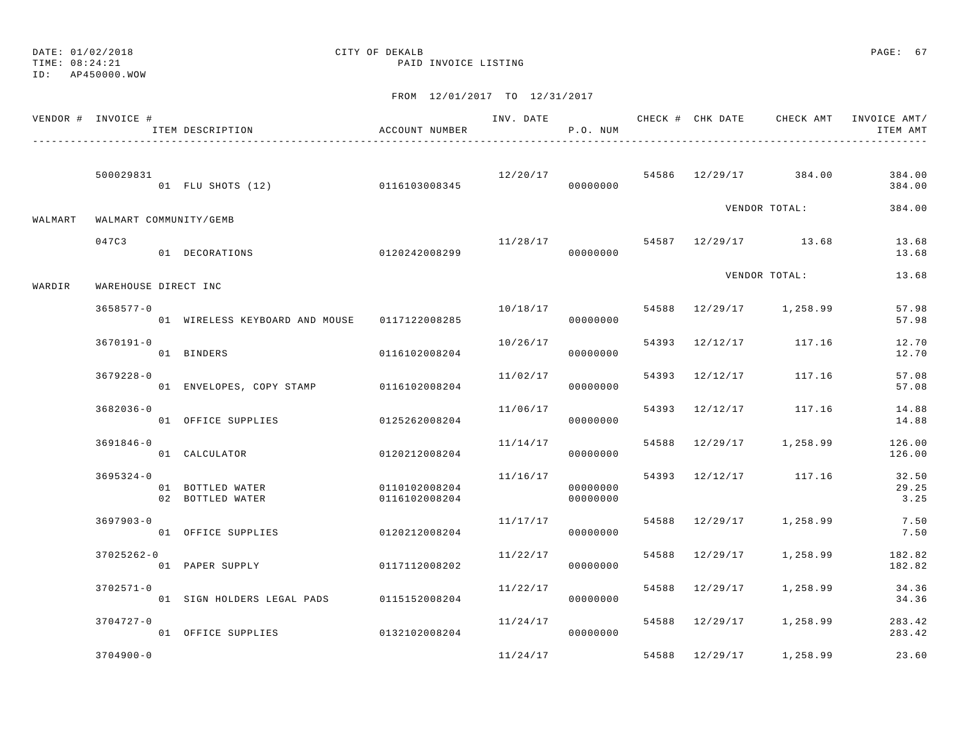TIME: 08:24:21 PAID INVOICE LISTING

| VENDOR # INVOICE # |                      | ITEM DESCRIPTION                             | ACCOUNT NUMBER |          | P.O. NUM             |                |                                  | ITEM AMT         |
|--------------------|----------------------|----------------------------------------------|----------------|----------|----------------------|----------------|----------------------------------|------------------|
|                    | 500029831            |                                              |                |          |                      |                | $12/20/17$ 54586 12/29/17 384.00 | 384.00           |
|                    |                      | 01 FLU SHOTS (12) 0116103008345              |                |          | 00000000             |                |                                  | 384.00           |
| WALMART            |                      | WALMART COMMUNITY/GEMB                       |                |          |                      |                | VENDOR TOTAL:                    | 384.00           |
|                    | 047C3                |                                              |                | 11/28/17 |                      |                | 54587 12/29/17 13.68             | 13.68            |
|                    |                      | 01 DECORATIONS                               | 0120242008299  |          | 00000000             |                |                                  | 13.68            |
| WARDIR             | WAREHOUSE DIRECT INC |                                              |                |          |                      |                | VENDOR TOTAL:                    | 13.68            |
|                    | $3658577 - 0$        | 01 WIRELESS KEYBOARD AND MOUSE 0117122008285 |                | 10/18/17 | 00000000             |                | 54588 12/29/17 1,258.99          | 57.98<br>57.98   |
|                    | $3670191 - 0$        | 01 BINDERS                                   | 0116102008204  |          | 10/26/17<br>00000000 |                | 54393 12/12/17 117.16            | 12.70<br>12.70   |
|                    | $3679228 - 0$        |                                              |                | 11/02/17 |                      | 54393 12/12/17 | 117.16                           | 57.08            |
|                    |                      | 01 ENVELOPES, COPY STAMP 0116102008204       |                |          | 00000000             |                |                                  | 57.08            |
|                    | $3682036 - 0$        | 01 OFFICE SUPPLIES                           | 0125262008204  | 11/06/17 | 00000000             |                | 54393 12/12/17 117.16            | 14.88<br>14.88   |
|                    | 3691846-0            | 01 CALCULATOR                                | 0120212008204  | 11/14/17 | 00000000             |                | 54588 12/29/17 1,258.99          | 126.00<br>126.00 |
|                    | $3695324 - 0$        | 01 BOTTLED WATER                             | 0110102008204  | 11/16/17 | 00000000             |                | 54393 12/12/17 117.16            | 32.50<br>29.25   |
|                    |                      | 02 BOTTLED WATER                             | 0116102008204  |          | 00000000             |                |                                  | 3.25             |
|                    | $3697903 - 0$        | 01 OFFICE SUPPLIES                           | 0120212008204  | 11/17/17 | 00000000             | 54588 12/29/17 | 1,258.99                         | 7.50<br>7.50     |
|                    | $37025262 - 0$       | 01 PAPER SUPPLY                              | 0117112008202  | 11/22/17 | 00000000             | 54588 12/29/17 | 1,258.99                         | 182.82<br>182.82 |
|                    | $3702571 - 0$        | 01 SIGN HOLDERS LEGAL PADS 0115152008204     |                | 11/22/17 | 00000000             | 54588 12/29/17 | 1,258.99                         | 34.36<br>34.36   |
|                    | $3704727 - 0$        |                                              | 0132102008204  | 11/24/17 |                      |                | 54588 12/29/17 1,258.99          | 283.42           |
|                    | $3704900 - 0$        | 01 OFFICE SUPPLIES                           |                | 11/24/17 | 00000000             | 54588 12/29/17 | 1,258.99                         | 283.42<br>23.60  |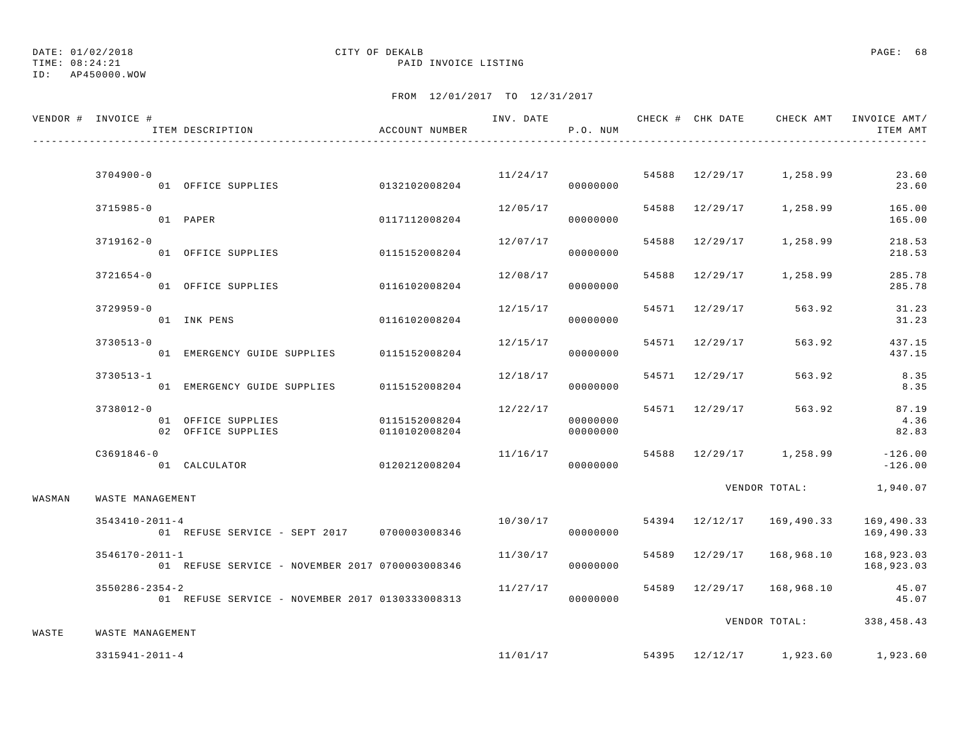TIME: 08:24:21 PAID INVOICE LISTING

ID: AP450000.WOW

|        | VENDOR # INVOICE #   | ITEM DESCRIPTION                                | ACCOUNT NUMBER |          | P.O. NUM |                | INV. DATE 6 1999 CHECK # CHK DATE 6 CHECK AMT INVOICE AMT | ITEM AMT                 |
|--------|----------------------|-------------------------------------------------|----------------|----------|----------|----------------|-----------------------------------------------------------|--------------------------|
|        |                      |                                                 |                |          |          |                |                                                           |                          |
|        | $3704900 - 0$        | 01 OFFICE SUPPLIES                              | 0132102008204  | 11/24/17 | 00000000 |                | 54588 12/29/17 1,258.99                                   | 23.60<br>23.60           |
|        | 3715985-0            | 01 PAPER                                        | 0117112008204  | 12/05/17 | 00000000 |                | 54588 12/29/17 1,258.99                                   | 165.00<br>165.00         |
|        | 3719162-0            | 01 OFFICE SUPPLIES                              | 0115152008204  | 12/07/17 | 00000000 |                | 54588 12/29/17 1,258.99                                   | 218.53<br>218.53         |
|        | 3721654-0            | 01 OFFICE SUPPLIES                              | 0116102008204  | 12/08/17 | 00000000 |                | 54588 12/29/17 1,258.99                                   | 285.78<br>285.78         |
|        | 3729959-0            | 01 INK PENS                                     | 0116102008204  | 12/15/17 | 00000000 | 54571 12/29/17 | 563.92                                                    | 31.23<br>31.23           |
|        | $3730513 - 0$        | 01 EMERGENCY GUIDE SUPPLIES 0115152008204       |                | 12/15/17 | 00000000 | 54571 12/29/17 | 563.92                                                    | 437.15<br>437.15         |
|        | $3730513 - 1$        | 01 EMERGENCY GUIDE SUPPLIES                     | 0115152008204  | 12/18/17 | 00000000 | 54571 12/29/17 | 563.92                                                    | 8.35<br>8.35             |
|        | 3738012-0            | 01 OFFICE SUPPLIES                              | 0115152008204  | 12/22/17 | 00000000 | 54571 12/29/17 | 563.92                                                    | 87.19<br>4.36            |
|        | $C3691846 - 0$       | 02 OFFICE SUPPLIES                              | 0110102008204  | 11/16/17 | 00000000 |                | 54588 12/29/17 1,258.99 -126.00                           | 82.83                    |
|        |                      | 01 CALCULATOR                                   | 0120212008204  |          | 00000000 |                |                                                           | $-126.00$                |
| WASMAN | WASTE MANAGEMENT     |                                                 |                |          |          |                | VENDOR TOTAL:                                             | 1,940.07                 |
|        | $3543410 - 2011 - 4$ | 01 REFUSE SERVICE - SEPT 2017 0700003008346     |                | 10/30/17 | 00000000 |                | 54394 12/12/17 169,490.33                                 | 169,490.33<br>169,490.33 |
|        | $3546170 - 2011 - 1$ | 01 REFUSE SERVICE - NOVEMBER 2017 0700003008346 |                | 11/30/17 | 00000000 | 54589 12/29/17 | 168,968.10                                                | 168,923.03<br>168,923.03 |
|        | $3550286 - 2354 - 2$ | 01 REFUSE SERVICE - NOVEMBER 2017 0130333008313 |                | 11/27/17 | 00000000 |                | 54589 12/29/17 168,968.10                                 | 45.07<br>45.07           |
|        |                      |                                                 |                |          |          |                | VENDOR TOTAL:                                             | 338,458.43               |
| WASTE  | WASTE MANAGEMENT     |                                                 |                |          |          |                |                                                           |                          |
|        | $3315941 - 2011 - 4$ |                                                 |                | 11/01/17 |          |                | 54395 12/12/17 1,923.60                                   | 1,923.60                 |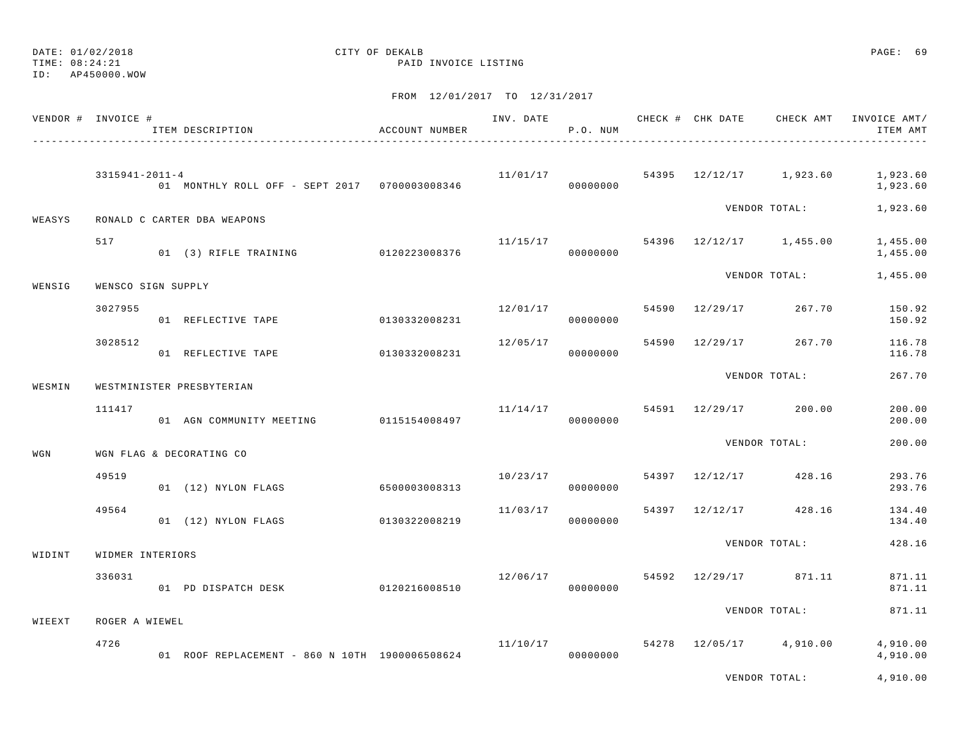TIME: 08:24:21 PAID INVOICE LISTING

ID: AP450000.WOW

|        | VENDOR # INVOICE #   | ITEM DESCRIPTION                               | ACCOUNT NUMBER | INV. DATE | P.O. NUM |                | CHECK # CHK DATE CHECK AMT           | INVOICE AMT/<br>ITEM AMT |
|--------|----------------------|------------------------------------------------|----------------|-----------|----------|----------------|--------------------------------------|--------------------------|
|        | $3315941 - 2011 - 4$ | 01 MONTHLY ROLL OFF - SEPT 2017 0700003008346  |                |           | 00000000 |                | $11/01/17$ 54395 $12/12/17$ 1,923.60 | 1,923.60<br>1,923.60     |
| WEASYS |                      | RONALD C CARTER DBA WEAPONS                    |                |           |          |                | VENDOR TOTAL:                        | 1,923.60                 |
|        | 517                  | 01 (3) RIFLE TRAINING 0120223008376            |                |           | 00000000 |                | $11/15/17$ 54396 $12/12/17$ 1,455.00 | 1,455.00<br>1,455.00     |
| WENSIG | WENSCO SIGN SUPPLY   |                                                |                |           |          |                | VENDOR TOTAL:                        | 1,455.00                 |
|        | 3027955              | 01 REFLECTIVE TAPE                             | 0130332008231  | 12/01/17  | 00000000 | 54590 12/29/17 | 267.70                               | 150.92<br>150.92         |
|        | 3028512              | 01 REFLECTIVE TAPE                             | 0130332008231  | 12/05/17  | 00000000 |                | 54590 12/29/17 267.70                | 116.78<br>116.78         |
| WESMIN |                      | WESTMINISTER PRESBYTERIAN                      |                |           |          |                | VENDOR TOTAL:                        | 267.70                   |
|        | 111417               | 01 AGN COMMUNITY MEETING 0115154008497         |                |           | 00000000 |                | $11/14/17$ 54591 $12/29/17$ 200.00   | 200.00<br>200.00         |
| WGN    |                      | WGN FLAG & DECORATING CO                       |                |           |          |                | VENDOR TOTAL:                        | 200.00                   |
|        | 49519                | 01 (12) NYLON FLAGS                            | 6500003008313  | 10/23/17  | 00000000 | 54397 12/12/17 | 428.16                               | 293.76<br>293.76         |
|        | 49564                | 01 (12) NYLON FLAGS                            | 0130322008219  | 11/03/17  | 00000000 |                | 54397 12/12/17 428.16                | 134.40<br>134.40         |
| WIDINT | WIDMER INTERIORS     |                                                |                |           |          |                | VENDOR TOTAL:                        | 428.16                   |
|        | 336031               | 01 PD DISPATCH DESK                            | 0120216008510  | 12/06/17  | 00000000 |                | 54592 12/29/17 871.11                | 871.11<br>871.11         |
| WIEEXT | ROGER A WIEWEL       |                                                |                |           |          |                | VENDOR TOTAL:                        | 871.11                   |
|        | 4726                 | 01 ROOF REPLACEMENT - 860 N 10TH 1900006508624 |                | 11/10/17  | 00000000 |                | 54278 12/05/17 4,910.00              | 4,910.00<br>4,910.00     |
|        |                      |                                                |                |           |          |                | VENDOR TOTAL:                        | 4,910.00                 |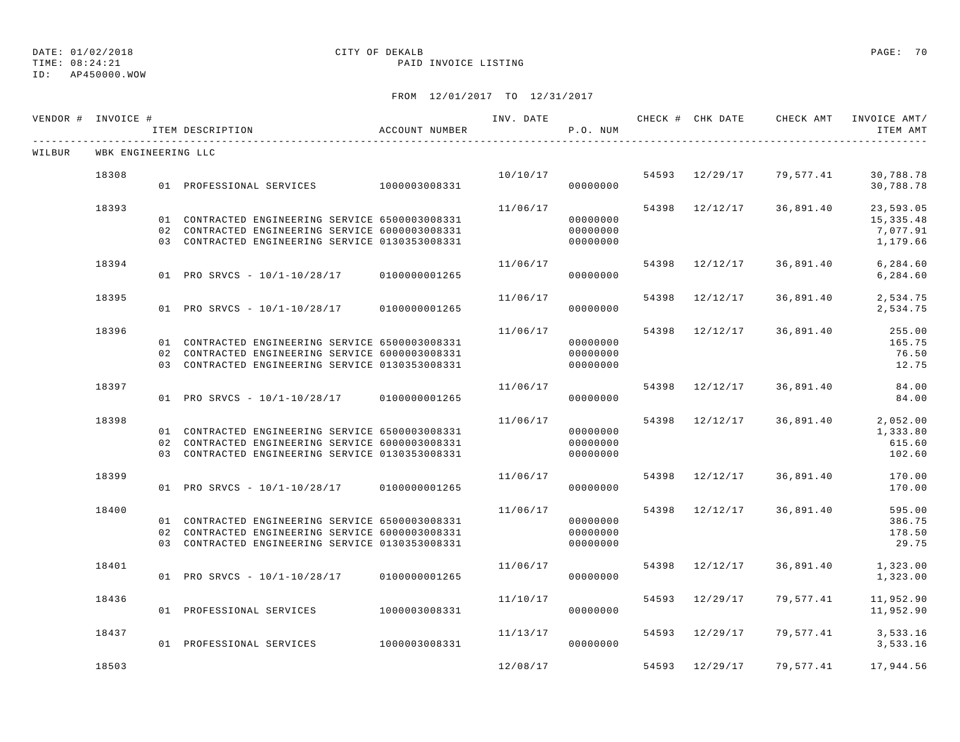TIME: 08:24:21 PAID INVOICE LISTING

| VENDOR # INVOICE # |                     | ITEM DESCRIPTION                                                                                                                                      | ACCOUNT NUMBER | INV. DATE | P.O. NUM                         |       | CHECK # CHK DATE | CHECK AMT | INVOICE AMT/<br>ITEM AMT                        |
|--------------------|---------------------|-------------------------------------------------------------------------------------------------------------------------------------------------------|----------------|-----------|----------------------------------|-------|------------------|-----------|-------------------------------------------------|
| WILBUR             | WBK ENGINEERING LLC |                                                                                                                                                       |                |           |                                  |       |                  |           |                                                 |
|                    | 18308               | 01 PROFESSIONAL SERVICES 1000003008331                                                                                                                |                | 10/10/17  | 00000000                         |       | 54593 12/29/17   | 79,577.41 | 30,788.78<br>30,788.78                          |
|                    | 18393               | 01 CONTRACTED ENGINEERING SERVICE 6500003008331<br>02 CONTRACTED ENGINEERING SERVICE 6000003008331<br>03 CONTRACTED ENGINEERING SERVICE 0130353008331 |                | 11/06/17  | 00000000<br>00000000<br>00000000 |       | 54398 12/12/17   | 36,891.40 | 23,593.05<br>15, 335.48<br>7,077.91<br>1,179.66 |
|                    | 18394               | 01 PRO SRVCS - 10/1-10/28/17 0100000001265                                                                                                            |                | 11/06/17  | 00000000                         | 54398 | 12/12/17         | 36,891.40 | 6,284.60<br>6,284.60                            |
|                    | 18395               | 01 PRO SRVCS - 10/1-10/28/17 0100000001265                                                                                                            |                | 11/06/17  | 00000000                         | 54398 | 12/12/17         | 36,891.40 | 2,534.75<br>2,534.75                            |
|                    | 18396               | 01 CONTRACTED ENGINEERING SERVICE 6500003008331<br>02 CONTRACTED ENGINEERING SERVICE 6000003008331<br>03 CONTRACTED ENGINEERING SERVICE 0130353008331 |                | 11/06/17  | 00000000<br>00000000<br>00000000 |       | 54398 12/12/17   | 36,891.40 | 255.00<br>165.75<br>76.50<br>12.75              |
|                    | 18397               | 01 PRO SRVCS - 10/1-10/28/17 0100000001265                                                                                                            |                | 11/06/17  | 00000000                         | 54398 | 12/12/17         | 36,891.40 | 84.00<br>84.00                                  |
|                    | 18398               | 01 CONTRACTED ENGINEERING SERVICE 6500003008331<br>02 CONTRACTED ENGINEERING SERVICE 6000003008331<br>03 CONTRACTED ENGINEERING SERVICE 0130353008331 |                | 11/06/17  | 00000000<br>00000000<br>00000000 |       | 54398 12/12/17   | 36,891.40 | 2,052.00<br>1,333.80<br>615.60<br>102.60        |
|                    | 18399               | 01 PRO SRVCS - 10/1-10/28/17 0100000001265                                                                                                            |                | 11/06/17  | 00000000                         | 54398 | 12/12/17         | 36,891.40 | 170.00<br>170.00                                |
|                    | 18400               | 01 CONTRACTED ENGINEERING SERVICE 6500003008331<br>02 CONTRACTED ENGINEERING SERVICE 6000003008331<br>03 CONTRACTED ENGINEERING SERVICE 0130353008331 |                | 11/06/17  | 00000000<br>00000000<br>00000000 | 54398 | 12/12/17         | 36,891.40 | 595.00<br>386.75<br>178.50<br>29.75             |
|                    | 18401               | 01 PRO SRVCS - 10/1-10/28/17 0100000001265                                                                                                            |                | 11/06/17  | 00000000                         | 54398 | 12/12/17         | 36,891.40 | 1,323.00<br>1,323.00                            |
|                    | 18436               | 01 PROFESSIONAL SERVICES                                                                                                                              | 1000003008331  | 11/10/17  | 00000000                         | 54593 | 12/29/17         | 79,577.41 | 11,952.90<br>11,952.90                          |
|                    | 18437               | 01 PROFESSIONAL SERVICES                                                                                                                              | 1000003008331  | 11/13/17  | 00000000                         |       | 54593 12/29/17   | 79,577.41 | 3,533.16<br>3,533.16                            |
|                    | 18503               |                                                                                                                                                       |                | 12/08/17  |                                  |       | 54593 12/29/17   | 79,577.41 | 17,944.56                                       |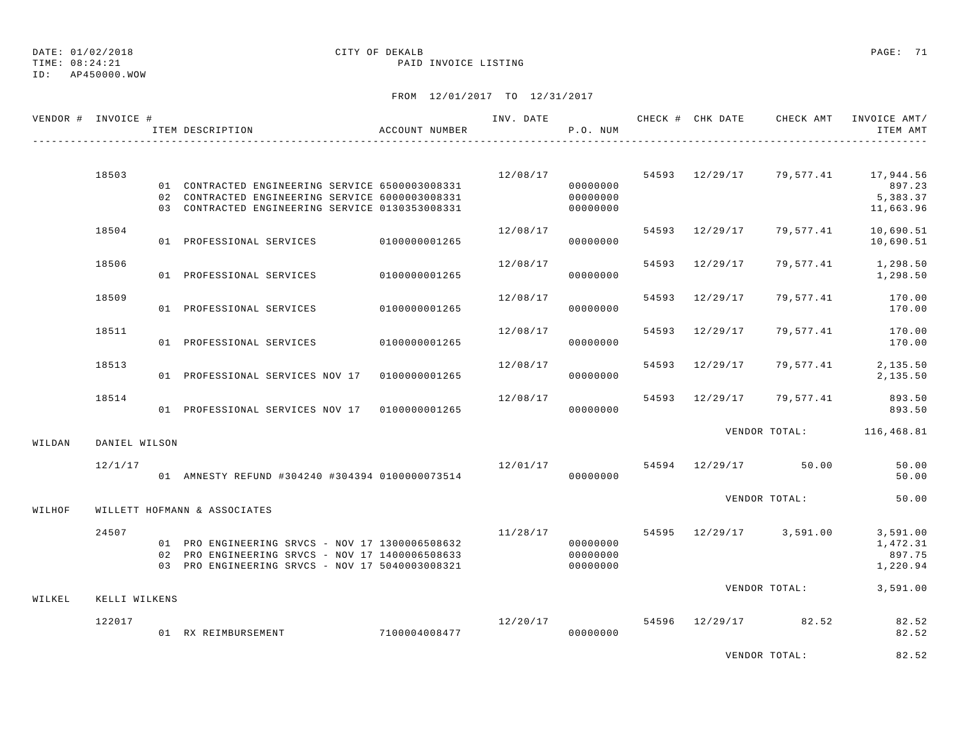ID: AP450000.WOW

#### TIME: 08:24:21 PAID INVOICE LISTING

FROM 12/01/2017 TO 12/31/2017

|        | VENDOR # INVOICE # | ITEM DESCRIPTION                                                                                                                                      | ACCOUNT NUMBER | INV. DATE | P.O. NUM                         |       |                | CHECK # CHK DATE CHECK AMT INVOICE AMT / | ITEM AMT                                   |
|--------|--------------------|-------------------------------------------------------------------------------------------------------------------------------------------------------|----------------|-----------|----------------------------------|-------|----------------|------------------------------------------|--------------------------------------------|
|        |                    |                                                                                                                                                       |                |           |                                  |       |                |                                          |                                            |
|        | 18503              | 01 CONTRACTED ENGINEERING SERVICE 6500003008331<br>02 CONTRACTED ENGINEERING SERVICE 6000003008331<br>03 CONTRACTED ENGINEERING SERVICE 0130353008331 |                | 12/08/17  | 00000000<br>00000000<br>00000000 |       |                | 54593 12/29/17 79,577.41 17,944.56       | 897.23<br>5,383.37<br>11,663.96            |
|        | 18504              | 01 PROFESSIONAL SERVICES 0100000001265                                                                                                                |                | 12/08/17  | 00000000                         |       | 54593 12/29/17 | 79,577.41                                | 10,690.51<br>10,690.51                     |
|        | 18506              | 01 PROFESSIONAL SERVICES                                                                                                                              | 0100000001265  | 12/08/17  | 00000000                         |       | 54593 12/29/17 | 79,577.41                                | 1,298.50<br>1,298.50                       |
|        | 18509              | 01 PROFESSIONAL SERVICES                                                                                                                              | 0100000001265  | 12/08/17  | 00000000                         |       | 54593 12/29/17 | 79,577.41                                | 170.00<br>170.00                           |
|        | 18511              | 01 PROFESSIONAL SERVICES                                                                                                                              | 0100000001265  | 12/08/17  | 00000000                         | 54593 | 12/29/17       | 79,577.41                                | 170.00<br>170.00                           |
|        | 18513              | 01 PROFESSIONAL SERVICES NOV 17 01000000001265                                                                                                        |                | 12/08/17  | 00000000                         |       | 54593 12/29/17 | 79,577.41                                | 2,135.50<br>2,135.50                       |
|        | 18514              | 01 PROFESSIONAL SERVICES NOV 17 01000000001265                                                                                                        |                | 12/08/17  | 00000000                         |       | 54593 12/29/17 | 79,577.41                                | 893.50<br>893.50                           |
| WILDAN | DANIEL WILSON      |                                                                                                                                                       |                |           |                                  |       |                | VENDOR TOTAL: 116,468.81                 |                                            |
|        | 12/1/17            | 01 AMNESTY REFUND #304240 #304394 0100000073514                                                                                                       |                |           | 00000000                         |       |                | $12/01/17$ 54594 $12/29/17$ 50.00        | 50.00<br>50.00                             |
| WILHOF |                    | WILLETT HOFMANN & ASSOCIATES                                                                                                                          |                |           |                                  |       |                | VENDOR TOTAL:                            | 50.00                                      |
|        | 24507              | 01 PRO ENGINEERING SRVCS - NOV 17 1300006508632<br>02 PRO ENGINEERING SRVCS - NOV 17 1400006508633<br>03 PRO ENGINEERING SRVCS - NOV 17 5040003008321 |                | 11/28/17  | 00000000<br>00000000<br>00000000 |       |                | 54595 12/29/17 3,591.00                  | 3,591.00<br>1,472.31<br>897.75<br>1,220.94 |
| WILKEL | KELLI WILKENS      |                                                                                                                                                       |                |           |                                  |       |                | VENDOR TOTAL:                            | 3,591.00                                   |
|        | 122017             | 01 RX REIMBURSEMENT 7100004008477                                                                                                                     |                |           | 00000000                         |       |                | $12/20/17$ 54596 12/29/17 82.52          | 82.52<br>82.52                             |
|        |                    |                                                                                                                                                       |                |           |                                  |       |                | ELERATOR MORAT.                          | 0.25                                       |

VENDOR TOTAL: 82.52